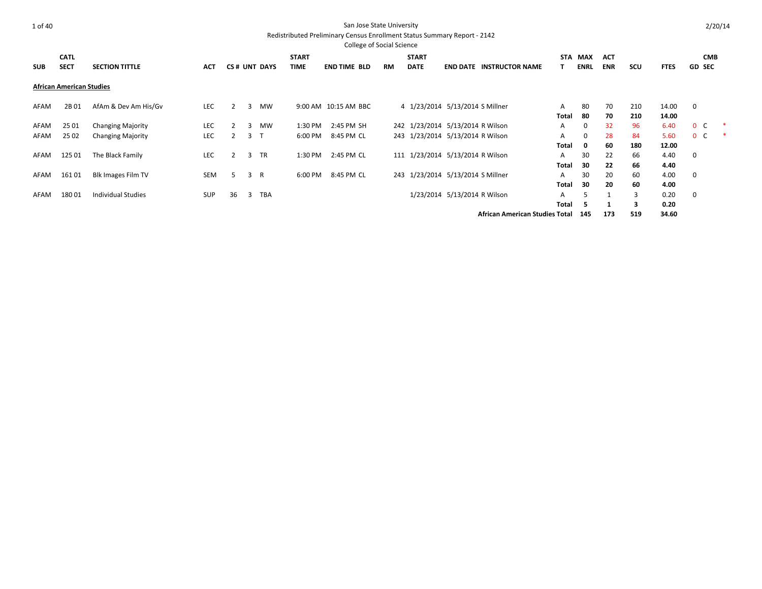| ×<br>I<br>I |
|-------------|
|-------------|

|            |                                 |                           |            |    |   |                |              | <b>College of Social Science</b> |           |                                   |                              |                                       |       |             |            |     |             |               |            |
|------------|---------------------------------|---------------------------|------------|----|---|----------------|--------------|----------------------------------|-----------|-----------------------------------|------------------------------|---------------------------------------|-------|-------------|------------|-----|-------------|---------------|------------|
|            | <b>CATL</b>                     |                           |            |    |   |                | <b>START</b> |                                  |           | <b>START</b>                      |                              |                                       |       | STA MAX     | <b>ACT</b> |     |             |               | <b>CMB</b> |
| <b>SUB</b> | <b>SECT</b>                     | <b>SECTION TITTLE</b>     | <b>ACT</b> |    |   | CS# UNT DAYS   | TIME         | <b>END TIME BLD</b>              | <b>RM</b> | <b>DATE</b>                       |                              | <b>END DATE INSTRUCTOR NAME</b>       |       | <b>ENRL</b> | <b>ENR</b> | scu | <b>FTES</b> | <b>GD SEC</b> |            |
|            | <b>African American Studies</b> |                           |            |    |   |                |              |                                  |           |                                   |                              |                                       |       |             |            |     |             |               |            |
| AFAM       | 2B 01                           | AfAm & Dev Am His/Gv      | LEC        |    | 3 | <b>MW</b>      |              | 9:00 AM 10:15 AM BBC             |           | 4 1/23/2014 5/13/2014 S Millner   |                              |                                       | A     | 80          | 70         | 210 | 14.00       | $\mathbf 0$   |            |
|            |                                 |                           |            |    |   |                |              |                                  |           |                                   |                              |                                       | Total | 80          | 70         | 210 | 14.00       |               |            |
| AFAM       | 25 01                           | <b>Changing Majority</b>  | LEC        |    | 3 | MW             | 1:30 PM      | 2:45 PM SH                       |           | 242 1/23/2014 5/13/2014 R Wilson  |                              |                                       | A     | 0           | 32         | 96  | 6.40        | $0\quad C$    | $\ast$     |
| AFAM       | 25 02                           | <b>Changing Majority</b>  | <b>LEC</b> |    |   | 3 <sub>1</sub> | 6:00 PM      | 8:45 PM CL                       |           | 243 1/23/2014 5/13/2014 R Wilson  |                              |                                       | A     | 0           | 28         | 84  | 5.60        | $0\quad C$    | ∗          |
|            |                                 |                           |            |    |   |                |              |                                  |           |                                   |                              |                                       | Total | 0           | 60         | 180 | 12.00       |               |            |
| AFAM       | 125 01                          | The Black Family          | <b>LEC</b> |    | 3 | <b>TR</b>      | 1:30 PM      | 2:45 PM CL                       |           | 111 1/23/2014 5/13/2014 R Wilson  |                              |                                       | A     | 30          | 22         | 66  | 4.40        | $\mathbf 0$   |            |
|            |                                 |                           |            |    |   |                |              |                                  |           |                                   |                              |                                       | Total | 30          | 22         | 66  | 4.40        |               |            |
| AFAM       | 16101                           | Blk Images Film TV        | <b>SEM</b> | .5 |   | 3 R            | 6:00 PM      | 8:45 PM CL                       |           | 243 1/23/2014 5/13/2014 S Millner |                              |                                       | A     | 30          | 20         | 60  | 4.00        | 0             |            |
|            |                                 |                           |            |    |   |                |              |                                  |           |                                   |                              |                                       | Total | 30          | 20         | 60  | 4.00        |               |            |
| AFAM       | 18001                           | <b>Individual Studies</b> | <b>SUP</b> | 36 | 3 | <b>TBA</b>     |              |                                  |           |                                   | 1/23/2014 5/13/2014 R Wilson |                                       | A     |             |            |     | 0.20        | 0             |            |
|            |                                 |                           |            |    |   |                |              |                                  |           |                                   |                              |                                       | Total | 5           |            | 3   | 0.20        |               |            |
|            |                                 |                           |            |    |   |                |              |                                  |           |                                   |                              | <b>African American Studies Total</b> |       | 145         | 173        | 519 | 34.60       |               |            |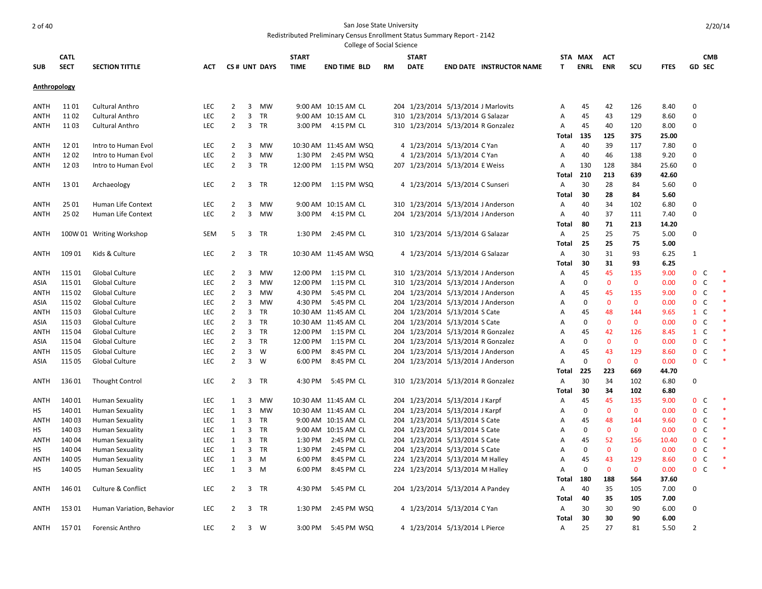|              |             |                               |            |                |   |              |              | College of Social Science |    |                                     |                                    |                |             |             |              |             |                  |                |  |
|--------------|-------------|-------------------------------|------------|----------------|---|--------------|--------------|---------------------------|----|-------------------------------------|------------------------------------|----------------|-------------|-------------|--------------|-------------|------------------|----------------|--|
|              | <b>CATL</b> |                               |            |                |   |              | <b>START</b> |                           |    | <b>START</b>                        |                                    |                | STA MAX     | ACT         |              |             |                  | <b>CMB</b>     |  |
| <b>SUB</b>   | <b>SECT</b> | <b>SECTION TITTLE</b>         | ACT        |                |   | CS# UNT DAYS | <b>TIME</b>  | <b>END TIME BLD</b>       | RM | <b>DATE</b>                         | <b>END DATE INSTRUCTOR NAME</b>    | T.             | <b>ENRL</b> | <b>ENR</b>  | scu          | <b>FTES</b> |                  | <b>GD SEC</b>  |  |
|              |             |                               |            |                |   |              |              |                           |    |                                     |                                    |                |             |             |              |             |                  |                |  |
| Anthropology |             |                               |            |                |   |              |              |                           |    |                                     |                                    |                |             |             |              |             |                  |                |  |
| ANTH         | 11 01       | Cultural Anthro               | <b>LEC</b> | 2              | 3 | MW           |              | 9:00 AM 10:15 AM CL       |    | 204 1/23/2014 5/13/2014 J Marlovits |                                    | Α              | 45          | 42          | 126          | 8.40        | $\mathbf 0$      |                |  |
| ANTH         | 1102        | Cultural Anthro               | <b>LEC</b> | $\overline{2}$ | 3 | TR           |              | 9:00 AM 10:15 AM CL       |    | 310 1/23/2014 5/13/2014 G Salazar   |                                    | Α              | 45          | 43          | 129          | 8.60        | $\mathbf 0$      |                |  |
| ANTH         | 1103        | Cultural Anthro               | <b>LEC</b> | 2              | 3 | TR           | 3:00 PM      | 4:15 PM CL                |    | 310 1/23/2014 5/13/2014 R Gonzalez  |                                    | Α              | 45          | 40          | 120          | 8.00        | $\mathbf 0$      |                |  |
|              |             |                               |            |                |   |              |              |                           |    |                                     |                                    | Total          | 135         | 125         | 375          | 25.00       |                  |                |  |
| ANTH         | 1201        | Intro to Human Evol           | LEC        | $\overline{2}$ | 3 | MW           |              | 10:30 AM 11:45 AM WSQ     |    | 4 1/23/2014 5/13/2014 C Yan         |                                    | Α              | 40          | 39          | 117          | 7.80        | $\mathbf 0$      |                |  |
| ANTH         | 1202        | Intro to Human Evol           | LEC        | $\overline{2}$ | 3 | MW           | 1:30 PM      | 2:45 PM WSQ               |    | 4 1/23/2014 5/13/2014 C Yan         |                                    | Α              | 40          | 46          | 138          | 9.20        | $\mathbf 0$      |                |  |
| ANTH         | 1203        | Intro to Human Evol           | <b>LEC</b> | 2              | 3 | TR           | 12:00 PM     | 1:15 PM WSQ               |    | 207 1/23/2014 5/13/2014 E Weiss     |                                    | Α              | 130         | 128         | 384          | 25.60       | $\mathbf 0$      |                |  |
|              |             |                               |            |                |   |              |              |                           |    |                                     |                                    | <b>Total</b>   | 210         | 213         | 639          | 42.60       |                  |                |  |
| <b>ANTH</b>  | 13 01       | Archaeology                   | <b>LEC</b> | 2              | 3 | TR           |              | 12:00 PM   1:15 PM   WSQ  |    | 4 1/23/2014 5/13/2014 C Sunseri     |                                    | Α              | 30          | 28          | 84           | 5.60        | $\mathbf 0$      |                |  |
|              |             |                               |            |                |   |              |              |                           |    |                                     |                                    | Total          | 30          | 28          | 84           | 5.60        |                  |                |  |
| ANTH         | 25 01       | Human Life Context            | LEC        | 2              | 3 | MW           |              | 9:00 AM 10:15 AM CL       |    |                                     | 310 1/23/2014 5/13/2014 J Anderson | Α              | 40          | 34          | 102          | 6.80        | $\boldsymbol{0}$ |                |  |
| ANTH         | 25 02       | Human Life Context            | <b>LEC</b> | $\overline{2}$ | 3 | MW           | 3:00 PM      | 4:15 PM CL                |    |                                     | 204 1/23/2014 5/13/2014 J Anderson | Α              | 40          | 37          | 111          | 7.40        | $\mathbf 0$      |                |  |
|              |             |                               |            |                |   |              |              |                           |    |                                     |                                    | <b>Total</b>   | 80          | 71          | 213          | 14.20       |                  |                |  |
| <b>ANTH</b>  |             | 100W 01 Writing Workshop      | <b>SEM</b> | 5              |   | 3 TR         |              | 1:30 PM 2:45 PM CL        |    | 310 1/23/2014 5/13/2014 G Salazar   |                                    | Α              | 25          | 25          | 75           | 5.00        | $\mathbf 0$      |                |  |
|              |             |                               |            |                |   |              |              |                           |    |                                     |                                    | Total          | 25          | 25          | 75           | 5.00        |                  |                |  |
| ANTH         | 109 01      | Kids & Culture                | <b>LEC</b> | 2              |   | 3 TR         |              | 10:30 AM 11:45 AM WSQ     |    | 4 1/23/2014 5/13/2014 G Salazar     |                                    | Α              | 30          | 31          | 93           | 6.25        | $\mathbf{1}$     |                |  |
|              |             |                               |            |                |   |              |              |                           |    |                                     |                                    | <b>Total</b>   | 30          | 31          | 93           | 6.25        |                  |                |  |
| ANTH         | 115 01      | Global Culture                | <b>LEC</b> | 2              | 3 | MW           |              | 12:00 PM 1:15 PM CL       |    |                                     | 310 1/23/2014 5/13/2014 J Anderson | Α              | 45          | 45          | 135          | 9.00        |                  | 0 <sup>o</sup> |  |
| ASIA         | 115 01      | Global Culture                | <b>LEC</b> | $\overline{2}$ | 3 | MW           | 12:00 PM     | 1:15 PM CL                |    |                                     | 310 1/23/2014 5/13/2014 J Anderson | Α              | $\mathbf 0$ | $\mathbf 0$ | $\mathbf{0}$ | 0.00        | $\mathbf 0$      | C              |  |
| ANTH         | 115 02      | Global Culture                | LEC        | $\overline{2}$ | 3 | MW           | 4:30 PM      | 5:45 PM CL                |    | 204 1/23/2014 5/13/2014 J Anderson  |                                    | A              | 45          | 45          | 135          | 9.00        | $\mathbf{0}$     | C              |  |
| ASIA         | 115 02      | Global Culture                | <b>LEC</b> | $\overline{2}$ | 3 | MW           | 4:30 PM      | 5:45 PM CL                |    |                                     | 204 1/23/2014 5/13/2014 J Anderson | Α              | $\mathbf 0$ | $\mathbf 0$ | $\mathbf 0$  | 0.00        | $\mathbf{0}$     | C              |  |
| ANTH         | 115 03      | Global Culture                | <b>LEC</b> | $\overline{2}$ | 3 | TR           |              | 10:30 AM 11:45 AM CL      |    | 204 1/23/2014 5/13/2014 S Cate      |                                    | Α              | 45          | 48          | 144          | 9.65        |                  | $1 \quad C$    |  |
| ASIA         | 115 03      | Global Culture                | <b>LEC</b> | $\overline{2}$ | 3 | TR           |              | 10:30 AM 11:45 AM CL      |    | 204 1/23/2014 5/13/2014 S Cate      |                                    | A              | $\mathbf 0$ | $\mathbf 0$ | $\mathbf 0$  | 0.00        | $\mathbf{0}$     | C              |  |
| <b>ANTH</b>  | 115 04      | Global Culture                | LEC        | $\overline{2}$ | 3 | TR           |              | 12:00 PM 1:15 PM CL       |    | 204 1/23/2014 5/13/2014 R Gonzalez  |                                    | A              | 45          | 42          | 126          | 8.45        |                  | $1 \quad C$    |  |
| ASIA         | 115 04      | Global Culture                | LEC        | $\overline{2}$ | 3 | TR           | 12:00 PM     | 1:15 PM CL                |    | 204 1/23/2014 5/13/2014 R Gonzalez  |                                    | A              | $\mathbf 0$ | $\mathbf 0$ | $\mathbf{0}$ | 0.00        | $\mathbf{0}$     | $\mathsf{C}$   |  |
| ANTH         | 115 05      | <b>Global Culture</b>         | LEC        | 2              | 3 | W            | 6:00 PM      | 8:45 PM CL                |    |                                     | 204 1/23/2014 5/13/2014 J Anderson | Α              | 45          | 43          | 129          | 8.60        | $\mathbf{0}$     | C              |  |
| ASIA         | 115 05      | Global Culture                | <b>LEC</b> | $\overline{2}$ | 3 | W            | 6:00 PM      | 8:45 PM CL                |    |                                     | 204 1/23/2014 5/13/2014 J Anderson | Α              | $\mathbf 0$ | $\mathbf 0$ | $\mathbf 0$  | 0.00        | $\mathbf{0}$     | C              |  |
|              |             |                               |            |                |   |              |              |                           |    |                                     |                                    | <b>Total</b>   | 225         | 223         | 669          | 44.70       |                  |                |  |
| ANTH         | 13601       | <b>Thought Control</b>        | <b>LEC</b> | 2              | 3 | TR           | 4:30 PM      | 5:45 PM CL                |    |                                     | 310 1/23/2014 5/13/2014 R Gonzalez | Α              | 30          | 34          | 102          | 6.80        | $\mathbf 0$      |                |  |
|              |             |                               |            |                |   |              |              |                           |    |                                     |                                    | Total          | 30          | 34          | 102          | 6.80        |                  |                |  |
| ANTH         | 14001       | <b>Human Sexuality</b>        | <b>LEC</b> | 1              | 3 | MW           |              | 10:30 AM 11:45 AM CL      |    | 204 1/23/2014 5/13/2014 J Karpf     |                                    | Α              | 45          | 45          | 135          | 9.00        | $\mathbf{0}$     | C              |  |
| НS           | 14001       | <b>Human Sexuality</b>        | <b>LEC</b> | 1              | 3 | MW           |              | 10:30 AM 11:45 AM CL      |    | 204 1/23/2014 5/13/2014 J Karpf     |                                    | A              | $\mathbf 0$ | $\mathbf 0$ | $\mathbf 0$  | 0.00        | $\mathbf{0}$     | C              |  |
| ANTH         | 140 03      | <b>Human Sexuality</b>        | <b>LEC</b> | 1              | 3 | TR           |              | 9:00 AM 10:15 AM CL       |    | 204 1/23/2014 5/13/2014 S Cate      |                                    | A              | 45          | 48          | 144          | 9.60        | $\mathbf{0}$     | C              |  |
| НS           | 140 03      | <b>Human Sexuality</b>        | <b>LEC</b> | 1              | 3 | TR           |              | 9:00 AM 10:15 AM CL       |    | 204 1/23/2014 5/13/2014 S Cate      |                                    | Α              | $\mathbf 0$ | $\mathbf 0$ | $\mathbf 0$  | 0.00        | $\mathbf{0}$     | C              |  |
| ANTH         | 140 04      | Human Sexuality               | LEC        | $\mathbf{1}$   | 3 | TR           | 1:30 PM      | 2:45 PM CL                |    | 204 1/23/2014 5/13/2014 S Cate      |                                    | A              | 45          | 52          | 156          | 10.40       | $\mathbf{0}$     | $\mathsf{C}$   |  |
| НS           | 140 04      | <b>Human Sexuality</b>        | <b>LEC</b> | 1              | 3 | TR           | 1:30 PM      | 2:45 PM CL                |    | 204 1/23/2014 5/13/2014 S Cate      |                                    | Α              | 0           | $\mathbf 0$ | $\mathbf 0$  | 0.00        |                  | 0 <sup>o</sup> |  |
| ANTH         | 140 05      | <b>Human Sexuality</b>        | <b>LEC</b> | 1              | 3 | M            | 6:00 PM      | 8:45 PM CL                |    | 224 1/23/2014 5/13/2014 M Halley    |                                    | A              | 45          | 43          | 129          | 8.60        | $\mathbf 0$      | C              |  |
| НS           | 140 05      | <b>Human Sexuality</b>        | <b>LEC</b> | 1              | 3 | M            | 6:00 PM      | 8:45 PM CL                |    | 224 1/23/2014 5/13/2014 M Halley    |                                    | Α              | 0           | $\mathbf 0$ | $\mathbf 0$  | 0.00        | $\mathbf{0}$     | C              |  |
|              |             |                               |            |                |   |              |              |                           |    |                                     |                                    | Total          | 180         | 188         | 564          | 37.60       |                  |                |  |
| ANTH         | 146 01      | <b>Culture &amp; Conflict</b> | LEC        | $\overline{2}$ |   | 3 TR         | 4:30 PM      | 5:45 PM CL                |    | 204 1/23/2014 5/13/2014 A Pandey    |                                    | A              | 40          | 35          | 105          | 7.00        | $\mathbf 0$      |                |  |
|              |             |                               |            |                |   |              |              |                           |    |                                     |                                    | Total          | 40          | 35          | 105          | 7.00        |                  |                |  |
| ANTH         | 15301       | Human Variation, Behavior     | <b>LEC</b> | $\overline{2}$ |   | 3 TR         | 1:30 PM      | 2:45 PM WSQ               |    | 4 1/23/2014 5/13/2014 C Yan         |                                    | Α              | 30          | 30          | 90           | 6.00        | $\mathbf 0$      |                |  |
|              |             |                               |            |                |   |              |              |                           |    |                                     |                                    | Total          | 30          | 30          | 90           | 6.00        |                  |                |  |
| ANTH         | 15701       | Forensic Anthro               | <b>LEC</b> | $\overline{2}$ |   | $3 \quad W$  | 3:00 PM      | 5:45 PM WSQ               |    | 4 1/23/2014 5/13/2014 L Pierce      |                                    | $\overline{A}$ | 25          | 27          | 81           | 5.50        | $\overline{2}$   |                |  |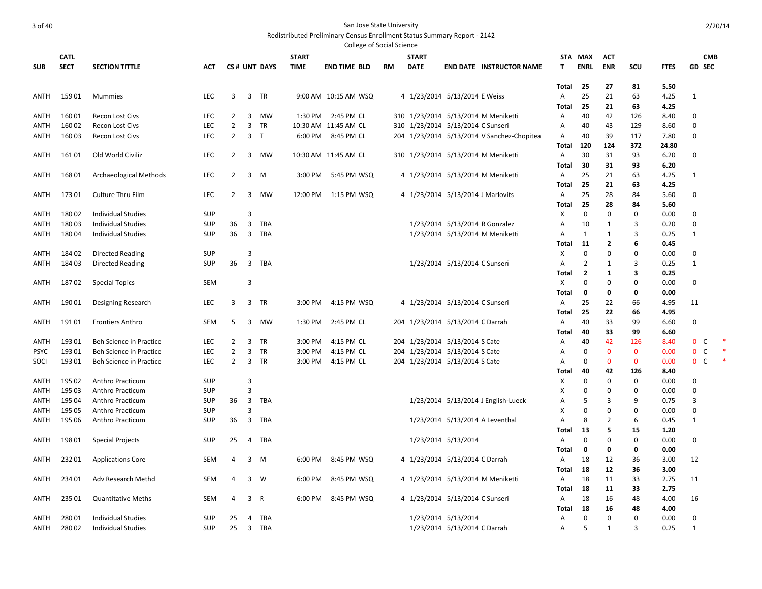|                     |                  |                                                        |                          |                |                |              |              | <b>College of Social Science</b> |    |              |                                   |                                            |                |                |                     |                   |              |                             |  |
|---------------------|------------------|--------------------------------------------------------|--------------------------|----------------|----------------|--------------|--------------|----------------------------------|----|--------------|-----------------------------------|--------------------------------------------|----------------|----------------|---------------------|-------------------|--------------|-----------------------------|--|
|                     | <b>CATL</b>      |                                                        |                          |                |                |              | <b>START</b> |                                  |    | <b>START</b> |                                   |                                            |                | STA MAX        | <b>ACT</b>          |                   |              | <b>CMB</b>                  |  |
| <b>SUB</b>          | <b>SECT</b>      | <b>SECTION TITTLE</b>                                  | <b>ACT</b>               |                |                | CS# UNT DAYS | <b>TIME</b>  | <b>END TIME BLD</b>              | RM | <b>DATE</b>  |                                   | <b>END DATE INSTRUCTOR NAME</b>            | T              | <b>ENRL</b>    | <b>ENR</b>          | SCU               | <b>FTES</b>  | <b>GD SEC</b>               |  |
|                     |                  |                                                        |                          |                |                |              |              |                                  |    |              |                                   |                                            |                |                |                     |                   |              |                             |  |
|                     |                  |                                                        |                          |                |                |              |              |                                  |    |              |                                   |                                            | Total          | 25             | 27                  | 81                | 5.50         |                             |  |
| ANTH                | 15901            | <b>Mummies</b>                                         | LEC                      | 3              | 3              | TR           |              | 9:00 AM 10:15 AM WSQ             |    |              | 4 1/23/2014 5/13/2014 E Weiss     |                                            | A              | 25             | 21                  | 63                | 4.25         | $\mathbf{1}$                |  |
|                     |                  |                                                        |                          |                |                |              |              |                                  |    |              |                                   |                                            | Total          | 25             | 21                  | 63                | 4.25         |                             |  |
| ANTH                | 16001            | <b>Recon Lost Civs</b>                                 | LEC                      | 2              | 3              | <b>MW</b>    | 1:30 PM      | 2:45 PM CL                       |    |              |                                   | 310 1/23/2014 5/13/2014 M Meniketti        | A              | 40             | 42                  | 126               | 8.40         | 0                           |  |
| ANTH                | 16002            | <b>Recon Lost Civs</b>                                 | <b>LEC</b>               | 2              | 3              | TR           |              | 10:30 AM 11:45 AM CL             |    |              | 310 1/23/2014 5/13/2014 C Sunseri |                                            | A              | 40             | 43                  | 129               | 8.60         | $\mathbf 0$                 |  |
| ANTH                | 16003            | <b>Recon Lost Civs</b>                                 | LEC                      | $\overline{2}$ | 3              | T            | 6:00 PM      | 8:45 PM CL                       |    |              |                                   | 204 1/23/2014 5/13/2014 V Sanchez-Chopitea | Α              | 40             | 39                  | 117               | 7.80         | $\mathbf 0$                 |  |
|                     |                  |                                                        |                          |                |                |              |              |                                  |    |              |                                   |                                            | Total          | 120            | 124                 | 372               | 24.80        |                             |  |
| ANTH                | 16101            | Old World Civiliz                                      | <b>LEC</b>               | $\overline{2}$ |                | 3 MW         |              | 10:30 AM 11:45 AM CL             |    |              |                                   | 310 1/23/2014 5/13/2014 M Meniketti        | Α              | 30             | 31                  | 93                | 6.20         | $\mathbf 0$                 |  |
|                     |                  |                                                        |                          |                |                |              |              |                                  |    |              |                                   |                                            | Total          | 30             | 31                  | 93                | 6.20         |                             |  |
| ANTH                | 16801            | Archaeological Methods                                 | <b>LEC</b>               | $\overline{2}$ | 3              | M            | 3:00 PM      | 5:45 PM WSQ                      |    |              |                                   | 4 1/23/2014 5/13/2014 M Meniketti          | A              | 25             | 21                  | 63                | 4.25         | $\mathbf{1}$                |  |
|                     |                  |                                                        |                          |                |                |              |              |                                  |    |              |                                   |                                            | Total          | 25             | 21                  | 63                | 4.25         |                             |  |
| <b>ANTH</b>         | 17301            | Culture Thru Film                                      | <b>LEC</b>               | $\overline{2}$ | 3              | MW           | 12:00 PM     | 1:15 PM WSQ                      |    |              | 4 1/23/2014 5/13/2014 J Marlovits |                                            | A              | 25             | 28                  | 84                | 5.60         | 0                           |  |
|                     |                  |                                                        |                          |                | 3              |              |              |                                  |    |              |                                   |                                            | <b>Total</b>   | 25<br>$\Omega$ | 28<br>$\mathbf 0$   | 84<br>$\mathbf 0$ | 5.60         | $\Omega$                    |  |
| <b>ANTH</b><br>ANTH | 18002<br>18003   | <b>Individual Studies</b><br><b>Individual Studies</b> | <b>SUP</b><br><b>SUP</b> | 36             | 3              | TBA          |              |                                  |    |              |                                   | 1/23/2014 5/13/2014 R Gonzalez             | X<br>A         | 10             | 1                   | 3                 | 0.00<br>0.20 | 0                           |  |
| <b>ANTH</b>         | 18004            | <b>Individual Studies</b>                              | <b>SUP</b>               | 36             | $\overline{3}$ | TBA          |              |                                  |    |              |                                   | 1/23/2014 5/13/2014 M Meniketti            | $\overline{A}$ | 1              | 1                   | 3                 | 0.25         | 1                           |  |
|                     |                  |                                                        |                          |                |                |              |              |                                  |    |              |                                   |                                            | Total          | 11             | 2                   | 6                 | 0.45         |                             |  |
| ANTH                | 18402            | <b>Directed Reading</b>                                | <b>SUP</b>               |                | 3              |              |              |                                  |    |              |                                   |                                            | X              | $\mathbf 0$    | $\mathbf 0$         | $\Omega$          | 0.00         | $\mathbf 0$                 |  |
| ANTH                | 18403            | Directed Reading                                       | <b>SUP</b>               | 36             | $\overline{3}$ | <b>TBA</b>   |              |                                  |    |              | 1/23/2014 5/13/2014 C Sunseri     |                                            | A              | $\overline{2}$ | 1                   | 3                 | 0.25         | 1                           |  |
|                     |                  |                                                        |                          |                |                |              |              |                                  |    |              |                                   |                                            | Total          | $\overline{2}$ | 1                   | 3                 | 0.25         |                             |  |
| ANTH                | 18702            | <b>Special Topics</b>                                  | <b>SEM</b>               |                | 3              |              |              |                                  |    |              |                                   |                                            | X              | $\mathbf 0$    | $\mathbf 0$         | $\Omega$          | 0.00         | $\mathbf 0$                 |  |
|                     |                  |                                                        |                          |                |                |              |              |                                  |    |              |                                   |                                            | Total          | 0              | 0                   | $\Omega$          | 0.00         |                             |  |
| ANTH                | 19001            | Designing Research                                     | <b>LEC</b>               | 3              | 3              | <b>TR</b>    | 3:00 PM      | 4:15 PM WSQ                      |    |              | 4 1/23/2014 5/13/2014 C Sunseri   |                                            | $\overline{A}$ | 25             | 22                  | 66                | 4.95         | 11                          |  |
|                     |                  |                                                        |                          |                |                |              |              |                                  |    |              |                                   |                                            | Total          | 25             | 22                  | 66                | 4.95         |                             |  |
| ANTH                | 19101            | <b>Frontiers Anthro</b>                                | SEM                      | 5              | 3              | <b>MW</b>    | 1:30 PM      | 2:45 PM CL                       |    |              | 204 1/23/2014 5/13/2014 C Darrah  |                                            | A              | 40             | 33                  | 99                | 6.60         | 0                           |  |
|                     |                  |                                                        |                          |                |                |              |              |                                  |    |              |                                   |                                            | Total          | 40             | 33                  | 99                | 6.60         |                             |  |
| ANTH                | 19301            | Beh Science in Practice                                | <b>LEC</b>               | 2              | 3              | TR           | 3:00 PM      | 4:15 PM CL                       |    |              | 204 1/23/2014 5/13/2014 S Cate    |                                            | A              | 40             | 42                  | 126               | 8.40         | $\mathbf 0$<br>C            |  |
| <b>PSYC</b>         | 19301            | <b>Beh Science in Practice</b>                         | LEC                      | $\overline{2}$ | 3              | <b>TR</b>    | 3:00 PM      | 4:15 PM CL                       |    |              | 204 1/23/2014 5/13/2014 S Cate    |                                            | A              | $\mathbf 0$    | $\mathbf{0}$        | $\mathbf{0}$      | 0.00         | $\mathbf 0$<br>$\mathsf{C}$ |  |
| SOCI                | 19301            | Beh Science in Practice                                | <b>LEC</b>               | 2              | 3              | TR           | 3:00 PM      | 4:15 PM CL                       |    |              | 204 1/23/2014 5/13/2014 S Cate    |                                            | A              | 0              | $\mathbf 0$         | $\mathbf 0$       | 0.00         | $\mathbf 0$<br>C            |  |
|                     |                  |                                                        |                          |                |                |              |              |                                  |    |              |                                   |                                            | Total          | 40             | 42                  | 126               | 8.40         |                             |  |
| ANTH                | 195 02           | Anthro Practicum                                       | SUP                      |                | 3              |              |              |                                  |    |              |                                   |                                            | X              | $\mathbf 0$    | $\mathbf 0$         | $\mathbf 0$       | 0.00         | $\mathbf 0$                 |  |
| ANTH                | 195 03           | Anthro Practicum                                       | <b>SUP</b>               |                | 3              |              |              |                                  |    |              |                                   |                                            | X              | 0              | 0                   | $\Omega$          | 0.00         | 0                           |  |
| ANTH                | 195 04           | Anthro Practicum                                       | <b>SUP</b>               | 36             | 3              | TBA          |              |                                  |    |              |                                   | 1/23/2014 5/13/2014 J English-Lueck        | A              | .5             | 3                   | q<br>$\Omega$     | 0.75         | 3                           |  |
| ANTH<br><b>ANTH</b> | 195 05<br>195 06 | Anthro Practicum<br>Anthro Practicum                   | <b>SUP</b><br><b>SUP</b> | 36             | 3<br>3         | TBA          |              |                                  |    |              |                                   | 1/23/2014 5/13/2014 A Leventhal            | X<br>Α         | 0<br>8         | 0<br>$\overline{2}$ | 6                 | 0.00<br>0.45 | 0<br>1                      |  |
|                     |                  |                                                        |                          |                |                |              |              |                                  |    |              |                                   |                                            | Total          | -13            | 5                   | 15                | 1.20         |                             |  |
| ANTH                | 19801            | <b>Special Projects</b>                                | SUP                      | 25             | 4              | TBA          |              |                                  |    |              | 1/23/2014 5/13/2014               |                                            | A              | 0              | $\mathbf 0$         | 0                 | 0.00         | 0                           |  |
|                     |                  |                                                        |                          |                |                |              |              |                                  |    |              |                                   |                                            | Total          | $\mathbf 0$    | $\mathbf 0$         | $\mathbf 0$       | 0.00         |                             |  |
| ANTH                | 23201            | <b>Applications Core</b>                               | SEM                      | 4              | 3              | M            | 6:00 PM      | 8:45 PM WSQ                      |    |              | 4 1/23/2014 5/13/2014 C Darrah    |                                            | A              | 18             | 12                  | 36                | 3.00         | 12                          |  |
|                     |                  |                                                        |                          |                |                |              |              |                                  |    |              |                                   |                                            | Total          | 18             | 12                  | 36                | 3.00         |                             |  |
| ANTH                | 234 01           | Adv Research Methd                                     | SEM                      | 4              | 3              | W            | 6:00 PM      | 8:45 PM WSQ                      |    |              |                                   | 4 1/23/2014 5/13/2014 M Meniketti          | A              | 18             | 11                  | 33                | 2.75         | 11                          |  |
|                     |                  |                                                        |                          |                |                |              |              |                                  |    |              |                                   |                                            | Total          | 18             | 11                  | 33                | 2.75         |                             |  |
| ANTH                | 23501            | <b>Quantitative Meths</b>                              | SEM                      | 4              | 3 R            |              | 6:00 PM      | 8:45 PM WSQ                      |    |              | 4 1/23/2014 5/13/2014 C Sunseri   |                                            | A              | 18             | 16                  | 48                | 4.00         | 16                          |  |
|                     |                  |                                                        |                          |                |                |              |              |                                  |    |              |                                   |                                            | Total          | 18             | 16                  | 48                | 4.00         |                             |  |
| <b>ANTH</b>         | 28001            | <b>Individual Studies</b>                              | <b>SUP</b>               | 25             | 4              | TBA          |              |                                  |    |              | 1/23/2014 5/13/2014               |                                            | A              | $\mathbf 0$    | $\mathbf 0$         | $\Omega$          | 0.00         | 0                           |  |
| <b>ANTH</b>         | 28002            | <b>Individual Studies</b>                              | <b>SUP</b>               | 25             | $\overline{3}$ | TBA          |              |                                  |    |              | 1/23/2014 5/13/2014 C Darrah      |                                            | A              | 5              | 1                   | 3                 | 0.25         | 1                           |  |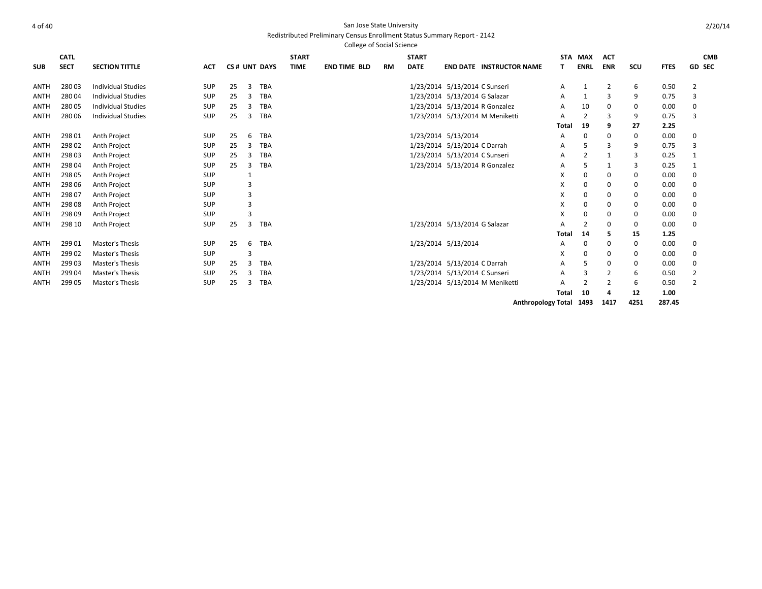#### 4 of 40 San Jose State University Redistributed Preliminary Census Enrollment Status Summary Report - 2142 College of Social Science

|             |             |                           |            |    |   |              |              | concac or social science |           |              |                                 |              |                |              |             |             |                |
|-------------|-------------|---------------------------|------------|----|---|--------------|--------------|--------------------------|-----------|--------------|---------------------------------|--------------|----------------|--------------|-------------|-------------|----------------|
|             | <b>CATL</b> |                           |            |    |   |              | <b>START</b> |                          |           | <b>START</b> |                                 |              | STA MAX        | <b>ACT</b>   |             |             | <b>CMB</b>     |
| <b>SUB</b>  | <b>SECT</b> | <b>SECTION TITTLE</b>     | <b>ACT</b> |    |   | CS# UNT DAYS | <b>TIME</b>  | <b>END TIME BLD</b>      | <b>RM</b> | <b>DATE</b>  | <b>END DATE INSTRUCTOR NAME</b> | т            | <b>ENRL</b>    | <b>ENR</b>   | SCU         | <b>FTES</b> | <b>GD SEC</b>  |
| <b>ANTH</b> | 28003       | <b>Individual Studies</b> | <b>SUP</b> | 25 | 3 | <b>TBA</b>   |              |                          |           |              | 1/23/2014 5/13/2014 C Sunseri   | A            | 1              | 2            | 6           | 0.50        | 2              |
| <b>ANTH</b> | 28004       | <b>Individual Studies</b> | <b>SUP</b> | 25 | 3 | <b>TBA</b>   |              |                          |           |              | 1/23/2014 5/13/2014 G Salazar   | A            | $\mathbf{1}$   |              | 9           | 0.75        | 3              |
| <b>ANTH</b> | 28005       | <b>Individual Studies</b> | SUP        | 25 | 3 | <b>TBA</b>   |              |                          |           |              | 1/23/2014 5/13/2014 R Gonzalez  | A            | 10             | 0            | 0           | 0.00        | 0              |
| <b>ANTH</b> | 280 06      | <b>Individual Studies</b> | <b>SUP</b> | 25 | 3 | <b>TBA</b>   |              |                          |           |              | 1/23/2014 5/13/2014 M Meniketti | A            | $\overline{2}$ | 3            | 9           | 0.75        | 3              |
|             |             |                           |            |    |   |              |              |                          |           |              |                                 | Total        | 19             | 9            | 27          | 2.25        |                |
| <b>ANTH</b> | 298 01      | Anth Project              | <b>SUP</b> | 25 | 6 | TBA          |              |                          |           |              | 1/23/2014 5/13/2014             | A            | 0              | 0            | 0           | 0.00        | 0              |
| <b>ANTH</b> | 298 02      | Anth Project              | <b>SUP</b> | 25 | 3 | <b>TBA</b>   |              |                          |           |              | 1/23/2014 5/13/2014 C Darrah    | A            | 5              |              | 9           | 0.75        | 3              |
| <b>ANTH</b> | 29803       | Anth Project              | <b>SUP</b> | 25 | з | <b>TBA</b>   |              |                          |           |              | 1/23/2014 5/13/2014 C Sunseri   | A            | 2              | $\mathbf{1}$ | 3           | 0.25        | 1              |
| <b>ANTH</b> | 298 04      | Anth Project              | <b>SUP</b> | 25 | 3 | <b>TBA</b>   |              |                          |           |              | 1/23/2014 5/13/2014 R Gonzalez  | A            | 5              | -1           | 3           | 0.25        | 1              |
| <b>ANTH</b> | 298 05      | Anth Project              | <b>SUP</b> |    |   |              |              |                          |           |              |                                 | X            | 0              | 0            | 0           | 0.00        | $\Omega$       |
| <b>ANTH</b> | 298 06      | Anth Project              | <b>SUP</b> |    | 3 |              |              |                          |           |              |                                 | X            | 0              | 0            | 0           | 0.00        | 0              |
| <b>ANTH</b> | 298 07      | Anth Project              | <b>SUP</b> |    | 3 |              |              |                          |           |              |                                 | X            | 0              | 0            | 0           | 0.00        | 0              |
| <b>ANTH</b> | 298 08      | Anth Project              | <b>SUP</b> |    | 3 |              |              |                          |           |              |                                 | X            | 0              | 0            | 0           | 0.00        | 0              |
| <b>ANTH</b> | 298 09      | Anth Project              | SUP        |    | 3 |              |              |                          |           |              |                                 | X            | 0              | 0            | 0           | 0.00        | 0              |
| <b>ANTH</b> | 298 10      | Anth Project              | SUP        | 25 | 3 | <b>TBA</b>   |              |                          |           |              | 1/23/2014 5/13/2014 G Salazar   | A            | 2              | $\Omega$     | 0           | 0.00        | 0              |
|             |             |                           |            |    |   |              |              |                          |           |              |                                 | Total        | 14             |              | 15          | 1.25        |                |
| <b>ANTH</b> | 299 01      | Master's Thesis           | <b>SUP</b> | 25 | 6 | <b>TBA</b>   |              |                          |           |              | 1/23/2014 5/13/2014             | A            | 0              | 0            | $\mathbf 0$ | 0.00        | 0              |
| <b>ANTH</b> | 29902       | Master's Thesis           | <b>SUP</b> |    | 3 |              |              |                          |           |              |                                 | X            | $\Omega$       | 0            | 0           | 0.00        | 0              |
| <b>ANTH</b> | 29903       | Master's Thesis           | <b>SUP</b> | 25 | 3 | <b>TBA</b>   |              |                          |           |              | 1/23/2014 5/13/2014 C Darrah    | A            | 5              | 0            | 0           | 0.00        | 0              |
| <b>ANTH</b> | 29904       | Master's Thesis           | <b>SUP</b> | 25 | 3 | <b>TBA</b>   |              |                          |           |              | 1/23/2014 5/13/2014 C Sunseri   | A            | 3              | 2            | 6           | 0.50        | $\overline{2}$ |
| <b>ANTH</b> | 299 05      | Master's Thesis           | SUP        | 25 | 3 | <b>TBA</b>   |              |                          |           |              | 1/23/2014 5/13/2014 M Meniketti | A            | $\overline{2}$ |              | 6           | 0.50        | $\overline{2}$ |
|             |             |                           |            |    |   |              |              |                          |           |              |                                 | <b>Total</b> | 10             | 4            | 12          | 1.00        |                |
|             |             |                           |            |    |   |              |              |                          |           |              |                                 |              |                |              |             |             |                |

**Anthropology Total 1493 1417 4251 287.45**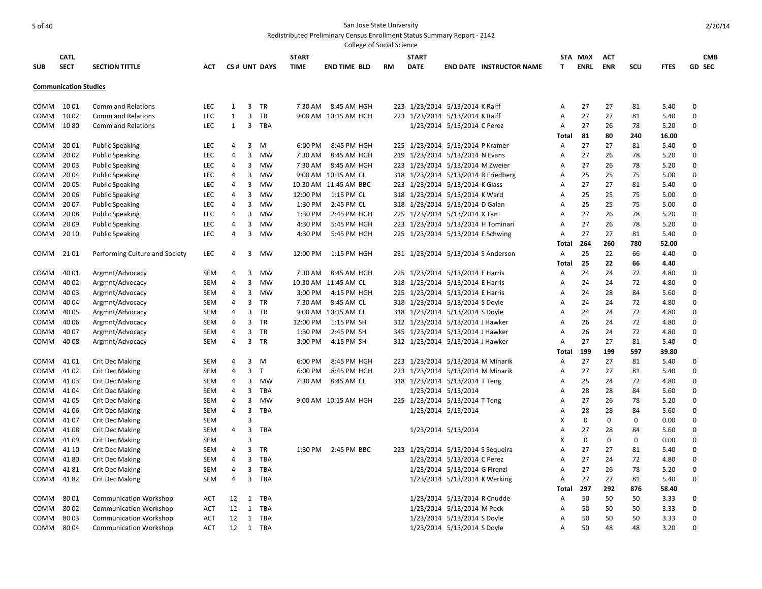|            |                              |                                |            |                |                |              |              | College of Social Science |           |                                     |                               |                                 |              |             |             |             |             |               |
|------------|------------------------------|--------------------------------|------------|----------------|----------------|--------------|--------------|---------------------------|-----------|-------------------------------------|-------------------------------|---------------------------------|--------------|-------------|-------------|-------------|-------------|---------------|
|            | <b>CATL</b>                  |                                |            |                |                |              | <b>START</b> |                           |           | <b>START</b>                        |                               |                                 |              | STA MAX     | ACT         |             |             | <b>CMB</b>    |
| <b>SUB</b> | <b>SECT</b>                  | <b>SECTION TITTLE</b>          | <b>ACT</b> |                |                | CS# UNT DAYS | <b>TIME</b>  | <b>END TIME BLD</b>       | <b>RM</b> | <b>DATE</b>                         |                               | <b>END DATE INSTRUCTOR NAME</b> | T            | <b>ENRL</b> | <b>ENR</b>  | SCU         | <b>FTES</b> | <b>GD SEC</b> |
|            | <b>Communication Studies</b> |                                |            |                |                |              |              |                           |           |                                     |                               |                                 |              |             |             |             |             |               |
| COMM       | 10 01                        | <b>Comm and Relations</b>      | <b>LEC</b> | 1              | 3              | TR           | 7:30 AM      | 8:45 AM HGH               |           | 223 1/23/2014 5/13/2014 K Raiff     |                               |                                 | Α            | 27          | 27          | 81          | 5.40        | 0             |
| COMM       | 1002                         | <b>Comm and Relations</b>      | <b>LEC</b> | $\mathbf{1}$   | 3              | <b>TR</b>    |              | 9:00 AM 10:15 AM HGH      |           | 223 1/23/2014 5/13/2014 K Raiff     |                               |                                 | A            | 27          | 27          | 81          | 5.40        | $\mathbf 0$   |
| COMM       | 10 80                        | Comm and Relations             | <b>LEC</b> | 1              | 3              | TBA          |              |                           |           |                                     | 1/23/2014 5/13/2014 C Perez   |                                 | Α            | 27          | 26          | 78          | 5.20        | $\Omega$      |
|            |                              |                                |            |                |                |              |              |                           |           |                                     |                               |                                 | Total        | 81          | 80          | 240         | 16.00       |               |
| COMM       | 20 01                        | <b>Public Speaking</b>         | <b>LEC</b> | 4              | $\overline{3}$ | M            | 6:00 PM      | 8:45 PM HGH               |           | 225 1/23/2014 5/13/2014 P Kramer    |                               |                                 | A            | 27          | 27          | 81          | 5.40        | 0             |
| COMM       | 2002                         | <b>Public Speaking</b>         | LEC        | 4              | $\overline{3}$ | MW           | 7:30 AM      | 8:45 AM HGH               |           | 219 1/23/2014 5/13/2014 N Evans     |                               |                                 | Α            | 27          | 26          | 78          | 5.20        | $\mathbf 0$   |
| COMM       | 2003                         | <b>Public Speaking</b>         | LEC        | 4              | 3              | MW           | 7:30 AM      | 8:45 AM HGH               |           | 223 1/23/2014 5/13/2014 M Zweier    |                               |                                 | A            | 27          | 26          | 78          | 5.20        | $\mathbf 0$   |
| COMM       | 2004                         | <b>Public Speaking</b>         | LEC        | 4              | 3              | MW           |              | 9:00 AM 10:15 AM CL       |           | 318 1/23/2014 5/13/2014 R Friedberg |                               |                                 | А            | 25          | 25          | 75          | 5.00        | $\mathbf 0$   |
| COMM       | 20 05                        | <b>Public Speaking</b>         | LEC        | 4              | 3              | MW           |              | 10:30 AM 11:45 AM BBC     |           | 223 1/23/2014 5/13/2014 K Glass     |                               |                                 | A            | 27          | 27          | 81          | 5.40        | $\mathbf 0$   |
| COMM       | 2006                         | <b>Public Speaking</b>         | <b>LEC</b> | 4              | 3              | MW           | 12:00 PM     | 1:15 PM CL                |           | 318 1/23/2014 5/13/2014 K Ward      |                               |                                 | A            | 25          | 25          | 75          | 5.00        | $\mathbf 0$   |
| COMM       | 2007                         | <b>Public Speaking</b>         | LEC        | 4              | 3              | MW           | 1:30 PM      | 2:45 PM CL                |           | 318 1/23/2014 5/13/2014 D Galan     |                               |                                 | Α            | 25          | 25          | 75          | 5.00        | $\mathbf 0$   |
| COMM       | 2008                         | <b>Public Speaking</b>         | <b>LEC</b> | 4              | 3              | MW           | 1:30 PM      | 2:45 PM HGH               |           | 225 1/23/2014 5/13/2014 X Tan       |                               |                                 | A            | 27          | 26          | 78          | 5.20        | $\mathbf 0$   |
| COMM       | 2009                         | <b>Public Speaking</b>         | <b>LEC</b> | 4              | 3              | MW           | 4:30 PM      | 5:45 PM HGH               |           | 223 1/23/2014 5/13/2014 H Tominari  |                               |                                 | A            | 27          | 26          | 78          | 5.20        | 0             |
| COMM       | 20 10                        | <b>Public Speaking</b>         | <b>LEC</b> | 4              | $\overline{3}$ | MW           | 4:30 PM      | 5:45 PM HGH               |           | 225 1/23/2014 5/13/2014 E Schwing   |                               |                                 | A            | 27          | 27          | 81          | 5.40        | 0             |
|            |                              |                                |            |                |                |              |              |                           |           |                                     |                               |                                 | Total        | 264         | 260         | 780         | 52.00       |               |
| COMM       | 21 01                        | Performing Culture and Society | LEC        | 4              | 3              | MW           | 12:00 PM     | 1:15 PM HGH               |           | 231 1/23/2014 5/13/2014 S Anderson  |                               |                                 | A            | 25          | 22          | 66          | 4.40        | $\mathbf 0$   |
|            |                              |                                |            |                |                |              |              |                           |           |                                     |                               |                                 | Total        | 25          | 22          | 66          | 4.40        |               |
| COMM       | 40 01                        | Argmnt/Advocacy                | <b>SEM</b> | 4              | 3              | MW           | 7:30 AM      | 8:45 AM HGH               |           | 225 1/23/2014 5/13/2014 E Harris    |                               |                                 | A            | 24          | 24          | 72          | 4.80        | $\Omega$      |
| COMM       | 40 02                        | Argmnt/Advocacy                | <b>SEM</b> | 4              | 3              | MW           | 10:30 AM     | 11:45 AM CL               |           | 318 1/23/2014 5/13/2014 E Harris    |                               |                                 | A            | 24          | 24          | 72          | 4.80        | $\mathbf 0$   |
| COMM       | 40 03                        | Argmnt/Advocacy                | SEM        | 4              | $\overline{3}$ | MW           | 3:00 PM      | 4:15 PM HGH               |           | 225 1/23/2014 5/13/2014 E Harris    |                               |                                 | A            | 24          | 28          | 84          | 5.60        | $\mathbf 0$   |
| COMM       | 40 04                        | Argmnt/Advocacy                | <b>SEM</b> | 4              | 3              | <b>TR</b>    | 7:30 AM      | 8:45 AM CL                |           | 318 1/23/2014 5/13/2014 S Doyle     |                               |                                 | A            | 24          | 24          | 72          | 4.80        | $\mathbf 0$   |
| COMM       | 40 05                        | Argmnt/Advocacy                | SEM        | 4              | $\overline{3}$ | <b>TR</b>    |              | 9:00 AM 10:15 AM CL       |           | 318 1/23/2014 5/13/2014 S Doyle     |                               |                                 | A            | 24          | 24          | 72          | 4.80        | $\mathbf 0$   |
| COMM       | 40 06                        | Argmnt/Advocacy                | <b>SEM</b> | 4              | 3              | <b>TR</b>    | 12:00 PM     | 1:15 PM SH                |           | 312 1/23/2014 5/13/2014 J Hawker    |                               |                                 | A            | 26          | 24          | 72          | 4.80        | $\Omega$      |
| COMM       | 40 07                        | Argmnt/Advocacy                | <b>SEM</b> | 4              | $\overline{3}$ | TR           | 1:30 PM      | 2:45 PM SH                |           | 345 1/23/2014 5/13/2014 J Hawker    |                               |                                 | Α            | 26          | 24          | 72          | 4.80        | $\mathbf 0$   |
| COMM       | 40 08                        | Argmnt/Advocacy                | <b>SEM</b> | 4              | $\overline{3}$ | <b>TR</b>    | 3:00 PM      | 4:15 PM SH                |           | 312 1/23/2014 5/13/2014 J Hawker    |                               |                                 | A            | 27          | 27          | 81          | 5.40        | $\mathbf 0$   |
|            |                              |                                |            |                |                |              |              |                           |           |                                     |                               |                                 | Total        | 199         | 199         | 597         | 39.80       |               |
| COMM       | 41 01                        | <b>Crit Dec Making</b>         | <b>SEM</b> | 4              | 3              | M            | 6:00 PM      | 8:45 PM HGH               |           | 223 1/23/2014 5/13/2014 M Minarik   |                               |                                 | A            | 27          | 27          | 81          | 5.40        | $\mathbf 0$   |
| COMM       | 41 02                        | <b>Crit Dec Making</b>         | <b>SEM</b> | 4              | $\overline{3}$ | T            | 6:00 PM      | 8:45 PM HGH               |           | 223 1/23/2014 5/13/2014 M Minarik   |                               |                                 | A            | 27          | 27          | 81          | 5.40        | 0             |
| COMM       | 4103                         | <b>Crit Dec Making</b>         | <b>SEM</b> | 4              | 3              | MW           | 7:30 AM      | 8:45 AM CL                |           | 318 1/23/2014 5/13/2014 T Teng      |                               |                                 | Α            | 25          | 24          | 72          | 4.80        | $\mathbf 0$   |
| COMM       | 4104                         | <b>Crit Dec Making</b>         | <b>SEM</b> | 4              | 3              | TBA          |              |                           |           |                                     | 1/23/2014 5/13/2014           |                                 | Α            | 28          | 28          | 84          | 5.60        | $\mathbf 0$   |
| COMM       | 4105                         | Crit Dec Making                | <b>SEM</b> | 4              | 3              | MW           |              | 9:00 AM 10:15 AM HGH      |           | 225 1/23/2014 5/13/2014 T Teng      |                               |                                 | Α            | 27          | 26          | 78          | 5.20        | $\Omega$      |
| COMM       | 4106                         | <b>Crit Dec Making</b>         | <b>SEM</b> | $\overline{4}$ | 3              | <b>TBA</b>   |              |                           |           |                                     | 1/23/2014 5/13/2014           |                                 | Α            | 28          | 28          | 84          | 5.60        | $\mathbf 0$   |
| COMM       | 4107                         | <b>Crit Dec Making</b>         | <b>SEM</b> |                | 3              |              |              |                           |           |                                     |                               |                                 | X            | $\mathbf 0$ | $\mathbf 0$ | $\mathbf 0$ | 0.00        | $\mathbf 0$   |
| COMM       | 4108                         | <b>Crit Dec Making</b>         | <b>SEM</b> | 4              | $\overline{3}$ | TBA          |              |                           |           |                                     | 1/23/2014 5/13/2014           |                                 | Α            | 27          | 28          | 84          | 5.60        | $\mathbf 0$   |
| COMM       | 4109                         | <b>Crit Dec Making</b>         | <b>SEM</b> |                | 3              |              |              |                           |           |                                     |                               |                                 | X            | $\mathbf 0$ | $\Omega$    | $\mathbf 0$ | 0.00        | $\mathbf 0$   |
| COMM       | 41 10                        | <b>Crit Dec Making</b>         | <b>SEM</b> | 4              | $\overline{3}$ | TR           | 1:30 PM      | 2:45 PM BBC               |           | 223 1/23/2014 5/13/2014 S Sequeira  |                               |                                 | Α            | 27          | 27          | 81          | 5.40        | 0             |
| COMM       | 4180                         | <b>Crit Dec Making</b>         | <b>SEM</b> | 4              | 3              | TBA          |              |                           |           |                                     | 1/23/2014 5/13/2014 C Perez   |                                 | Α            | 27          | 24          | 72          | 4.80        | $\mathbf 0$   |
| COMM       | 4181                         |                                | <b>SEM</b> | 4              | 3              | TBA          |              |                           |           |                                     |                               |                                 | A            | 27          | 26          | 78          | 5.20        | $\Omega$      |
| COMM       | 4182                         | <b>Crit Dec Making</b>         | <b>SEM</b> | 4              | 3              | TBA          |              |                           |           |                                     | 1/23/2014 5/13/2014 G Firenzi |                                 | A            | 27          | 27          | 81          | 5.40        | $\mathbf 0$   |
|            |                              | Crit Dec Making                |            |                |                |              |              |                           |           |                                     | 1/23/2014 5/13/2014 K Werking |                                 | <b>Total</b> | 297         | 292         | 876         | 58.40       |               |
| COMM       | 8001                         | <b>Communication Workshop</b>  | ACT        | 12             | 1              | TBA          |              |                           |           |                                     | 1/23/2014 5/13/2014 R Cnudde  |                                 | A            | 50          | 50          | 50          | 3.33        | 0             |
| COMM       | 8002                         | <b>Communication Workshop</b>  | <b>ACT</b> | 12             | 1              | TBA          |              |                           |           |                                     | 1/23/2014 5/13/2014 M Peck    |                                 | A            | 50          | 50          | 50          | 3.33        | $\mathbf 0$   |
| COMM       | 8003                         | <b>Communication Workshop</b>  | ACT        | 12             | 1              | TBA          |              |                           |           |                                     |                               |                                 | A            | 50          | 50          | 50          | 3.33        | $\Omega$      |
| COMM       | 8004                         |                                | <b>ACT</b> | 12             | 1              | TBA          |              |                           |           |                                     | 1/23/2014 5/13/2014 S Doyle   |                                 | A            | 50          | 48          | 48          | 3.20        | $\Omega$      |
|            |                              | <b>Communication Workshop</b>  |            |                |                |              |              |                           |           |                                     | 1/23/2014 5/13/2014 S Doyle   |                                 |              |             |             |             |             |               |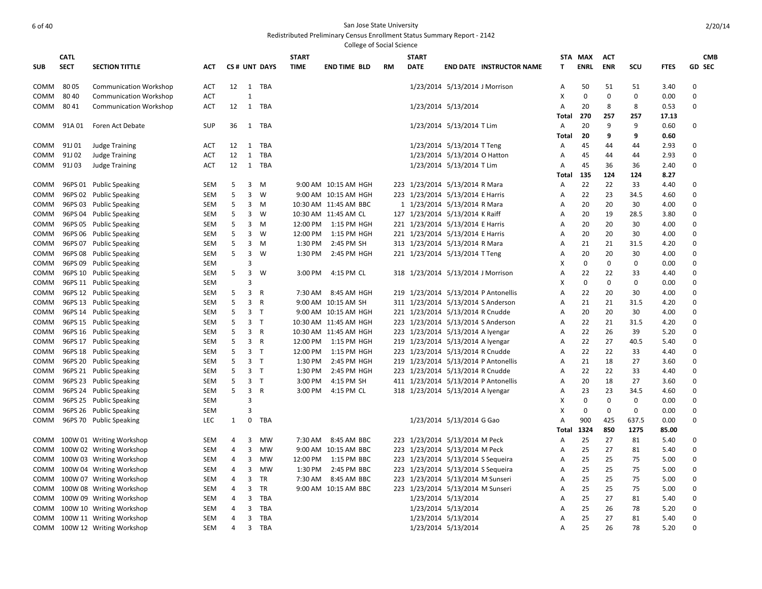2/20/14

|             |             |                               |            |              |   |                |              | <b>College of Social Science</b> |           |              |                                      |              |             |              |             |             |               |
|-------------|-------------|-------------------------------|------------|--------------|---|----------------|--------------|----------------------------------|-----------|--------------|--------------------------------------|--------------|-------------|--------------|-------------|-------------|---------------|
|             | <b>CATL</b> |                               |            |              |   |                | <b>START</b> |                                  |           | <b>START</b> |                                      |              | STA MAX     | <b>ACT</b>   |             |             | <b>CMB</b>    |
| <b>SUB</b>  | <b>SECT</b> | <b>SECTION TITTLE</b>         | ACT        |              |   | CS# UNT DAYS   | <b>TIME</b>  | <b>END TIME BLD</b>              | <b>RM</b> | <b>DATE</b>  | <b>END DATE INSTRUCTOR NAME</b>      | т            | <b>ENRL</b> | <b>ENR</b>   | scu         | <b>FTES</b> | <b>GD SEC</b> |
|             |             |                               |            |              |   |                |              |                                  |           |              |                                      |              |             |              |             |             |               |
| COMM        | 80 05       | <b>Communication Workshop</b> | ACT        | 12           |   | 1 TBA          |              |                                  |           |              | 1/23/2014 5/13/2014 J Morrison       | A            | 50          | 51           | 51          | 3.40        | $\Omega$      |
| <b>COMM</b> | 80 40       | <b>Communication Workshop</b> | <b>ACT</b> |              | 1 |                |              |                                  |           |              |                                      | X            | $\mathbf 0$ | $\mathbf 0$  | 0           | 0.00        | $\mathbf 0$   |
| COMM        | 8041        | <b>Communication Workshop</b> | ACT        | 12           |   | 1 TBA          |              |                                  |           |              | 1/23/2014 5/13/2014                  | A            | 20          | 8            | 8           | 0.53        | $\Omega$      |
|             |             |                               |            |              |   |                |              |                                  |           |              |                                      | Total        | 270         | 257          | 257         | 17.13       |               |
| COMM        | 91A 01      | Foren Act Debate              | <b>SUP</b> | 36           |   | 1 TBA          |              |                                  |           |              | 1/23/2014 5/13/2014 T Lim            | A            | 20          | 9            | 9           | 0.60        | $\mathbf 0$   |
|             |             |                               |            |              |   |                |              |                                  |           |              |                                      | Total        | 20          | 9            | 9           | 0.60        |               |
| COMM        | 91J 01      | <b>Judge Training</b>         | <b>ACT</b> | 12           |   | 1 TBA          |              |                                  |           |              | 1/23/2014 5/13/2014 T Teng           | Α            | 45          | 44           | 44          | 2.93        | $\Omega$      |
| <b>COMM</b> | 91J 02      | <b>Judge Training</b>         | <b>ACT</b> | 12           | 1 | TBA            |              |                                  |           |              | 1/23/2014 5/13/2014 O Hatton         | Α            | 45          | 44           | 44          | 2.93        | $\mathbf 0$   |
| COMM        | 91J03       | <b>Judge Training</b>         | ACT        | 12           |   | 1 TBA          |              |                                  |           |              | 1/23/2014 5/13/2014 T Lim            | Α            | 45          | 36           | 36          | 2.40        | $\Omega$      |
|             |             |                               |            |              |   |                |              |                                  |           |              |                                      | Total        | 135         | 124          | 124         | 8.27        |               |
| COMM        |             | 96PS 01 Public Speaking       | <b>SEM</b> | 5            | 3 | M              |              | 9:00 AM 10:15 AM HGH             |           |              | 223 1/23/2014 5/13/2014 R Mara       | A            | 22          | 22           | 33          | 4.40        | $\Omega$      |
| <b>COMM</b> |             | 96PS 02 Public Speaking       | <b>SEM</b> | 5            | 3 | W              |              | 9:00 AM 10:15 AM HGH             |           |              | 223 1/23/2014 5/13/2014 E Harris     | Α            | 22          | 23           | 34.5        | 4.60        | $\Omega$      |
| COMM        |             | 96PS 03 Public Speaking       | <b>SEM</b> | 5            | 3 | M              |              | 10:30 AM 11:45 AM BBC            |           |              | 1 1/23/2014 5/13/2014 R Mara         | A            | 20          | 20           | 30          | 4.00        | $\Omega$      |
| COMM        |             | 96PS 04 Public Speaking       | SEM        | 5            | 3 | W              |              | 10:30 AM 11:45 AM CL             |           |              | 127 1/23/2014 5/13/2014 K Raiff      | Α            | 20          | 19           | 28.5        | 3.80        | $\Omega$      |
| COMM        |             | 96PS 05 Public Speaking       | <b>SEM</b> | 5            | 3 | M              | 12:00 PM     | 1:15 PM HGH                      |           |              | 221 1/23/2014 5/13/2014 E Harris     | A            | 20          | 20           | 30          | 4.00        | $\Omega$      |
| COMM        |             | 96PS 06 Public Speaking       | <b>SEM</b> | 5            | 3 | W              | 12:00 PM     | 1:15 PM HGH                      |           |              | 221 1/23/2014 5/13/2014 E Harris     | Α            | 20          | 20           | 30          | 4.00        | $\Omega$      |
| COMM        |             | 96PS 07 Public Speaking       | <b>SEM</b> | 5            | 3 | м              | 1:30 PM      | 2:45 PM SH                       |           |              | 313 1/23/2014 5/13/2014 R Mara       | Α            | 21          | 21           | 31.5        | 4.20        | $\Omega$      |
| COMM        |             | 96PS 08 Public Speaking       | SEM        | 5            | 3 | W              | 1:30 PM      | 2:45 PM HGH                      |           |              | 221 1/23/2014 5/13/2014 T Teng       | Α            | 20          | 20           | 30          | 4.00        | $\mathbf 0$   |
| COMM        |             | 96PS 09 Public Speaking       | <b>SEM</b> |              | 3 |                |              |                                  |           |              |                                      | X            | $\mathbf 0$ | $\mathbf{0}$ | 0           | 0.00        | $\Omega$      |
| COMM        |             | 96PS 10 Public Speaking       | SEM        | 5            | 3 | W              | 3:00 PM      | 4:15 PM CL                       |           |              | 318 1/23/2014 5/13/2014 J Morrison   | Α            | 22          | 22           | 33          | 4.40        | $\Omega$      |
| COMM        |             | 96PS 11 Public Speaking       | <b>SEM</b> |              | 3 |                |              |                                  |           |              |                                      | х            | 0           | $\mathbf 0$  | 0           | 0.00        | $\mathbf 0$   |
| COMM        |             | 96PS 12 Public Speaking       | SEM        | 5            | 3 | R              | 7:30 AM      | 8:45 AM HGH                      |           |              | 219 1/23/2014 5/13/2014 P Antonellis | A            | 22          | 20           | 30          | 4.00        | $\Omega$      |
| COMM        |             | 96PS 13 Public Speaking       | <b>SEM</b> | 5            | 3 | R              |              | 9:00 AM 10:15 AM SH              |           |              | 311 1/23/2014 5/13/2014 S Anderson   | Α            | 21          | 21           | 31.5        | 4.20        | $\mathbf 0$   |
| COMM        |             | 96PS 14 Public Speaking       | <b>SEM</b> | 5            |   | 3 <sub>T</sub> |              | 9:00 AM 10:15 AM HGH             |           |              | 221 1/23/2014 5/13/2014 R Cnudde     | Α            | 20          | 20           | 30          | 4.00        | $\Omega$      |
| COMM        |             | 96PS 15 Public Speaking       | <b>SEM</b> | 5            |   | 3 <sub>7</sub> |              | 10:30 AM 11:45 AM HGH            |           |              | 223 1/23/2014 5/13/2014 S Anderson   | Α            | 22          | 21           | 31.5        | 4.20        | $\mathbf 0$   |
| <b>COMM</b> |             | 96PS 16 Public Speaking       | <b>SEM</b> | 5            |   | 3 R            |              | 10:30 AM 11:45 AM HGH            |           |              | 223 1/23/2014 5/13/2014 A Iyengar    | A            | 22          | 26           | 39          | 5.20        | $\Omega$      |
| COMM        |             | 96PS 17 Public Speaking       | <b>SEM</b> | 5            |   | 3 R            | 12:00 PM     | 1:15 PM HGH                      |           |              | 219 1/23/2014 5/13/2014 A Iyengar    | A            | 22          | 27           | 40.5        | 5.40        | $\mathbf 0$   |
| COMM        |             | 96PS 18 Public Speaking       | <b>SEM</b> | 5            |   | 3 <sub>T</sub> | 12:00 PM     | 1:15 PM HGH                      |           |              | 223 1/23/2014 5/13/2014 R Cnudde     | A            | 22          | 22           | 33          | 4.40        | $\Omega$      |
| COMM        |             | 96PS 20 Public Speaking       | <b>SEM</b> | 5            |   | 3 <sub>7</sub> | 1:30 PM      | 2:45 PM HGH                      |           |              | 219 1/23/2014 5/13/2014 P Antonellis | A            | 21          | 18           | 27          | 3.60        | $\mathbf 0$   |
| <b>COMM</b> |             | 96PS 21 Public Speaking       | <b>SEM</b> | 5            |   | 3 <sub>T</sub> | 1:30 PM      | 2:45 PM HGH                      |           |              | 223 1/23/2014 5/13/2014 R Cnudde     | A            | 22          | 22           | 33          | 4.40        | $\Omega$      |
| COMM        |             | 96PS 23 Public Speaking       | <b>SEM</b> | 5            |   | 3 <sub>7</sub> | 3:00 PM      | 4:15 PM SH                       |           |              | 411 1/23/2014 5/13/2014 P Antonellis | Α            | 20          | 18           | 27          | 3.60        | $\mathbf 0$   |
| COMM        |             | 96PS 24 Public Speaking       | <b>SEM</b> | 5            |   | 3 R            | 3:00 PM      | 4:15 PM CL                       |           |              | 318 1/23/2014 5/13/2014 A Iyengar    | Α            | 23          | 23           | 34.5        | 4.60        | $\Omega$      |
| COMM        |             | 96PS 25 Public Speaking       | <b>SEM</b> |              | 3 |                |              |                                  |           |              |                                      | х            | $\mathbf 0$ | 0            | 0           | 0.00        | $\mathbf 0$   |
| COMM        |             | 96PS 26 Public Speaking       | <b>SEM</b> |              | 3 |                |              |                                  |           |              |                                      | X            | $\mathbf 0$ | $\mathbf 0$  | $\mathbf 0$ | 0.00        | $\Omega$      |
| COMM        |             | 96PS 70 Public Speaking       | <b>LEC</b> | $\mathbf{1}$ | 0 | TBA            |              |                                  |           |              | 1/23/2014 5/13/2014 G Gao            | Α            | 900         | 425          | 637.5       | 0.00        | $\mathbf 0$   |
|             |             |                               |            |              |   |                |              |                                  |           |              |                                      | <b>Total</b> | 1324        | 850          | 1275        | 85.00       |               |
| COMM        |             | 100W 01 Writing Workshop      | <b>SEM</b> | 4            | 3 | MW             | 7:30 AM      | 8:45 AM BBC                      |           |              | 223 1/23/2014 5/13/2014 M Peck       | Α            | 25          | 27           | 81          | 5.40        | 0             |
| COMM        |             | 100W 02 Writing Workshop      | <b>SEM</b> | 4            | 3 | <b>MW</b>      |              | 9:00 AM 10:15 AM BBC             |           |              | 223 1/23/2014 5/13/2014 M Peck       | Α            | 25          | 27           | 81          | 5.40        | $\Omega$      |
| COMM        |             | 100W 03 Writing Workshop      | <b>SEM</b> | 4            | 3 | MW             | 12:00 PM     | 1:15 PM BBC                      |           |              | 223 1/23/2014 5/13/2014 S Sequeira   | Α            | 25          | 25           | 75          | 5.00        | $\Omega$      |
| COMM        |             | 100W 04 Writing Workshop      | <b>SEM</b> | 4            | 3 | <b>MW</b>      | 1:30 PM      | 2:45 PM BBC                      |           |              | 223 1/23/2014 5/13/2014 S Sequeira   | A            | 25          | 25           | 75          | 5.00        | $\Omega$      |
| COMM        |             | 100W 07 Writing Workshop      | SEM        | 4            | 3 | TR             | 7:30 AM      | 8:45 AM BBC                      |           |              | 223 1/23/2014 5/13/2014 M Sunseri    | Α            | 25          | 25           | 75          | 5.00        | $\Omega$      |
| COMM        |             | 100W 08 Writing Workshop      | <b>SEM</b> | 4            | 3 | <b>TR</b>      |              | 9:00 AM 10:15 AM BBC             |           |              | 223 1/23/2014 5/13/2014 M Sunseri    | A            | 25          | 25           | 75          | 5.00        | $\Omega$      |
| COMM        |             | 100W 09 Writing Workshop      | SEM        | 4            | 3 | TBA            |              |                                  |           |              | 1/23/2014 5/13/2014                  | Α            | 25          | 27           | 81          | 5.40        | $\Omega$      |
| COMM        |             | 100W 10 Writing Workshop      | <b>SEM</b> | 4            | 3 | <b>TBA</b>     |              |                                  |           |              | 1/23/2014 5/13/2014                  | A            | 25          | 26           | 78          | 5.20        | $\Omega$      |
| COMM        |             | 100W 11 Writing Workshop      | SEM        | 4            | 3 | TBA            |              |                                  |           |              | 1/23/2014 5/13/2014                  | Α            | 25          | 27           | 81          | 5.40        | $\Omega$      |
| COMM        |             | 100W 12 Writing Workshop      | <b>SEM</b> | 4            | 3 | TBA            |              |                                  |           |              | 1/23/2014 5/13/2014                  | Α            | 25          | 26           | 78          | 5.20        | $\Omega$      |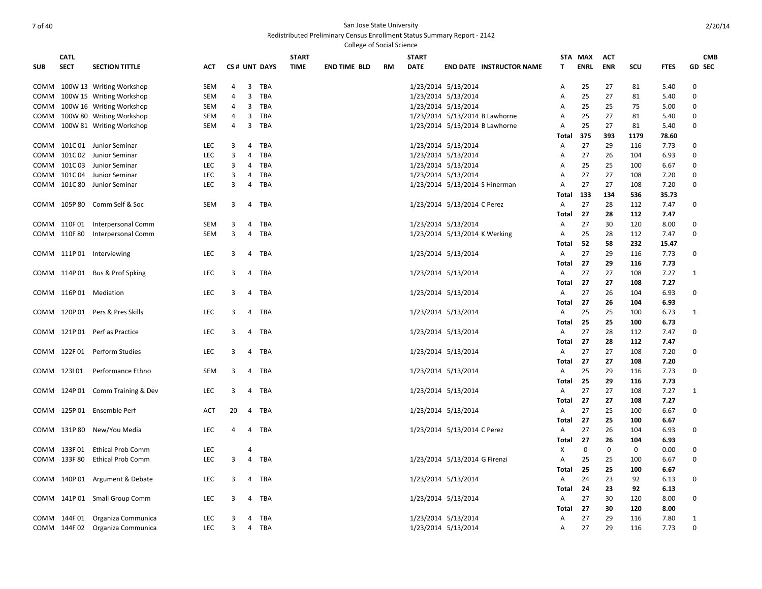|            |              |                                  |            |                |                |              |              | College of Social Science |    |                     |                                 |                |             |            |      |             |               |
|------------|--------------|----------------------------------|------------|----------------|----------------|--------------|--------------|---------------------------|----|---------------------|---------------------------------|----------------|-------------|------------|------|-------------|---------------|
|            | <b>CATL</b>  |                                  |            |                |                |              | <b>START</b> |                           |    | <b>START</b>        |                                 |                | STA MAX     | ACT        |      |             | <b>CMB</b>    |
| <b>SUB</b> | <b>SECT</b>  | <b>SECTION TITTLE</b>            | <b>ACT</b> |                |                | CS# UNT DAYS | <b>TIME</b>  | <b>END TIME BLD</b>       | RM | <b>DATE</b>         | <b>END DATE INSTRUCTOR NAME</b> | т              | <b>ENRL</b> | <b>ENR</b> | SCU  | <b>FTES</b> | <b>GD SEC</b> |
|            |              | COMM 100W 13 Writing Workshop    | SEM        | 4              | $\overline{3}$ | TBA          |              |                           |    | 1/23/2014 5/13/2014 |                                 | Α              | 25          | 27         | 81   | 5.40        | $\mathbf 0$   |
|            |              | COMM 100W 15 Writing Workshop    | SEM        | 4              | 3              | TBA          |              |                           |    | 1/23/2014 5/13/2014 |                                 | Α              | 25          | 27         | 81   | 5.40        | $\Omega$      |
| СОММ       |              | 100W 16 Writing Workshop         | SEM        | 4              | 3              | <b>TBA</b>   |              |                           |    | 1/23/2014 5/13/2014 |                                 | Α              | 25          | 25         | 75   | 5.00        | $\Omega$      |
| сомм       |              | 100W 80 Writing Workshop         | SEM        | $\overline{4}$ | 3              | TBA          |              |                           |    |                     | 1/23/2014 5/13/2014 B Lawhorne  | A              | 25          | 27         | 81   | 5.40        | $\Omega$      |
|            |              | COMM 100W 81 Writing Workshop    | SEM        | 4              | 3              | TBA          |              |                           |    |                     | 1/23/2014 5/13/2014 B Lawhorne  | Α              | 25          | 27         | 81   | 5.40        | $\Omega$      |
|            |              |                                  |            |                |                |              |              |                           |    |                     |                                 | Total          | 375         | 393        | 1179 | 78.60       |               |
|            |              | COMM 101C 01 Junior Seminar      | <b>LEC</b> | 3              | 4              | <b>TBA</b>   |              |                           |    | 1/23/2014 5/13/2014 |                                 | Α              | 27          | 29         | 116  | 7.73        | 0             |
|            | COMM 101C02  | Junior Seminar                   | <b>LEC</b> | 3              | $\overline{4}$ | <b>TBA</b>   |              |                           |    | 1/23/2014 5/13/2014 |                                 | A              | 27          | 26         | 104  | 6.93        | $\Omega$      |
|            | COMM 101C03  | Junior Seminar                   | <b>LEC</b> | 3              | 4              | <b>TBA</b>   |              |                           |    | 1/23/2014 5/13/2014 |                                 | A              | 25          | 25         | 100  | 6.67        | $\mathbf 0$   |
|            | COMM 101C04  | Junior Seminar                   | LEC        | 3              | 4              | TBA          |              |                           |    | 1/23/2014 5/13/2014 |                                 | A              | 27          | 27         | 108  | 7.20        | $\mathbf 0$   |
|            | COMM 101C 80 | Junior Seminar                   | <b>LEC</b> | 3              | $\overline{4}$ | <b>TBA</b>   |              |                           |    |                     | 1/23/2014 5/13/2014 S Hinerman  | $\overline{A}$ | 27          | 27         | 108  | 7.20        | 0             |
|            |              |                                  |            |                |                |              |              |                           |    |                     |                                 | Total          | 133         | 134        | 536  | 35.73       |               |
|            |              | COMM 105P 80 Comm Self & Soc     | SEM        | 3              | 4              | TBA          |              |                           |    |                     | 1/23/2014 5/13/2014 C Perez     | А              | 27          | 28         | 112  | 7.47        | $\mathbf 0$   |
|            |              |                                  |            |                |                |              |              |                           |    |                     |                                 | Total          | 27          | 28         | 112  | 7.47        |               |
|            | COMM 110F01  | Interpersonal Comm               | SEM        | 3              | 4              | <b>TBA</b>   |              |                           |    | 1/23/2014 5/13/2014 |                                 | Α              | 27          | 30         | 120  | 8.00        | 0             |
|            | COMM 110F 80 | <b>Interpersonal Comm</b>        | SEM        | 3              | 4              | <b>TBA</b>   |              |                           |    |                     | 1/23/2014 5/13/2014 K Werking   | Α              | 25          | 28         | 112  | 7.47        | $\Omega$      |
|            |              |                                  |            |                |                |              |              |                           |    |                     |                                 | Total          | 52          | 58         | 232  | 15.47       |               |
|            |              | COMM 111P 01 Interviewing        | <b>LEC</b> | 3              | 4              | TBA          |              |                           |    | 1/23/2014 5/13/2014 |                                 | Α              | 27          | 29         | 116  | 7.73        | 0             |
|            |              |                                  |            |                |                |              |              |                           |    |                     |                                 | Total          | 27          | 29         | 116  | 7.73        |               |
|            |              | COMM 114P 01 Bus & Prof Spking   | <b>LEC</b> | 3              |                | 4 TBA        |              |                           |    | 1/23/2014 5/13/2014 |                                 | Α              | 27          | 27         | 108  | 7.27        | $\mathbf{1}$  |
|            |              |                                  |            |                |                |              |              |                           |    |                     |                                 | Total          | 27          | 27         | 108  | 7.27        |               |
|            |              | COMM 116P 01 Mediation           | <b>LEC</b> | 3              |                | 4 TBA        |              |                           |    | 1/23/2014 5/13/2014 |                                 | Α              | 27          | 26         | 104  | 6.93        | 0             |
|            |              |                                  |            |                |                |              |              |                           |    |                     |                                 | Total          | 27          | 26         | 104  | 6.93        |               |
|            |              | COMM 120P 01 Pers & Pres Skills  | <b>LEC</b> | 3              |                | 4 TBA        |              |                           |    | 1/23/2014 5/13/2014 |                                 | A              | 25          | 25         | 100  | 6.73        | 1             |
|            |              |                                  |            |                |                |              |              |                           |    |                     |                                 | Total          | 25          | 25         | 100  | 6.73        |               |
|            |              | COMM 121P 01 Perf as Practice    | <b>LEC</b> | 3              | 4              | TBA          |              |                           |    | 1/23/2014 5/13/2014 |                                 | Α              | 27          | 28         | 112  | 7.47        | 0             |
|            |              |                                  |            |                |                |              |              |                           |    |                     |                                 | Total          | 27          | 28         | 112  | 7.47        |               |
|            |              | COMM 122F01 Perform Studies      | <b>LEC</b> | 3              |                | 4 TBA        |              |                           |    | 1/23/2014 5/13/2014 |                                 | Α              | 27          | 27         | 108  | 7.20        | $\Omega$      |
|            |              |                                  |            |                |                |              |              |                           |    |                     |                                 | Total          | 27          | 27         | 108  | 7.20        |               |
|            | COMM 123101  | Performance Ethno                | SEM        | 3              | $\overline{4}$ | TBA          |              |                           |    | 1/23/2014 5/13/2014 |                                 | A              | 25          | 29         | 116  | 7.73        | 0             |
|            |              |                                  |            |                |                |              |              |                           |    |                     |                                 | Total          | 25          | 29         | 116  | 7.73        |               |
|            |              | COMM 124P 01 Comm Training & Dev | <b>LEC</b> | 3              | 4              | TBA          |              |                           |    |                     | 1/23/2014 5/13/2014             | Α              | 27          | 27         | 108  | 7.27        | $\mathbf{1}$  |
|            |              |                                  |            |                |                |              |              |                           |    |                     |                                 | Total          | 27          | 27         | 108  | 7.27        |               |
|            |              | COMM 125P 01 Ensemble Perf       | ACT        | 20             | 4              | TBA          |              |                           |    | 1/23/2014 5/13/2014 |                                 | A              | 27          | 25         | 100  | 6.67        | $\Omega$      |
|            |              |                                  |            |                |                |              |              |                           |    |                     |                                 | Total          | 27          | 25         | 100  | 6.67        |               |
|            |              | COMM 131P 80 New/You Media       | LEC        | 4              | 4              | TBA          |              |                           |    |                     | 1/23/2014 5/13/2014 C Perez     | Α              | 27          | 26         | 104  | 6.93        | 0             |
|            |              |                                  |            |                |                |              |              |                           |    |                     |                                 | Total          | 27          | 26         | 104  | 6.93        |               |
|            | COMM 133F01  | <b>Ethical Prob Comm</b>         | <b>LEC</b> |                | 4              |              |              |                           |    |                     |                                 | Х              | $\mathbf 0$ | 0          | 0    | 0.00        | 0             |
|            | COMM 133F80  | <b>Ethical Prob Comm</b>         | LEC        | 3              | 4              | <b>TBA</b>   |              |                           |    |                     | 1/23/2014 5/13/2014 G Firenzi   | Α              | 25          | 25         | 100  | 6.67        | 0             |
|            |              |                                  |            |                |                |              |              |                           |    |                     |                                 | Total          | 25          | 25         | 100  | 6.67        |               |
|            |              | COMM 140P 01 Argument & Debate   | <b>LEC</b> | 3              | $\overline{4}$ | TBA          |              |                           |    | 1/23/2014 5/13/2014 |                                 | A              | 24          | 23         | 92   | 6.13        | 0             |
|            |              |                                  |            |                |                |              |              |                           |    |                     |                                 | Total          | 24          | 23         | 92   | 6.13        |               |
|            |              | COMM 141P 01 Small Group Comm    | LEC        | 3              | 4              | <b>TBA</b>   |              |                           |    | 1/23/2014 5/13/2014 |                                 | Α              | 27          | 30         | 120  | 8.00        | 0             |
|            |              |                                  |            |                |                |              |              |                           |    |                     |                                 | Total          | 27          | 30         | 120  | 8.00        |               |
|            | COMM 144F 01 | Organiza Communica               | <b>LEC</b> | 3              | 4              | <b>TBA</b>   |              |                           |    | 1/23/2014 5/13/2014 |                                 | Α              | 27          | 29         | 116  | 7.80        | 1             |
|            |              | COMM 144F 02 Organiza Communica  | <b>LEC</b> | 3              | $\overline{4}$ | TBA          |              |                           |    | 1/23/2014 5/13/2014 |                                 | $\overline{A}$ | 27          | 29         | 116  | 7.73        | $\Omega$      |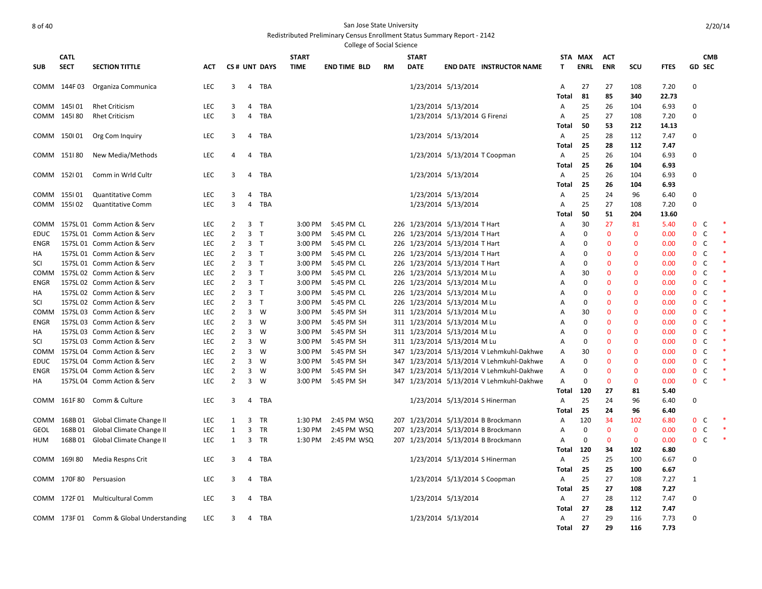|             |              |                                          |            |                |                |              |              | <b>College of Social Science</b> |           |                                |                               |                                           |                   |             |              |              |               |                              |            |
|-------------|--------------|------------------------------------------|------------|----------------|----------------|--------------|--------------|----------------------------------|-----------|--------------------------------|-------------------------------|-------------------------------------------|-------------------|-------------|--------------|--------------|---------------|------------------------------|------------|
|             | <b>CATL</b>  |                                          |            |                |                |              | <b>START</b> |                                  |           | <b>START</b>                   |                               |                                           | <b>STA</b>        | MAX         | <b>ACT</b>   |              |               |                              | <b>CMB</b> |
| <b>SUB</b>  | <b>SECT</b>  | <b>SECTION TITTLE</b>                    | <b>ACT</b> |                |                | CS# UNT DAYS | <b>TIME</b>  | <b>END TIME BLD</b>              | <b>RM</b> | <b>DATE</b>                    |                               | <b>END DATE INSTRUCTOR NAME</b>           | т                 | <b>ENRL</b> | <b>ENR</b>   | <b>SCU</b>   | <b>FTES</b>   | <b>GD SEC</b>                |            |
|             | COMM 144F 03 | Organiza Communica                       | <b>LEC</b> | 3              | 4              | <b>TBA</b>   |              |                                  |           |                                | 1/23/2014 5/13/2014           |                                           | A                 | 27          | 27           | 108          | 7.20          | $\Omega$                     |            |
|             |              |                                          |            |                |                |              |              |                                  |           |                                |                               |                                           | Total             | 81          | 85           | 340          | 22.73         |                              |            |
|             | COMM 145101  | <b>Rhet Criticism</b>                    | <b>LEC</b> | 3              | 4              | TBA          |              |                                  |           |                                | 1/23/2014 5/13/2014           |                                           | Α                 | 25          | 26           | 104          | 6.93          | $\Omega$                     |            |
|             | COMM 145180  | <b>Rhet Criticism</b>                    | <b>LEC</b> | 3              | $\overline{4}$ | TBA          |              |                                  |           |                                | 1/23/2014 5/13/2014 G Firenzi |                                           | Α                 | 25<br>50    | 27<br>53     | 108          | 7.20          | $\Omega$                     |            |
|             |              |                                          | <b>LEC</b> | 3              | 4              |              |              |                                  |           |                                |                               |                                           | Total             |             | 28           | 212<br>112   | 14.13<br>7.47 | $\Omega$                     |            |
|             | COMM 150101  | Org Com Inquiry                          |            |                |                | TBA          |              |                                  |           |                                | 1/23/2014 5/13/2014           |                                           | Α<br><b>Total</b> | 25<br>25    | 28           | 112          | 7.47          |                              |            |
|             | COMM 151180  | New Media/Methods                        | LEC        | 4              | 4              | TBA          |              |                                  |           |                                |                               | 1/23/2014 5/13/2014 T Coopman             | Α                 | 25          | 26           | 104          | 6.93          | $\Omega$                     |            |
|             |              |                                          |            |                |                |              |              |                                  |           |                                |                               |                                           | Total             | 25          | 26           | 104          | 6.93          |                              |            |
|             | COMM 152101  | Comm in Wrld Cultr                       | <b>LEC</b> | 3              | 4              | TBA          |              |                                  |           |                                | 1/23/2014 5/13/2014           |                                           | Α                 | 25          | 26           | 104          | 6.93          | $\mathbf 0$                  |            |
|             |              |                                          |            |                |                |              |              |                                  |           |                                |                               |                                           | <b>Total</b>      | 25          | 26           | 104          | 6.93          |                              |            |
|             | COMM 155101  | <b>Quantitative Comm</b>                 | LEC        | 3              | 4              | TBA          |              |                                  |           |                                | 1/23/2014 5/13/2014           |                                           | Α                 | 25          | 24           | 96           | 6.40          | $\Omega$                     |            |
|             | COMM 155102  | <b>Quantitative Comm</b>                 | <b>LEC</b> | 3              | 4              | TBA          |              |                                  |           |                                | 1/23/2014 5/13/2014           |                                           | Α                 | 25          | 27           | 108          | 7.20          | $\Omega$                     |            |
|             |              |                                          |            |                |                |              |              |                                  |           |                                |                               |                                           | Total             | 50          | 51           | 204          | 13.60         |                              |            |
| COMM        |              | 157SL 01 Comm Action & Serv              | LEC        | 2              | 3 T            |              | 3:00 PM      | 5:45 PM CL                       |           | 226 1/23/2014 5/13/2014 T Hart |                               |                                           | A                 | 30          | 27           | 81           | 5.40          | $\mathbf{0}$<br><sub>c</sub> |            |
| EDUC        |              | 157SL 01 Comm Action & Serv              | <b>LEC</b> | $\overline{2}$ | 3 <sub>T</sub> |              | 3:00 PM      | 5:45 PM CL                       |           | 226 1/23/2014 5/13/2014 T Hart |                               |                                           | Α                 | $\Omega$    | $\bf{0}$     | $\mathbf 0$  | 0.00          | $\mathbf{0}$<br>C            |            |
| ENGR        |              | 157SL 01 Comm Action & Serv              | <b>LEC</b> | $\overline{2}$ | 3 <sub>T</sub> |              | 3:00 PM      | 5:45 PM CL                       |           | 226 1/23/2014 5/13/2014 T Hart |                               |                                           | Α                 | $\Omega$    | $\Omega$     | $\mathbf{0}$ | 0.00          | $\mathbf{0}$<br>C            |            |
| HA          |              | 157SL 01 Comm Action & Serv              | LEC        | $\overline{2}$ | 3 <sub>1</sub> |              | 3:00 PM      | 5:45 PM CL                       |           | 226 1/23/2014 5/13/2014 T Hart |                               |                                           | A                 | $\Omega$    | $\Omega$     | $\mathbf{0}$ | 0.00          | 0 <sup>o</sup>               |            |
| SCI         |              | 157SL 01 Comm Action & Serv              | LEC        | 2              | 3 <sub>T</sub> |              | 3:00 PM      | 5:45 PM CL                       |           | 226 1/23/2014 5/13/2014 T Hart |                               |                                           | Α                 | $\Omega$    | $\Omega$     | $\Omega$     | 0.00          | $\mathbf 0$<br>C             |            |
| COMM        |              | 157SL 02 Comm Action & Serv              | <b>LEC</b> | $\overline{2}$ | 3 <sub>T</sub> |              | 3:00 PM      | 5:45 PM CL                       |           | 226 1/23/2014 5/13/2014 M Lu   |                               |                                           | Α                 | 30          | $\Omega$     | $\mathbf{0}$ | 0.00          | 0 <sup>o</sup>               |            |
| <b>ENGR</b> |              | 157SL 02 Comm Action & Serv              | LEC        | $\overline{2}$ | 3 <sub>T</sub> |              | 3:00 PM      | 5:45 PM CL                       |           | 226 1/23/2014 5/13/2014 M Lu   |                               |                                           | Α                 | $\Omega$    | $\Omega$     | $\mathbf{0}$ | 0.00          | $\mathbf{0}$<br>C            |            |
| ΗA          |              | 157SL 02 Comm Action & Serv              | <b>LEC</b> | 2              | 3 <sub>T</sub> |              | 3:00 PM      | 5:45 PM CL                       |           | 226 1/23/2014 5/13/2014 M Lu   |                               |                                           | A                 | $\Omega$    | $\Omega$     | $\mathbf{0}$ | 0.00          | 0 <sup>o</sup>               |            |
| SCI         |              | 157SL 02 Comm Action & Serv              | <b>LEC</b> | $\overline{2}$ | 3 <sub>T</sub> |              | 3:00 PM      | 5:45 PM CL                       |           | 226 1/23/2014 5/13/2014 M Lu   |                               |                                           | Α                 | $\Omega$    | $\Omega$     | $\mathbf{0}$ | 0.00          | $\mathbf{0}$<br>C            |            |
| COMM        |              | 157SL 03 Comm Action & Serv              | LEC        | $\overline{2}$ |                | $3 \quad W$  | 3:00 PM      | 5:45 PM SH                       |           | 311 1/23/2014 5/13/2014 M Lu   |                               |                                           | Α                 | 30          | $\Omega$     | $\mathbf{0}$ | 0.00          | 0 <sup>o</sup>               |            |
| <b>ENGR</b> |              | 157SL 03 Comm Action & Serv              | <b>LEC</b> | 2              | 3              | W            | 3:00 PM      | 5:45 PM SH                       |           | 311 1/23/2014 5/13/2014 M Lu   |                               |                                           | Α                 | $\Omega$    | $\Omega$     | $\mathbf{0}$ | 0.00          | $\mathbf{0}$<br>C            |            |
| НA          |              | 157SL 03 Comm Action & Serv              | <b>LEC</b> | 2              | $\overline{3}$ | W            | 3:00 PM      | 5:45 PM SH                       |           | 311 1/23/2014 5/13/2014 M Lu   |                               |                                           | A                 | $\mathbf 0$ | 0            | $\mathbf 0$  | 0.00          | $0\quad C$                   |            |
| SCI         |              | 157SL 03 Comm Action & Serv              | <b>LEC</b> | $\overline{2}$ | 3              | W            | 3:00 PM      | 5:45 PM SH                       |           | 311 1/23/2014 5/13/2014 M Lu   |                               |                                           | Α                 | $\Omega$    | $\mathbf{0}$ | $\mathbf{0}$ | 0.00          | $\mathbf{0}$<br>C            |            |
| COMM        |              | 157SL 04 Comm Action & Serv              | <b>LEC</b> | 2              | 3              | W            | 3:00 PM      | 5:45 PM SH                       |           |                                |                               | 347 1/23/2014 5/13/2014 V Lehmkuhl-Dakhwe | Α                 | 30          | $\mathbf{0}$ | $\mathbf{0}$ | 0.00          | 0 <sup>o</sup>               |            |
| <b>EDUC</b> |              | 157SL 04 Comm Action & Serv              | <b>LEC</b> | $\overline{2}$ | 3              | W            | 3:00 PM      | 5:45 PM SH                       |           |                                |                               | 347 1/23/2014 5/13/2014 V Lehmkuhl-Dakhwe | Α                 | $\mathbf 0$ | $\mathbf{0}$ | $\mathbf 0$  | 0.00          | $\mathbf{0}$<br>C            |            |
| ENGR        |              | 157SL 04 Comm Action & Serv              | LEC        | $\overline{2}$ | 3              | W            | 3:00 PM      | 5:45 PM SH                       |           |                                |                               | 347 1/23/2014 5/13/2014 V Lehmkuhl-Dakhwe | А                 | $\mathbf 0$ | $\mathbf{0}$ | $\mathbf 0$  | 0.00          | $0\quad C$                   |            |
| ΗA          |              | 157SL 04 Comm Action & Serv              | LEC        | $\overline{2}$ | 3              | W            | 3:00 PM      | 5:45 PM SH                       |           |                                |                               | 347 1/23/2014 5/13/2014 V Lehmkuhl-Dakhwe | А                 | $\Omega$    | $\mathbf{0}$ | $\mathbf{0}$ | 0.00          | $\mathbf 0$<br>C             |            |
|             |              |                                          |            |                |                |              |              |                                  |           |                                |                               |                                           | Total             | 120         | 27           | 81           | 5.40          |                              |            |
|             | COMM 161F80  | Comm & Culture                           | LEC        | 3              | $\overline{4}$ | TBA          |              |                                  |           |                                |                               | 1/23/2014 5/13/2014 S Hinerman            | Α                 | 25          | 24           | 96           | 6.40          | 0                            |            |
|             |              |                                          |            |                |                |              |              |                                  |           |                                |                               |                                           | Total             | 25          | 24           | 96           | 6.40          |                              |            |
| COMM        | 168B01       | Global Climate Change II                 | <b>LEC</b> | 1              | 3              | TR           | 1:30 PM      | 2:45 PM WSQ                      | 207       |                                |                               | 1/23/2014 5/13/2014 B Brockmann           | Α                 | 120         | 34           | 102          | 6.80          | $\mathbf{0}$<br>C            |            |
| GEOL        | 168B01       | Global Climate Change II                 | <b>LEC</b> | $\mathbf{1}$   | 3              | TR           | 1:30 PM      | 2:45 PM WSQ                      | 207       |                                |                               | 1/23/2014 5/13/2014 B Brockmann           | Α                 | 0           | 0            | $\mathbf 0$  | 0.00          | C<br>$\mathbf 0$             |            |
| HUM         | 168B 01      | Global Climate Change II                 | <b>LEC</b> | $\mathbf{1}$   | 3              | TR           | 1:30 PM      | 2:45 PM WSQ                      |           |                                |                               | 207 1/23/2014 5/13/2014 B Brockmann       | Α                 | $\Omega$    | $\mathbf{0}$ | $\mathbf 0$  | 0.00          | $\mathbf{0}$<br>C            | *          |
|             |              |                                          |            |                |                |              |              |                                  |           |                                |                               |                                           | Total             | 120         | 34           | 102          | 6.80          |                              |            |
| COMM        | 169180       | Media Respns Crit                        | <b>LEC</b> | 3              | 4              | TBA          |              |                                  |           |                                |                               | 1/23/2014 5/13/2014 S Hinerman            | Α                 | 25          | 25           | 100          | 6.67          | 0                            |            |
|             |              |                                          |            |                |                |              |              |                                  |           |                                |                               |                                           | Total             | 25          | 25           | 100          | 6.67          |                              |            |
|             | COMM 170F 80 | Persuasion                               | LEC        | 3              | 4              | TBA          |              |                                  |           |                                |                               | 1/23/2014 5/13/2014 S Coopman             | Α                 | 25          | 27           | 108          | 7.27          | 1                            |            |
|             |              |                                          |            |                |                |              |              |                                  |           |                                |                               |                                           | Total             | 25          | 27           | 108          | 7.27          |                              |            |
|             | COMM 172F01  | <b>Multicultural Comm</b>                | <b>LEC</b> | 3              | 4              | <b>TBA</b>   |              |                                  |           |                                | 1/23/2014 5/13/2014           |                                           | Α                 | 27          | 28           | 112          | 7.47          | 0                            |            |
|             |              |                                          |            |                |                |              |              |                                  |           |                                |                               |                                           | Total             | 27          | 28           | 112          | 7.47          |                              |            |
|             |              | COMM 173F 01 Comm & Global Understanding | <b>LEC</b> | 3              | 4              | TBA          |              |                                  |           |                                | 1/23/2014 5/13/2014           |                                           | A                 | 27          | 29           | 116          | 7.73          | $\Omega$                     |            |
|             |              |                                          |            |                |                |              |              |                                  |           |                                |                               |                                           | Total             | 27          | 29           | 116          | 7.73          |                              |            |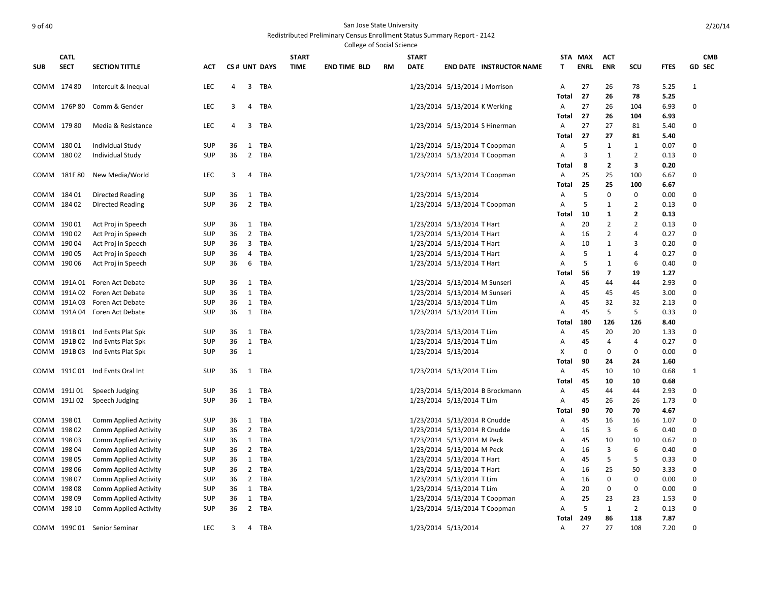| <b>CATL</b><br><b>START</b><br><b>START</b><br>STA MAX<br><b>ACT</b><br><b>CMB</b><br><b>SECT</b><br><b>SECTION TITTLE</b><br>CS# UNT DAYS<br><b>TIME</b><br><b>DATE</b><br><b>ENRL</b><br><b>ENR</b><br>SCU<br><b>FTES</b><br><b>GD SEC</b><br><b>SUB</b><br><b>ACT</b><br><b>END TIME BLD</b><br>RM<br><b>END DATE INSTRUCTOR NAME</b><br>т<br>COMM 174 80<br>Intercult & Inequal<br><b>LEC</b><br>4<br>$\overline{3}$<br>TBA<br>1/23/2014 5/13/2014 J Morrison<br>$\overline{A}$<br>27<br>26<br>78<br>5.25<br>$\mathbf{1}$<br>27<br>26<br>78<br>5.25<br>Total<br>COMM 176P 80<br>Comm & Gender<br><b>LEC</b><br>3<br>4<br>TBA<br>1/23/2014 5/13/2014 K Werking<br>27<br>26<br>104<br>6.93<br>$\Omega$<br>A<br>27<br>26<br>Total<br>104<br>6.93<br>COMM 17980<br>LEC<br>1/23/2014 5/13/2014 S Hinerman<br>27<br>27<br>81<br>5.40<br>0<br>Media & Resistance<br>4<br>3<br>TBA<br>A<br>27<br>27<br>81<br>5.40<br>Total<br>COMM 18001<br><b>SUP</b><br>TBA<br>1/23/2014 5/13/2014 T Coopman<br>5<br>1<br>0.07<br>0<br>Individual Study<br>36<br>1<br>1<br>A<br>18002<br>SUP<br>36<br>$\overline{2}$<br>TBA<br>3<br>$\overline{2}$<br>0.13<br>0<br>COMM<br>Individual Study<br>1/23/2014 5/13/2014 T Coopman<br>1<br>A<br>8<br>2<br>3<br>0.20<br>Total<br>COMM 181F80<br>LEC<br>25<br>100<br>New Media/World<br>TBA<br>1/23/2014 5/13/2014 T Coopman<br>25<br>6.67<br>0<br>3<br>4<br>Α<br>25<br>25<br>100<br>Total<br>6.67<br>COMM 18401<br><b>SUP</b><br>36<br>1 TBA<br>1/23/2014 5/13/2014<br>5<br>0<br>0<br>0.00<br>$\Omega$<br>Directed Reading<br>A<br>COMM 184 02<br><b>SUP</b><br>36<br>$\overline{2}$<br>TBA<br>1/23/2014 5/13/2014 T Coopman<br>5<br>$\overline{2}$<br>0.13<br>$\Omega$<br>Directed Reading<br>1<br>A<br>10<br>1<br>2<br>0.13<br>Total<br>1/23/2014 5/13/2014 T Hart<br>$\overline{2}$<br>$\overline{2}$<br>0.13<br>COMM 19001<br>Act Proj in Speech<br><b>SUP</b><br>36<br>1<br>TBA<br>20<br>$\Omega$<br>A<br>COMM 19002<br>Act Proj in Speech<br><b>SUP</b><br>36<br>$2^{\circ}$<br>TBA<br>1/23/2014 5/13/2014 T Hart<br>2<br>4<br>0.27<br>$\Omega$<br>A<br>16<br>COMM 19004<br>Act Proj in Speech<br><b>SUP</b><br>36<br>3 TBA<br>1/23/2014 5/13/2014 T Hart<br>10<br>1<br>3<br>0.20<br>$\Omega$<br>A<br>19005<br>Act Proj in Speech<br><b>SUP</b><br>$\overline{4}$<br>TBA<br>1/23/2014 5/13/2014 T Hart<br>5<br>$\overline{4}$<br>0.27<br>$\Omega$<br>COMM<br>36<br>A<br>1<br>5<br>$\Omega$<br>19006<br>Act Proj in Speech<br><b>SUP</b><br>36<br>6<br>TBA<br>1/23/2014 5/13/2014 T Hart<br>1<br>6<br>0.40<br>COMM<br>A<br>$\overline{7}$<br>Total<br>56<br>19<br>1.27<br><b>SUP</b><br>1/23/2014 5/13/2014 M Sunseri<br>45<br>2.93<br>0<br>COMM<br>191A 01<br>Foren Act Debate<br>36<br>1<br>TBA<br>A<br>44<br>44<br>1/23/2014 5/13/2014 M Sunseri<br>$\Omega$<br>191A02<br>Foren Act Debate<br><b>SUP</b><br>36<br>1<br>TBA<br>45<br>45<br>45<br>3.00<br>COMM<br>A<br>$\Omega$<br>191A03<br><b>SUP</b><br>1/23/2014 5/13/2014 T Lim<br>45<br>32<br>32<br>COMM<br>Foren Act Debate<br>36<br>1<br>TBA<br>2.13<br>A<br>1 TBA<br>1/23/2014 5/13/2014 T Lim<br>45<br>5<br>5<br>0.33<br>$\Omega$<br>191A 04 Foren Act Debate<br><b>SUP</b><br>36<br>COMM<br>A<br>180<br>126<br>126<br>8.40<br>Total<br>1/23/2014 5/13/2014 T Lim<br>45<br>20<br>20<br>COMM 191B 01 Ind Evnts Plat Spk<br><b>SUP</b><br>36<br>TBA<br>1.33<br>0<br>1<br>A<br>191B 02 Ind Evnts Plat Spk<br><b>SUP</b><br>1/23/2014 5/13/2014 T Lim<br>45<br>$\overline{4}$<br>0.27<br>$\mathbf 0$<br>COMM<br>36<br>1<br><b>TBA</b><br>4<br>A<br>0<br>191B 03 Ind Evnts Plat Spk<br><b>SUP</b><br>36<br>1/23/2014 5/13/2014<br>Χ<br>0<br>0<br>0<br>0.00<br>COMM<br>1<br><b>Total</b><br>90<br>24<br>24<br>1.60<br>COMM 191C 01 Ind Evnts Oral Int<br><b>SUP</b><br>TBA<br>1/23/2014 5/13/2014 T Lim<br>45<br>10<br>10<br>0.68<br>36<br>1<br>A<br>1<br><b>Total</b><br>45<br>10<br>10<br>0.68<br>COMM 191J01<br>TBA<br>1/23/2014 5/13/2014 B Brockmann<br>45<br>2.93<br>Speech Judging<br>SUP<br>36<br>1<br>44<br>44<br>0<br>A<br>COMM 191J02<br>Speech Judging<br><b>SUP</b><br>36<br>$\mathbf{1}$<br>TBA<br>1/23/2014 5/13/2014 T Lim<br>45<br>26<br>26<br>1.73<br>0<br>A<br>90<br>70<br>70<br>Total<br>4.67<br>COMM 19801<br>Comm Applied Activity<br><b>SUP</b><br>TBA<br>1/23/2014 5/13/2014 R Cnudde<br>45<br>16<br>16<br>1.07<br>0<br>36<br>1<br>Α<br>3<br>6<br>$\Omega$<br>COMM 19802<br><b>Comm Applied Activity</b><br><b>SUP</b><br>36<br>2 TBA<br>1/23/2014 5/13/2014 R Cnudde<br>16<br>0.40<br>A<br>COMM 19803<br><b>SUP</b><br>1/23/2014 5/13/2014 M Peck<br>45<br>10<br>$\Omega$<br>Comm Applied Activity<br>36<br>1 TBA<br>A<br>10<br>0.67<br>3<br>6<br>$\Omega$<br>COMM<br>19804<br><b>Comm Applied Activity</b><br><b>SUP</b><br>36<br>2 TBA<br>1/23/2014 5/13/2014 M Peck<br>16<br>0.40<br>A<br><b>SUP</b><br>1/23/2014 5/13/2014 T Hart<br>5<br>5<br>$\Omega$<br>COMM<br>198 05<br>Comm Applied Activity<br>36<br>1<br>TBA<br>A<br>45<br>0.33<br>$\mathbf 0$<br>COMM 198 06<br><b>SUP</b><br>36<br>2 TBA<br>1/23/2014 5/13/2014 T Hart<br>25<br>50<br>3.33<br>Comm Applied Activity<br>A<br>16<br>19807<br><b>SUP</b><br>2 TBA<br>1/23/2014 5/13/2014 T Lim<br>$\mathbf 0$<br>$\mathbf 0$<br>0.00<br>$\Omega$<br><b>Comm Applied Activity</b><br>36<br>16<br>COMM<br>A<br>$\mathbf 0$<br>19808<br><b>SUP</b><br>36<br>TBA<br>1/23/2014 5/13/2014 T Lim<br>20<br>0<br>0<br>0.00<br>COMM<br>Comm Applied Activity<br>1<br>A<br>19809<br>TBA<br>25<br>23<br>$\mathbf 0$<br>Comm Applied Activity<br><b>SUP</b><br>36<br>1<br>1/23/2014 5/13/2014 T Coopman<br>23<br>1.53<br>COMM<br>A<br>5<br>$\overline{2}$<br>$\Omega$<br>198 10<br><b>SUP</b><br>36<br>2 TBA<br>1/23/2014 5/13/2014 T Coopman<br>1<br>0.13<br>COMM<br>Comm Applied Activity<br>Α<br>249<br>7.87<br>86<br>118<br>Total<br>COMM 199C 01<br>LEC<br>3<br><b>TBA</b><br>1/23/2014 5/13/2014<br>27<br>27<br>108<br>7.20<br>$\Omega$<br>Senior Seminar<br>4<br>A |  |  |  |  | College of Social Science |  |  |  |  |  |
|-----------------------------------------------------------------------------------------------------------------------------------------------------------------------------------------------------------------------------------------------------------------------------------------------------------------------------------------------------------------------------------------------------------------------------------------------------------------------------------------------------------------------------------------------------------------------------------------------------------------------------------------------------------------------------------------------------------------------------------------------------------------------------------------------------------------------------------------------------------------------------------------------------------------------------------------------------------------------------------------------------------------------------------------------------------------------------------------------------------------------------------------------------------------------------------------------------------------------------------------------------------------------------------------------------------------------------------------------------------------------------------------------------------------------------------------------------------------------------------------------------------------------------------------------------------------------------------------------------------------------------------------------------------------------------------------------------------------------------------------------------------------------------------------------------------------------------------------------------------------------------------------------------------------------------------------------------------------------------------------------------------------------------------------------------------------------------------------------------------------------------------------------------------------------------------------------------------------------------------------------------------------------------------------------------------------------------------------------------------------------------------------------------------------------------------------------------------------------------------------------------------------------------------------------------------------------------------------------------------------------------------------------------------------------------------------------------------------------------------------------------------------------------------------------------------------------------------------------------------------------------------------------------------------------------------------------------------------------------------------------------------------------------------------------------------------------------------------------------------------------------------------------------------------------------------------------------------------------------------------------------------------------------------------------------------------------------------------------------------------------------------------------------------------------------------------------------------------------------------------------------------------------------------------------------------------------------------------------------------------------------------------------------------------------------------------------------------------------------------------------------------------------------------------------------------------------------------------------------------------------------------------------------------------------------------------------------------------------------------------------------------------------------------------------------------------------------------------------------------------------------------------------------------------------------------------------------------------------------------------------------------------------------------------------------------------------------------------------------------------------------------------------------------------------------------------------------------------------------------------------------------------------------------------------------------------------------------------------------------------------------------------------------------------------------------------------------------------------------------------------------------------------------------------------------------------------------------------------------------------------------------------------------------------------------------------------------------------------------------------------------------------------------------------------------------------------------------------------------------------------------------------------------------------------------------------------------------------------------------------------------------------------------------------------------------------------------------------------------------------------------------------------------------------------------------------------------------------------------------------------------------------------------------------------------------------------------------------------------------------------------------------------------------------------------------------------------------------------------------------------------------------------------------------------------------------------------------------------------------------------------------------------------------------------------------|--|--|--|--|---------------------------|--|--|--|--|--|
|                                                                                                                                                                                                                                                                                                                                                                                                                                                                                                                                                                                                                                                                                                                                                                                                                                                                                                                                                                                                                                                                                                                                                                                                                                                                                                                                                                                                                                                                                                                                                                                                                                                                                                                                                                                                                                                                                                                                                                                                                                                                                                                                                                                                                                                                                                                                                                                                                                                                                                                                                                                                                                                                                                                                                                                                                                                                                                                                                                                                                                                                                                                                                                                                                                                                                                                                                                                                                                                                                                                                                                                                                                                                                                                                                                                                                                                                                                                                                                                                                                                                                                                                                                                                                                                                                                                                                                                                                                                                                                                                                                                                                                                                                                                                                                                                                                                                                                                                                                                                                                                                                                                                                                                                                                                                                                                                                                                                                                                                                                                                                                                                                                                                                                                                                                                                                                                                                                                                   |  |  |  |  |                           |  |  |  |  |  |
|                                                                                                                                                                                                                                                                                                                                                                                                                                                                                                                                                                                                                                                                                                                                                                                                                                                                                                                                                                                                                                                                                                                                                                                                                                                                                                                                                                                                                                                                                                                                                                                                                                                                                                                                                                                                                                                                                                                                                                                                                                                                                                                                                                                                                                                                                                                                                                                                                                                                                                                                                                                                                                                                                                                                                                                                                                                                                                                                                                                                                                                                                                                                                                                                                                                                                                                                                                                                                                                                                                                                                                                                                                                                                                                                                                                                                                                                                                                                                                                                                                                                                                                                                                                                                                                                                                                                                                                                                                                                                                                                                                                                                                                                                                                                                                                                                                                                                                                                                                                                                                                                                                                                                                                                                                                                                                                                                                                                                                                                                                                                                                                                                                                                                                                                                                                                                                                                                                                                   |  |  |  |  |                           |  |  |  |  |  |
|                                                                                                                                                                                                                                                                                                                                                                                                                                                                                                                                                                                                                                                                                                                                                                                                                                                                                                                                                                                                                                                                                                                                                                                                                                                                                                                                                                                                                                                                                                                                                                                                                                                                                                                                                                                                                                                                                                                                                                                                                                                                                                                                                                                                                                                                                                                                                                                                                                                                                                                                                                                                                                                                                                                                                                                                                                                                                                                                                                                                                                                                                                                                                                                                                                                                                                                                                                                                                                                                                                                                                                                                                                                                                                                                                                                                                                                                                                                                                                                                                                                                                                                                                                                                                                                                                                                                                                                                                                                                                                                                                                                                                                                                                                                                                                                                                                                                                                                                                                                                                                                                                                                                                                                                                                                                                                                                                                                                                                                                                                                                                                                                                                                                                                                                                                                                                                                                                                                                   |  |  |  |  |                           |  |  |  |  |  |
|                                                                                                                                                                                                                                                                                                                                                                                                                                                                                                                                                                                                                                                                                                                                                                                                                                                                                                                                                                                                                                                                                                                                                                                                                                                                                                                                                                                                                                                                                                                                                                                                                                                                                                                                                                                                                                                                                                                                                                                                                                                                                                                                                                                                                                                                                                                                                                                                                                                                                                                                                                                                                                                                                                                                                                                                                                                                                                                                                                                                                                                                                                                                                                                                                                                                                                                                                                                                                                                                                                                                                                                                                                                                                                                                                                                                                                                                                                                                                                                                                                                                                                                                                                                                                                                                                                                                                                                                                                                                                                                                                                                                                                                                                                                                                                                                                                                                                                                                                                                                                                                                                                                                                                                                                                                                                                                                                                                                                                                                                                                                                                                                                                                                                                                                                                                                                                                                                                                                   |  |  |  |  |                           |  |  |  |  |  |
|                                                                                                                                                                                                                                                                                                                                                                                                                                                                                                                                                                                                                                                                                                                                                                                                                                                                                                                                                                                                                                                                                                                                                                                                                                                                                                                                                                                                                                                                                                                                                                                                                                                                                                                                                                                                                                                                                                                                                                                                                                                                                                                                                                                                                                                                                                                                                                                                                                                                                                                                                                                                                                                                                                                                                                                                                                                                                                                                                                                                                                                                                                                                                                                                                                                                                                                                                                                                                                                                                                                                                                                                                                                                                                                                                                                                                                                                                                                                                                                                                                                                                                                                                                                                                                                                                                                                                                                                                                                                                                                                                                                                                                                                                                                                                                                                                                                                                                                                                                                                                                                                                                                                                                                                                                                                                                                                                                                                                                                                                                                                                                                                                                                                                                                                                                                                                                                                                                                                   |  |  |  |  |                           |  |  |  |  |  |
|                                                                                                                                                                                                                                                                                                                                                                                                                                                                                                                                                                                                                                                                                                                                                                                                                                                                                                                                                                                                                                                                                                                                                                                                                                                                                                                                                                                                                                                                                                                                                                                                                                                                                                                                                                                                                                                                                                                                                                                                                                                                                                                                                                                                                                                                                                                                                                                                                                                                                                                                                                                                                                                                                                                                                                                                                                                                                                                                                                                                                                                                                                                                                                                                                                                                                                                                                                                                                                                                                                                                                                                                                                                                                                                                                                                                                                                                                                                                                                                                                                                                                                                                                                                                                                                                                                                                                                                                                                                                                                                                                                                                                                                                                                                                                                                                                                                                                                                                                                                                                                                                                                                                                                                                                                                                                                                                                                                                                                                                                                                                                                                                                                                                                                                                                                                                                                                                                                                                   |  |  |  |  |                           |  |  |  |  |  |
|                                                                                                                                                                                                                                                                                                                                                                                                                                                                                                                                                                                                                                                                                                                                                                                                                                                                                                                                                                                                                                                                                                                                                                                                                                                                                                                                                                                                                                                                                                                                                                                                                                                                                                                                                                                                                                                                                                                                                                                                                                                                                                                                                                                                                                                                                                                                                                                                                                                                                                                                                                                                                                                                                                                                                                                                                                                                                                                                                                                                                                                                                                                                                                                                                                                                                                                                                                                                                                                                                                                                                                                                                                                                                                                                                                                                                                                                                                                                                                                                                                                                                                                                                                                                                                                                                                                                                                                                                                                                                                                                                                                                                                                                                                                                                                                                                                                                                                                                                                                                                                                                                                                                                                                                                                                                                                                                                                                                                                                                                                                                                                                                                                                                                                                                                                                                                                                                                                                                   |  |  |  |  |                           |  |  |  |  |  |
|                                                                                                                                                                                                                                                                                                                                                                                                                                                                                                                                                                                                                                                                                                                                                                                                                                                                                                                                                                                                                                                                                                                                                                                                                                                                                                                                                                                                                                                                                                                                                                                                                                                                                                                                                                                                                                                                                                                                                                                                                                                                                                                                                                                                                                                                                                                                                                                                                                                                                                                                                                                                                                                                                                                                                                                                                                                                                                                                                                                                                                                                                                                                                                                                                                                                                                                                                                                                                                                                                                                                                                                                                                                                                                                                                                                                                                                                                                                                                                                                                                                                                                                                                                                                                                                                                                                                                                                                                                                                                                                                                                                                                                                                                                                                                                                                                                                                                                                                                                                                                                                                                                                                                                                                                                                                                                                                                                                                                                                                                                                                                                                                                                                                                                                                                                                                                                                                                                                                   |  |  |  |  |                           |  |  |  |  |  |
|                                                                                                                                                                                                                                                                                                                                                                                                                                                                                                                                                                                                                                                                                                                                                                                                                                                                                                                                                                                                                                                                                                                                                                                                                                                                                                                                                                                                                                                                                                                                                                                                                                                                                                                                                                                                                                                                                                                                                                                                                                                                                                                                                                                                                                                                                                                                                                                                                                                                                                                                                                                                                                                                                                                                                                                                                                                                                                                                                                                                                                                                                                                                                                                                                                                                                                                                                                                                                                                                                                                                                                                                                                                                                                                                                                                                                                                                                                                                                                                                                                                                                                                                                                                                                                                                                                                                                                                                                                                                                                                                                                                                                                                                                                                                                                                                                                                                                                                                                                                                                                                                                                                                                                                                                                                                                                                                                                                                                                                                                                                                                                                                                                                                                                                                                                                                                                                                                                                                   |  |  |  |  |                           |  |  |  |  |  |
|                                                                                                                                                                                                                                                                                                                                                                                                                                                                                                                                                                                                                                                                                                                                                                                                                                                                                                                                                                                                                                                                                                                                                                                                                                                                                                                                                                                                                                                                                                                                                                                                                                                                                                                                                                                                                                                                                                                                                                                                                                                                                                                                                                                                                                                                                                                                                                                                                                                                                                                                                                                                                                                                                                                                                                                                                                                                                                                                                                                                                                                                                                                                                                                                                                                                                                                                                                                                                                                                                                                                                                                                                                                                                                                                                                                                                                                                                                                                                                                                                                                                                                                                                                                                                                                                                                                                                                                                                                                                                                                                                                                                                                                                                                                                                                                                                                                                                                                                                                                                                                                                                                                                                                                                                                                                                                                                                                                                                                                                                                                                                                                                                                                                                                                                                                                                                                                                                                                                   |  |  |  |  |                           |  |  |  |  |  |
|                                                                                                                                                                                                                                                                                                                                                                                                                                                                                                                                                                                                                                                                                                                                                                                                                                                                                                                                                                                                                                                                                                                                                                                                                                                                                                                                                                                                                                                                                                                                                                                                                                                                                                                                                                                                                                                                                                                                                                                                                                                                                                                                                                                                                                                                                                                                                                                                                                                                                                                                                                                                                                                                                                                                                                                                                                                                                                                                                                                                                                                                                                                                                                                                                                                                                                                                                                                                                                                                                                                                                                                                                                                                                                                                                                                                                                                                                                                                                                                                                                                                                                                                                                                                                                                                                                                                                                                                                                                                                                                                                                                                                                                                                                                                                                                                                                                                                                                                                                                                                                                                                                                                                                                                                                                                                                                                                                                                                                                                                                                                                                                                                                                                                                                                                                                                                                                                                                                                   |  |  |  |  |                           |  |  |  |  |  |
|                                                                                                                                                                                                                                                                                                                                                                                                                                                                                                                                                                                                                                                                                                                                                                                                                                                                                                                                                                                                                                                                                                                                                                                                                                                                                                                                                                                                                                                                                                                                                                                                                                                                                                                                                                                                                                                                                                                                                                                                                                                                                                                                                                                                                                                                                                                                                                                                                                                                                                                                                                                                                                                                                                                                                                                                                                                                                                                                                                                                                                                                                                                                                                                                                                                                                                                                                                                                                                                                                                                                                                                                                                                                                                                                                                                                                                                                                                                                                                                                                                                                                                                                                                                                                                                                                                                                                                                                                                                                                                                                                                                                                                                                                                                                                                                                                                                                                                                                                                                                                                                                                                                                                                                                                                                                                                                                                                                                                                                                                                                                                                                                                                                                                                                                                                                                                                                                                                                                   |  |  |  |  |                           |  |  |  |  |  |
|                                                                                                                                                                                                                                                                                                                                                                                                                                                                                                                                                                                                                                                                                                                                                                                                                                                                                                                                                                                                                                                                                                                                                                                                                                                                                                                                                                                                                                                                                                                                                                                                                                                                                                                                                                                                                                                                                                                                                                                                                                                                                                                                                                                                                                                                                                                                                                                                                                                                                                                                                                                                                                                                                                                                                                                                                                                                                                                                                                                                                                                                                                                                                                                                                                                                                                                                                                                                                                                                                                                                                                                                                                                                                                                                                                                                                                                                                                                                                                                                                                                                                                                                                                                                                                                                                                                                                                                                                                                                                                                                                                                                                                                                                                                                                                                                                                                                                                                                                                                                                                                                                                                                                                                                                                                                                                                                                                                                                                                                                                                                                                                                                                                                                                                                                                                                                                                                                                                                   |  |  |  |  |                           |  |  |  |  |  |
|                                                                                                                                                                                                                                                                                                                                                                                                                                                                                                                                                                                                                                                                                                                                                                                                                                                                                                                                                                                                                                                                                                                                                                                                                                                                                                                                                                                                                                                                                                                                                                                                                                                                                                                                                                                                                                                                                                                                                                                                                                                                                                                                                                                                                                                                                                                                                                                                                                                                                                                                                                                                                                                                                                                                                                                                                                                                                                                                                                                                                                                                                                                                                                                                                                                                                                                                                                                                                                                                                                                                                                                                                                                                                                                                                                                                                                                                                                                                                                                                                                                                                                                                                                                                                                                                                                                                                                                                                                                                                                                                                                                                                                                                                                                                                                                                                                                                                                                                                                                                                                                                                                                                                                                                                                                                                                                                                                                                                                                                                                                                                                                                                                                                                                                                                                                                                                                                                                                                   |  |  |  |  |                           |  |  |  |  |  |
|                                                                                                                                                                                                                                                                                                                                                                                                                                                                                                                                                                                                                                                                                                                                                                                                                                                                                                                                                                                                                                                                                                                                                                                                                                                                                                                                                                                                                                                                                                                                                                                                                                                                                                                                                                                                                                                                                                                                                                                                                                                                                                                                                                                                                                                                                                                                                                                                                                                                                                                                                                                                                                                                                                                                                                                                                                                                                                                                                                                                                                                                                                                                                                                                                                                                                                                                                                                                                                                                                                                                                                                                                                                                                                                                                                                                                                                                                                                                                                                                                                                                                                                                                                                                                                                                                                                                                                                                                                                                                                                                                                                                                                                                                                                                                                                                                                                                                                                                                                                                                                                                                                                                                                                                                                                                                                                                                                                                                                                                                                                                                                                                                                                                                                                                                                                                                                                                                                                                   |  |  |  |  |                           |  |  |  |  |  |
|                                                                                                                                                                                                                                                                                                                                                                                                                                                                                                                                                                                                                                                                                                                                                                                                                                                                                                                                                                                                                                                                                                                                                                                                                                                                                                                                                                                                                                                                                                                                                                                                                                                                                                                                                                                                                                                                                                                                                                                                                                                                                                                                                                                                                                                                                                                                                                                                                                                                                                                                                                                                                                                                                                                                                                                                                                                                                                                                                                                                                                                                                                                                                                                                                                                                                                                                                                                                                                                                                                                                                                                                                                                                                                                                                                                                                                                                                                                                                                                                                                                                                                                                                                                                                                                                                                                                                                                                                                                                                                                                                                                                                                                                                                                                                                                                                                                                                                                                                                                                                                                                                                                                                                                                                                                                                                                                                                                                                                                                                                                                                                                                                                                                                                                                                                                                                                                                                                                                   |  |  |  |  |                           |  |  |  |  |  |
|                                                                                                                                                                                                                                                                                                                                                                                                                                                                                                                                                                                                                                                                                                                                                                                                                                                                                                                                                                                                                                                                                                                                                                                                                                                                                                                                                                                                                                                                                                                                                                                                                                                                                                                                                                                                                                                                                                                                                                                                                                                                                                                                                                                                                                                                                                                                                                                                                                                                                                                                                                                                                                                                                                                                                                                                                                                                                                                                                                                                                                                                                                                                                                                                                                                                                                                                                                                                                                                                                                                                                                                                                                                                                                                                                                                                                                                                                                                                                                                                                                                                                                                                                                                                                                                                                                                                                                                                                                                                                                                                                                                                                                                                                                                                                                                                                                                                                                                                                                                                                                                                                                                                                                                                                                                                                                                                                                                                                                                                                                                                                                                                                                                                                                                                                                                                                                                                                                                                   |  |  |  |  |                           |  |  |  |  |  |
|                                                                                                                                                                                                                                                                                                                                                                                                                                                                                                                                                                                                                                                                                                                                                                                                                                                                                                                                                                                                                                                                                                                                                                                                                                                                                                                                                                                                                                                                                                                                                                                                                                                                                                                                                                                                                                                                                                                                                                                                                                                                                                                                                                                                                                                                                                                                                                                                                                                                                                                                                                                                                                                                                                                                                                                                                                                                                                                                                                                                                                                                                                                                                                                                                                                                                                                                                                                                                                                                                                                                                                                                                                                                                                                                                                                                                                                                                                                                                                                                                                                                                                                                                                                                                                                                                                                                                                                                                                                                                                                                                                                                                                                                                                                                                                                                                                                                                                                                                                                                                                                                                                                                                                                                                                                                                                                                                                                                                                                                                                                                                                                                                                                                                                                                                                                                                                                                                                                                   |  |  |  |  |                           |  |  |  |  |  |
|                                                                                                                                                                                                                                                                                                                                                                                                                                                                                                                                                                                                                                                                                                                                                                                                                                                                                                                                                                                                                                                                                                                                                                                                                                                                                                                                                                                                                                                                                                                                                                                                                                                                                                                                                                                                                                                                                                                                                                                                                                                                                                                                                                                                                                                                                                                                                                                                                                                                                                                                                                                                                                                                                                                                                                                                                                                                                                                                                                                                                                                                                                                                                                                                                                                                                                                                                                                                                                                                                                                                                                                                                                                                                                                                                                                                                                                                                                                                                                                                                                                                                                                                                                                                                                                                                                                                                                                                                                                                                                                                                                                                                                                                                                                                                                                                                                                                                                                                                                                                                                                                                                                                                                                                                                                                                                                                                                                                                                                                                                                                                                                                                                                                                                                                                                                                                                                                                                                                   |  |  |  |  |                           |  |  |  |  |  |
|                                                                                                                                                                                                                                                                                                                                                                                                                                                                                                                                                                                                                                                                                                                                                                                                                                                                                                                                                                                                                                                                                                                                                                                                                                                                                                                                                                                                                                                                                                                                                                                                                                                                                                                                                                                                                                                                                                                                                                                                                                                                                                                                                                                                                                                                                                                                                                                                                                                                                                                                                                                                                                                                                                                                                                                                                                                                                                                                                                                                                                                                                                                                                                                                                                                                                                                                                                                                                                                                                                                                                                                                                                                                                                                                                                                                                                                                                                                                                                                                                                                                                                                                                                                                                                                                                                                                                                                                                                                                                                                                                                                                                                                                                                                                                                                                                                                                                                                                                                                                                                                                                                                                                                                                                                                                                                                                                                                                                                                                                                                                                                                                                                                                                                                                                                                                                                                                                                                                   |  |  |  |  |                           |  |  |  |  |  |
|                                                                                                                                                                                                                                                                                                                                                                                                                                                                                                                                                                                                                                                                                                                                                                                                                                                                                                                                                                                                                                                                                                                                                                                                                                                                                                                                                                                                                                                                                                                                                                                                                                                                                                                                                                                                                                                                                                                                                                                                                                                                                                                                                                                                                                                                                                                                                                                                                                                                                                                                                                                                                                                                                                                                                                                                                                                                                                                                                                                                                                                                                                                                                                                                                                                                                                                                                                                                                                                                                                                                                                                                                                                                                                                                                                                                                                                                                                                                                                                                                                                                                                                                                                                                                                                                                                                                                                                                                                                                                                                                                                                                                                                                                                                                                                                                                                                                                                                                                                                                                                                                                                                                                                                                                                                                                                                                                                                                                                                                                                                                                                                                                                                                                                                                                                                                                                                                                                                                   |  |  |  |  |                           |  |  |  |  |  |
|                                                                                                                                                                                                                                                                                                                                                                                                                                                                                                                                                                                                                                                                                                                                                                                                                                                                                                                                                                                                                                                                                                                                                                                                                                                                                                                                                                                                                                                                                                                                                                                                                                                                                                                                                                                                                                                                                                                                                                                                                                                                                                                                                                                                                                                                                                                                                                                                                                                                                                                                                                                                                                                                                                                                                                                                                                                                                                                                                                                                                                                                                                                                                                                                                                                                                                                                                                                                                                                                                                                                                                                                                                                                                                                                                                                                                                                                                                                                                                                                                                                                                                                                                                                                                                                                                                                                                                                                                                                                                                                                                                                                                                                                                                                                                                                                                                                                                                                                                                                                                                                                                                                                                                                                                                                                                                                                                                                                                                                                                                                                                                                                                                                                                                                                                                                                                                                                                                                                   |  |  |  |  |                           |  |  |  |  |  |
|                                                                                                                                                                                                                                                                                                                                                                                                                                                                                                                                                                                                                                                                                                                                                                                                                                                                                                                                                                                                                                                                                                                                                                                                                                                                                                                                                                                                                                                                                                                                                                                                                                                                                                                                                                                                                                                                                                                                                                                                                                                                                                                                                                                                                                                                                                                                                                                                                                                                                                                                                                                                                                                                                                                                                                                                                                                                                                                                                                                                                                                                                                                                                                                                                                                                                                                                                                                                                                                                                                                                                                                                                                                                                                                                                                                                                                                                                                                                                                                                                                                                                                                                                                                                                                                                                                                                                                                                                                                                                                                                                                                                                                                                                                                                                                                                                                                                                                                                                                                                                                                                                                                                                                                                                                                                                                                                                                                                                                                                                                                                                                                                                                                                                                                                                                                                                                                                                                                                   |  |  |  |  |                           |  |  |  |  |  |
|                                                                                                                                                                                                                                                                                                                                                                                                                                                                                                                                                                                                                                                                                                                                                                                                                                                                                                                                                                                                                                                                                                                                                                                                                                                                                                                                                                                                                                                                                                                                                                                                                                                                                                                                                                                                                                                                                                                                                                                                                                                                                                                                                                                                                                                                                                                                                                                                                                                                                                                                                                                                                                                                                                                                                                                                                                                                                                                                                                                                                                                                                                                                                                                                                                                                                                                                                                                                                                                                                                                                                                                                                                                                                                                                                                                                                                                                                                                                                                                                                                                                                                                                                                                                                                                                                                                                                                                                                                                                                                                                                                                                                                                                                                                                                                                                                                                                                                                                                                                                                                                                                                                                                                                                                                                                                                                                                                                                                                                                                                                                                                                                                                                                                                                                                                                                                                                                                                                                   |  |  |  |  |                           |  |  |  |  |  |
|                                                                                                                                                                                                                                                                                                                                                                                                                                                                                                                                                                                                                                                                                                                                                                                                                                                                                                                                                                                                                                                                                                                                                                                                                                                                                                                                                                                                                                                                                                                                                                                                                                                                                                                                                                                                                                                                                                                                                                                                                                                                                                                                                                                                                                                                                                                                                                                                                                                                                                                                                                                                                                                                                                                                                                                                                                                                                                                                                                                                                                                                                                                                                                                                                                                                                                                                                                                                                                                                                                                                                                                                                                                                                                                                                                                                                                                                                                                                                                                                                                                                                                                                                                                                                                                                                                                                                                                                                                                                                                                                                                                                                                                                                                                                                                                                                                                                                                                                                                                                                                                                                                                                                                                                                                                                                                                                                                                                                                                                                                                                                                                                                                                                                                                                                                                                                                                                                                                                   |  |  |  |  |                           |  |  |  |  |  |
|                                                                                                                                                                                                                                                                                                                                                                                                                                                                                                                                                                                                                                                                                                                                                                                                                                                                                                                                                                                                                                                                                                                                                                                                                                                                                                                                                                                                                                                                                                                                                                                                                                                                                                                                                                                                                                                                                                                                                                                                                                                                                                                                                                                                                                                                                                                                                                                                                                                                                                                                                                                                                                                                                                                                                                                                                                                                                                                                                                                                                                                                                                                                                                                                                                                                                                                                                                                                                                                                                                                                                                                                                                                                                                                                                                                                                                                                                                                                                                                                                                                                                                                                                                                                                                                                                                                                                                                                                                                                                                                                                                                                                                                                                                                                                                                                                                                                                                                                                                                                                                                                                                                                                                                                                                                                                                                                                                                                                                                                                                                                                                                                                                                                                                                                                                                                                                                                                                                                   |  |  |  |  |                           |  |  |  |  |  |
|                                                                                                                                                                                                                                                                                                                                                                                                                                                                                                                                                                                                                                                                                                                                                                                                                                                                                                                                                                                                                                                                                                                                                                                                                                                                                                                                                                                                                                                                                                                                                                                                                                                                                                                                                                                                                                                                                                                                                                                                                                                                                                                                                                                                                                                                                                                                                                                                                                                                                                                                                                                                                                                                                                                                                                                                                                                                                                                                                                                                                                                                                                                                                                                                                                                                                                                                                                                                                                                                                                                                                                                                                                                                                                                                                                                                                                                                                                                                                                                                                                                                                                                                                                                                                                                                                                                                                                                                                                                                                                                                                                                                                                                                                                                                                                                                                                                                                                                                                                                                                                                                                                                                                                                                                                                                                                                                                                                                                                                                                                                                                                                                                                                                                                                                                                                                                                                                                                                                   |  |  |  |  |                           |  |  |  |  |  |
|                                                                                                                                                                                                                                                                                                                                                                                                                                                                                                                                                                                                                                                                                                                                                                                                                                                                                                                                                                                                                                                                                                                                                                                                                                                                                                                                                                                                                                                                                                                                                                                                                                                                                                                                                                                                                                                                                                                                                                                                                                                                                                                                                                                                                                                                                                                                                                                                                                                                                                                                                                                                                                                                                                                                                                                                                                                                                                                                                                                                                                                                                                                                                                                                                                                                                                                                                                                                                                                                                                                                                                                                                                                                                                                                                                                                                                                                                                                                                                                                                                                                                                                                                                                                                                                                                                                                                                                                                                                                                                                                                                                                                                                                                                                                                                                                                                                                                                                                                                                                                                                                                                                                                                                                                                                                                                                                                                                                                                                                                                                                                                                                                                                                                                                                                                                                                                                                                                                                   |  |  |  |  |                           |  |  |  |  |  |
|                                                                                                                                                                                                                                                                                                                                                                                                                                                                                                                                                                                                                                                                                                                                                                                                                                                                                                                                                                                                                                                                                                                                                                                                                                                                                                                                                                                                                                                                                                                                                                                                                                                                                                                                                                                                                                                                                                                                                                                                                                                                                                                                                                                                                                                                                                                                                                                                                                                                                                                                                                                                                                                                                                                                                                                                                                                                                                                                                                                                                                                                                                                                                                                                                                                                                                                                                                                                                                                                                                                                                                                                                                                                                                                                                                                                                                                                                                                                                                                                                                                                                                                                                                                                                                                                                                                                                                                                                                                                                                                                                                                                                                                                                                                                                                                                                                                                                                                                                                                                                                                                                                                                                                                                                                                                                                                                                                                                                                                                                                                                                                                                                                                                                                                                                                                                                                                                                                                                   |  |  |  |  |                           |  |  |  |  |  |
|                                                                                                                                                                                                                                                                                                                                                                                                                                                                                                                                                                                                                                                                                                                                                                                                                                                                                                                                                                                                                                                                                                                                                                                                                                                                                                                                                                                                                                                                                                                                                                                                                                                                                                                                                                                                                                                                                                                                                                                                                                                                                                                                                                                                                                                                                                                                                                                                                                                                                                                                                                                                                                                                                                                                                                                                                                                                                                                                                                                                                                                                                                                                                                                                                                                                                                                                                                                                                                                                                                                                                                                                                                                                                                                                                                                                                                                                                                                                                                                                                                                                                                                                                                                                                                                                                                                                                                                                                                                                                                                                                                                                                                                                                                                                                                                                                                                                                                                                                                                                                                                                                                                                                                                                                                                                                                                                                                                                                                                                                                                                                                                                                                                                                                                                                                                                                                                                                                                                   |  |  |  |  |                           |  |  |  |  |  |
|                                                                                                                                                                                                                                                                                                                                                                                                                                                                                                                                                                                                                                                                                                                                                                                                                                                                                                                                                                                                                                                                                                                                                                                                                                                                                                                                                                                                                                                                                                                                                                                                                                                                                                                                                                                                                                                                                                                                                                                                                                                                                                                                                                                                                                                                                                                                                                                                                                                                                                                                                                                                                                                                                                                                                                                                                                                                                                                                                                                                                                                                                                                                                                                                                                                                                                                                                                                                                                                                                                                                                                                                                                                                                                                                                                                                                                                                                                                                                                                                                                                                                                                                                                                                                                                                                                                                                                                                                                                                                                                                                                                                                                                                                                                                                                                                                                                                                                                                                                                                                                                                                                                                                                                                                                                                                                                                                                                                                                                                                                                                                                                                                                                                                                                                                                                                                                                                                                                                   |  |  |  |  |                           |  |  |  |  |  |
|                                                                                                                                                                                                                                                                                                                                                                                                                                                                                                                                                                                                                                                                                                                                                                                                                                                                                                                                                                                                                                                                                                                                                                                                                                                                                                                                                                                                                                                                                                                                                                                                                                                                                                                                                                                                                                                                                                                                                                                                                                                                                                                                                                                                                                                                                                                                                                                                                                                                                                                                                                                                                                                                                                                                                                                                                                                                                                                                                                                                                                                                                                                                                                                                                                                                                                                                                                                                                                                                                                                                                                                                                                                                                                                                                                                                                                                                                                                                                                                                                                                                                                                                                                                                                                                                                                                                                                                                                                                                                                                                                                                                                                                                                                                                                                                                                                                                                                                                                                                                                                                                                                                                                                                                                                                                                                                                                                                                                                                                                                                                                                                                                                                                                                                                                                                                                                                                                                                                   |  |  |  |  |                           |  |  |  |  |  |
|                                                                                                                                                                                                                                                                                                                                                                                                                                                                                                                                                                                                                                                                                                                                                                                                                                                                                                                                                                                                                                                                                                                                                                                                                                                                                                                                                                                                                                                                                                                                                                                                                                                                                                                                                                                                                                                                                                                                                                                                                                                                                                                                                                                                                                                                                                                                                                                                                                                                                                                                                                                                                                                                                                                                                                                                                                                                                                                                                                                                                                                                                                                                                                                                                                                                                                                                                                                                                                                                                                                                                                                                                                                                                                                                                                                                                                                                                                                                                                                                                                                                                                                                                                                                                                                                                                                                                                                                                                                                                                                                                                                                                                                                                                                                                                                                                                                                                                                                                                                                                                                                                                                                                                                                                                                                                                                                                                                                                                                                                                                                                                                                                                                                                                                                                                                                                                                                                                                                   |  |  |  |  |                           |  |  |  |  |  |
|                                                                                                                                                                                                                                                                                                                                                                                                                                                                                                                                                                                                                                                                                                                                                                                                                                                                                                                                                                                                                                                                                                                                                                                                                                                                                                                                                                                                                                                                                                                                                                                                                                                                                                                                                                                                                                                                                                                                                                                                                                                                                                                                                                                                                                                                                                                                                                                                                                                                                                                                                                                                                                                                                                                                                                                                                                                                                                                                                                                                                                                                                                                                                                                                                                                                                                                                                                                                                                                                                                                                                                                                                                                                                                                                                                                                                                                                                                                                                                                                                                                                                                                                                                                                                                                                                                                                                                                                                                                                                                                                                                                                                                                                                                                                                                                                                                                                                                                                                                                                                                                                                                                                                                                                                                                                                                                                                                                                                                                                                                                                                                                                                                                                                                                                                                                                                                                                                                                                   |  |  |  |  |                           |  |  |  |  |  |
|                                                                                                                                                                                                                                                                                                                                                                                                                                                                                                                                                                                                                                                                                                                                                                                                                                                                                                                                                                                                                                                                                                                                                                                                                                                                                                                                                                                                                                                                                                                                                                                                                                                                                                                                                                                                                                                                                                                                                                                                                                                                                                                                                                                                                                                                                                                                                                                                                                                                                                                                                                                                                                                                                                                                                                                                                                                                                                                                                                                                                                                                                                                                                                                                                                                                                                                                                                                                                                                                                                                                                                                                                                                                                                                                                                                                                                                                                                                                                                                                                                                                                                                                                                                                                                                                                                                                                                                                                                                                                                                                                                                                                                                                                                                                                                                                                                                                                                                                                                                                                                                                                                                                                                                                                                                                                                                                                                                                                                                                                                                                                                                                                                                                                                                                                                                                                                                                                                                                   |  |  |  |  |                           |  |  |  |  |  |
|                                                                                                                                                                                                                                                                                                                                                                                                                                                                                                                                                                                                                                                                                                                                                                                                                                                                                                                                                                                                                                                                                                                                                                                                                                                                                                                                                                                                                                                                                                                                                                                                                                                                                                                                                                                                                                                                                                                                                                                                                                                                                                                                                                                                                                                                                                                                                                                                                                                                                                                                                                                                                                                                                                                                                                                                                                                                                                                                                                                                                                                                                                                                                                                                                                                                                                                                                                                                                                                                                                                                                                                                                                                                                                                                                                                                                                                                                                                                                                                                                                                                                                                                                                                                                                                                                                                                                                                                                                                                                                                                                                                                                                                                                                                                                                                                                                                                                                                                                                                                                                                                                                                                                                                                                                                                                                                                                                                                                                                                                                                                                                                                                                                                                                                                                                                                                                                                                                                                   |  |  |  |  |                           |  |  |  |  |  |
|                                                                                                                                                                                                                                                                                                                                                                                                                                                                                                                                                                                                                                                                                                                                                                                                                                                                                                                                                                                                                                                                                                                                                                                                                                                                                                                                                                                                                                                                                                                                                                                                                                                                                                                                                                                                                                                                                                                                                                                                                                                                                                                                                                                                                                                                                                                                                                                                                                                                                                                                                                                                                                                                                                                                                                                                                                                                                                                                                                                                                                                                                                                                                                                                                                                                                                                                                                                                                                                                                                                                                                                                                                                                                                                                                                                                                                                                                                                                                                                                                                                                                                                                                                                                                                                                                                                                                                                                                                                                                                                                                                                                                                                                                                                                                                                                                                                                                                                                                                                                                                                                                                                                                                                                                                                                                                                                                                                                                                                                                                                                                                                                                                                                                                                                                                                                                                                                                                                                   |  |  |  |  |                           |  |  |  |  |  |
|                                                                                                                                                                                                                                                                                                                                                                                                                                                                                                                                                                                                                                                                                                                                                                                                                                                                                                                                                                                                                                                                                                                                                                                                                                                                                                                                                                                                                                                                                                                                                                                                                                                                                                                                                                                                                                                                                                                                                                                                                                                                                                                                                                                                                                                                                                                                                                                                                                                                                                                                                                                                                                                                                                                                                                                                                                                                                                                                                                                                                                                                                                                                                                                                                                                                                                                                                                                                                                                                                                                                                                                                                                                                                                                                                                                                                                                                                                                                                                                                                                                                                                                                                                                                                                                                                                                                                                                                                                                                                                                                                                                                                                                                                                                                                                                                                                                                                                                                                                                                                                                                                                                                                                                                                                                                                                                                                                                                                                                                                                                                                                                                                                                                                                                                                                                                                                                                                                                                   |  |  |  |  |                           |  |  |  |  |  |
|                                                                                                                                                                                                                                                                                                                                                                                                                                                                                                                                                                                                                                                                                                                                                                                                                                                                                                                                                                                                                                                                                                                                                                                                                                                                                                                                                                                                                                                                                                                                                                                                                                                                                                                                                                                                                                                                                                                                                                                                                                                                                                                                                                                                                                                                                                                                                                                                                                                                                                                                                                                                                                                                                                                                                                                                                                                                                                                                                                                                                                                                                                                                                                                                                                                                                                                                                                                                                                                                                                                                                                                                                                                                                                                                                                                                                                                                                                                                                                                                                                                                                                                                                                                                                                                                                                                                                                                                                                                                                                                                                                                                                                                                                                                                                                                                                                                                                                                                                                                                                                                                                                                                                                                                                                                                                                                                                                                                                                                                                                                                                                                                                                                                                                                                                                                                                                                                                                                                   |  |  |  |  |                           |  |  |  |  |  |
|                                                                                                                                                                                                                                                                                                                                                                                                                                                                                                                                                                                                                                                                                                                                                                                                                                                                                                                                                                                                                                                                                                                                                                                                                                                                                                                                                                                                                                                                                                                                                                                                                                                                                                                                                                                                                                                                                                                                                                                                                                                                                                                                                                                                                                                                                                                                                                                                                                                                                                                                                                                                                                                                                                                                                                                                                                                                                                                                                                                                                                                                                                                                                                                                                                                                                                                                                                                                                                                                                                                                                                                                                                                                                                                                                                                                                                                                                                                                                                                                                                                                                                                                                                                                                                                                                                                                                                                                                                                                                                                                                                                                                                                                                                                                                                                                                                                                                                                                                                                                                                                                                                                                                                                                                                                                                                                                                                                                                                                                                                                                                                                                                                                                                                                                                                                                                                                                                                                                   |  |  |  |  |                           |  |  |  |  |  |
|                                                                                                                                                                                                                                                                                                                                                                                                                                                                                                                                                                                                                                                                                                                                                                                                                                                                                                                                                                                                                                                                                                                                                                                                                                                                                                                                                                                                                                                                                                                                                                                                                                                                                                                                                                                                                                                                                                                                                                                                                                                                                                                                                                                                                                                                                                                                                                                                                                                                                                                                                                                                                                                                                                                                                                                                                                                                                                                                                                                                                                                                                                                                                                                                                                                                                                                                                                                                                                                                                                                                                                                                                                                                                                                                                                                                                                                                                                                                                                                                                                                                                                                                                                                                                                                                                                                                                                                                                                                                                                                                                                                                                                                                                                                                                                                                                                                                                                                                                                                                                                                                                                                                                                                                                                                                                                                                                                                                                                                                                                                                                                                                                                                                                                                                                                                                                                                                                                                                   |  |  |  |  |                           |  |  |  |  |  |
|                                                                                                                                                                                                                                                                                                                                                                                                                                                                                                                                                                                                                                                                                                                                                                                                                                                                                                                                                                                                                                                                                                                                                                                                                                                                                                                                                                                                                                                                                                                                                                                                                                                                                                                                                                                                                                                                                                                                                                                                                                                                                                                                                                                                                                                                                                                                                                                                                                                                                                                                                                                                                                                                                                                                                                                                                                                                                                                                                                                                                                                                                                                                                                                                                                                                                                                                                                                                                                                                                                                                                                                                                                                                                                                                                                                                                                                                                                                                                                                                                                                                                                                                                                                                                                                                                                                                                                                                                                                                                                                                                                                                                                                                                                                                                                                                                                                                                                                                                                                                                                                                                                                                                                                                                                                                                                                                                                                                                                                                                                                                                                                                                                                                                                                                                                                                                                                                                                                                   |  |  |  |  |                           |  |  |  |  |  |
|                                                                                                                                                                                                                                                                                                                                                                                                                                                                                                                                                                                                                                                                                                                                                                                                                                                                                                                                                                                                                                                                                                                                                                                                                                                                                                                                                                                                                                                                                                                                                                                                                                                                                                                                                                                                                                                                                                                                                                                                                                                                                                                                                                                                                                                                                                                                                                                                                                                                                                                                                                                                                                                                                                                                                                                                                                                                                                                                                                                                                                                                                                                                                                                                                                                                                                                                                                                                                                                                                                                                                                                                                                                                                                                                                                                                                                                                                                                                                                                                                                                                                                                                                                                                                                                                                                                                                                                                                                                                                                                                                                                                                                                                                                                                                                                                                                                                                                                                                                                                                                                                                                                                                                                                                                                                                                                                                                                                                                                                                                                                                                                                                                                                                                                                                                                                                                                                                                                                   |  |  |  |  |                           |  |  |  |  |  |
|                                                                                                                                                                                                                                                                                                                                                                                                                                                                                                                                                                                                                                                                                                                                                                                                                                                                                                                                                                                                                                                                                                                                                                                                                                                                                                                                                                                                                                                                                                                                                                                                                                                                                                                                                                                                                                                                                                                                                                                                                                                                                                                                                                                                                                                                                                                                                                                                                                                                                                                                                                                                                                                                                                                                                                                                                                                                                                                                                                                                                                                                                                                                                                                                                                                                                                                                                                                                                                                                                                                                                                                                                                                                                                                                                                                                                                                                                                                                                                                                                                                                                                                                                                                                                                                                                                                                                                                                                                                                                                                                                                                                                                                                                                                                                                                                                                                                                                                                                                                                                                                                                                                                                                                                                                                                                                                                                                                                                                                                                                                                                                                                                                                                                                                                                                                                                                                                                                                                   |  |  |  |  |                           |  |  |  |  |  |
|                                                                                                                                                                                                                                                                                                                                                                                                                                                                                                                                                                                                                                                                                                                                                                                                                                                                                                                                                                                                                                                                                                                                                                                                                                                                                                                                                                                                                                                                                                                                                                                                                                                                                                                                                                                                                                                                                                                                                                                                                                                                                                                                                                                                                                                                                                                                                                                                                                                                                                                                                                                                                                                                                                                                                                                                                                                                                                                                                                                                                                                                                                                                                                                                                                                                                                                                                                                                                                                                                                                                                                                                                                                                                                                                                                                                                                                                                                                                                                                                                                                                                                                                                                                                                                                                                                                                                                                                                                                                                                                                                                                                                                                                                                                                                                                                                                                                                                                                                                                                                                                                                                                                                                                                                                                                                                                                                                                                                                                                                                                                                                                                                                                                                                                                                                                                                                                                                                                                   |  |  |  |  |                           |  |  |  |  |  |
|                                                                                                                                                                                                                                                                                                                                                                                                                                                                                                                                                                                                                                                                                                                                                                                                                                                                                                                                                                                                                                                                                                                                                                                                                                                                                                                                                                                                                                                                                                                                                                                                                                                                                                                                                                                                                                                                                                                                                                                                                                                                                                                                                                                                                                                                                                                                                                                                                                                                                                                                                                                                                                                                                                                                                                                                                                                                                                                                                                                                                                                                                                                                                                                                                                                                                                                                                                                                                                                                                                                                                                                                                                                                                                                                                                                                                                                                                                                                                                                                                                                                                                                                                                                                                                                                                                                                                                                                                                                                                                                                                                                                                                                                                                                                                                                                                                                                                                                                                                                                                                                                                                                                                                                                                                                                                                                                                                                                                                                                                                                                                                                                                                                                                                                                                                                                                                                                                                                                   |  |  |  |  |                           |  |  |  |  |  |
|                                                                                                                                                                                                                                                                                                                                                                                                                                                                                                                                                                                                                                                                                                                                                                                                                                                                                                                                                                                                                                                                                                                                                                                                                                                                                                                                                                                                                                                                                                                                                                                                                                                                                                                                                                                                                                                                                                                                                                                                                                                                                                                                                                                                                                                                                                                                                                                                                                                                                                                                                                                                                                                                                                                                                                                                                                                                                                                                                                                                                                                                                                                                                                                                                                                                                                                                                                                                                                                                                                                                                                                                                                                                                                                                                                                                                                                                                                                                                                                                                                                                                                                                                                                                                                                                                                                                                                                                                                                                                                                                                                                                                                                                                                                                                                                                                                                                                                                                                                                                                                                                                                                                                                                                                                                                                                                                                                                                                                                                                                                                                                                                                                                                                                                                                                                                                                                                                                                                   |  |  |  |  |                           |  |  |  |  |  |
|                                                                                                                                                                                                                                                                                                                                                                                                                                                                                                                                                                                                                                                                                                                                                                                                                                                                                                                                                                                                                                                                                                                                                                                                                                                                                                                                                                                                                                                                                                                                                                                                                                                                                                                                                                                                                                                                                                                                                                                                                                                                                                                                                                                                                                                                                                                                                                                                                                                                                                                                                                                                                                                                                                                                                                                                                                                                                                                                                                                                                                                                                                                                                                                                                                                                                                                                                                                                                                                                                                                                                                                                                                                                                                                                                                                                                                                                                                                                                                                                                                                                                                                                                                                                                                                                                                                                                                                                                                                                                                                                                                                                                                                                                                                                                                                                                                                                                                                                                                                                                                                                                                                                                                                                                                                                                                                                                                                                                                                                                                                                                                                                                                                                                                                                                                                                                                                                                                                                   |  |  |  |  |                           |  |  |  |  |  |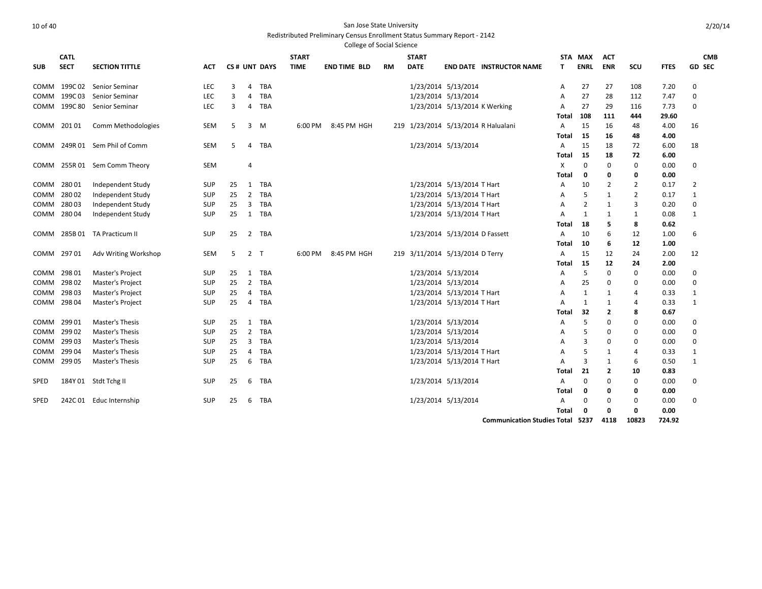|      |              |                               |            |    |                |              |              | <b>College of Social Science</b> |    |                     |                                     |                |             |                |                |             |                |            |
|------|--------------|-------------------------------|------------|----|----------------|--------------|--------------|----------------------------------|----|---------------------|-------------------------------------|----------------|-------------|----------------|----------------|-------------|----------------|------------|
|      | <b>CATL</b>  |                               |            |    |                |              | <b>START</b> |                                  |    | <b>START</b>        |                                     |                | STA MAX     | <b>ACT</b>     |                |             |                | <b>CMB</b> |
| SUB  | <b>SECT</b>  | <b>SECTION TITTLE</b>         | ACT        |    |                | CS# UNT DAYS | <b>TIME</b>  | <b>END TIME BLD</b>              | RM | <b>DATE</b>         | <b>END DATE INSTRUCTOR NAME</b>     | т              | <b>ENRL</b> | <b>ENR</b>     | scu            | <b>FTES</b> |                | GD SEC     |
|      | COMM 199C 02 | Senior Seminar                | LEC        | 3  | 4              | <b>TBA</b>   |              |                                  |    |                     | 1/23/2014 5/13/2014                 | A              | 27          | 27             | 108            | 7.20        | 0              |            |
| COMM | 199C 03      | Senior Seminar                | <b>LEC</b> | 3  | 4              | <b>TBA</b>   |              |                                  |    |                     | 1/23/2014 5/13/2014                 | A              | 27          | 28             | 112            | 7.47        | 0              |            |
|      | COMM 199C 80 | Senior Seminar                | <b>LEC</b> | 3  | 4              | <b>TBA</b>   |              |                                  |    |                     | 1/23/2014 5/13/2014 K Werking       | A              | 27          | 29             | 116            | 7.73        | 0              |            |
|      |              |                               |            |    |                |              |              |                                  |    |                     |                                     | Total          | 108         | 111            | 444            | 29.60       |                |            |
|      | COMM 20101   | Comm Methodologies            | SEM        | 5  | 3              | M            | 6:00 PM      | 8:45 PM HGH                      |    |                     | 219 1/23/2014 5/13/2014 R Halualani | A              | 15          | 16             | 48             | 4.00        | 16             |            |
|      |              |                               |            |    |                |              |              |                                  |    |                     |                                     | Total          | -15         | 16             | 48             | 4.00        |                |            |
|      |              | COMM 249R 01 Sem Phil of Comm | SEM        | -5 | 4              | TBA          |              |                                  |    |                     | 1/23/2014 5/13/2014                 | A              | 15          | 18             | 72             | 6.00        | 18             |            |
|      |              |                               |            |    |                |              |              |                                  |    |                     |                                     | Total          | 15          | 18             | 72             | 6.00        |                |            |
|      |              | COMM 255R 01 Sem Comm Theory  | <b>SEM</b> |    | 4              |              |              |                                  |    |                     |                                     | X              | $\mathbf 0$ | 0              | $\mathbf 0$    | 0.00        | $\mathbf 0$    |            |
|      |              |                               |            |    |                |              |              |                                  |    |                     |                                     | Total          | 0           | 0              | 0              | 0.00        |                |            |
| сомм | 28001        | Independent Study             | SUP        | 25 | 1              | TBA          |              |                                  |    |                     | 1/23/2014 5/13/2014 T Hart          | A              | 10          | $\overline{2}$ | $\overline{2}$ | 0.17        | $\overline{2}$ |            |
| сомм | 28002        | Independent Study             | <b>SUP</b> | 25 | $\overline{2}$ | TBA          |              |                                  |    |                     | 1/23/2014 5/13/2014 T Hart          | A              | 5           | 1              | $\overline{2}$ | 0.17        | 1              |            |
| сомм | 28003        | Independent Study             | SUP        | 25 | 3              | <b>TBA</b>   |              |                                  |    |                     | 1/23/2014 5/13/2014 T Hart          | A              | 2           | 1              | 3              | 0.20        | 0              |            |
| COMM | 28004        | Independent Study             | <b>SUP</b> | 25 | 1              | <b>TBA</b>   |              |                                  |    |                     | 1/23/2014 5/13/2014 T Hart          | $\overline{A}$ | 1           | $\mathbf{1}$   | $\mathbf{1}$   | 0.08        | 1              |            |
|      |              |                               |            |    |                |              |              |                                  |    |                     |                                     | Total          | 18          | 5              | 8              | 0.62        |                |            |
|      |              | COMM 285B 01 TA Practicum II  | <b>SUP</b> | 25 | $\overline{2}$ | <b>TBA</b>   |              |                                  |    |                     | 1/23/2014 5/13/2014 D Fassett       | A              | 10          | 6              | 12             | 1.00        | 6              |            |
|      |              |                               |            |    |                |              |              |                                  |    |                     |                                     | Total          | 10          | 6              | 12             | 1.00        |                |            |
|      | COMM 29701   | Adv Writing Workshop          | SEM        | 5  | 2 <sub>T</sub> |              | 6:00 PM      | 8:45 PM HGH                      |    |                     | 219 3/11/2014 5/13/2014 D Terry     | A              | 15          | 12             | 24             | 2.00        | 12             |            |
|      |              |                               |            |    |                |              |              |                                  |    |                     |                                     | Total          | 15          | 12             | 24             | 2.00        |                |            |
|      | COMM 298 01  | Master's Project              | <b>SUP</b> | 25 | 1              | TBA          |              |                                  |    |                     | 1/23/2014 5/13/2014                 | A              | 5           | 0              | 0              | 0.00        | 0              |            |
| сомм | 29802        | Master's Project              | <b>SUP</b> | 25 | $\overline{2}$ | <b>TBA</b>   |              |                                  |    | 1/23/2014 5/13/2014 |                                     | A              | 25          | 0              | 0              | 0.00        | 0              |            |
|      | COMM 298 03  | Master's Project              | SUP        | 25 | $\overline{4}$ | <b>TBA</b>   |              |                                  |    |                     | 1/23/2014 5/13/2014 T Hart          | A              | 1           | 1              | $\overline{4}$ | 0.33        | 1              |            |
|      | COMM 298 04  | Master's Project              | <b>SUP</b> | 25 | $\overline{4}$ | <b>TBA</b>   |              |                                  |    |                     | 1/23/2014 5/13/2014 T Hart          | A              | 1           | $\mathbf{1}$   | 4              | 0.33        | 1              |            |
|      |              |                               |            |    |                |              |              |                                  |    |                     |                                     | Total          | 32          | 2              | 8              | 0.67        |                |            |
| СОММ | 29901        | Master's Thesis               | <b>SUP</b> | 25 | 1              | <b>TBA</b>   |              |                                  |    |                     | 1/23/2014 5/13/2014                 | A              | 5           | 0              | 0              | 0.00        | $\mathbf 0$    |            |
| сомм | 299 02       | Master's Thesis               | SUP        | 25 | $\overline{2}$ | <b>TBA</b>   |              |                                  |    |                     | 1/23/2014 5/13/2014                 | Α              | 5           | 0              | 0              | 0.00        | $\mathbf 0$    |            |
| COMM | 29903        | Master's Thesis               | SUP        | 25 | 3              | <b>TBA</b>   |              |                                  |    |                     | 1/23/2014 5/13/2014                 | A              | 3           | 0              | 0              | 0.00        | 0              |            |
| сомм | 29904        | <b>Master's Thesis</b>        | <b>SUP</b> | 25 | 4              | <b>TBA</b>   |              |                                  |    |                     | 1/23/2014 5/13/2014 T Hart          | A              | 5           | $\mathbf{1}$   | $\overline{4}$ | 0.33        | 1              |            |
| сомм | 299 05       | Master's Thesis               | <b>SUP</b> | 25 | 6              | TBA          |              |                                  |    |                     | 1/23/2014 5/13/2014 T Hart          | A              | 3           | 1              | 6              | 0.50        | 1              |            |
|      |              |                               |            |    |                |              |              |                                  |    |                     |                                     | Total          | 21          | 2              | 10             | 0.83        |                |            |
| SPED |              | 184Y 01 Stdt Tchg II          | SUP        | 25 | 6              | TBA          |              |                                  |    | 1/23/2014 5/13/2014 |                                     | Α              | 0           | 0              | 0              | 0.00        | 0              |            |
|      |              |                               |            |    |                |              |              |                                  |    |                     |                                     | Total          | 0           | 0              | 0              | 0.00        |                |            |
| SPED | 242C 01      | Educ Internship               | <b>SUP</b> | 25 | 6              | TBA          |              |                                  |    | 1/23/2014 5/13/2014 |                                     | A              | 0           | 0              | 0              | 0.00        | 0              |            |
|      |              |                               |            |    |                |              |              |                                  |    |                     |                                     | Total          | 0           | 0              | $\Omega$       | 0.00        |                |            |

**Communication Studies Total 5237 4118 10823 724.92**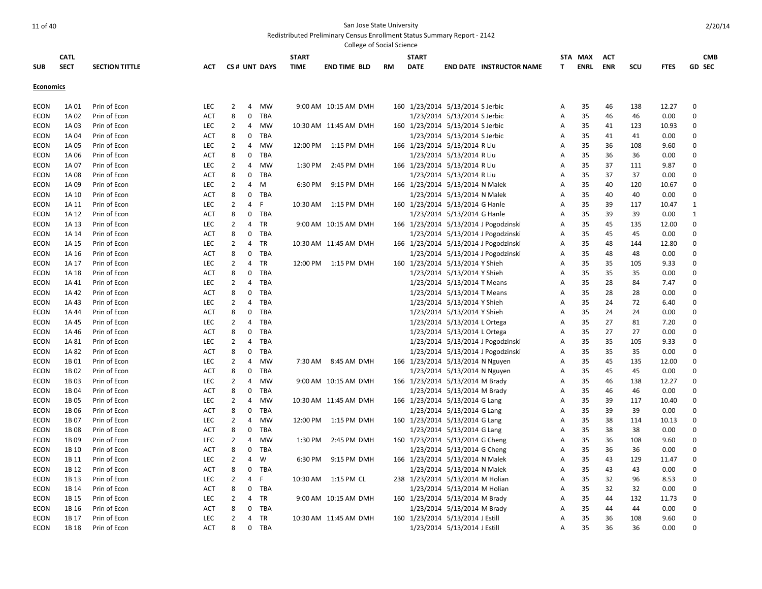|                  |                  |                       |            |                |                |              |              | College of Social Science |           |              |                                  |                                       |                |             |            |     |             |             |
|------------------|------------------|-----------------------|------------|----------------|----------------|--------------|--------------|---------------------------|-----------|--------------|----------------------------------|---------------------------------------|----------------|-------------|------------|-----|-------------|-------------|
|                  | <b>CATL</b>      |                       |            |                |                |              | <b>START</b> |                           |           | <b>START</b> |                                  |                                       |                | STA MAX     | ACT        |     |             | <b>CMB</b>  |
| <b>SUB</b>       | <b>SECT</b>      | <b>SECTION TITTLE</b> | <b>ACT</b> |                |                | CS# UNT DAYS | <b>TIME</b>  | <b>END TIME BLD</b>       | <b>RM</b> | <b>DATE</b>  |                                  | <b>END DATE INSTRUCTOR NAME</b>       | т              | <b>ENRL</b> | <b>ENR</b> | SCU | <b>FTES</b> | GD SEC      |
| <b>Economics</b> |                  |                       |            |                |                |              |              |                           |           |              |                                  |                                       |                |             |            |     |             |             |
|                  |                  |                       |            |                |                |              |              |                           |           |              |                                  |                                       |                |             |            |     |             |             |
| <b>ECON</b>      | 1A 01            | Prin of Econ          | <b>LEC</b> | $\overline{2}$ | 4              | MW           |              | 9:00 AM 10:15 AM DMH      |           |              | 160 1/23/2014 5/13/2014 S Jerbic |                                       | Α              | 35          | 46         | 138 | 12.27       | $\Omega$    |
| <b>ECON</b>      | 1A 02            | Prin of Econ          | <b>ACT</b> | 8              | $\mathbf 0$    | TBA          |              |                           |           |              | 1/23/2014 5/13/2014 S Jerbic     |                                       | $\overline{A}$ | 35          | 46         | 46  | 0.00        | $\mathbf 0$ |
| <b>ECON</b>      | 1A 03            | Prin of Econ          | <b>LEC</b> | $\overline{2}$ | 4              | MW           |              | 10:30 AM 11:45 AM DMH     |           |              | 160 1/23/2014 5/13/2014 S Jerbic |                                       | A              | 35          | 41         | 123 | 10.93       | $\mathbf 0$ |
| ECON             | 1A 04            | Prin of Econ          | ACT        | 8              | 0              | TBA          |              |                           |           |              | 1/23/2014 5/13/2014 S Jerbic     |                                       | A              | 35          | 41         | 41  | 0.00        | $\mathbf 0$ |
| ECON             | 1A 05            | Prin of Econ          | <b>LEC</b> | $\overline{2}$ | $\overline{4}$ | MW           | 12:00 PM     | 1:15 PM DMH               |           |              | 166 1/23/2014 5/13/2014 R Liu    |                                       | A              | 35          | 36         | 108 | 9.60        | $\mathbf 0$ |
| <b>ECON</b>      | 1A 06            | Prin of Econ          | ACT        | 8              | 0              | TBA          |              |                           |           |              | 1/23/2014 5/13/2014 R Liu        |                                       | A              | 35          | 36         | 36  | 0.00        | 0           |
| ECON             | 1A 07            | Prin of Econ          | <b>LEC</b> | $\overline{2}$ | $\overline{4}$ | MW           | 1:30 PM      | 2:45 PM DMH               |           |              | 166 1/23/2014 5/13/2014 R Liu    |                                       | Α              | 35          | 37         | 111 | 9.87        | $\mathbf 0$ |
| <b>ECON</b>      | 1A 08            | Prin of Econ          | <b>ACT</b> | 8              | $\mathbf 0$    | TBA          |              |                           |           |              | 1/23/2014 5/13/2014 R Liu        |                                       | A              | 35          | 37         | 37  | 0.00        | $\mathbf 0$ |
| ECON             | 1A 09            | Prin of Econ          | <b>LEC</b> | $\overline{2}$ | $\overline{4}$ | M            | 6:30 PM      | 9:15 PM DMH               |           |              | 166 1/23/2014 5/13/2014 N Malek  |                                       | A              | 35          | 40         | 120 | 10.67       | 0           |
| <b>ECON</b>      | 1A 10            | Prin of Econ          | <b>ACT</b> | 8              |                | 0 TBA        |              |                           |           |              | 1/23/2014 5/13/2014 N Malek      |                                       | Α              | 35          | 40         | 40  | 0.00        | $\mathbf 0$ |
| <b>ECON</b>      | 1A 11            | Prin of Econ          | <b>LEC</b> | $\overline{2}$ | $\overline{4}$ | F            | 10:30 AM     | 1:15 PM DMH               |           |              | 160 1/23/2014 5/13/2014 G Hanle  |                                       | A              | 35          | 39         | 117 | 10.47       | 1           |
| <b>ECON</b>      | 1A 12            | Prin of Econ          | <b>ACT</b> | 8              |                | 0 TBA        |              |                           |           |              | 1/23/2014 5/13/2014 G Hanle      |                                       | A              | 35          | 39         | 39  | 0.00        | 1           |
| <b>ECON</b>      | 1A 13            | Prin of Econ          | <b>LEC</b> | $\overline{2}$ | $\overline{4}$ | TR           |              | 9:00 AM 10:15 AM DMH      |           |              |                                  | 166 1/23/2014 5/13/2014 J Pogodzinski | Α              | 35          | 45         | 135 | 12.00       | $\mathbf 0$ |
| <b>ECON</b>      | 1A 14            | Prin of Econ          | <b>ACT</b> | 8              |                | 0 TBA        |              |                           |           |              |                                  | 1/23/2014 5/13/2014 J Pogodzinski     | Α              | 35          | 45         | 45  | 0.00        | $\mathbf 0$ |
| <b>ECON</b>      | 1A 15            | Prin of Econ          | <b>LEC</b> | $\overline{2}$ | $\overline{4}$ | <b>TR</b>    |              | 10:30 AM 11:45 AM DMH     |           |              |                                  | 166 1/23/2014 5/13/2014 J Pogodzinski | A              | 35          | 48         | 144 | 12.80       | 0           |
| <b>ECON</b>      | 1A 16            | Prin of Econ          | <b>ACT</b> | 8              | $\mathbf 0$    | TBA          |              |                           |           |              |                                  | 1/23/2014 5/13/2014 J Pogodzinski     | Α              | 35          | 48         | 48  | 0.00        | $\mathbf 0$ |
| <b>ECON</b>      | 1A 17            | Prin of Econ          | <b>LEC</b> | $\overline{2}$ | $\overline{4}$ | <b>TR</b>    | 12:00 PM     | 1:15 PM DMH               |           |              | 160 1/23/2014 5/13/2014 Y Shieh  |                                       | A              | 35          | 35         | 105 | 9.33        | $\mathbf 0$ |
| <b>ECON</b>      | 1A 18            | Prin of Econ          | ACT        | 8              | $\mathbf 0$    | TBA          |              |                           |           |              | 1/23/2014 5/13/2014 Y Shieh      |                                       | Α              | 35          | 35         | 35  | 0.00        | $\Omega$    |
| <b>ECON</b>      | 1A 41            | Prin of Econ          | <b>LEC</b> | $\overline{2}$ | $\overline{4}$ | TBA          |              |                           |           |              | 1/23/2014 5/13/2014 T Means      |                                       | A              | 35          | 28         | 84  | 7.47        | $\mathbf 0$ |
| ECON             | 1A 42            | Prin of Econ          | <b>ACT</b> | 8              | $\mathbf 0$    | TBA          |              |                           |           |              | 1/23/2014 5/13/2014 T Means      |                                       | A              | 35          | 28         | 28  | 0.00        | $\mathbf 0$ |
| <b>ECON</b>      | 1A 43            | Prin of Econ          | <b>LEC</b> | $\overline{2}$ | $\overline{4}$ | <b>TBA</b>   |              |                           |           |              | 1/23/2014 5/13/2014 Y Shieh      |                                       | Α              | 35          | 24         | 72  | 6.40        | 0           |
| <b>ECON</b>      | 1A 44            | Prin of Econ          | <b>ACT</b> | 8              | $\mathbf 0$    | TBA          |              |                           |           |              | 1/23/2014 5/13/2014 Y Shieh      |                                       | A              | 35          | 24         | 24  | 0.00        | $\mathbf 0$ |
| <b>ECON</b>      | 1A 45            | Prin of Econ          | <b>LEC</b> | $\overline{2}$ | $\overline{4}$ | <b>TBA</b>   |              |                           |           |              | 1/23/2014 5/13/2014 L Ortega     |                                       | A              | 35          | 27         | 81  | 7.20        | 0           |
| <b>ECON</b>      | 1A 46            | Prin of Econ          | <b>ACT</b> | 8              | $\mathbf 0$    | <b>TBA</b>   |              |                           |           |              | 1/23/2014 5/13/2014 L Ortega     |                                       | A              | 35          | 27         | 27  | 0.00        | $\mathbf 0$ |
| <b>ECON</b>      | 1A 81            | Prin of Econ          | <b>LEC</b> | $\overline{2}$ | $\overline{4}$ | <b>TBA</b>   |              |                           |           |              |                                  | 1/23/2014 5/13/2014 J Pogodzinski     | A              | 35          | 35         | 105 | 9.33        | $\mathbf 0$ |
| <b>ECON</b>      | 1A 82            | Prin of Econ          | <b>ACT</b> | 8              | $\mathbf 0$    | TBA          |              |                           |           |              |                                  | 1/23/2014 5/13/2014 J Pogodzinski     | Α              | 35          | 35         | 35  | 0.00        | $\Omega$    |
| <b>ECON</b>      | 1B01             | Prin of Econ          | <b>LEC</b> | $\overline{2}$ | $\overline{4}$ | <b>MW</b>    | 7:30 AM      | 8:45 AM DMH               |           |              | 166 1/23/2014 5/13/2014 N Nguyen |                                       | A              | 35          | 45         | 135 | 12.00       | $\mathbf 0$ |
| <b>ECON</b>      | 1B 02            | Prin of Econ          | <b>ACT</b> | 8              | $\mathbf 0$    | <b>TBA</b>   |              |                           |           |              | 1/23/2014 5/13/2014 N Nguyen     |                                       | A              | 35          | 45         | 45  | 0.00        | $\mathbf 0$ |
| ECON             | 1B03             | Prin of Econ          | <b>LEC</b> | $\overline{2}$ | 4              | MW           |              | 9:00 AM 10:15 AM DMH      |           |              | 166 1/23/2014 5/13/2014 M Brady  |                                       | Α              | 35          | 46         | 138 | 12.27       | $\Omega$    |
| <b>ECON</b>      | 1B04             | Prin of Econ          | <b>ACT</b> | 8              | $\mathbf 0$    | <b>TBA</b>   |              |                           |           |              | 1/23/2014 5/13/2014 M Brady      |                                       | Α              | 35          | 46         | 46  | 0.00        | $\mathbf 0$ |
| <b>ECON</b>      | 1B 05            | Prin of Econ          | <b>LEC</b> | $\overline{2}$ | 4              | MW           |              | 10:30 AM 11:45 AM DMH     |           |              | 166 1/23/2014 5/13/2014 G Lang   |                                       | A              | 35          | 39         | 117 | 10.40       | $\Omega$    |
| ECON             | 1B06             | Prin of Econ          | <b>ACT</b> | 8              | 0              | TBA          |              |                           |           |              | 1/23/2014 5/13/2014 G Lang       |                                       | Α              | 35          | 39         | 39  | 0.00        | $\mathbf 0$ |
| <b>ECON</b>      | 1B07             | Prin of Econ          | LEC        | $\overline{2}$ | $\overline{4}$ | MW           | 12:00 PM     | 1:15 PM DMH               |           |              | 160 1/23/2014 5/13/2014 G Lang   |                                       | Α              | 35          | 38         | 114 | 10.13       | $\mathbf 0$ |
| ECON             | 1B08             | Prin of Econ          | <b>ACT</b> | 8              | $\mathbf 0$    | TBA          |              |                           |           |              | 1/23/2014 5/13/2014 G Lang       |                                       | A              | 35          | 38         | 38  | 0.00        | $\mathbf 0$ |
| <b>ECON</b>      | 1B <sub>09</sub> | Prin of Econ          | <b>LEC</b> | $\overline{2}$ | $\overline{4}$ | MW           | 1:30 PM      | 2:45 PM DMH               |           |              | 160 1/23/2014 5/13/2014 G Cheng  |                                       | Α              | 35          | 36         | 108 | 9.60        | $\mathbf 0$ |
| <b>ECON</b>      | 1B 10            | Prin of Econ          | <b>ACT</b> | 8              | $\mathbf 0$    | TBA          |              |                           |           |              | 1/23/2014 5/13/2014 G Cheng      |                                       | Α              | 35          | 36         | 36  | 0.00        | $\mathbf 0$ |
| <b>ECON</b>      | 1B 11            | Prin of Econ          | <b>LEC</b> | $\overline{2}$ | $\overline{4}$ | W            | 6:30 PM      | 9:15 PM DMH               |           |              | 166 1/23/2014 5/13/2014 N Malek  |                                       | A              | 35          | 43         | 129 | 11.47       | $\mathbf 0$ |
| <b>ECON</b>      | 1B 12            | Prin of Econ          | <b>ACT</b> | 8              | $\mathbf 0$    | TBA          |              |                           |           |              | 1/23/2014 5/13/2014 N Malek      |                                       | Α              | 35          | 43         | 43  | 0.00        | $\mathbf 0$ |
| <b>ECON</b>      | 1B 13            | Prin of Econ          | <b>LEC</b> | $\overline{2}$ | $\overline{4}$ | F.           | 10:30 AM     | 1:15 PM CL                |           |              | 238 1/23/2014 5/13/2014 M Holian |                                       | Α              | 35          | 32         | 96  | 8.53        | $\mathbf 0$ |
| <b>ECON</b>      | 1B 14            | Prin of Econ          | ACT        | 8              |                | 0 TBA        |              |                           |           |              | 1/23/2014 5/13/2014 M Holian     |                                       | Α              | 35          | 32         | 32  | 0.00        | $\mathbf 0$ |
| <b>ECON</b>      | 1B 15            | Prin of Econ          | <b>LEC</b> | $\overline{2}$ | $\overline{4}$ | TR           |              | 9:00 AM 10:15 AM DMH      |           |              | 160 1/23/2014 5/13/2014 M Brady  |                                       | Α              | 35          | 44         | 132 | 11.73       | $\mathbf 0$ |
| <b>ECON</b>      | 1B 16            | Prin of Econ          | <b>ACT</b> | 8              | $\mathbf 0$    | TBA          |              |                           |           |              | 1/23/2014 5/13/2014 M Brady      |                                       | A              | 35          | 44         | 44  | 0.00        | $\mathbf 0$ |
| <b>ECON</b>      | 1B 17            | Prin of Econ          | <b>LEC</b> | 2              | $\overline{4}$ | TR           |              | 10:30 AM 11:45 AM DMH     |           |              | 160 1/23/2014 5/13/2014 J Estill |                                       | Α              | 35          | 36         | 108 | 9.60        | $\mathbf 0$ |
| <b>ECON</b>      | 1B 18            | Prin of Econ          | <b>ACT</b> | 8              | $\mathbf 0$    | TBA          |              |                           |           |              | 1/23/2014 5/13/2014 J Estill     |                                       | A              | 35          | 36         | 36  | 0.00        | $\Omega$    |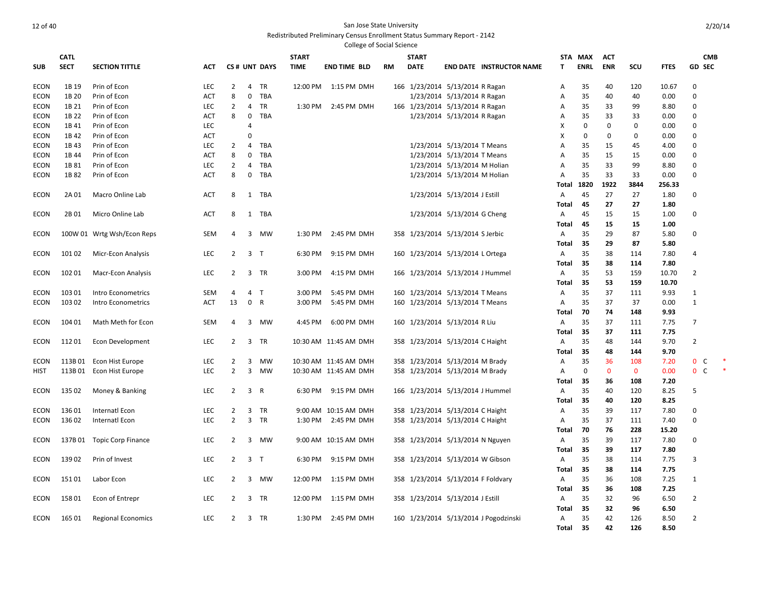|                     |                |                              |                          |                |                  |                  |              | <b>College of Social Science</b> |           |              |                                                                |                                       |                     |             |             |             |               |                   |  |
|---------------------|----------------|------------------------------|--------------------------|----------------|------------------|------------------|--------------|----------------------------------|-----------|--------------|----------------------------------------------------------------|---------------------------------------|---------------------|-------------|-------------|-------------|---------------|-------------------|--|
|                     | <b>CATL</b>    |                              |                          |                |                  |                  | <b>START</b> |                                  |           | <b>START</b> |                                                                |                                       | STA                 | MAX         | <b>ACT</b>  |             |               | <b>CMB</b>        |  |
| <b>SUB</b>          | <b>SECT</b>    | <b>SECTION TITTLE</b>        | <b>ACT</b>               |                |                  | CS# UNT DAYS     | <b>TIME</b>  | <b>END TIME BLD</b>              | <b>RM</b> | <b>DATE</b>  |                                                                | <b>END DATE INSTRUCTOR NAME</b>       | T                   | <b>ENRL</b> | <b>ENR</b>  | SCU         | <b>FTES</b>   | GD SEC            |  |
| <b>ECON</b>         | 1B 19          |                              | <b>LEC</b>               | $\overline{2}$ | $\overline{4}$   | <b>TR</b>        | 12:00 PM     |                                  |           |              |                                                                |                                       |                     |             |             |             |               | $\mathbf 0$       |  |
| <b>ECON</b>         | 1B 20          | Prin of Econ<br>Prin of Econ | <b>ACT</b>               | 8              | 0                | <b>TBA</b>       |              | 1:15 PM DMH                      |           |              | 166 1/23/2014 5/13/2014 R Ragan<br>1/23/2014 5/13/2014 R Ragan |                                       | A<br>$\overline{A}$ | 35<br>35    | 40<br>40    | 120<br>40   | 10.67<br>0.00 | 0                 |  |
|                     |                |                              |                          |                |                  |                  |              |                                  |           |              |                                                                |                                       |                     |             |             |             |               |                   |  |
| ECON<br><b>ECON</b> | 1B 21<br>1B 22 | Prin of Econ<br>Prin of Econ | <b>LEC</b><br><b>ACT</b> | $\overline{2}$ | 4<br>$\mathbf 0$ | TR<br><b>TBA</b> | 1:30 PM      | 2:45 PM DMH                      |           |              | 166 1/23/2014 5/13/2014 R Ragan                                |                                       | A                   | 35<br>35    | 33<br>33    | 99          | 8.80          | 0<br>0            |  |
| ECON                | 1B 41          | Prin of Econ                 | <b>LEC</b>               | 8              | $\overline{4}$   |                  |              |                                  |           |              | 1/23/2014 5/13/2014 R Ragan                                    |                                       | A<br>X              | $\Omega$    | 0           | 33<br>0     | 0.00<br>0.00  | 0                 |  |
| ECON                | 1B 42          | Prin of Econ                 | ACT                      |                | $\mathbf 0$      |                  |              |                                  |           |              |                                                                |                                       | Х                   | $\Omega$    | 0           | $\mathbf 0$ | 0.00          | $\mathbf 0$       |  |
| <b>ECON</b>         | 1B43           | Prin of Econ                 | LEC                      | 2              | 4                | TBA              |              |                                  |           |              | 1/23/2014 5/13/2014 T Means                                    |                                       | A                   | 35          | 15          | 45          | 4.00          | $\mathbf 0$       |  |
|                     |                | Prin of Econ                 |                          | 8              | $\mathbf 0$      | TBA              |              |                                  |           |              |                                                                |                                       |                     | 35          | 15          |             |               | $\Omega$          |  |
| ECON                | 1B 44<br>1B 81 | Prin of Econ                 | ACT<br><b>LEC</b>        | 2              | 4                | TBA              |              |                                  |           |              | 1/23/2014 5/13/2014 T Means<br>1/23/2014 5/13/2014 M Holian    |                                       | Α                   | 35          | 33          | 15<br>99    | 0.00<br>8.80  | 0                 |  |
| ECON<br>ECON        | 1B82           | Prin of Econ                 | <b>ACT</b>               | 8              | $\mathbf 0$      | TBA              |              |                                  |           |              | 1/23/2014 5/13/2014 M Holian                                   |                                       | A<br>A              | 35          | 33          | 33          | 0.00          | $\mathbf 0$       |  |
|                     |                |                              |                          |                |                  |                  |              |                                  |           |              |                                                                |                                       | Total               | 1820        | 1922        | 3844        | 256.33        |                   |  |
| <b>ECON</b>         | 2A 01          | Macro Online Lab             | <b>ACT</b>               | 8              |                  | 1 TBA            |              |                                  |           |              | 1/23/2014 5/13/2014 J Estill                                   |                                       | Α                   | 45          | 27          | 27          | 1.80          | 0                 |  |
|                     |                |                              |                          |                |                  |                  |              |                                  |           |              |                                                                |                                       | Total               | 45          | 27          | 27          | 1.80          |                   |  |
| <b>ECON</b>         | 2B 01          | Micro Online Lab             | <b>ACT</b>               | 8              |                  | 1 TBA            |              |                                  |           |              | 1/23/2014 5/13/2014 G Cheng                                    |                                       | A                   | 45          | 15          | 15          | 1.00          | 0                 |  |
|                     |                |                              |                          |                |                  |                  |              |                                  |           |              |                                                                |                                       | Total               | 45          | 15          | 15          | 1.00          |                   |  |
| <b>ECON</b>         |                | 100W 01 Wrtg Wsh/Econ Reps   | <b>SEM</b>               | 4              |                  | 3 MW             | 1:30 PM      | 2:45 PM DMH                      |           |              | 358 1/23/2014 5/13/2014 S Jerbic                               |                                       | Α                   | 35          | 29          | 87          | 5.80          | 0                 |  |
|                     |                |                              |                          |                |                  |                  |              |                                  |           |              |                                                                |                                       | Total               | -35         | 29          | 87          | 5.80          |                   |  |
| <b>ECON</b>         | 101 02         | Micr-Econ Analysis           | LEC                      | $\overline{2}$ | 3 <sub>T</sub>   |                  | 6:30 PM      | 9:15 PM DMH                      |           |              | 160 1/23/2014 5/13/2014 L Ortega                               |                                       | A                   | 35          | 38          | 114         | 7.80          | $\overline{4}$    |  |
|                     |                |                              |                          |                |                  |                  |              |                                  |           |              |                                                                |                                       | Total               | 35          | 38          | 114         | 7.80          |                   |  |
| <b>ECON</b>         | 102 01         | Macr-Econ Analysis           | <b>LEC</b>               | $\overline{2}$ |                  | 3 TR             | 3:00 PM      | 4:15 PM DMH                      |           |              | 166 1/23/2014 5/13/2014 J Hummel                               |                                       | A                   | 35          | 53          | 159         | 10.70         | $\overline{2}$    |  |
|                     |                |                              |                          |                |                  |                  |              |                                  |           |              |                                                                |                                       | Total               | -35         | 53          | 159         | 10.70         |                   |  |
| <b>ECON</b>         | 103 01         | Intro Econometrics           | <b>SEM</b>               | 4              | 4                | $\mathsf{T}$     | 3:00 PM      | 5:45 PM DMH                      |           |              | 160 1/23/2014 5/13/2014 T Means                                |                                       | Α                   | 35          | 37          | 111         | 9.93          | $\mathbf{1}$      |  |
| <b>ECON</b>         | 103 02         | Intro Econometrics           | <b>ACT</b>               | 13             | $\mathbf 0$      | $\mathsf{R}$     | 3:00 PM      | 5:45 PM DMH                      |           |              | 160 1/23/2014 5/13/2014 T Means                                |                                       | $\overline{A}$      | 35          | 37          | 37          | 0.00          | $\mathbf{1}$      |  |
|                     |                |                              |                          |                |                  |                  |              |                                  |           |              |                                                                |                                       | Total               | 70          | 74          | 148         | 9.93          |                   |  |
| <b>ECON</b>         | 104 01         | Math Meth for Econ           | <b>SEM</b>               | 4              | 3                | <b>MW</b>        | 4:45 PM      | 6:00 PM DMH                      |           |              | 160 1/23/2014 5/13/2014 R Liu                                  |                                       | $\overline{A}$      | 35          | 37          | 111         | 7.75          | $\overline{7}$    |  |
|                     |                |                              |                          |                |                  |                  |              |                                  |           |              |                                                                |                                       | Total               | -35         | 37          | 111         | 7.75          |                   |  |
| ECON                | 11201          | Econ Development             | LEC                      | 2              | 3                | TR               |              | 10:30 AM 11:45 AM DMH            |           |              | 358 1/23/2014 5/13/2014 C Haight                               |                                       | A                   | 35          | 48          | 144         | 9.70          | $\overline{2}$    |  |
|                     |                |                              |                          |                |                  |                  |              |                                  |           |              |                                                                |                                       | <b>Total</b>        | -35         | 48          | 144         | 9.70          |                   |  |
| ECON                | 113B01         | Econ Hist Europe             | <b>LEC</b>               | 2              | 3                | MW               |              | 10:30 AM 11:45 AM DMH            |           |              | 358 1/23/2014 5/13/2014 M Brady                                |                                       | A                   | 35          | 36          | 108         | 7.20          | $\mathbf{0}$<br>C |  |
| HIST                | 113B01         | Econ Hist Europe             | <b>LEC</b>               | $\overline{2}$ | 3                | MW               |              | 10:30 AM 11:45 AM DMH            |           |              | 358 1/23/2014 5/13/2014 M Brady                                |                                       | A                   | 0           | $\mathbf 0$ | $\mathbf 0$ | 0.00          | $\mathbf{0}$<br>C |  |
|                     |                |                              |                          |                |                  |                  |              |                                  |           |              |                                                                |                                       | Total               | 35          | 36          | 108         | 7.20          |                   |  |
| <b>ECON</b>         | 135 02         | Money & Banking              | <b>LEC</b>               | $\overline{2}$ | 3 R              |                  | 6:30 PM      | 9:15 PM DMH                      |           |              | 166 1/23/2014 5/13/2014 J Hummel                               |                                       | A                   | 35          | 40          | 120         | 8.25          | 5                 |  |
|                     |                |                              |                          |                |                  |                  |              |                                  |           |              |                                                                |                                       | Total               | 35          | 40          | 120         | 8.25          |                   |  |
| ECON                | 13601          | Internatl Econ               | LEC                      | $\overline{2}$ | 3                | TR               |              | 9:00 AM 10:15 AM DMH             |           |              | 358 1/23/2014 5/13/2014 C Haight                               |                                       | A                   | 35          | 39          | 117         | 7.80          | $\mathbf 0$       |  |
| ECON                | 13602          | Internatl Econ               | <b>LEC</b>               | $\overline{2}$ | 3                | TR               | 1:30 PM      | 2:45 PM DMH                      |           |              | 358 1/23/2014 5/13/2014 C Haight                               |                                       | A                   | 35          | 37          | 111         | 7.40          | $\mathbf 0$       |  |
|                     |                |                              |                          |                |                  |                  |              |                                  |           |              |                                                                |                                       | Total               | 70          | 76          | 228         | 15.20         |                   |  |
| ECON                | 137B01         | <b>Topic Corp Finance</b>    | LEC                      | 2              | $\overline{3}$   | MW               |              | 9:00 AM 10:15 AM DMH             |           |              | 358 1/23/2014 5/13/2014 N Nguyen                               |                                       | A                   | 35          | 39          | 117         | 7.80          | 0                 |  |
|                     |                |                              |                          |                |                  |                  |              |                                  |           |              |                                                                |                                       | Total               | -35         | 39          | 117         | 7.80          |                   |  |
| <b>ECON</b>         | 13902          | Prin of Invest               | LEC                      | $\overline{2}$ | 3 <sub>T</sub>   |                  | 6:30 PM      | 9:15 PM DMH                      |           |              | 358 1/23/2014 5/13/2014 W Gibson                               |                                       | A                   | 35          | 38          | 114         | 7.75          | 3                 |  |
|                     |                |                              |                          |                |                  |                  |              |                                  |           |              |                                                                |                                       | Total               | 35          | 38          | 114         | 7.75          |                   |  |
| <b>ECON</b>         | 15101          | Labor Econ                   | <b>LEC</b>               | $\overline{2}$ | 3                | MW               | 12:00 PM     | 1:15 PM DMH                      |           |              | 358 1/23/2014 5/13/2014 F Foldvary                             |                                       | A                   | 35          | 36          | 108         | 7.25          | $\mathbf{1}$      |  |
|                     |                |                              |                          |                |                  |                  |              |                                  |           |              |                                                                |                                       | <b>Total</b>        | 35          | 36          | 108         | 7.25          |                   |  |
| <b>ECON</b>         | 15801          | Econ of Entrepr              | <b>LEC</b>               | 2              | 3                | TR               | 12:00 PM     | 1:15 PM DMH                      |           |              | 358 1/23/2014 5/13/2014 J Estill                               |                                       | A                   | 35          | 32          | 96          | 6.50          | $\overline{2}$    |  |
|                     |                |                              |                          |                |                  |                  |              |                                  |           |              |                                                                |                                       | <b>Total</b>        | 35          | 32          | 96          | 6.50          |                   |  |
| ECON                | 165 01         | <b>Regional Economics</b>    | <b>LEC</b>               | 2              |                  | 3 TR             | 1:30 PM      | 2:45 PM DMH                      |           |              |                                                                | 160 1/23/2014 5/13/2014 J Pogodzinski | A                   | 35          | 42          | 126         | 8.50          | 2                 |  |
|                     |                |                              |                          |                |                  |                  |              |                                  |           |              |                                                                |                                       | Total               | 35          | 42          | 126         | 8.50          |                   |  |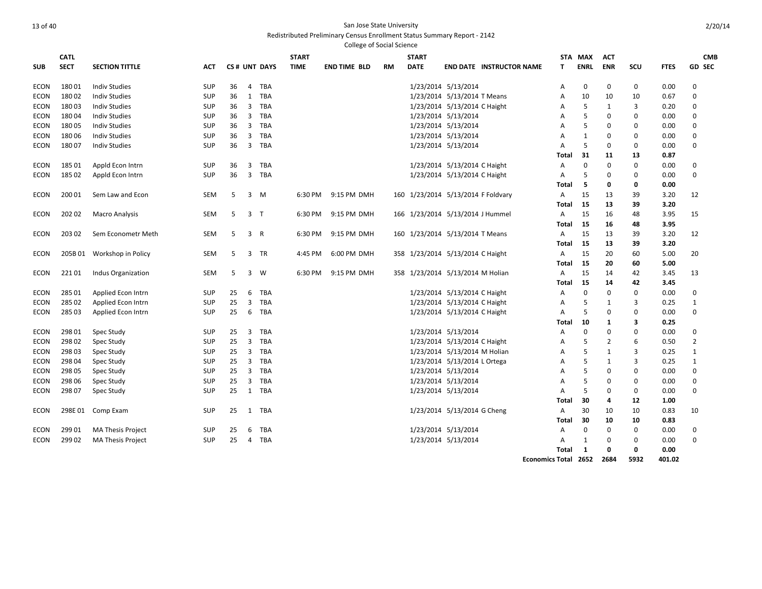|             |             |                          |            |    |                |              |              | <b>College of Social Science</b> |    |                                    |                              |                                 |                             |             |            |              |             |                |
|-------------|-------------|--------------------------|------------|----|----------------|--------------|--------------|----------------------------------|----|------------------------------------|------------------------------|---------------------------------|-----------------------------|-------------|------------|--------------|-------------|----------------|
|             | <b>CATL</b> |                          |            |    |                |              | <b>START</b> |                                  |    | <b>START</b>                       |                              |                                 |                             | STA MAX     | <b>ACT</b> |              |             | <b>CMB</b>     |
| <b>SUB</b>  | <b>SECT</b> | <b>SECTION TITTLE</b>    | АСТ        |    |                | CS# UNT DAYS | <b>TIME</b>  | <b>END TIME BLD</b>              | RM | <b>DATE</b>                        |                              | <b>END DATE INSTRUCTOR NAME</b> | Т                           | <b>ENRL</b> | <b>ENR</b> | SCU          | <b>FTES</b> | GD SEC         |
| ECON        | 18001       | <b>Indiv Studies</b>     | SUP        | 36 | 4              | <b>TBA</b>   |              |                                  |    |                                    | 1/23/2014 5/13/2014          |                                 | Α                           | 0           | 0          | $\mathbf 0$  | 0.00        | 0              |
| ECON        | 18002       | <b>Indiv Studies</b>     | <b>SUP</b> | 36 | 1              | <b>TBA</b>   |              |                                  |    |                                    | 1/23/2014 5/13/2014 T Means  |                                 | Α                           | 10          | 10         | 10           | 0.67        | $\mathbf 0$    |
| <b>ECON</b> | 18003       | <b>Indiv Studies</b>     | <b>SUP</b> | 36 | 3              | <b>TBA</b>   |              |                                  |    |                                    | 1/23/2014 5/13/2014 C Haight |                                 | Α                           | 5           | 1          | 3            | 0.20        | $\mathbf 0$    |
| ECON        | 18004       | <b>Indiv Studies</b>     | <b>SUP</b> | 36 | 3              | TBA          |              |                                  |    |                                    | 1/23/2014 5/13/2014          |                                 | A                           | 5           | 0          | 0            | 0.00        | 0              |
| ECON        | 18005       | <b>Indiv Studies</b>     | <b>SUP</b> | 36 | 3              | <b>TBA</b>   |              |                                  |    |                                    | 1/23/2014 5/13/2014          |                                 | Α                           | 5           | 0          | 0            | 0.00        | $\mathbf 0$    |
| <b>ECON</b> | 18006       | <b>Indiv Studies</b>     | <b>SUP</b> | 36 | 3              | <b>TBA</b>   |              |                                  |    |                                    | 1/23/2014 5/13/2014          |                                 | Α                           | 1           | 0          | 0            | 0.00        | $\mathbf 0$    |
| ECON        | 18007       | Indiv Studies            | <b>SUP</b> | 36 | 3              | <b>TBA</b>   |              |                                  |    |                                    | 1/23/2014 5/13/2014          |                                 | A                           | 5           | 0          | 0            | 0.00        | $\mathbf 0$    |
|             |             |                          |            |    |                |              |              |                                  |    |                                    |                              |                                 | Total                       | 31          | 11         | 13           | 0.87        |                |
| ECON        | 18501       | Appld Econ Intrn         | <b>SUP</b> | 36 | 3              | TBA          |              |                                  |    |                                    | 1/23/2014 5/13/2014 C Haight |                                 | Α                           | $\mathbf 0$ | 0          | 0            | 0.00        | 0              |
| ECON        | 18502       | Appld Econ Intrn         | <b>SUP</b> | 36 | 3              | <b>TBA</b>   |              |                                  |    |                                    | 1/23/2014 5/13/2014 C Haight |                                 | A                           | 5           | $\Omega$   | 0            | 0.00        | $\mathbf 0$    |
|             |             |                          |            |    |                |              |              |                                  |    |                                    |                              |                                 | Total                       | 5           | 0          | 0            | 0.00        |                |
| ECON        | 200 01      | Sem Law and Econ         | <b>SEM</b> | 5  |                | 3 M          | 6:30 PM      | 9:15 PM DMH                      |    | 160 1/23/2014 5/13/2014 F Foldvary |                              |                                 | A                           | 15          | 13         | 39           | 3.20        | 12             |
|             |             |                          |            |    |                |              |              |                                  |    |                                    |                              |                                 | Total                       | -15         | 13         | 39           | 3.20        |                |
| ECON        | 202 02      | <b>Macro Analysis</b>    | SEM        | -5 | 3              | $\top$       | 6:30 PM      | 9:15 PM DMH                      |    | 166 1/23/2014 5/13/2014 J Hummel   |                              |                                 | A                           | 15          | 16         | 48           | 3.95        | 15             |
|             |             |                          |            |    |                |              |              |                                  |    |                                    |                              |                                 | <b>Total</b>                | 15          | 16         | 48           | 3.95        |                |
| ECON        | 203 02      | Sem Econometr Meth       | <b>SEM</b> | 5  | 3 R            |              | 6:30 PM      | 9:15 PM DMH                      |    | 160 1/23/2014 5/13/2014 T Means    |                              |                                 | A                           | 15          | 13         | 39           | 3.20        | 12             |
|             |             |                          |            |    |                |              |              |                                  |    |                                    |                              |                                 | <b>Total</b>                | 15          | 13         | 39           | 3.20        |                |
| <b>ECON</b> | 205B 01     | Workshop in Policy       | <b>SEM</b> | 5  | 3              | <b>TR</b>    | 4:45 PM      | 6:00 PM DMH                      |    | 358 1/23/2014 5/13/2014 C Haight   |                              |                                 | A                           | 15          | 20         | 60           | 5.00        | 20             |
|             |             |                          |            |    |                |              |              |                                  |    |                                    |                              |                                 | Total                       | 15          | 20         | 60           | 5.00        |                |
| ECON        | 22101       | Indus Organization       | SEM        | 5  | 3              | W            | 6:30 PM      | 9:15 PM DMH                      |    | 358 1/23/2014 5/13/2014 M Holian   |                              |                                 | Α                           | 15          | 14         | 42           | 3.45        | 13             |
|             |             |                          |            |    |                |              |              |                                  |    |                                    |                              |                                 | Total                       | 15          | 14         | 42           | 3.45        |                |
| <b>ECON</b> | 285 01      | Applied Econ Intrn       | <b>SUP</b> | 25 | 6              | <b>TBA</b>   |              |                                  |    |                                    | 1/23/2014 5/13/2014 C Haight |                                 | Α                           | $\mathbf 0$ | 0          | 0            | 0.00        | 0              |
| <b>ECON</b> | 285 02      | Applied Econ Intrn       | <b>SUP</b> | 25 | 3              | <b>TBA</b>   |              |                                  |    |                                    | 1/23/2014 5/13/2014 C Haight |                                 | A                           | 5           | 1          | 3            | 0.25        | 1              |
| ECON        | 28503       | Applied Econ Intrn       | <b>SUP</b> | 25 | 6              | TBA          |              |                                  |    |                                    | 1/23/2014 5/13/2014 C Haight |                                 | A                           | 5           | 0          | $\mathbf 0$  | 0.00        | $\mathbf 0$    |
|             |             |                          |            |    |                |              |              |                                  |    |                                    |                              |                                 | Total                       | 10          | 1          | 3            | 0.25        |                |
| <b>ECON</b> | 298 01      | Spec Study               | <b>SUP</b> | 25 | 3              | <b>TBA</b>   |              |                                  |    |                                    | 1/23/2014 5/13/2014          |                                 | A                           | 0           | 0          | 0            | 0.00        | $\mathbf 0$    |
| ECON        | 29802       | Spec Study               | <b>SUP</b> | 25 | 3              | <b>TBA</b>   |              |                                  |    |                                    | 1/23/2014 5/13/2014 C Haight |                                 | A                           | 5           | 2          | 6            | 0.50        | $\overline{2}$ |
| <b>ECON</b> | 29803       | Spec Study               | <b>SUP</b> | 25 | $\overline{3}$ | <b>TBA</b>   |              |                                  |    |                                    | 1/23/2014 5/13/2014 M Holian |                                 | Α                           | 5           | 1          | 3            | 0.25        | 1              |
| <b>ECON</b> | 298 04      | <b>Spec Study</b>        | <b>SUP</b> | 25 | $\overline{3}$ | <b>TBA</b>   |              |                                  |    |                                    | 1/23/2014 5/13/2014 L Ortega |                                 | Α                           | 5           | 1          | 3            | 0.25        | $\mathbf{1}$   |
| ECON        | 298 05      | Spec Study               | <b>SUP</b> | 25 | 3              | <b>TBA</b>   |              |                                  |    |                                    | 1/23/2014 5/13/2014          |                                 | A                           | 5           | 0          | 0            | 0.00        | $\mathbf 0$    |
| ECON        | 298 06      | Spec Study               | <b>SUP</b> | 25 | 3              | <b>TBA</b>   |              |                                  |    |                                    | 1/23/2014 5/13/2014          |                                 | A                           | 5           | 0          | 0            | 0.00        | 0              |
| ECON        | 298 07      | Spec Study               | <b>SUP</b> | 25 | 1              | <b>TBA</b>   |              |                                  |    |                                    | 1/23/2014 5/13/2014          |                                 | A                           | 5           | 0          | 0            | 0.00        | $\mathbf 0$    |
|             |             |                          |            |    |                |              |              |                                  |    |                                    |                              |                                 | Total                       | 30          | 4          | 12           | 1.00        |                |
| ECON        | 298E01      | Comp Exam                | <b>SUP</b> | 25 | 1              | <b>TBA</b>   |              |                                  |    |                                    | 1/23/2014 5/13/2014 G Cheng  |                                 | Α                           | 30          | 10         | 10           | 0.83        | 10             |
|             |             |                          |            |    |                |              |              |                                  |    |                                    |                              |                                 | Total                       | 30          | 10         | 10           | 0.83        |                |
| ECON        | 299 01      | <b>MA Thesis Project</b> | SUP        | 25 | 6              | <b>TBA</b>   |              |                                  |    |                                    | 1/23/2014 5/13/2014          |                                 | A                           | 0           | $\Omega$   | $\mathbf{0}$ | 0.00        | 0              |
| ECON        | 29902       | <b>MA Thesis Project</b> | <b>SUP</b> | 25 | $\overline{4}$ | <b>TBA</b>   |              |                                  |    |                                    | 1/23/2014 5/13/2014          |                                 | A                           | 1           | 0          | 0            | 0.00        | $\Omega$       |
|             |             |                          |            |    |                |              |              |                                  |    |                                    |                              |                                 | Total                       | 1           | $\Omega$   | 0            | 0.00        |                |
|             |             |                          |            |    |                |              |              |                                  |    |                                    |                              |                                 | <b>Economics Total 2652</b> |             | 2684       | 5932         | 401.02      |                |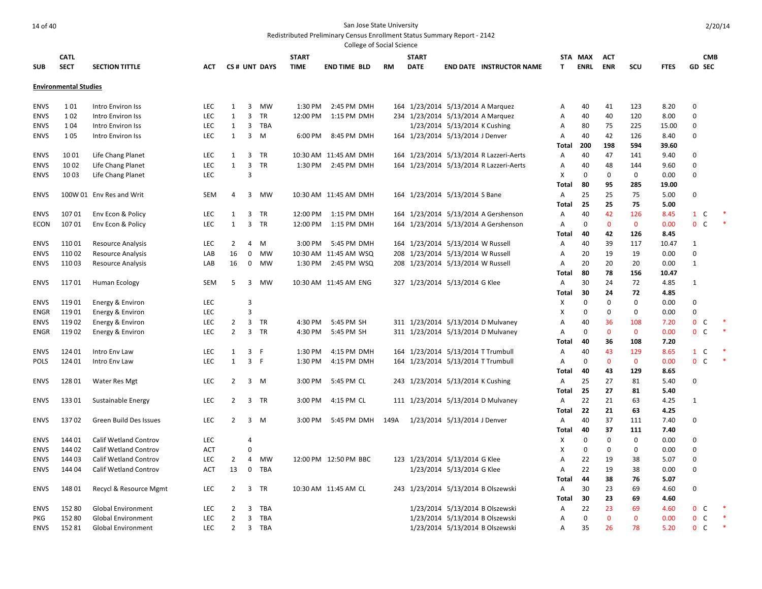|             |                              |                           |            |                |                |              |              | College of Social Science |      |                                    |                               |                                         |              |             |             |             |             |                   |            |
|-------------|------------------------------|---------------------------|------------|----------------|----------------|--------------|--------------|---------------------------|------|------------------------------------|-------------------------------|-----------------------------------------|--------------|-------------|-------------|-------------|-------------|-------------------|------------|
|             | <b>CATL</b>                  |                           |            |                |                |              | <b>START</b> |                           |      | <b>START</b>                       |                               |                                         |              | STA MAX     | ACT         |             |             |                   | <b>CMB</b> |
| <b>SUB</b>  | <b>SECT</b>                  | <b>SECTION TITTLE</b>     | ACT        |                |                | CS# UNT DAYS | <b>TIME</b>  | <b>END TIME BLD</b>       | RM   | <b>DATE</b>                        |                               | <b>END DATE INSTRUCTOR NAME</b>         | T.           | <b>ENRL</b> | <b>ENR</b>  | scu         | <b>FTES</b> | <b>GD SEC</b>     |            |
|             |                              |                           |            |                |                |              |              |                           |      |                                    |                               |                                         |              |             |             |             |             |                   |            |
|             | <b>Environmental Studies</b> |                           |            |                |                |              |              |                           |      |                                    |                               |                                         |              |             |             |             |             |                   |            |
| <b>ENVS</b> | 101                          | Intro Environ Iss         | <b>LEC</b> | 1              | 3              | MW           | 1:30 PM      | 2:45 PM DMH               |      | 164 1/23/2014 5/13/2014 A Marquez  |                               |                                         | А            | 40          | 41          | 123         | 8.20        | 0                 |            |
| <b>ENVS</b> | 102                          | Intro Environ Iss         | <b>LEC</b> | 1              | 3              | TR           |              | 12:00 PM 1:15 PM DMH      |      | 234 1/23/2014 5/13/2014 A Marquez  |                               |                                         | Α            | 40          | 40          | 120         | 8.00        | 0                 |            |
| <b>ENVS</b> | 104                          | Intro Environ Iss         | <b>LEC</b> | 1              | 3              | TBA          |              |                           |      |                                    | 1/23/2014 5/13/2014 K Cushing |                                         | Α            | 80          | 75          | 225         | 15.00       | 0                 |            |
| <b>ENVS</b> | 1 0 5                        | Intro Environ Iss         | <b>LEC</b> | 1              | 3              | M            | 6:00 PM      | 8:45 PM DMH               |      | 164 1/23/2014 5/13/2014 J Denver   |                               |                                         | Α            | 40          | 42          | 126         | 8.40        | 0                 |            |
|             |                              |                           |            |                |                |              |              |                           |      |                                    |                               |                                         | Total        | 200         | 198         | 594         | 39.60       |                   |            |
| <b>ENVS</b> | 1001                         | Life Chang Planet         | <b>LEC</b> | 1              | $\overline{3}$ | TR           |              | 10:30 AM 11:45 AM DMH     |      |                                    |                               | 164 1/23/2014 5/13/2014 R Lazzeri-Aerts | Α            | 40          | 47          | 141         | 9.40        | 0                 |            |
| <b>ENVS</b> | 1002                         | Life Chang Planet         | <b>LEC</b> | 1              | 3              | <b>TR</b>    |              | 1:30 PM 2:45 PM DMH       |      |                                    |                               | 164 1/23/2014 5/13/2014 R Lazzeri-Aerts | Α            | 40          | 48          | 144         | 9.60        | 0                 |            |
| <b>ENVS</b> | 1003                         | Life Chang Planet         | <b>LEC</b> |                | 3              |              |              |                           |      |                                    |                               |                                         | X            | 0           | $\mathbf 0$ | 0           | 0.00        | 0                 |            |
|             |                              |                           |            |                |                |              |              |                           |      |                                    |                               |                                         | Total        | 80          | 95          | 285         | 19.00       |                   |            |
| <b>ENVS</b> |                              | 100W 01 Env Res and Writ  | SEM        | $\overline{4}$ | $\overline{3}$ | MW           |              | 10:30 AM 11:45 AM DMH     |      | 164 1/23/2014 5/13/2014 S Bane     |                               |                                         | Α            | 25          | 25          | 75          | 5.00        | 0                 |            |
|             |                              |                           |            |                |                |              |              |                           |      |                                    |                               |                                         | Total        | 25          | 25          | 75          | 5.00        |                   |            |
| <b>ENVS</b> | 10701                        | Env Econ & Policy         | <b>LEC</b> | 1              | 3              | TR           |              | 12:00 PM 1:15 PM DMH      |      |                                    |                               | 164 1/23/2014 5/13/2014 A Gershenson    | Α            | 40          | 42          | 126         | 8.45        | $\mathbf{1}$<br>C |            |
| <b>ECON</b> | 10701                        | Env Econ & Policy         | <b>LEC</b> | 1              | 3              | TR           | 12:00 PM     | 1:15 PM DMH               |      |                                    |                               | 164 1/23/2014 5/13/2014 A Gershenson    | A            | $\mathbf 0$ | $\mathbf 0$ | $\mathbf 0$ | 0.00        | $\mathbf{0}$<br>C |            |
|             |                              |                           |            |                |                |              |              |                           |      |                                    |                               |                                         | Total        | 40          | 42          | 126         | 8.45        |                   |            |
| <b>ENVS</b> | 11001                        | <b>Resource Analysis</b>  | LEC        | 2              | 4              | M            | 3:00 PM      | 5:45 PM DMH               |      | 164 1/23/2014 5/13/2014 W Russell  |                               |                                         | Α            | 40          | 39          | 117         | 10.47       | $\mathbf{1}$      |            |
| <b>ENVS</b> | 11002                        | <b>Resource Analysis</b>  | LAB        | 16             | 0              | MW           |              | 10:30 AM 11:45 AM WSQ     |      | 208 1/23/2014 5/13/2014 W Russell  |                               |                                         | Α            | 20          | 19          | 19          | 0.00        | $\Omega$          |            |
| <b>ENVS</b> | 11003                        | <b>Resource Analysis</b>  | LAB        | 16             | $\mathbf 0$    | MW           | 1:30 PM      | 2:45 PM WSQ               |      | 208 1/23/2014 5/13/2014 W Russell  |                               |                                         | A            | 20          | 20          | 20          | 0.00        | 1                 |            |
|             |                              |                           |            |                |                |              |              |                           |      |                                    |                               |                                         | Total        | 80          | 78          | 156         | 10.47       |                   |            |
| <b>ENVS</b> | 11701                        | <b>Human Ecology</b>      | SEM        | 5              | 3              | MW           |              | 10:30 AM 11:45 AM ENG     |      | 327 1/23/2014 5/13/2014 G Klee     |                               |                                         | Α            | 30          | 24          | 72          | 4.85        | 1                 |            |
|             |                              |                           |            |                |                |              |              |                           |      |                                    |                               |                                         | Total        | 30          | 24          | 72          | 4.85        |                   |            |
| <b>ENVS</b> | 11901                        | Energy & Environ          | <b>LEC</b> |                | 3              |              |              |                           |      |                                    |                               |                                         | X            | 0           | $\mathbf 0$ | 0           | 0.00        | 0                 |            |
| ENGR        | 11901                        | Energy & Environ          | LEC        |                | 3              |              |              |                           |      |                                    |                               |                                         | Χ            | 0           | $\mathbf 0$ | 0           | 0.00        | 0                 |            |
| <b>ENVS</b> | 11902                        | Energy & Environ          | <b>LEC</b> | $\overline{2}$ | $\overline{3}$ | TR           | 4:30 PM      | 5:45 PM SH                |      |                                    |                               | 311 1/23/2014 5/13/2014 D Mulvaney      | Α            | 40          | 36          | 108         | 7.20        | $\mathbf{0}$<br>C |            |
| <b>ENGR</b> | 11902                        | Energy & Environ          | LEC        | $\overline{2}$ |                | 3 TR         | 4:30 PM      | 5:45 PM SH                |      |                                    |                               | 311 1/23/2014 5/13/2014 D Mulvaney      | Α            | 0           | $\mathbf 0$ | $\mathbf 0$ | 0.00        | $\mathbf{0}$<br>C |            |
|             |                              |                           |            |                |                |              |              |                           |      |                                    |                               |                                         | Total        | 40          | 36          | 108         | 7.20        |                   |            |
| <b>ENVS</b> | 124 01                       | Intro Env Law             | <b>LEC</b> | 1              | 3 F            |              | 1:30 PM      | 4:15 PM DMH               |      | 164 1/23/2014 5/13/2014 T Trumbull |                               |                                         | Α            | 40          | 43          | 129         | 8.65        | $1\quad C$        |            |
| <b>POLS</b> | 124 01                       | Intro Env Law             | <b>LEC</b> | 1              | 3 F            |              | 1:30 PM      | 4:15 PM DMH               |      | 164 1/23/2014 5/13/2014 T Trumbull |                               |                                         | A            | 0           | $\bf{0}$    | $\mathbf 0$ | 0.00        | $\mathbf{0}$<br>C |            |
|             |                              |                           |            |                |                |              |              |                           |      |                                    |                               |                                         | <b>Total</b> | 40          | 43          | 129         | 8.65        |                   |            |
| <b>ENVS</b> | 12801                        | <b>Water Res Mgt</b>      | LEC        | $\overline{2}$ |                | 3 M          | 3:00 PM      | 5:45 PM CL                |      | 243 1/23/2014 5/13/2014 K Cushing  |                               |                                         | Α            | 25          | 27          | 81          | 5.40        | 0                 |            |
|             |                              |                           |            |                |                |              |              |                           |      |                                    |                               |                                         | Total        | 25          | 27          | 81          | 5.40        |                   |            |
| <b>ENVS</b> | 13301                        | Sustainable Energy        | LEC        | $\overline{2}$ |                | 3 TR         | 3:00 PM      | 4:15 PM CL                |      |                                    |                               | 111 1/23/2014 5/13/2014 D Mulvaney      | Α            | 22          | 21          | 63          | 4.25        | 1                 |            |
|             |                              |                           |            |                |                |              |              |                           |      |                                    |                               |                                         | Total        | 22          | 21          | 63          | 4.25        |                   |            |
| <b>ENVS</b> | 13702                        | Green Build Des Issues    | <b>LEC</b> | $\overline{2}$ | 3              | M            | 3:00 PM      | 5:45 PM DMH               | 149A |                                    | 1/23/2014 5/13/2014 J Denver  |                                         | Α            | 40          | 37          | 111         | 7.40        | 0                 |            |
|             |                              |                           |            |                |                |              |              |                           |      |                                    |                               |                                         | Total        | 40          | 37          | 111         | 7.40        |                   |            |
| <b>ENVS</b> | 144 01                       | Calif Wetland Controv     | LEC        |                | $\overline{4}$ |              |              |                           |      |                                    |                               |                                         | X            | $\mathbf 0$ | $\mathbf 0$ | 0           | 0.00        | 0                 |            |
| <b>ENVS</b> | 144 02                       | Calif Wetland Controv     | ACT        |                | 0              |              |              |                           |      |                                    |                               |                                         | Χ            | 0           | $\mathbf 0$ | 0           | 0.00        | 0                 |            |
| <b>ENVS</b> | 144 03                       | Calif Wetland Controv     | <b>LEC</b> | $\overline{2}$ | 4              | MW           |              | 12:00 PM 12:50 PM BBC     |      | 123 1/23/2014 5/13/2014 G Klee     |                               |                                         | Α            | 22          | 19          | 38          | 5.07        | 0                 |            |
| <b>ENVS</b> | 144 04                       | Calif Wetland Controv     | <b>ACT</b> | 13             | 0              | TBA          |              |                           |      |                                    | 1/23/2014 5/13/2014 G Klee    |                                         | Α            | 22          | 19          | 38          | 0.00        | 0                 |            |
|             |                              |                           |            |                |                |              |              |                           |      |                                    |                               |                                         | <b>Total</b> | 44          | 38          | 76          | 5.07        |                   |            |
| <b>ENVS</b> | 14801                        | Recycl & Resource Mgmt    | LEC        | $\overline{2}$ |                | 3 TR         |              | 10:30 AM 11:45 AM CL      |      |                                    |                               | 243 1/23/2014 5/13/2014 B Olszewski     | Α            | 30          | 23          | 69          | 4.60        | 0                 |            |
|             |                              |                           |            |                |                |              |              |                           |      |                                    |                               |                                         | Total        | 30          | 23          | 69          | 4.60        |                   |            |
| <b>ENVS</b> | 152 80                       | <b>Global Environment</b> | <b>LEC</b> | 2              | 3              | TBA          |              |                           |      |                                    |                               | 1/23/2014 5/13/2014 B Olszewski         | Α            | 22          | 23          | 69          | 4.60        | $\mathbf{0}$<br>C |            |
| <b>PKG</b>  | 152 80                       | <b>Global Environment</b> | <b>LEC</b> | $\overline{2}$ | 3              | TBA          |              |                           |      |                                    |                               | 1/23/2014 5/13/2014 B Olszewski         | Α            | 0           | $\mathbf 0$ | $\mathbf 0$ | 0.00        | $\mathbf{0}$<br>C | $\ast$     |
| <b>ENVS</b> | 15281                        | <b>Global Environment</b> | <b>LEC</b> | $\overline{2}$ | 3              | TBA          |              |                           |      |                                    |                               | 1/23/2014 5/13/2014 B Olszewski         | Α            | 35          | 26          | 78          | 5.20        | $\mathbf{0}$<br>C |            |
|             |                              |                           |            |                |                |              |              |                           |      |                                    |                               |                                         |              |             |             |             |             |                   |            |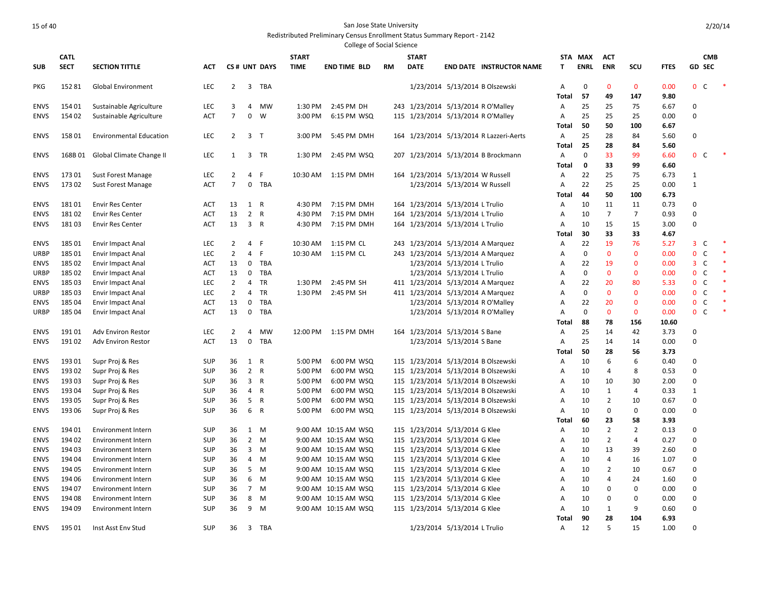|             |                  |                                  |            |                |                |              |                    | <b>College of Social Science</b> |     |                                    |                                |                                         |                         |             |                               |                     |              |                              |            |  |
|-------------|------------------|----------------------------------|------------|----------------|----------------|--------------|--------------------|----------------------------------|-----|------------------------------------|--------------------------------|-----------------------------------------|-------------------------|-------------|-------------------------------|---------------------|--------------|------------------------------|------------|--|
|             | <b>CATL</b>      |                                  |            |                |                |              | <b>START</b>       |                                  |     | <b>START</b>                       |                                |                                         |                         | STA MAX     | <b>ACT</b>                    |                     |              |                              | <b>CMB</b> |  |
| <b>SUB</b>  | <b>SECT</b>      | <b>SECTION TITTLE</b>            | <b>ACT</b> |                |                | CS# UNT DAYS | <b>TIME</b>        | <b>END TIME BLD</b>              | RM  | <b>DATE</b>                        |                                | <b>END DATE INSTRUCTOR NAME</b>         | T.                      | <b>ENRL</b> | <b>ENR</b>                    | SCU                 | <b>FTES</b>  | <b>GD SEC</b>                |            |  |
|             |                  |                                  |            |                |                |              |                    |                                  |     |                                    |                                |                                         |                         | $\mathbf 0$ | $\mathbf{0}$                  |                     |              |                              |            |  |
| <b>PKG</b>  | 15281            | <b>Global Environment</b>        | <b>LEC</b> | $\overline{2}$ | 3              | TBA          |                    |                                  |     |                                    |                                | 1/23/2014 5/13/2014 B Olszewski         | $\overline{A}$<br>Total | 57          | 49                            | $\mathbf{0}$<br>147 | 0.00<br>9.80 | $\mathbf{0}$<br>C            |            |  |
| <b>ENVS</b> | 15401            | Sustainable Agriculture          | <b>LEC</b> | 3              | 4              | <b>MW</b>    | 1:30 PM            | 2:45 PM DH                       |     | 243 1/23/2014 5/13/2014 R O'Malley |                                |                                         | Α                       | 25          | 25                            | 75                  | 6.67         | $\mathbf 0$                  |            |  |
| <b>ENVS</b> | 154 02           | Sustainable Agriculture          | ACT        | $\overline{7}$ | $\mathbf 0$    | W            | 3:00 PM            | 6:15 PM WSQ                      |     | 115 1/23/2014 5/13/2014 R O'Malley |                                |                                         | $\overline{A}$          | 25          | 25                            | 25                  | 0.00         | $\mathbf 0$                  |            |  |
|             |                  |                                  |            |                |                |              |                    |                                  |     |                                    |                                |                                         | Total                   | 50          | 50                            | 100                 | 6.67         |                              |            |  |
| <b>ENVS</b> | 15801            | <b>Environmental Education</b>   | <b>LEC</b> | $\overline{2}$ | 3 <sub>T</sub> |              | 3:00 PM            | 5:45 PM DMH                      |     |                                    |                                | 164 1/23/2014 5/13/2014 R Lazzeri-Aerts | A                       | 25          | 28                            | 84                  | 5.60         | $\mathbf 0$                  |            |  |
|             |                  |                                  |            |                |                |              |                    |                                  |     |                                    |                                |                                         | <b>Total</b>            | 25          | 28                            | 84                  | 5.60         |                              |            |  |
| <b>ENVS</b> |                  | 168B 01 Global Climate Change II | <b>LEC</b> | $\mathbf{1}$   |                | 3 TR         | 1:30 PM            | 2:45 PM WSQ                      | 207 |                                    |                                | 1/23/2014 5/13/2014 B Brockmann         | Α                       | $\mathbf 0$ | 33                            | 99                  | 6.60         | $\mathbf{0}$<br>C            |            |  |
|             |                  |                                  |            |                |                |              |                    |                                  |     |                                    |                                |                                         | Total                   | $\mathbf 0$ | 33                            | 99                  | 6.60         |                              |            |  |
| <b>ENVS</b> | 17301            | <b>Sust Forest Manage</b>        | <b>LEC</b> | 2              | $\overline{4}$ | F.           | 10:30 AM           | 1:15 PM DMH                      |     | 164 1/23/2014 5/13/2014 W Russell  |                                |                                         | Α                       | 22          | 25                            | 75                  | 6.73         | $\mathbf{1}$                 |            |  |
| <b>ENVS</b> | 17302            | <b>Sust Forest Manage</b>        | ACT        | 7              | $\mathbf{0}$   | TBA          |                    |                                  |     |                                    | 1/23/2014 5/13/2014 W Russell  |                                         | A                       | 22          | 25                            | 25                  | 0.00         | $\mathbf{1}$                 |            |  |
|             |                  |                                  |            |                |                |              |                    |                                  |     |                                    |                                |                                         | Total                   | 44          | 50                            | 100                 | 6.73         |                              |            |  |
| <b>ENVS</b> | 18101            | <b>Envir Res Center</b>          | ACT        | 13             | 1 R            |              | 4:30 PM            | 7:15 PM DMH                      |     | 164 1/23/2014 5/13/2014 L Trulio   |                                |                                         | $\overline{A}$          | 10          | 11                            | 11                  | 0.73         | $\mathbf 0$                  |            |  |
| <b>ENVS</b> | 18102            | <b>Envir Res Center</b>          | <b>ACT</b> | 13             | 2 R            |              | 4:30 PM            | 7:15 PM DMH                      |     | 164 1/23/2014 5/13/2014 L Trulio   |                                |                                         | Α                       | 10          | $\overline{7}$                | 7                   | 0.93         | $\Omega$                     |            |  |
| <b>ENVS</b> | 18103            | <b>Envir Res Center</b>          | <b>ACT</b> | 13             | 3 R            |              | 4:30 PM            | 7:15 PM DMH                      | 164 | 1/23/2014 5/13/2014 L Trulio       |                                |                                         | $\overline{A}$          | 10          | 15                            | 15                  | 3.00         | $\mathbf 0$                  |            |  |
|             |                  |                                  |            |                |                |              |                    |                                  |     |                                    |                                |                                         | Total                   | 30          | 33                            | 33                  | 4.67         |                              |            |  |
| <b>ENVS</b> | 18501            | <b>Envir Impact Anal</b>         | <b>LEC</b> | 2              | 4              | F            | 10:30 AM           | 1:15 PM CL                       | 243 | 1/23/2014 5/13/2014 A Marquez      |                                |                                         | $\overline{A}$          | 22          | 19                            | 76                  | 5.27         | $\overline{3}$<br>C          |            |  |
| URBP        | 18501            | Envir Impact Anal                | <b>LEC</b> | $\overline{2}$ | 4              | F            | 10:30 AM           | 1:15 PM CL                       | 243 | 1/23/2014 5/13/2014 A Marquez      |                                |                                         | A                       | $\mathbf 0$ | $\mathbf{0}$                  | $\Omega$            | 0.00         | C<br>$\mathbf{0}$            |            |  |
| <b>ENVS</b> | 18502            | <b>Envir Impact Anal</b>         | ACT        | 13             | 0              | <b>TBA</b>   |                    |                                  |     |                                    | 1/23/2014 5/13/2014 L Trulio   |                                         | $\overline{A}$          | 22          | 19                            | $\Omega$            | 0.00         | C<br>3                       |            |  |
| URBP        | 18502            | Envir Impact Anal                | ACT        | 13             | $\mathbf{0}$   | TBA          |                    |                                  |     |                                    | 1/23/2014 5/13/2014 L Trulio   |                                         | A                       | $\mathbf 0$ | $\mathbf{0}$                  | $\Omega$            | 0.00         | $\mathsf{C}$<br>$\mathbf{0}$ |            |  |
| <b>ENVS</b> | 185 03           | Envir Impact Anal                | <b>LEC</b> | 2              | 4              | TR           | 1:30 PM            | 2:45 PM SH                       |     | 411 1/23/2014 5/13/2014 A Marquez  |                                |                                         | Α                       | 22          | 20                            | 80                  | 5.33         | $\mathbf 0$<br>C             |            |  |
| URBP        | 185 03           | Envir Impact Anal                | <b>LEC</b> | $\overline{2}$ | 4              | <b>TR</b>    | 1:30 PM            | 2:45 PM SH                       |     | 411 1/23/2014 5/13/2014 A Marquez  |                                |                                         | Α                       | $\mathbf 0$ | $\mathbf 0$                   | $\Omega$            | 0.00         | $\mathbf{0}$<br>C            |            |  |
| <b>ENVS</b> | 18504            | Envir Impact Anal                | ACT        | 13             | 0              | <b>TBA</b>   |                    |                                  |     |                                    | 1/23/2014 5/13/2014 R O'Malley |                                         | Α                       | 22          | 20                            | $\Omega$            | 0.00         | C<br>0                       |            |  |
| URBP        | 18504            | Envir Impact Anal                | <b>ACT</b> | 13             | 0              | <b>TBA</b>   |                    |                                  |     |                                    | 1/23/2014 5/13/2014 R O'Malley |                                         | Α                       | $\mathbf 0$ | $\mathbf{0}$                  | $\mathbf{0}$        | 0.00         | $\mathbf{0}$<br>C            |            |  |
|             |                  |                                  |            |                |                |              |                    |                                  |     |                                    |                                |                                         | Total                   | 88          | 78                            | 156                 | 10.60        |                              |            |  |
| <b>ENVS</b> | 19101            | <b>Adv Environ Restor</b>        | <b>LEC</b> | $\overline{2}$ | 4              | <b>MW</b>    |                    | 12:00 PM 1:15 PM DMH             |     | 164 1/23/2014 5/13/2014 S Bane     |                                |                                         | Α                       | 25          | 14                            | 42                  | 3.73         | 0                            |            |  |
| <b>ENVS</b> | 19102            | <b>Adv Environ Restor</b>        | <b>ACT</b> | 13             | 0              | <b>TBA</b>   |                    |                                  |     |                                    | 1/23/2014 5/13/2014 S Bane     |                                         | A                       | 25          | 14                            | 14                  | 0.00         | $\mathbf 0$                  |            |  |
|             |                  |                                  |            |                |                |              |                    |                                  |     |                                    |                                |                                         | Total                   | 50          | 28                            | 56                  | 3.73         |                              |            |  |
| <b>ENVS</b> | 19301            | Supr Proj & Res                  | <b>SUP</b> | 36             | 1 R            |              | 5:00 PM            | 6:00 PM WSQ                      |     |                                    |                                | 115 1/23/2014 5/13/2014 B Olszewski     | Α                       | 10          | 6                             | 6                   | 0.40         | $\mathbf 0$                  |            |  |
| <b>ENVS</b> | 19302            | Supr Proj & Res                  | <b>SUP</b> | 36             | 2 R            |              | 5:00 PM            | 6:00 PM WSQ                      |     |                                    |                                | 115 1/23/2014 5/13/2014 B Olszewski     | Α                       | 10          | 4                             | 8                   | 0.53         | $\Omega$                     |            |  |
| <b>ENVS</b> | 19303            | Supr Proj & Res                  | <b>SUP</b> | 36             | 3 R            |              | 5:00 PM            | 6:00 PM WSQ                      |     |                                    |                                | 115 1/23/2014 5/13/2014 B Olszewski     | Α<br>$\overline{A}$     | 10<br>10    | 10<br>$\mathbf{1}$            | 30                  | 2.00         | $\mathbf 0$<br>$\mathbf{1}$  |            |  |
| <b>ENVS</b> | 19304            | Supr Proj & Res                  | SUP        | 36             | 4 R            |              | 5:00 PM            | 6:00 PM WSQ                      |     |                                    |                                | 115 1/23/2014 5/13/2014 B Olszewski     |                         |             |                               | 4                   | 0.33         | $\mathbf 0$                  |            |  |
| <b>ENVS</b> | 193 05<br>193 06 | Supr Proj & Res                  | <b>SUP</b> | 36<br>36       | 5 R<br>6 R     |              | 5:00 PM<br>5:00 PM | 6:00 PM WSQ                      |     |                                    |                                | 115 1/23/2014 5/13/2014 B Olszewski     | Α                       | 10<br>10    | $\overline{2}$<br>$\mathbf 0$ | 10<br>$\mathbf 0$   | 0.67<br>0.00 | $\mathbf 0$                  |            |  |
| <b>ENVS</b> |                  | Supr Proj & Res                  | SUP        |                |                |              |                    | 6:00 PM WSQ                      |     |                                    |                                | 115 1/23/2014 5/13/2014 B Olszewski     | A<br>Total              | 60          | 23                            | 58                  | 3.93         |                              |            |  |
| <b>ENVS</b> | 19401            | <b>Environment Intern</b>        | <b>SUP</b> | 36             | 1 M            |              |                    | 9:00 AM 10:15 AM WSQ             |     | 115 1/23/2014 5/13/2014 G Klee     |                                |                                         | Α                       | 10          | $\overline{2}$                | $\overline{2}$      | 0.13         | $\mathbf 0$                  |            |  |
| <b>ENVS</b> | 19402            | <b>Environment Intern</b>        | <b>SUP</b> | 36             |                | 2 M          |                    | 9:00 AM  10:15 AM  WSQ           |     | 115 1/23/2014 5/13/2014 G Klee     |                                |                                         | $\overline{A}$          | 10          | $\overline{2}$                | $\overline{4}$      | 0.27         | $\Omega$                     |            |  |
| <b>ENVS</b> | 19403            | <b>Environment Intern</b>        | <b>SUP</b> | 36             |                | $3 \, M$     |                    | 9:00 AM 10:15 AM WSQ             |     | 115 1/23/2014 5/13/2014 G Klee     |                                |                                         | $\overline{A}$          | 10          | 13                            | 39                  | 2.60         | $\mathbf 0$                  |            |  |
| <b>ENVS</b> | 19404            | <b>Environment Intern</b>        | <b>SUP</b> | 36             | 4              | M            |                    | 9:00 AM 10:15 AM WSQ             |     | 115 1/23/2014 5/13/2014 G Klee     |                                |                                         | $\overline{A}$          | 10          | $\overline{4}$                | 16                  | 1.07         | $\Omega$                     |            |  |
| <b>ENVS</b> | 194 05           | <b>Environment Intern</b>        | <b>SUP</b> | 36             |                | 5 M          |                    | 9:00 AM 10:15 AM WSQ             |     | 115 1/23/2014 5/13/2014 G Klee     |                                |                                         | Α                       | 10          | $\overline{2}$                | 10                  | 0.67         | $\mathbf 0$                  |            |  |
| <b>ENVS</b> | 194 06           | Environment Intern               | <b>SUP</b> | 36             | 6              | M            |                    | 9:00 AM 10:15 AM WSQ             |     | 115 1/23/2014 5/13/2014 G Klee     |                                |                                         | A                       | 10          | $\overline{4}$                | 24                  | 1.60         | $\Omega$                     |            |  |
| <b>ENVS</b> | 19407            | <b>Environment Intern</b>        | <b>SUP</b> | 36             | $7^{\circ}$    | M            |                    | 9:00 AM 10:15 AM WSQ             |     | 115 1/23/2014 5/13/2014 G Klee     |                                |                                         | A                       | 10          | $\mathbf 0$                   | 0                   | 0.00         | $\mathbf 0$                  |            |  |
| <b>ENVS</b> | 194 08           | <b>Environment Intern</b>        | <b>SUP</b> | 36             | 8              | M            |                    | 9:00 AM 10:15 AM WSQ             |     | 115 1/23/2014 5/13/2014 G Klee     |                                |                                         | A                       | 10          | $\mathbf 0$                   | $\Omega$            | 0.00         | $\Omega$                     |            |  |
| <b>ENVS</b> | 19409            | <b>Environment Intern</b>        | <b>SUP</b> | 36             |                | 9 M          |                    | 9:00 AM 10:15 AM WSQ             |     | 115 1/23/2014 5/13/2014 G Klee     |                                |                                         | Α                       | 10          | 1                             | 9                   | 0.60         | $\mathbf 0$                  |            |  |
|             |                  |                                  |            |                |                |              |                    |                                  |     |                                    |                                |                                         | <b>Total</b>            | 90          | 28                            | 104                 | 6.93         |                              |            |  |
| <b>ENVS</b> | 195 01           | Inst Asst Env Stud               | <b>SUP</b> | 36             |                | 3 TBA        |                    |                                  |     |                                    | 1/23/2014 5/13/2014 L Trulio   |                                         | $\overline{A}$          | 12          | 5                             | 15                  | 1.00         | $\Omega$                     |            |  |
|             |                  |                                  |            |                |                |              |                    |                                  |     |                                    |                                |                                         |                         |             |                               |                     |              |                              |            |  |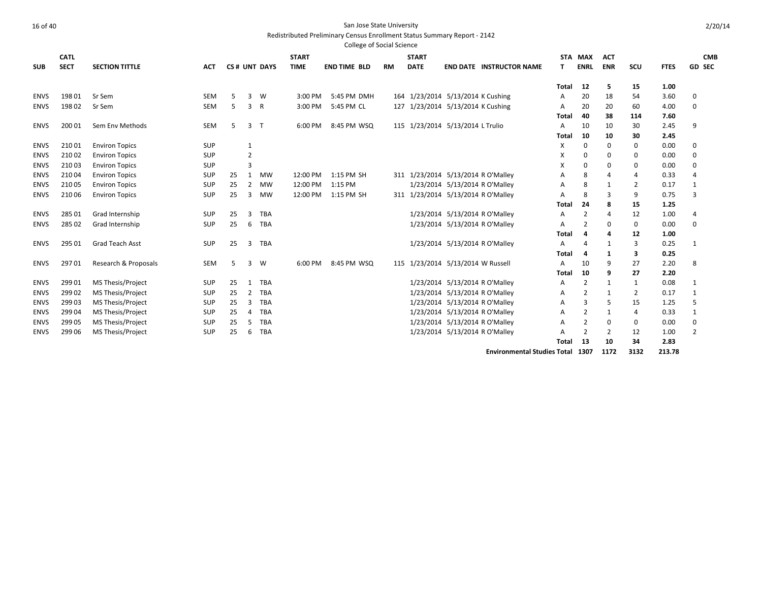|             |             |                          |            |    |                |              |              | <b>College of Social Science</b> |           |                                    |                                  |       |                       |              |                |             |                |
|-------------|-------------|--------------------------|------------|----|----------------|--------------|--------------|----------------------------------|-----------|------------------------------------|----------------------------------|-------|-----------------------|--------------|----------------|-------------|----------------|
|             | <b>CATL</b> |                          |            |    |                |              | <b>START</b> |                                  |           | <b>START</b>                       |                                  |       | STA MAX               | <b>ACT</b>   |                |             | <b>CMB</b>     |
| <b>SUB</b>  | <b>SECT</b> | <b>SECTION TITTLE</b>    | <b>ACT</b> |    |                | CS# UNT DAYS | <b>TIME</b>  | <b>END TIME BLD</b>              | <b>RM</b> | <b>DATE</b>                        | <b>END DATE INSTRUCTOR NAME</b>  | т     | <b>ENRL</b>           | <b>ENR</b>   | SCU            | <b>FTES</b> | <b>GD SEC</b>  |
|             |             |                          |            |    |                |              |              |                                  |           |                                    |                                  | Total | 12                    | 5            | 15             | 1.00        |                |
| <b>ENVS</b> | 198 01      | Sr Sem                   | <b>SEM</b> | 5  | 3              | W            | 3:00 PM      | 5:45 PM DMH                      |           | 164 1/23/2014 5/13/2014 K Cushing  |                                  | A     | 20                    | 18           | 54             | 3.60        | 0              |
| <b>ENVS</b> | 19802       | Sr Sem                   | <b>SEM</b> | 5  | 3              | R            | 3:00 PM      | 5:45 PM CL                       |           | 127 1/23/2014 5/13/2014 K Cushing  |                                  | A     | 20                    | 20           | 60             | 4.00        | $\mathbf 0$    |
|             |             |                          |            |    |                |              |              |                                  |           |                                    |                                  | Total | 40                    | 38           | 114            | 7.60        |                |
| <b>ENVS</b> | 200 01      | Sem Env Methods          | SEM        | 5  | 3              | т            | 6:00 PM      | 8:45 PM WSQ                      |           | 115 1/23/2014 5/13/2014 L Trulio   |                                  | A     | 10                    | 10           | 30             | 2.45        | 9              |
|             |             |                          |            |    |                |              |              |                                  |           |                                    |                                  | Total | 10                    | 10           | 30             | 2.45        |                |
| <b>ENVS</b> | 21001       | <b>Environ Topics</b>    | <b>SUP</b> |    | 1              |              |              |                                  |           |                                    |                                  | X     | 0                     | $\Omega$     | 0              | 0.00        | $\mathbf 0$    |
| <b>ENVS</b> | 21002       | <b>Environ Topics</b>    | <b>SUP</b> |    | $\overline{2}$ |              |              |                                  |           |                                    |                                  | x     | 0                     | 0            | 0              | 0.00        | 0              |
| <b>ENVS</b> | 21003       | <b>Environ Topics</b>    | SUP        |    | $\overline{3}$ |              |              |                                  |           |                                    |                                  | X     | 0                     | $\Omega$     | 0              | 0.00        | $\mathbf 0$    |
| <b>ENVS</b> | 21004       | <b>Environ Topics</b>    | SUP        | 25 | 1              | MW           | 12:00 PM     | 1:15 PM SH                       |           | 311 1/23/2014 5/13/2014 R O'Malley |                                  | A     | 8                     | 4            | 4              | 0.33        | $\overline{4}$ |
| <b>ENVS</b> | 21005       | <b>Environ Topics</b>    | <b>SUP</b> | 25 | $\overline{2}$ | MW           | 12:00 PM     | 1:15 PM                          |           |                                    | 1/23/2014 5/13/2014 R O'Malley   | A     | 8                     | $\mathbf{1}$ | $\overline{2}$ | 0.17        | 1              |
| <b>ENVS</b> | 210 06      | <b>Environ Topics</b>    | <b>SUP</b> | 25 | 3              | <b>MW</b>    | 12:00 PM     | 1:15 PM SH                       |           | 311 1/23/2014 5/13/2014 R O'Malley |                                  | А     | 8                     | 3            | 9              | 0.75        | 3              |
|             |             |                          |            |    |                |              |              |                                  |           |                                    |                                  | Total | 24                    | 8            | 15             | 1.25        |                |
| <b>ENVS</b> | 285 01      | Grad Internship          | <b>SUP</b> | 25 | 3              | TBA          |              |                                  |           |                                    | 1/23/2014 5/13/2014 R O'Malley   | A     | $\overline{2}$        | 4            | 12             | 1.00        | 4              |
| <b>ENVS</b> | 285 02      | Grad Internship          | SUP        | 25 | 6              | <b>TBA</b>   |              |                                  |           |                                    | 1/23/2014 5/13/2014 R O'Malley   | A     | $\overline{2}$        | 0            | 0              | 0.00        | 0              |
|             |             |                          |            |    |                |              |              |                                  |           |                                    |                                  | Total | 4                     | 4            | 12             | 1.00        |                |
| <b>ENVS</b> | 295 01      | Grad Teach Asst          | <b>SUP</b> | 25 | 3              | TBA          |              |                                  |           |                                    | 1/23/2014 5/13/2014 R O'Malley   | A     | $\boldsymbol{\Delta}$ | 1            | 3              | 0.25        | 1              |
|             |             |                          |            |    |                |              |              |                                  |           |                                    |                                  | Total | 4                     | 1            | 3              | 0.25        |                |
| <b>ENVS</b> | 29701       | Research & Proposals     | <b>SEM</b> | 5  | 3              | W            | 6:00 PM      | 8:45 PM WSQ                      |           | 115 1/23/2014 5/13/2014 W Russell  |                                  | A     | 10                    | 9            | 27             | 2.20        | 8              |
|             |             |                          |            |    |                |              |              |                                  |           |                                    |                                  | Total | 10                    | 9            | 27             | 2.20        |                |
| <b>ENVS</b> | 29901       | <b>MS Thesis/Project</b> | SUP        | 25 | $\mathbf{1}$   | TBA          |              |                                  |           |                                    | 1/23/2014 5/13/2014 R O'Malley   | A     | $\overline{2}$        | 1            | 1              | 0.08        | 1              |
| <b>ENVS</b> | 299 02      | <b>MS Thesis/Project</b> | SUP        | 25 | $\overline{2}$ | <b>TBA</b>   |              |                                  |           |                                    | 1/23/2014 5/13/2014 R O'Malley   | A     | $\overline{2}$        | 1            | 2              | 0.17        | $\mathbf{1}$   |
| <b>ENVS</b> | 29903       | MS Thesis/Project        | <b>SUP</b> | 25 | 3              | <b>TBA</b>   |              |                                  |           |                                    | 1/23/2014 5/13/2014 R O'Malley   | A     | 3                     | 5            | 15             | 1.25        | 5              |
| <b>ENVS</b> | 29904       | <b>MS Thesis/Project</b> | SUP        | 25 | $\overline{4}$ | TBA          |              |                                  |           |                                    | 1/23/2014 5/13/2014 R O'Malley   | A     | $\overline{2}$        | 1            | 4              | 0.33        | 1              |
| <b>ENVS</b> | 299 05      | MS Thesis/Project        | <b>SUP</b> | 25 | 5              | <b>TBA</b>   |              |                                  |           |                                    | 1/23/2014 5/13/2014 R O'Malley   | A     | $\overline{2}$        | 0            | 0              | 0.00        | $\pmb{0}$      |
| <b>ENVS</b> | 299 06      | MS Thesis/Project        | <b>SUP</b> | 25 | 6              | <b>TBA</b>   |              |                                  |           |                                    | 1/23/2014 5/13/2014 R O'Malley   | А     | $\overline{2}$        | 2            | 12             | 1.00        | 2              |
|             |             |                          |            |    |                |              |              |                                  |           |                                    |                                  | Total | 13                    | 10           | 34             | 2.83        |                |
|             |             |                          |            |    |                |              |              |                                  |           |                                    | Environmental Studies Total 1307 |       |                       | 1172         | 3132           | 213.78      |                |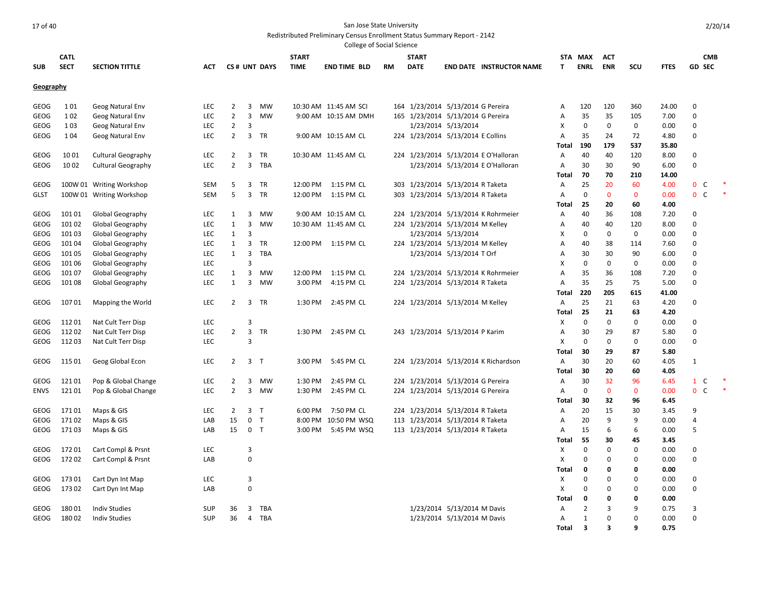|                     |                |                                          |            |                                  |                                  |              |              | College of Social Science |    |                                                                      |                             |                                      |              |                         |             |                    |              |                     |                   |  |
|---------------------|----------------|------------------------------------------|------------|----------------------------------|----------------------------------|--------------|--------------|---------------------------|----|----------------------------------------------------------------------|-----------------------------|--------------------------------------|--------------|-------------------------|-------------|--------------------|--------------|---------------------|-------------------|--|
|                     | <b>CATL</b>    |                                          |            |                                  |                                  |              | <b>START</b> |                           |    | <b>START</b>                                                         |                             |                                      |              | STA MAX                 | <b>ACT</b>  |                    |              |                     | <b>CMB</b>        |  |
| <b>SUB</b>          | <b>SECT</b>    | <b>SECTION TITTLE</b>                    | ACT        |                                  |                                  | CS# UNT DAYS | <b>TIME</b>  | <b>END TIME BLD</b>       | RM | <b>DATE</b>                                                          |                             | <b>END DATE INSTRUCTOR NAME</b>      | T            | <b>ENRL</b>             | <b>ENR</b>  | scu                | <b>FTES</b>  |                     | <b>GD SEC</b>     |  |
| Geography           |                |                                          |            |                                  |                                  |              |              |                           |    |                                                                      |                             |                                      |              |                         |             |                    |              |                     |                   |  |
|                     |                |                                          |            |                                  |                                  |              |              |                           |    |                                                                      |                             |                                      |              |                         |             |                    |              |                     |                   |  |
| GEOG                | 101            | Geog Natural Env                         | LEC        | $\overline{2}$                   | 3                                | MW           |              | 10:30 AM 11:45 AM SCI     |    | 164 1/23/2014 5/13/2014 G Pereira                                    |                             |                                      | Α            | 120                     | 120         | 360                | 24.00        | $\mathbf 0$         |                   |  |
| <b>GEOG</b>         | 102            | Geog Natural Env                         | <b>LEC</b> | $\overline{2}$                   | $\overline{3}$                   | MW           |              | 9:00 AM 10:15 AM DMH      |    | 165 1/23/2014 5/13/2014 G Pereira                                    |                             |                                      | Α            | 35                      | 35          | 105                | 7.00         | $\mathbf 0$         |                   |  |
| GEOG                | 103            | Geog Natural Env                         | <b>LEC</b> | $\overline{2}$                   | 3                                |              |              |                           |    |                                                                      | 1/23/2014 5/13/2014         |                                      | X            | $\mathbf 0$             | $\mathbf 0$ | 0                  | 0.00         | 0                   |                   |  |
| <b>GEOG</b>         | 104            | Geog Natural Env                         | <b>LEC</b> | $\overline{2}$                   | 3                                | TR           |              | 9:00 AM 10:15 AM CL       |    | 224 1/23/2014 5/13/2014 E Collins                                    |                             |                                      | Α            | 35                      | 24          | 72                 | 4.80         | 0                   |                   |  |
|                     |                |                                          |            |                                  |                                  |              |              |                           |    |                                                                      |                             |                                      | Total        | 190                     | 179         | 537                | 35.80        |                     |                   |  |
| <b>GEOG</b>         | 1001           | <b>Cultural Geography</b>                | <b>LEC</b> | $\overline{2}$                   | $\overline{3}$                   | TR           |              | 10:30 AM 11:45 AM CL      |    |                                                                      |                             | 224 1/23/2014 5/13/2014 E O'Halloran | Α            | 40                      | 40          | 120                | 8.00         | 0                   |                   |  |
| GEOG                | 1002           | <b>Cultural Geography</b>                | LEC        | $\overline{2}$                   | $\overline{3}$                   | TBA          |              |                           |    |                                                                      |                             | 1/23/2014 5/13/2014 E O'Halloran     | Α            | 30                      | 30          | 90                 | 6.00         | 0                   |                   |  |
|                     |                |                                          |            |                                  |                                  |              |              |                           |    |                                                                      |                             |                                      | Total        | 70                      | 70          | 210                | 14.00        |                     |                   |  |
| <b>GEOG</b>         |                | 100W 01 Writing Workshop                 | <b>SEM</b> | 5                                | 3                                | TR           |              | 12:00 PM 1:15 PM CL       |    | 303 1/23/2014 5/13/2014 R Taketa                                     |                             |                                      | Α            | 25                      | 20          | 60                 | 4.00         | $\mathbf 0$         | C                 |  |
| <b>GLST</b>         |                | 100W 01 Writing Workshop                 | SEM        | 5                                | $\overline{3}$                   | TR           |              | 12:00 PM 1:15 PM CL       |    | 303 1/23/2014 5/13/2014 R Taketa                                     |                             |                                      | A            | $\mathbf 0$             | $\mathbf 0$ | $\mathbf{0}$       | 0.00         | $\mathbf 0$         | $\mathsf{C}$      |  |
|                     |                |                                          |            |                                  |                                  |              |              |                           |    |                                                                      |                             |                                      | Total        | 25                      | 20          | 60                 | 4.00         |                     |                   |  |
| <b>GEOG</b>         | 10101          | Global Geography                         | <b>LEC</b> | 1                                | 3                                | MW           |              | 9:00 AM 10:15 AM CL       |    |                                                                      |                             | 224 1/23/2014 5/13/2014 K Rohrmeier  | Α            | 40                      | 36          | 108                | 7.20         | 0                   |                   |  |
| <b>GEOG</b>         | 101 02         | Global Geography                         | <b>LEC</b> | 1                                | 3                                | MW           |              | 10:30 AM 11:45 AM CL      |    | 224 1/23/2014 5/13/2014 M Kelley                                     |                             |                                      | Α            | 40                      | 40          | 120                | 8.00         | 0                   |                   |  |
| <b>GEOG</b>         | 101 03         | <b>Global Geography</b>                  | <b>LEC</b> | 1                                | 3                                |              |              |                           |    |                                                                      | 1/23/2014 5/13/2014         |                                      | X            | $\mathbf 0$             | $\mathbf 0$ | 0                  | 0.00         | 0                   |                   |  |
| GEOG                | 10104          | <b>Global Geography</b>                  | LEC        | 1                                | $\overline{3}$                   | TR           |              | 12:00 PM 1:15 PM CL       |    | 224 1/23/2014 5/13/2014 M Kelley                                     |                             |                                      | A            | 40                      | 38          | 114                | 7.60         | $\mathbf 0$         |                   |  |
| <b>GEOG</b>         | 101 05         | Global Geography                         | LEC        | 1                                | $\overline{3}$                   | <b>TBA</b>   |              |                           |    |                                                                      | 1/23/2014 5/13/2014 T Orf   |                                      | Α            | 30                      | 30          | 90                 | 6.00         | 0                   |                   |  |
| <b>GEOG</b>         | 101 06         | Global Geography                         | <b>LEC</b> |                                  | 3                                |              |              |                           |    |                                                                      |                             |                                      | X            | $\mathbf 0$             | $\mathbf 0$ | 0                  | 0.00         | 0                   |                   |  |
| <b>GEOG</b>         | 10107          | Global Geography                         | <b>LEC</b> | 1                                | $\overline{3}$                   | MW           |              | 12:00 PM 1:15 PM CL       |    |                                                                      |                             | 224 1/23/2014 5/13/2014 K Rohrmeier  | Α            | 35                      | 36          | 108                | 7.20         | 0                   |                   |  |
| <b>GEOG</b>         | 10108          | Global Geography                         | <b>LEC</b> | 1                                | 3                                | MW           | 3:00 PM      | 4:15 PM CL                |    | 224 1/23/2014 5/13/2014 R Taketa                                     |                             |                                      | A            | 35                      | 25          | 75                 | 5.00         | 0                   |                   |  |
|                     |                |                                          |            |                                  |                                  |              |              |                           |    |                                                                      |                             |                                      | Total        | 220                     | 205         | 615                | 41.00        |                     |                   |  |
| GEOG                | 10701          | Mapping the World                        | <b>LEC</b> | $\overline{2}$                   | 3                                | TR           | 1:30 PM      | 2:45 PM CL                |    | 224 1/23/2014 5/13/2014 M Kelley                                     |                             |                                      | Α            | 25                      | 21          | 63                 | 4.20         | $\mathbf 0$         |                   |  |
|                     |                |                                          |            |                                  |                                  |              |              |                           |    |                                                                      |                             |                                      | Total        | 25                      | 21          | 63                 | 4.20         |                     |                   |  |
| <b>GEOG</b>         | 11201          | Nat Cult Terr Disp                       | <b>LEC</b> |                                  | 3                                |              |              |                           |    |                                                                      |                             |                                      | X            | $\mathbf 0$             | $\mathbf 0$ | $\mathbf 0$        | 0.00         | $\mathbf 0$         |                   |  |
| <b>GEOG</b>         | 11202          | Nat Cult Terr Disp                       | LEC        | $\overline{2}$                   | 3                                | TR           | 1:30 PM      | 2:45 PM CL                |    | 243 1/23/2014 5/13/2014 P Karim                                      |                             |                                      | A            | 30                      | 29          | 87                 | 5.80         | $\mathbf 0$         |                   |  |
| GEOG                | 11203          | Nat Cult Terr Disp                       | LEC        |                                  | 3                                |              |              |                           |    |                                                                      |                             |                                      | X            | $\mathbf 0$             | $\mathbf 0$ | $\mathbf 0$        | 0.00         | 0                   |                   |  |
|                     |                |                                          |            |                                  |                                  |              |              |                           |    |                                                                      |                             |                                      | Total        | 30                      | 29          | 87                 | 5.80         |                     |                   |  |
| <b>GEOG</b>         | 115 01         | Geog Global Econ                         | <b>LEC</b> | $\overline{2}$                   | 3 <sub>T</sub>                   |              | 3:00 PM      | 5:45 PM CL                |    |                                                                      |                             | 224 1/23/2014 5/13/2014 K Richardson | Α            | 30                      | 20          | 60                 | 4.05         | $\mathbf{1}$        |                   |  |
|                     |                |                                          |            |                                  |                                  |              |              |                           |    |                                                                      |                             |                                      | Total        | 30                      | 20          | 60                 | 4.05         |                     |                   |  |
| <b>GEOG</b>         | 12101          | Pop & Global Change                      | LEC        | $\overline{2}$<br>$\overline{2}$ | 3                                | MW           | 1:30 PM      | 2:45 PM CL                |    | 224 1/23/2014 5/13/2014 G Pereira                                    |                             |                                      | Α            | 30<br>$\mathbf 0$       | 32          | 96<br>$\mathbf{0}$ | 6.45         | $\mathbf{1}$        | C<br>$\mathsf{C}$ |  |
| <b>ENVS</b>         | 12101          | Pop & Global Change                      | LEC        |                                  |                                  | 3 MW         | 1:30 PM      | 2:45 PM CL                |    | 224 1/23/2014 5/13/2014 G Pereira                                    |                             |                                      | A            |                         | $\mathbf 0$ |                    | 0.00         | $\mathbf 0$         |                   |  |
|                     |                |                                          |            |                                  |                                  |              |              |                           |    |                                                                      |                             |                                      | Total        | 30                      | 32          | 96                 | 6.45         |                     |                   |  |
| GEOG                | 17101<br>17102 | Maps & GIS                               | <b>LEC</b> | $\overline{2}$                   | 3 <sub>T</sub>                   |              | 6:00 PM      | 7:50 PM CL                |    | 224 1/23/2014 5/13/2014 R Taketa                                     |                             |                                      | Α            | 20<br>20                | 15<br>9     | 30<br>9            | 3.45         | 9<br>$\overline{4}$ |                   |  |
| GEOG<br><b>GEOG</b> | 17103          | Maps & GIS                               | LAB        | 15<br>15                         | 0 <sub>T</sub><br>0 <sub>T</sub> |              | 3:00 PM      | 8:00 PM 10:50 PM WSQ      |    | 113 1/23/2014 5/13/2014 R Taketa<br>113 1/23/2014 5/13/2014 R Taketa |                             |                                      | Α<br>Α       | 15                      | 6           | 6                  | 0.00<br>0.00 | 5                   |                   |  |
|                     |                | Maps & GIS                               | LAB        |                                  |                                  |              |              | 5:45 PM WSQ               |    |                                                                      |                             |                                      | Total        | 55                      | 30          | 45                 | 3.45         |                     |                   |  |
|                     |                |                                          | LEC        |                                  | 3                                |              |              |                           |    |                                                                      |                             |                                      |              | 0                       | 0           | $\Omega$           |              | $\Omega$            |                   |  |
| GEOG<br><b>GEOG</b> | 17201<br>17202 | Cart Compl & Prsnt<br>Cart Compl & Prsnt | LAB        |                                  | 0                                |              |              |                           |    |                                                                      |                             |                                      | х<br>X       | 0                       | 0           | $\Omega$           | 0.00<br>0.00 | $\mathbf 0$         |                   |  |
|                     |                |                                          |            |                                  |                                  |              |              |                           |    |                                                                      |                             |                                      | <b>Total</b> | 0                       | 0           | 0                  | 0.00         |                     |                   |  |
| <b>GEOG</b>         | 17301          | Cart Dyn Int Map                         | <b>LEC</b> |                                  | 3                                |              |              |                           |    |                                                                      |                             |                                      | X            | $\mathbf 0$             | $\mathbf 0$ | $\Omega$           | 0.00         | $\mathbf 0$         |                   |  |
| GEOG                | 17302          | Cart Dyn Int Map                         | LAB        |                                  | 0                                |              |              |                           |    |                                                                      |                             |                                      | X            | $\mathbf 0$             | $\mathbf 0$ | $\Omega$           | 0.00         | $\mathbf 0$         |                   |  |
|                     |                |                                          |            |                                  |                                  |              |              |                           |    |                                                                      |                             |                                      | Total        | 0                       | $\mathbf 0$ | $\Omega$           | 0.00         |                     |                   |  |
| GEOG                | 18001          | <b>Indiv Studies</b>                     | SUP        | 36                               | $\overline{3}$                   | TBA          |              |                           |    |                                                                      | 1/23/2014 5/13/2014 M Davis |                                      | Α            | $\overline{2}$          | 3           | 9                  | 0.75         | 3                   |                   |  |
| <b>GEOG</b>         | 18002          | <b>Indiv Studies</b>                     | <b>SUP</b> | 36                               | $\overline{4}$                   | TBA          |              |                           |    |                                                                      | 1/23/2014 5/13/2014 M Davis |                                      | Α            | 1                       | $\mathbf 0$ | $\Omega$           | 0.00         | $\mathbf 0$         |                   |  |
|                     |                |                                          |            |                                  |                                  |              |              |                           |    |                                                                      |                             |                                      | Total        | $\overline{\mathbf{3}}$ | 3           | q                  | 0.75         |                     |                   |  |
|                     |                |                                          |            |                                  |                                  |              |              |                           |    |                                                                      |                             |                                      |              |                         |             |                    |              |                     |                   |  |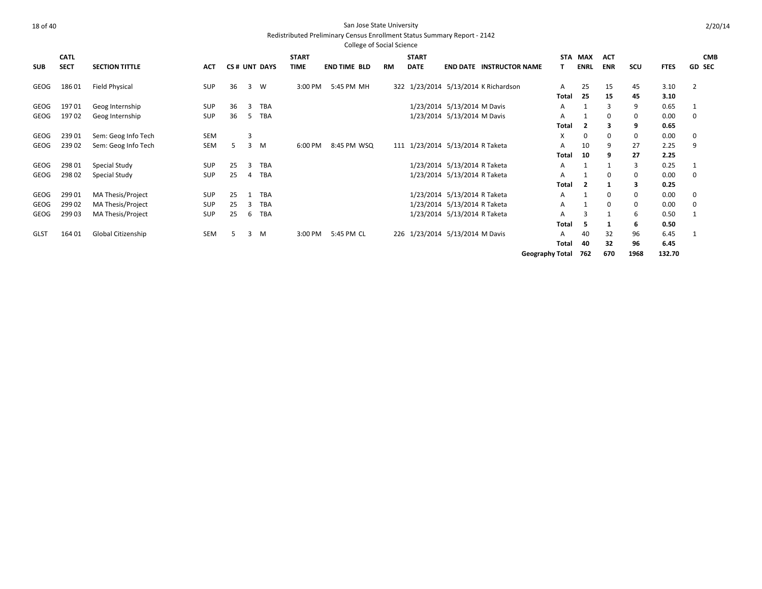|             |             |                       |            |    |                |              |              | <b>College of Social Science</b> |           |              |                                      |                        |             |             |              |             |               |
|-------------|-------------|-----------------------|------------|----|----------------|--------------|--------------|----------------------------------|-----------|--------------|--------------------------------------|------------------------|-------------|-------------|--------------|-------------|---------------|
|             | <b>CATL</b> |                       |            |    |                |              | <b>START</b> |                                  |           | <b>START</b> |                                      |                        | STA MAX     | <b>ACT</b>  |              |             | <b>CMB</b>    |
| <b>SUB</b>  | <b>SECT</b> | <b>SECTION TITTLE</b> | <b>ACT</b> |    |                | CS# UNT DAYS | <b>TIME</b>  | <b>END TIME BLD</b>              | <b>RM</b> | <b>DATE</b>  | <b>END DATE INSTRUCTOR NAME</b>      |                        | <b>ENRL</b> | <b>ENR</b>  | SCU          | <b>FTES</b> | <b>GD SEC</b> |
| GEOG        | 18601       | Field Physical        | <b>SUP</b> | 36 | $\overline{3}$ | W            | 3:00 PM      | 5:45 PM MH                       |           |              | 322 1/23/2014 5/13/2014 K Richardson | A                      | 25          | 15          | 45           | 3.10        | 2             |
|             |             |                       |            |    |                |              |              |                                  |           |              |                                      | Total                  | 25          | 15          | 45           | 3.10        |               |
| <b>GEOG</b> | 19701       | Geog Internship       | <b>SUP</b> | 36 | 3              | <b>TBA</b>   |              |                                  |           |              | 1/23/2014 5/13/2014 M Davis          | A                      |             | 3           | 9            | 0.65        | 1             |
| GEOG        | 19702       | Geog Internship       | <b>SUP</b> | 36 | -5             | TBA          |              |                                  |           |              | 1/23/2014 5/13/2014 M Davis          | A                      |             | 0           | 0            | 0.00        | 0             |
|             |             |                       |            |    |                |              |              |                                  |           |              |                                      | Total                  | 2           |             | 9            | 0.65        |               |
| <b>GEOG</b> | 23901       | Sem: Geog Info Tech   | SEM        |    | $\overline{3}$ |              |              |                                  |           |              |                                      | X                      | 0           | 0           | $\mathbf 0$  | 0.00        | 0             |
| GEOG        | 23902       | Sem: Geog Info Tech   | SEM        | 5  | $\overline{3}$ | M            | 6:00 PM      | 8:45 PM WSQ                      |           |              | 111 1/23/2014 5/13/2014 R Taketa     | A                      | 10          | 9           | 27           | 2.25        | 9             |
|             |             |                       |            |    |                |              |              |                                  |           |              |                                      | Total                  | 10          | 9           | 27           | 2.25        |               |
| <b>GEOG</b> | 298 01      | Special Study         | <b>SUP</b> | 25 | 3              | <b>TBA</b>   |              |                                  |           |              | 1/23/2014 5/13/2014 R Taketa         | Α                      |             |             | 3            | 0.25        | 1             |
| GEOG        | 298 02      | Special Study         | <b>SUP</b> | 25 | 4              | <b>TBA</b>   |              |                                  |           |              | 1/23/2014 5/13/2014 R Taketa         | A                      |             | 0           | 0            | 0.00        | 0             |
|             |             |                       |            |    |                |              |              |                                  |           |              |                                      | <b>Total</b>           | 2           | 1           | 3            | 0.25        |               |
| GEOG        | 29901       | MA Thesis/Project     | <b>SUP</b> | 25 |                | <b>TBA</b>   |              |                                  |           |              | 1/23/2014 5/13/2014 R Taketa         | A                      |             | 0           | $\mathbf{0}$ | 0.00        | 0             |
| <b>GEOG</b> | 29902       | MA Thesis/Project     | <b>SUP</b> | 25 | 3              | <b>TBA</b>   |              |                                  |           |              | 1/23/2014 5/13/2014 R Taketa         | A                      |             | $\mathbf 0$ | 0            | 0.00        | $\mathbf 0$   |
| <b>GEOG</b> | 299 03      | MA Thesis/Project     | SUP        | 25 | 6              | <b>TBA</b>   |              |                                  |           |              | 1/23/2014 5/13/2014 R Taketa         | Α                      | 3           |             | 6            | 0.50        | 1             |
|             |             |                       |            |    |                |              |              |                                  |           |              |                                      | <b>Total</b>           | 5           | 1           | 6            | 0.50        |               |
| <b>GLST</b> | 164 01      | Global Citizenship    | SEM        | .5 | 3              | M            | 3:00 PM      | 5:45 PM CL                       |           |              | 226 1/23/2014 5/13/2014 M Davis      | A                      | 40          | 32          | 96           | 6.45        |               |
|             |             |                       |            |    |                |              |              |                                  |           |              |                                      | Total                  | 40          | 32          | 96           | 6.45        |               |
|             |             |                       |            |    |                |              |              |                                  |           |              |                                      | <b>Geography Total</b> | 762         | 670         | 1968         | 132.70      |               |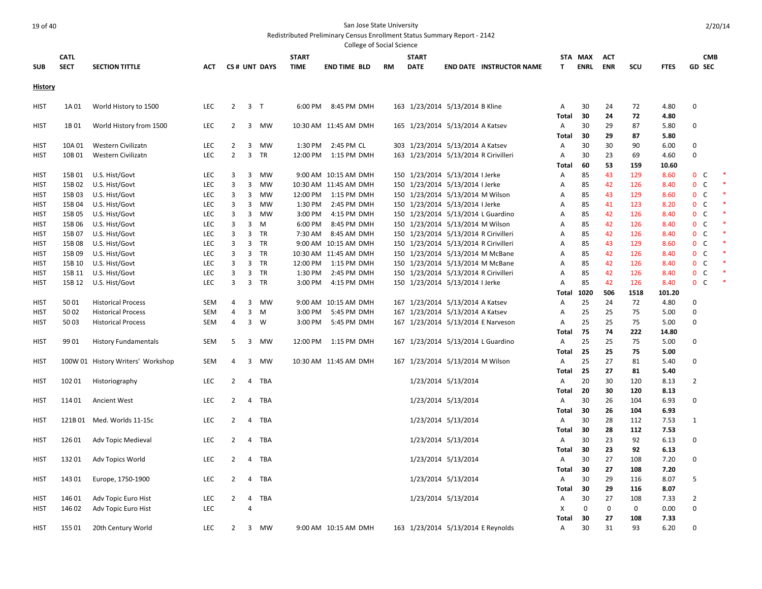College of Social Science

|                            |                  |                                   |                          |                |                                 |                    | College of Social Science  |    |                                       |                     |                                    |                                |             |             |            |               |                                     |  |
|----------------------------|------------------|-----------------------------------|--------------------------|----------------|---------------------------------|--------------------|----------------------------|----|---------------------------------------|---------------------|------------------------------------|--------------------------------|-------------|-------------|------------|---------------|-------------------------------------|--|
|                            | <b>CATL</b>      |                                   |                          |                |                                 | <b>START</b>       |                            |    | <b>START</b>                          |                     |                                    |                                | STA MAX     | <b>ACT</b>  |            |               | <b>CMB</b>                          |  |
| <b>SUB</b>                 | <b>SECT</b>      | <b>SECTION TITTLE</b>             | ACT                      |                | CS# UNT DAYS                    | <b>TIME</b>        | <b>END TIME BLD</b>        | RM | <b>DATE</b>                           |                     | <b>END DATE INSTRUCTOR NAME</b>    | T                              | <b>ENRL</b> | <b>ENR</b>  | SCU        | <b>FTES</b>   | <b>GD SEC</b>                       |  |
| History                    |                  |                                   |                          |                |                                 |                    |                            |    |                                       |                     |                                    |                                |             |             |            |               |                                     |  |
| <b>HIST</b>                | 1A01             | World History to 1500             | LEC                      | $2^{\circ}$    | 3 <sub>T</sub>                  | 6:00 PM            | 8:45 PM DMH                |    | 163 1/23/2014 5/13/2014 B Kline       |                     |                                    | Α                              | 30          | 24          | 72         | 4.80          | $\mathbf 0$                         |  |
|                            |                  |                                   |                          |                |                                 |                    |                            |    |                                       |                     |                                    | Total                          | 30          | 24          | 72         | 4.80          |                                     |  |
| <b>HIST</b>                | 1B01             | World History from 1500           | LEC                      | $\overline{2}$ | $\overline{3}$<br>MW            |                    | 10:30 AM 11:45 AM DMH      |    | 165 1/23/2014 5/13/2014 A Katsev      |                     |                                    | A                              | 30          | 29          | 87         | 5.80          | $\mathbf 0$                         |  |
|                            |                  |                                   |                          |                |                                 |                    |                            |    |                                       |                     |                                    | Total                          | 30          | 29          | 87         | 5.80          |                                     |  |
| <b>HIST</b>                | 10A 01           | Western Civilizatn                | <b>LEC</b>               | $\overline{2}$ | $\overline{3}$<br><b>MW</b>     | 1:30 PM            | 2:45 PM CL                 |    | 303 1/23/2014 5/13/2014 A Katsev      |                     |                                    | Α                              | 30          | 30          | 90         | 6.00          | 0                                   |  |
| <b>HIST</b>                | 10B01            | Western Civilizatn                | <b>LEC</b>               | $\overline{2}$ | $\overline{3}$<br>TR            | 12:00 PM           | 1:15 PM DMH                |    | 163 1/23/2014 5/13/2014 R Cirivilleri |                     |                                    | Α                              | 30          | 23          | 69         | 4.60          | $\mathbf 0$                         |  |
|                            |                  |                                   |                          |                |                                 |                    |                            |    |                                       |                     |                                    | Total                          | 60          | 53          | 159        | 10.60         |                                     |  |
| <b>HIST</b>                | 15B01            | U.S. Hist/Govt                    | <b>LEC</b>               | 3              | 3<br>MW                         |                    | 9:00 AM 10:15 AM DMH       |    | 150 1/23/2014 5/13/2014 I Jerke       |                     |                                    | Α                              | 85          | 43          | 129        | 8.60          | $\mathbf{0}$<br>C                   |  |
| <b>HIST</b>                | 15B02            | U.S. Hist/Govt                    | <b>LEC</b>               | 3              | $\overline{3}$<br>MW            |                    | 10:30 AM 11:45 AM DMH      |    | 150 1/23/2014 5/13/2014 I Jerke       |                     |                                    | Α                              | 85          | 42          | 126        | 8.40          | $\mathbf{0}$<br>C                   |  |
| <b>HIST</b>                | 15B03            | U.S. Hist/Govt                    | <b>LEC</b>               | 3              | 3<br><b>MW</b>                  | 12:00 PM           | 1:15 PM DMH                |    | 150 1/23/2014 5/13/2014 M Wilson      |                     |                                    | Α                              | 85          | 43          | 129        | 8.60          | $\mathbf{0}$<br>C                   |  |
| <b>HIST</b><br><b>HIST</b> | 15B 04<br>15B 05 | U.S. Hist/Govt<br>U.S. Hist/Govt  | <b>LEC</b><br><b>LEC</b> | 3<br>3         | $\overline{3}$<br>MW<br>3<br>MW | 1:30 PM<br>3:00 PM | 2:45 PM DMH<br>4:15 PM DMH |    | 150 1/23/2014 5/13/2014 I Jerke       |                     | 150 1/23/2014 5/13/2014 L Guardino | Α<br>A                         | 85<br>85    | 41<br>42    | 123<br>126 | 8.20<br>8.40  | 0 <sup>o</sup><br>$\mathbf{0}$<br>C |  |
| <b>HIST</b>                | 15B 06           | U.S. Hist/Govt                    | <b>LEC</b>               | 3              | $\overline{3}$<br>M             | 6:00 PM            | 8:45 PM DMH                |    | 150 1/23/2014 5/13/2014 M Wilson      |                     |                                    | $\overline{A}$                 | 85          | 42          | 126        | 8.40          | $\mathsf{C}$<br>$\mathbf{0}$        |  |
| HIST                       | 15B 07           | U.S. Hist/Govt                    | <b>LEC</b>               | 3              | $\overline{3}$<br><b>TR</b>     | 7:30 AM            | 8:45 AM DMH                |    | 150 1/23/2014 5/13/2014 R Cirivilleri |                     |                                    | A                              | 85          | 42          | 126        | 8.40          | $\mathsf{C}$<br>$\mathbf{0}$        |  |
| <b>HIST</b>                | 15B08            | U.S. Hist/Govt                    | <b>LEC</b>               | 3              | 3<br>TR                         |                    | 9:00 AM 10:15 AM DMH       |    | 150 1/23/2014 5/13/2014 R Cirivilleri |                     |                                    | Α                              | 85          | 43          | 129        | 8.60          | 0 <sup>o</sup>                      |  |
| <b>HIST</b>                | 15B 09           | U.S. Hist/Govt                    | <b>LEC</b>               | 3              | $\overline{3}$<br><b>TR</b>     |                    | 10:30 AM 11:45 AM DMH      |    |                                       |                     | 150 1/23/2014 5/13/2014 M McBane   | Α                              | 85          | 42          | 126        | 8.40          | $\mathbf{0}$<br>C                   |  |
| HIST                       | 15B 10           | U.S. Hist/Govt                    | <b>LEC</b>               | 3              | $\overline{3}$<br>TR            | 12:00 PM           | 1:15 PM DMH                |    |                                       |                     | 150 1/23/2014 5/13/2014 M McBane   | A                              | 85          | 42          | 126        | 8.40          | 0 <sup>o</sup>                      |  |
| HIST                       | 15B 11           | U.S. Hist/Govt                    | <b>LEC</b>               | 3              | $\overline{3}$<br><b>TR</b>     | 1:30 PM            | 2:45 PM DMH                |    | 150 1/23/2014 5/13/2014 R Cirivilleri |                     |                                    | A                              | 85          | 42          | 126        | 8.40          | $\mathbf{0}$<br>C                   |  |
| <b>HIST</b>                | 15B 12           | U.S. Hist/Govt                    | <b>LEC</b>               | 3              | $\overline{3}$<br>TR            | 3:00 PM            | 4:15 PM DMH                |    | 150 1/23/2014 5/13/2014 I Jerke       |                     |                                    | Α                              | 85          | 42          | 126        | 8.40          | $\mathbf{0}$<br>C                   |  |
|                            |                  |                                   |                          |                |                                 |                    |                            |    |                                       |                     |                                    | <b>Total</b>                   | 1020        | 506         | 1518       | 101.20        |                                     |  |
| <b>HIST</b>                | 5001             | <b>Historical Process</b>         | <b>SEM</b>               | 4              | $\overline{3}$<br>MW            |                    | 9:00 AM 10:15 AM DMH       |    | 167 1/23/2014 5/13/2014 A Katsev      |                     |                                    | $\overline{A}$                 | 25          | 24          | 72         | 4.80          | 0                                   |  |
| HIST                       | 50 02            | <b>Historical Process</b>         | <b>SEM</b>               | 4              | $\overline{3}$<br>M             | 3:00 PM            | 5:45 PM DMH                |    | 167 1/23/2014 5/13/2014 A Katsev      |                     |                                    | $\overline{A}$                 | 25          | 25          | 75         | 5.00          | 0                                   |  |
| HIST                       | 5003             | <b>Historical Process</b>         | <b>SEM</b>               | $\overline{4}$ | $\overline{3}$<br>W             | 3:00 PM            | 5:45 PM DMH                |    |                                       |                     | 167 1/23/2014 5/13/2014 E Narveson | Α                              | 25<br>75    | 25<br>74    | 75<br>222  | 5.00          | $\mathbf 0$                         |  |
| <b>HIST</b>                | 99 01            | <b>History Fundamentals</b>       | <b>SEM</b>               | 5              | 3<br>MW                         | 12:00 PM           | 1:15 PM DMH                |    |                                       |                     | 167 1/23/2014 5/13/2014 L Guardino | <b>Total</b><br>$\overline{A}$ | 25          | 25          | 75         | 14.80<br>5.00 | 0                                   |  |
|                            |                  |                                   |                          |                |                                 |                    |                            |    |                                       |                     |                                    | Total                          | 25          | 25          | 75         | 5.00          |                                     |  |
| <b>HIST</b>                |                  | 100W 01 History Writers' Workshop | <b>SEM</b>               | 4              | 3<br>MW                         |                    | 10:30 AM 11:45 AM DMH      |    | 167 1/23/2014 5/13/2014 M Wilson      |                     |                                    | Α                              | 25          | 27          | 81         | 5.40          | $\mathbf 0$                         |  |
|                            |                  |                                   |                          |                |                                 |                    |                            |    |                                       |                     |                                    | Total                          | 25          | 27          | 81         | 5.40          |                                     |  |
| <b>HIST</b>                | 102 01           | Historiography                    | <b>LEC</b>               | $\overline{2}$ | TBA<br>4                        |                    |                            |    |                                       | 1/23/2014 5/13/2014 |                                    | A                              | 20          | 30          | 120        | 8.13          | $\overline{2}$                      |  |
|                            |                  |                                   |                          |                |                                 |                    |                            |    |                                       |                     |                                    | Total                          | 20          | 30          | 120        | 8.13          |                                     |  |
| HIST                       | 11401            | <b>Ancient West</b>               | <b>LEC</b>               | $\overline{2}$ | 4<br>TBA                        |                    |                            |    |                                       | 1/23/2014 5/13/2014 |                                    | A                              | 30          | 26          | 104        | 6.93          | $\mathbf 0$                         |  |
|                            |                  |                                   |                          |                |                                 |                    |                            |    |                                       |                     |                                    | Total                          | 30          | 26          | 104        | 6.93          |                                     |  |
| <b>HIST</b>                | 121B01           | Med. Worlds 11-15c                | LEC                      | $\overline{2}$ | TBA<br>4                        |                    |                            |    |                                       | 1/23/2014 5/13/2014 |                                    | A                              | 30          | 28          | 112        | 7.53          | 1                                   |  |
|                            |                  |                                   |                          |                |                                 |                    |                            |    |                                       |                     |                                    | Total                          | 30          | 28          | 112        | 7.53          |                                     |  |
| HIST                       | 126 01           | Adv Topic Medieval                | <b>LEC</b>               | $2^{\circ}$    | TBA<br>4                        |                    |                            |    |                                       | 1/23/2014 5/13/2014 |                                    | A                              | 30          | 23          | 92         | 6.13          | $\mathbf 0$                         |  |
|                            |                  |                                   |                          |                |                                 |                    |                            |    |                                       |                     |                                    | Total                          | 30          | 23          | 92         | 6.13          |                                     |  |
| <b>HIST</b>                | 13201            | Adv Topics World                  | LEC                      | $\overline{2}$ | TBA<br>4                        |                    |                            |    |                                       | 1/23/2014 5/13/2014 |                                    | Α                              | 30<br>30    | 27<br>27    | 108<br>108 | 7.20<br>7.20  | $\mathbf 0$                         |  |
| <b>HIST</b>                | 14301            | Europe, 1750-1900                 | <b>LEC</b>               | $\overline{2}$ | TBA<br>$\overline{4}$           |                    |                            |    |                                       | 1/23/2014 5/13/2014 |                                    | Total<br>A                     | 30          | 29          | 116        | 8.07          | 5                                   |  |
|                            |                  |                                   |                          |                |                                 |                    |                            |    |                                       |                     |                                    | Total                          | 30          | 29          | 116        | 8.07          |                                     |  |
| <b>HIST</b>                | 146 01           | Adv Topic Euro Hist               | LEC                      | $2^{\circ}$    | TBA<br>$\overline{4}$           |                    |                            |    |                                       | 1/23/2014 5/13/2014 |                                    | Α                              | 30          | 27          | 108        | 7.33          | $\overline{2}$                      |  |
| <b>HIST</b>                | 14602            | Adv Topic Euro Hist               | <b>LEC</b>               |                | $\overline{4}$                  |                    |                            |    |                                       |                     |                                    | X                              | $\mathbf 0$ | $\mathbf 0$ | 0          | 0.00          | $\pmb{0}$                           |  |
|                            |                  |                                   |                          |                |                                 |                    |                            |    |                                       |                     |                                    | Total                          | 30          | 27          | 108        | 7.33          |                                     |  |
| <b>HIST</b>                | 15501            | 20th Century World                | LEC                      | $2^{\circ}$    | MW<br>$\overline{3}$            |                    | 9:00 AM 10:15 AM DMH       |    |                                       |                     | 163 1/23/2014 5/13/2014 E Reynolds | Α                              | 30          | 31          | 93         | 6.20          | $\mathbf 0$                         |  |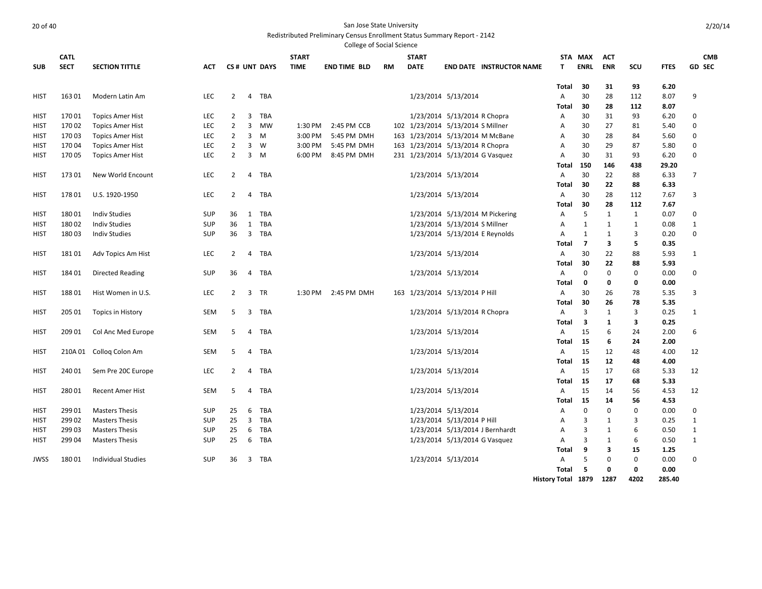|             |             |                           |            |                |                |              |              | College of Social Science |    |              |                                   |                    |                |               |                   |              |               |
|-------------|-------------|---------------------------|------------|----------------|----------------|--------------|--------------|---------------------------|----|--------------|-----------------------------------|--------------------|----------------|---------------|-------------------|--------------|---------------|
|             | <b>CATL</b> |                           |            |                |                |              | <b>START</b> |                           |    | <b>START</b> |                                   |                    | STA MAX        | <b>ACT</b>    |                   |              | <b>CMB</b>    |
| <b>SUB</b>  | <b>SECT</b> | <b>SECTION TITTLE</b>     | ACT        |                |                | CS# UNT DAYS | <b>TIME</b>  | <b>END TIME BLD</b>       | RM | <b>DATE</b>  | <b>END DATE INSTRUCTOR NAME</b>   | т                  | <b>ENRL</b>    | <b>ENR</b>    | scu               | <b>FTES</b>  | <b>GD SEC</b> |
|             |             |                           |            |                |                |              |              |                           |    |              |                                   | Total              | 30             | 31            | 93                | 6.20         |               |
| <b>HIST</b> | 16301       | Modern Latin Am           | <b>LEC</b> | $\overline{2}$ | 4              | TBA          |              |                           |    |              | 1/23/2014 5/13/2014               | A                  | 30             | 28            | 112               | 8.07         | 9             |
|             |             |                           |            |                |                |              |              |                           |    |              |                                   | Total              | 30             | 28            | 112               | 8.07         |               |
| HIST        | 17001       | <b>Topics Amer Hist</b>   | <b>LEC</b> | $\overline{2}$ | 3              | TBA          |              |                           |    |              | 1/23/2014 5/13/2014 R Chopra      | A                  | 30             | 31            | 93                | 6.20         | $\mathbf 0$   |
| HIST        | 17002       | <b>Topics Amer Hist</b>   | <b>LEC</b> | $\overline{2}$ | 3              | MW           | 1:30 PM      | 2:45 PM CCB               |    |              | 102 1/23/2014 5/13/2014 S Millner | Α                  | 30             | 27            | 81                | 5.40         | $\mathbf 0$   |
| HIST        | 17003       | <b>Topics Amer Hist</b>   | <b>LEC</b> | $\overline{2}$ | $\overline{3}$ | M            | 3:00 PM      | 5:45 PM DMH               |    |              | 163 1/23/2014 5/13/2014 M McBane  | A                  | 30             | 28            | 84                | 5.60         | $\mathbf 0$   |
| HIST        | 17004       | <b>Topics Amer Hist</b>   | <b>LEC</b> | $\overline{2}$ | 3              | W            | 3:00 PM      | 5:45 PM DMH               |    |              | 163 1/23/2014 5/13/2014 R Chopra  | A                  | 30             | 29            | 87                | 5.80         | 0             |
| HIST        | 17005       | <b>Topics Amer Hist</b>   | <b>LEC</b> | $\overline{2}$ | 3              | M            | 6:00 PM      | 8:45 PM DMH               |    |              | 231 1/23/2014 5/13/2014 G Vasquez | A                  | 30             | 31            | 93                | 6.20         | 0             |
|             |             |                           |            |                |                |              |              |                           |    |              |                                   | Total              | 150            | 146           | 438               | 29.20        |               |
| HIST        | 17301       | New World Encount         | <b>LEC</b> | $\overline{2}$ | $\overline{4}$ | TBA          |              |                           |    |              | 1/23/2014 5/13/2014               | A                  | 30             | 22            | 88                | 6.33         | 7             |
|             |             |                           |            |                |                |              |              |                           |    |              |                                   | <b>Total</b>       | 30             | 22            | 88                | 6.33         |               |
| HIST        | 17801       | U.S. 1920-1950            | <b>LEC</b> | $\overline{2}$ | $\overline{4}$ | TBA          |              |                           |    |              | 1/23/2014 5/13/2014               | A                  | 30             | 28            | 112               | 7.67         | 3             |
|             |             |                           |            |                |                |              |              |                           |    |              |                                   | Total              | 30             | 28            | 112               | 7.67         |               |
| HIST        | 18001       | <b>Indiv Studies</b>      | <b>SUP</b> | 36             | 1              | TBA          |              |                           |    |              | 1/23/2014 5/13/2014 M Pickering   | A                  | 5              | $\mathbf{1}$  | 1                 | 0.07         | 0             |
| <b>HIST</b> | 18002       | <b>Indiv Studies</b>      | <b>SUP</b> | 36             | 1              | <b>TBA</b>   |              |                           |    |              | 1/23/2014 5/13/2014 S Millner     | A                  | $\mathbf{1}$   | $\mathbf{1}$  | $\mathbf{1}$      | 0.08         | 1             |
| HIST        | 18003       | <b>Indiv Studies</b>      | <b>SUP</b> | 36             | $\overline{3}$ | TBA          |              |                           |    |              | 1/23/2014 5/13/2014 E Reynolds    | A                  | 1              | 1             | 3                 | 0.20         | $\mathbf 0$   |
|             |             |                           |            |                |                |              |              |                           |    |              |                                   | <b>Total</b>       | $\overline{7}$ | 3             | 5                 | 0.35         |               |
| HIST        | 18101       | Adv Topics Am Hist        | <b>LEC</b> | $\overline{2}$ | $\overline{4}$ | TBA          |              |                           |    |              | 1/23/2014 5/13/2014               | A                  | 30             | 22            | 88                | 5.93         | 1             |
|             |             |                           |            |                |                |              |              |                           |    |              |                                   | Total              | 30             | 22            | 88                | 5.93         |               |
| HIST        | 18401       | Directed Reading          | <b>SUP</b> | 36             | 4              | TBA          |              |                           |    |              | 1/23/2014 5/13/2014               | A                  | 0              | $\Omega$      | $\mathbf 0$       | 0.00         | 0             |
|             |             |                           |            |                |                |              |              |                           |    |              |                                   | Total              | 0              | 0             | 0                 | 0.00         |               |
| HIST        | 18801       | Hist Women in U.S.        | <b>LEC</b> | $2^{\circ}$    | $\overline{3}$ | TR           | 1:30 PM      | 2:45 PM DMH               |    |              | 163 1/23/2014 5/13/2014 P Hill    | A                  | 30             | 26            | 78                | 5.35         | 3             |
|             |             |                           |            |                |                |              |              |                           |    |              |                                   | Total              | 30             | 26            | 78                | 5.35         |               |
| HIST        | 205 01      | <b>Topics in History</b>  | <b>SEM</b> | 5              | 3              | <b>TBA</b>   |              |                           |    |              | 1/23/2014 5/13/2014 R Chopra      | A                  | 3              | 1             | 3                 | 0.25         | 1             |
|             |             |                           |            |                |                |              |              |                           |    |              |                                   | Total              | 3              | 1             | 3                 | 0.25         |               |
| <b>HIST</b> | 209 01      | Col Anc Med Europe        | <b>SEM</b> | 5              | 4              | TBA          |              |                           |    |              | 1/23/2014 5/13/2014               | A                  | 15             | 6             | 24                | 2.00         | 6             |
|             |             |                           |            |                |                |              |              |                           |    |              |                                   | Total              | 15             | 6             | 24                | 2.00         |               |
| <b>HIST</b> |             | 210A 01 Collog Colon Am   | SEM        | 5              | 4              | TBA          |              |                           |    |              | 1/23/2014 5/13/2014               | A                  | 15             | 12            | 48                | 4.00         | 12            |
|             |             |                           |            |                |                |              |              |                           |    |              |                                   | Total              | -15            | 12            | 48                | 4.00         |               |
| HIST        | 240 01      | Sem Pre 20C Europe        | <b>LEC</b> | $\overline{2}$ | 4              | TBA          |              |                           |    |              | 1/23/2014 5/13/2014               | A                  | 15             | 17            | 68                | 5.33         | 12            |
|             |             |                           |            |                |                |              |              |                           |    |              |                                   | Total              | 15             | 17            | 68                | 5.33         |               |
| <b>HIST</b> | 28001       | <b>Recent Amer Hist</b>   | SEM        | 5              | $\overline{4}$ | TBA          |              |                           |    |              | 1/23/2014 5/13/2014               | A                  | 15             | 14            | 56                | 4.53         | 12            |
|             |             |                           |            |                |                |              |              |                           |    |              |                                   | Total              | 15             | 14            | 56                | 4.53         |               |
| <b>HIST</b> | 299 01      | <b>Masters Thesis</b>     | <b>SUP</b> | 25             | 6              | TBA          |              |                           |    |              | 1/23/2014 5/13/2014               | A                  | $\mathbf 0$    | 0             | 0                 | 0.00         | $\mathbf 0$   |
| HIST        | 29902       | <b>Masters Thesis</b>     | <b>SUP</b> | 25             | $\overline{3}$ | TBA          |              |                           |    |              | 1/23/2014 5/13/2014 P Hill        | A                  | 3<br>3         | 1             | 3                 | 0.25         | $\mathbf{1}$  |
| <b>HIST</b> | 29903       | <b>Masters Thesis</b>     | <b>SUP</b> | 25             | 6              | <b>TBA</b>   |              |                           |    |              | 1/23/2014 5/13/2014 J Bernhardt   | A                  |                | 1             | 6                 | 0.50         | $\mathbf 1$   |
| <b>HIST</b> | 29904       | <b>Masters Thesis</b>     | <b>SUP</b> | 25             | 6              | TBA          |              |                           |    |              | 1/23/2014 5/13/2014 G Vasquez     | A                  | 3              | 1             | 6                 | 0.50         | 1             |
| <b>JWSS</b> | 18001       | <b>Individual Studies</b> | <b>SUP</b> | 36             | $\overline{3}$ | TBA          |              |                           |    |              |                                   | Total<br>A         | 9<br>5         | 3<br>$\Omega$ | 15<br>$\mathbf 0$ | 1.25<br>0.00 | $\mathbf 0$   |
|             |             |                           |            |                |                |              |              |                           |    |              | 1/23/2014 5/13/2014               | Total              | 5              | 0             | 0                 | 0.00         |               |
|             |             |                           |            |                |                |              |              |                           |    |              |                                   | History Total 1879 |                | 1287          | 4202              | 285.40       |               |
|             |             |                           |            |                |                |              |              |                           |    |              |                                   |                    |                |               |                   |              |               |

2/20/14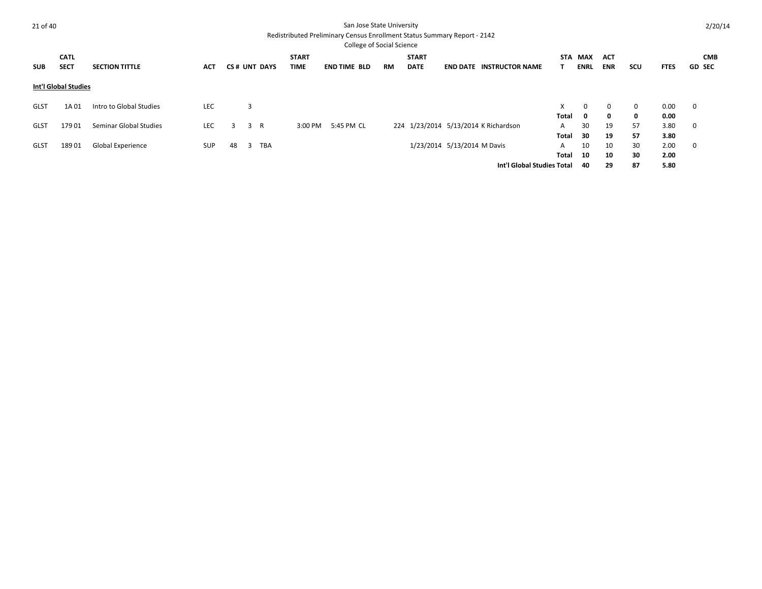| 21 of 40    |                             |                          |            |    |                     |              | San Jose State University                                                |           |              |                             |                                      |              |              |              |             |             | 2/20/14       |
|-------------|-----------------------------|--------------------------|------------|----|---------------------|--------------|--------------------------------------------------------------------------|-----------|--------------|-----------------------------|--------------------------------------|--------------|--------------|--------------|-------------|-------------|---------------|
|             |                             |                          |            |    |                     |              | Redistributed Preliminary Census Enrollment Status Summary Report - 2142 |           |              |                             |                                      |              |              |              |             |             |               |
|             |                             |                          |            |    |                     |              | <b>College of Social Science</b>                                         |           |              |                             |                                      |              |              |              |             |             |               |
|             | <b>CATL</b>                 |                          |            |    |                     | <b>START</b> |                                                                          |           | <b>START</b> |                             |                                      | STA          | MAX          | <b>ACT</b>   |             |             | <b>CMB</b>    |
| <b>SUB</b>  | <b>SECT</b>                 | <b>SECTION TITTLE</b>    | <b>ACT</b> |    | <b>CS# UNT DAYS</b> | <b>TIME</b>  | <b>END TIME BLD</b>                                                      | <b>RM</b> | <b>DATE</b>  |                             | <b>END DATE INSTRUCTOR NAME</b>      |              | <b>ENRL</b>  | <b>ENR</b>   | scu         | <b>FTES</b> | <b>GD SEC</b> |
|             | <b>Int'l Global Studies</b> |                          |            |    |                     |              |                                                                          |           |              |                             |                                      |              |              |              |             |             |               |
| <b>GLST</b> | 1A 01                       | Intro to Global Studies  | LEC        |    | 3                   |              |                                                                          |           |              |                             |                                      | X.           | $\mathbf 0$  | $\mathbf 0$  | $\mathbf 0$ | 0.00        | $\mathbf 0$   |
|             |                             |                          |            |    |                     |              |                                                                          |           |              |                             |                                      | Total        | $\mathbf{0}$ | $\mathbf{0}$ | 0           | 0.00        |               |
| <b>GLST</b> | 17901                       | Seminar Global Studies   | <b>LEC</b> | 3  | R<br>3              | 3:00 PM      | 5:45 PM CL                                                               |           |              |                             | 224 1/23/2014 5/13/2014 K Richardson | A            | 30           | 19           | 57          | 3.80        | $\mathbf 0$   |
|             |                             |                          |            |    |                     |              |                                                                          |           |              |                             |                                      | Total        | 30           | 19           | 57          | 3.80        |               |
| <b>GLST</b> | 18901                       | <b>Global Experience</b> | <b>SUP</b> | 48 | TBA<br>3            |              |                                                                          |           |              | 1/23/2014 5/13/2014 M Davis |                                      | A            | 10           | 10           | 30          | 2.00        | $\mathbf 0$   |
|             |                             |                          |            |    |                     |              |                                                                          |           |              |                             |                                      | <b>Total</b> | 10           | 10           | 30          | 2.00        |               |
|             |                             |                          |            |    |                     |              |                                                                          |           |              |                             | Int'l Global Studies Total           |              | 40           | 29           | 87          | 5.80        |               |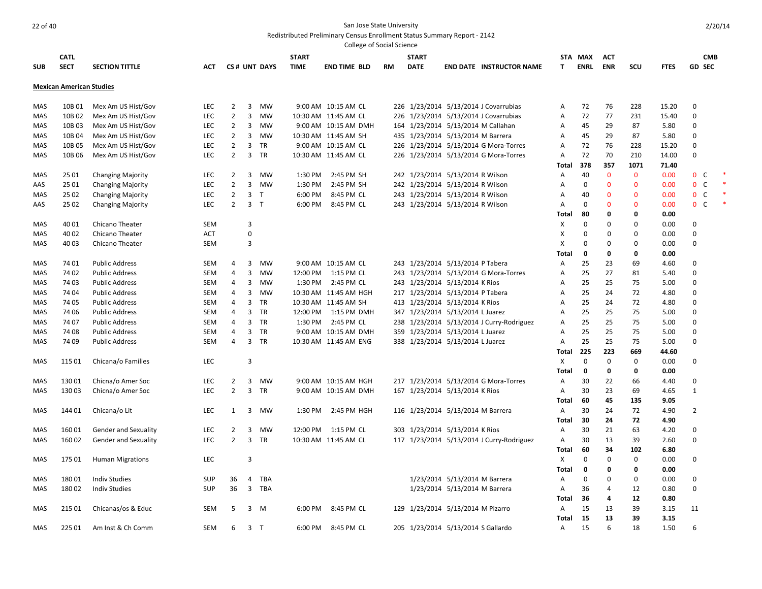|            |                                 |                             |            |                |                         |              |              | <b>College of Social Science</b> |    |                                    |                               |                                           |                |             |              |              |             |                         |  |
|------------|---------------------------------|-----------------------------|------------|----------------|-------------------------|--------------|--------------|----------------------------------|----|------------------------------------|-------------------------------|-------------------------------------------|----------------|-------------|--------------|--------------|-------------|-------------------------|--|
|            | <b>CATL</b>                     |                             |            |                |                         |              | <b>START</b> |                                  |    | <b>START</b>                       |                               |                                           |                | STA MAX     | <b>ACT</b>   |              |             | <b>CMB</b>              |  |
| <b>SUB</b> | <b>SECT</b>                     | <b>SECTION TITTLE</b>       | ACT        |                |                         | CS# UNT DAYS | <b>TIME</b>  | <b>END TIME BLD</b>              | RM | <b>DATE</b>                        |                               | <b>END DATE INSTRUCTOR NAME</b>           | T              | <b>ENRL</b> | <b>ENR</b>   | SCU          | <b>FTES</b> | <b>GD SEC</b>           |  |
|            | <b>Mexican American Studies</b> |                             |            |                |                         |              |              |                                  |    |                                    |                               |                                           |                |             |              |              |             |                         |  |
| MAS        | 10B 01                          | Mex Am US Hist/Gov          | LEC        | 2              | 3                       | MW           |              | 9:00 AM 10:15 AM CL              |    |                                    |                               | 226 1/23/2014 5/13/2014 J Covarrubias     | A              | 72          | 76           | 228          | 15.20       | $\mathbf 0$             |  |
| MAS        | 10B 02                          | Mex Am US Hist/Gov          | LEC        | $\overline{2}$ | 3                       | MW           |              | 10:30 AM 11:45 AM CL             |    |                                    |                               | 226 1/23/2014 5/13/2014 J Covarrubias     | Α              | 72          | 77           | 231          | 15.40       | 0                       |  |
| MAS        | 10B 03                          | Mex Am US Hist/Gov          | LEC        | $\overline{2}$ | 3                       | MW           |              | 9:00 AM 10:15 AM DMH             |    |                                    |                               | 164 1/23/2014 5/13/2014 M Callahan        | A              | 45          | 29           | 87           | 5.80        | 0                       |  |
| MAS        | 10B 04                          | Mex Am US Hist/Gov          | LEC        | $\overline{2}$ | 3                       | MW           |              | 10:30 AM 11:45 AM SH             |    | 435 1/23/2014 5/13/2014 M Barrera  |                               |                                           | Α              | 45          | 29           | 87           | 5.80        | 0                       |  |
| MAS        | 10B 05                          | Mex Am US Hist/Gov          | LEC        | $\overline{2}$ | 3                       | <b>TR</b>    |              | 9:00 AM 10:15 AM CL              |    |                                    |                               | 226 1/23/2014 5/13/2014 G Mora-Torres     | Α              | 72          | 76           | 228          | 15.20       | $\mathbf 0$             |  |
| MAS        | 10B 06                          | Mex Am US Hist/Gov          | <b>LEC</b> | $\overline{2}$ | 3                       | TR           |              | 10:30 AM 11:45 AM CL             |    |                                    |                               | 226 1/23/2014 5/13/2014 G Mora-Torres     | Α              | 72          | 70           | 210          | 14.00       | 0                       |  |
|            |                                 |                             |            |                |                         |              |              |                                  |    |                                    |                               |                                           | Total          | 378         | 357          | 1071         | 71.40       |                         |  |
| MAS        | 25 01                           | <b>Changing Majority</b>    | <b>LEC</b> | $\overline{2}$ | 3                       | MW           | 1:30 PM      | 2:45 PM SH                       |    | 242 1/23/2014 5/13/2014 R Wilson   |                               |                                           | Α              | 40          | $\mathbf 0$  | $\mathbf 0$  | 0.00        | $\mathbf{0}$<br>C       |  |
| AAS        | 25 01                           | <b>Changing Majority</b>    | LEC        | $\overline{2}$ | 3                       | MW           | 1:30 PM      | 2:45 PM SH                       |    | 242 1/23/2014 5/13/2014 R Wilson   |                               |                                           | $\overline{A}$ | $\Omega$    | $\mathbf{0}$ | $\mathbf{0}$ | 0.00        | $\mathbf 0$<br>C        |  |
| MAS        | 25 02                           | <b>Changing Majority</b>    | LEC        | $\overline{2}$ | $\overline{\mathbf{3}}$ | $\top$       | 6:00 PM      | 8:45 PM CL                       |    | 243 1/23/2014 5/13/2014 R Wilson   |                               |                                           | A              | 40          | $\mathbf 0$  | $\Omega$     | 0.00        | $\mathbf 0$<br><b>C</b> |  |
| AAS        | 25 02                           | <b>Changing Majority</b>    | LEC        | $\overline{2}$ | 3 <sub>T</sub>          |              | 6:00 PM      | 8:45 PM CL                       |    | 243 1/23/2014 5/13/2014 R Wilson   |                               |                                           | $\overline{A}$ | $\mathbf 0$ | $\mathbf{0}$ | $\Omega$     | 0.00        | $\mathbf 0$<br>C        |  |
|            |                                 |                             |            |                |                         |              |              |                                  |    |                                    |                               |                                           | Total          | 80          | 0            | $\Omega$     | 0.00        |                         |  |
| MAS        | 40 01                           | Chicano Theater             | <b>SEM</b> |                | 3                       |              |              |                                  |    |                                    |                               |                                           | X              | 0           | $\mathbf 0$  | $\Omega$     | 0.00        | $\Omega$                |  |
| MAS        | 40 02                           | Chicano Theater             | ACT        |                | $\pmb{0}$               |              |              |                                  |    |                                    |                               |                                           | Χ              | 0           | 0            | $\Omega$     | 0.00        | $\Omega$                |  |
| MAS        | 4003                            | Chicano Theater             | <b>SEM</b> |                | 3                       |              |              |                                  |    |                                    |                               |                                           | X              | $\mathbf 0$ | $\mathbf 0$  | $\Omega$     | 0.00        | $\mathbf 0$             |  |
|            |                                 |                             |            |                |                         |              |              |                                  |    |                                    |                               |                                           | Total          | 0           | 0            | $\Omega$     | 0.00        |                         |  |
| MAS        | 74 01                           | <b>Public Address</b>       | <b>SEM</b> | 4              | 3                       | <b>MW</b>    |              | 9:00 AM 10:15 AM CL              |    | 243 1/23/2014 5/13/2014 P Tabera   |                               |                                           | Α              | 25          | 23           | 69           | 4.60        | 0                       |  |
| MAS        | 74 02                           | <b>Public Address</b>       | <b>SEM</b> | 4              | 3                       | <b>MW</b>    |              | 12:00 PM 1:15 PM CL              |    |                                    |                               | 243 1/23/2014 5/13/2014 G Mora-Torres     | A              | 25          | 27           | 81           | 5.40        | $\pmb{0}$               |  |
| MAS        | 74 03                           | <b>Public Address</b>       | <b>SEM</b> | 4              | 3                       | <b>MW</b>    | 1:30 PM      | 2:45 PM CL                       |    | 243 1/23/2014 5/13/2014 K Rios     |                               |                                           | Α              | 25          | 25           | 75           | 5.00        | 0                       |  |
| MAS        | 74 04                           | <b>Public Address</b>       | SEM        | 4              | 3                       | MW           |              | 10:30 AM 11:45 AM HGH            |    | 217 1/23/2014 5/13/2014 P Tabera   |                               |                                           | A              | 25          | 24           | 72           | 4.80        | 0                       |  |
| MAS        | 74 05                           | <b>Public Address</b>       | <b>SEM</b> | 4              | 3                       | <b>TR</b>    |              | 10:30 AM 11:45 AM SH             |    | 413 1/23/2014 5/13/2014 K Rios     |                               |                                           | Α              | 25          | 24           | 72           | 4.80        | 0                       |  |
| MAS        | 74 06                           | <b>Public Address</b>       | SEM        | 4              | 3                       | TR           |              | 12:00 PM 1:15 PM DMH             |    | 347 1/23/2014 5/13/2014 L Juarez   |                               |                                           | A              | 25          | 25           | 75           | 5.00        | 0                       |  |
| MAS        | 74 07                           | <b>Public Address</b>       | <b>SEM</b> | 4              | 3                       | TR           | 1:30 PM      | 2:45 PM CL                       |    |                                    |                               | 238 1/23/2014 5/13/2014 J Curry-Rodriguez | Α              | 25          | 25           | 75           | 5.00        | 0                       |  |
| MAS        | 74 08                           | <b>Public Address</b>       | SEM        | 4              | 3                       | <b>TR</b>    |              | 9:00 AM 10:15 AM DMH             |    | 359 1/23/2014 5/13/2014 L Juarez   |                               |                                           | $\overline{A}$ | 25          | 25           | 75           | 5.00        | $\mathbf 0$             |  |
| MAS        | 74 09                           | <b>Public Address</b>       | <b>SEM</b> | $\overline{4}$ | 3                       | <b>TR</b>    |              | 10:30 AM 11:45 AM ENG            |    | 338 1/23/2014 5/13/2014 L Juarez   |                               |                                           | Α              | 25          | 25           | 75           | 5.00        | 0                       |  |
|            |                                 |                             |            |                |                         |              |              |                                  |    |                                    |                               |                                           | Total          | 225         | 223          | 669          | 44.60       |                         |  |
| MAS        | 115 01                          | Chicana/o Families          | <b>LEC</b> |                | 3                       |              |              |                                  |    |                                    |                               |                                           | X              | $\mathbf 0$ | $\mathbf 0$  | 0            | 0.00        | $\mathbf 0$             |  |
|            |                                 |                             |            |                |                         |              |              |                                  |    |                                    |                               |                                           | Total          | $\mathbf 0$ | $\mathbf 0$  | 0            | 0.00        |                         |  |
| MAS        | 13001                           | Chicna/o Amer Soc           | <b>LEC</b> | 2              | 3                       | MW           |              | 9:00 AM 10:15 AM HGH             |    |                                    |                               | 217 1/23/2014 5/13/2014 G Mora-Torres     | A              | 30          | 22           | 66           | 4.40        | $\mathbf 0$             |  |
| MAS        | 13003                           | Chicna/o Amer Soc           | <b>LEC</b> | $\overline{2}$ | 3                       | <b>TR</b>    |              | 9:00 AM 10:15 AM DMH             |    | 167 1/23/2014 5/13/2014 K Rios     |                               |                                           | A              | 30          | 23           | 69           | 4.65        | $\mathbf{1}$            |  |
|            |                                 |                             |            |                |                         |              |              |                                  |    |                                    |                               |                                           | Total          | 60          | 45           | 135          | 9.05        |                         |  |
| MAS        | 14401                           | Chicana/o Lit               | LEC        | 1              | 3                       | MW           | 1:30 PM      | 2:45 PM HGH                      |    | 116 1/23/2014 5/13/2014 M Barrera  |                               |                                           | A              | 30          | 24           | 72           | 4.90        | $\overline{2}$          |  |
|            |                                 |                             |            |                |                         |              |              |                                  |    |                                    |                               |                                           | <b>Total</b>   | 30          | 24           | 72           | 4.90        |                         |  |
| MAS        | 16001                           | <b>Gender and Sexuality</b> | <b>LEC</b> | $\overline{2}$ | 3                       | MW           |              | 12:00 PM 1:15 PM CL              |    | 303 1/23/2014 5/13/2014 K Rios     |                               |                                           | A              | 30          | 21           | 63           | 4.20        | $\mathbf 0$             |  |
| MAS        | 16002                           | Gender and Sexuality        | <b>LEC</b> | $\overline{2}$ | 3                       | TR           |              | 10:30 AM 11:45 AM CL             |    |                                    |                               | 117 1/23/2014 5/13/2014 J Curry-Rodriguez | A              | 30          | 13           | 39           | 2.60        | 0                       |  |
|            |                                 |                             |            |                |                         |              |              |                                  |    |                                    |                               |                                           | Total          | 60          | 34           | 102          | 6.80        |                         |  |
| MAS        | 17501                           | <b>Human Migrations</b>     | <b>LEC</b> |                | 3                       |              |              |                                  |    |                                    |                               |                                           | Χ              | $\mathbf 0$ | $\mathbf 0$  | 0            | 0.00        | 0                       |  |
|            |                                 |                             |            |                |                         |              |              |                                  |    |                                    |                               |                                           | Total          | 0           | 0            | 0            | 0.00        |                         |  |
| MAS        | 18001                           | <b>Indiv Studies</b>        | <b>SUP</b> | 36             | 4                       | <b>TBA</b>   |              |                                  |    |                                    | 1/23/2014 5/13/2014 M Barrera |                                           | A              | $\Omega$    | 0            | $\Omega$     | 0.00        | 0                       |  |
| MAS        | 18002                           | <b>Indiv Studies</b>        | <b>SUP</b> | 36             | 3                       | <b>TBA</b>   |              |                                  |    |                                    | 1/23/2014 5/13/2014 M Barrera |                                           | $\overline{A}$ | 36          | 4            | 12           | 0.80        | $\mathbf 0$             |  |
|            |                                 |                             |            |                |                         |              |              |                                  |    |                                    |                               |                                           | Total          | -36         | 4            | 12           | 0.80        |                         |  |
| MAS        | 215 01                          | Chicanas/os & Educ          | <b>SEM</b> | -5             | 3                       | <b>M</b>     | 6:00 PM      | 8:45 PM CL                       |    | 129 1/23/2014 5/13/2014 M Pizarro  |                               |                                           | $\overline{A}$ | 15          | 13           | 39           | 3.15        | 11                      |  |
|            |                                 |                             |            |                |                         |              |              |                                  |    |                                    |                               |                                           | Total          | 15          | 13           | 39           | 3.15        |                         |  |
| MAS        | 225 01                          | Am Inst & Ch Comm           | <b>SEM</b> | 6              | 3 <sub>T</sub>          |              | 6:00 PM      | 8:45 PM CL                       |    | 205 1/23/2014 5/13/2014 S Gallardo |                               |                                           | A              | 15          | 6            | 18           | 1.50        | 6                       |  |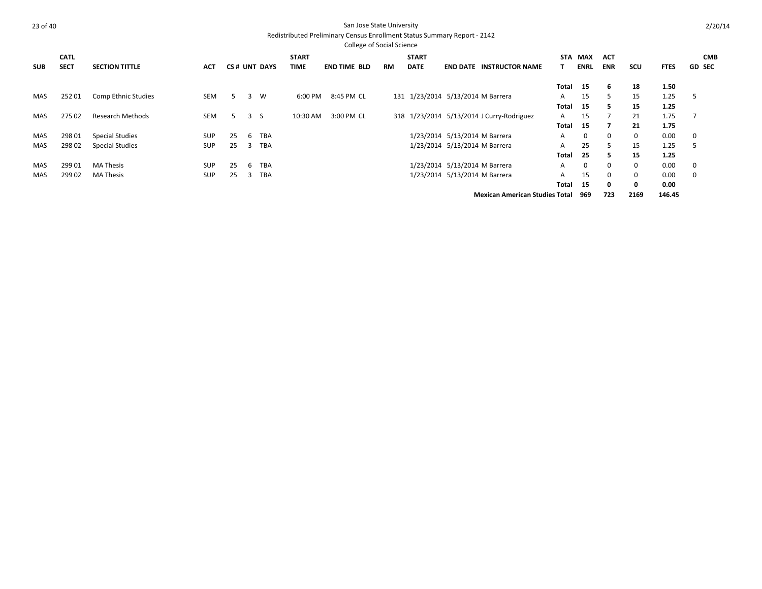|            |             |                        |            |    |    |              |              | <b>College of Social Science</b> |           |                                   |                               |                                           |            |             |            |             |             |             |               |
|------------|-------------|------------------------|------------|----|----|--------------|--------------|----------------------------------|-----------|-----------------------------------|-------------------------------|-------------------------------------------|------------|-------------|------------|-------------|-------------|-------------|---------------|
|            | <b>CATL</b> |                        |            |    |    |              | <b>START</b> |                                  |           | <b>START</b>                      |                               |                                           | <b>STA</b> | MAX         | <b>ACT</b> |             |             |             | <b>CMB</b>    |
| <b>SUB</b> | <b>SECT</b> | <b>SECTION TITTLE</b>  | ACT        |    |    | CS# UNT DAYS | TIME         | <b>END TIME BLD</b>              | <b>RM</b> | <b>DATE</b>                       |                               | <b>END DATE INSTRUCTOR NAME</b>           |            | <b>ENRL</b> | <b>ENR</b> | scu         | <b>FTES</b> |             | <b>GD SEC</b> |
|            |             |                        |            |    |    |              |              |                                  |           |                                   |                               |                                           | Total      | 15          | -6         | 18          | 1.50        |             |               |
| MAS        | 25201       | Comp Ethnic Studies    | <b>SEM</b> | 5. | 3  | W            | 6:00 PM      | 8:45 PM CL                       |           | 131 1/23/2014 5/13/2014 M Barrera |                               |                                           | A          | 15          | 5          | 15          | 1.25        | 5           |               |
|            |             |                        |            |    |    |              |              |                                  |           |                                   |                               |                                           | Total      | 15          | 5.         | 15          | 1.25        |             |               |
| <b>MAS</b> | 27502       | Research Methods       | <b>SEM</b> | 5. | 3S |              | 10:30 AM     | 3:00 PM CL                       |           |                                   |                               | 318 1/23/2014 5/13/2014 J Curry-Rodriguez | A          | 15          |            | 21          | 1.75        |             |               |
|            |             |                        |            |    |    |              |              |                                  |           |                                   |                               |                                           | Total      | 15          | 7          | 21          | 1.75        |             |               |
| MAS        | 298 01      | <b>Special Studies</b> | <b>SUP</b> | 25 | 6  | <b>TBA</b>   |              |                                  |           |                                   | 1/23/2014 5/13/2014 M Barrera |                                           | A          | $\mathbf 0$ | $\Omega$   | $\mathbf 0$ | 0.00        | $\mathbf 0$ |               |
| MAS        | 29802       | Special Studies        | <b>SUP</b> | 25 | 3  | <b>TBA</b>   |              |                                  |           |                                   | 1/23/2014 5/13/2014 M Barrera |                                           | A          | 25          | 5.         | 15          | 1.25        | 5           |               |
|            |             |                        |            |    |    |              |              |                                  |           |                                   |                               |                                           | Total      | 25          | 5.         | 15          | 1.25        |             |               |
| <b>MAS</b> | 299 01      | <b>MA Thesis</b>       | <b>SUP</b> | 25 | 6  | <b>TBA</b>   |              |                                  |           |                                   | 1/23/2014 5/13/2014 M Barrera |                                           | A          | $\mathbf 0$ | $\Omega$   | $\mathbf 0$ | 0.00        | 0           |               |
| MAS        | 29902       | <b>MA Thesis</b>       | <b>SUP</b> | 25 | -3 | <b>TBA</b>   |              |                                  |           |                                   | 1/23/2014 5/13/2014 M Barrera |                                           | A          | 15          | $\Omega$   | $\mathbf 0$ | 0.00        | 0           |               |
|            |             |                        |            |    |    |              |              |                                  |           |                                   |                               |                                           | Total      | 15          | 0          | $\mathbf 0$ | 0.00        |             |               |
|            |             |                        |            |    |    |              |              |                                  |           |                                   |                               | <b>Mexican American Studies Total</b>     |            | 969         | 723        | 2169        | 146.45      |             |               |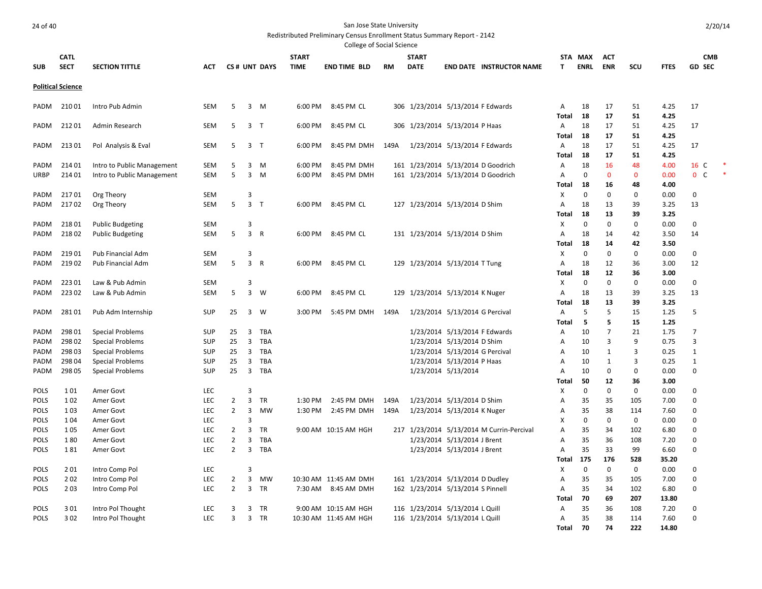.<br>College of Social Science

|             |                          |                            |            |                |                |                |              | Conced or bodier belence |      |              |                                   |                                           |                |             |                |             |             |                  |  |
|-------------|--------------------------|----------------------------|------------|----------------|----------------|----------------|--------------|--------------------------|------|--------------|-----------------------------------|-------------------------------------------|----------------|-------------|----------------|-------------|-------------|------------------|--|
|             | <b>CATL</b>              |                            |            |                |                |                | <b>START</b> |                          |      | <b>START</b> |                                   |                                           |                | STA MAX     | <b>ACT</b>     |             |             | <b>CMB</b>       |  |
| <b>SUB</b>  | <b>SECT</b>              | <b>SECTION TITTLE</b>      | <b>ACT</b> |                |                | CS# UNT DAYS   | <b>TIME</b>  | <b>END TIME BLD</b>      | RM   | <b>DATE</b>  |                                   | <b>END DATE INSTRUCTOR NAME</b>           | T              | <b>ENRL</b> | <b>ENR</b>     | scu         | <b>FTES</b> | <b>GD SEC</b>    |  |
|             |                          |                            |            |                |                |                |              |                          |      |              |                                   |                                           |                |             |                |             |             |                  |  |
|             | <b>Political Science</b> |                            |            |                |                |                |              |                          |      |              |                                   |                                           |                |             |                |             |             |                  |  |
|             |                          |                            |            |                |                |                |              |                          |      |              |                                   |                                           |                |             |                |             |             |                  |  |
| PADM        | 21001                    | Intro Pub Admin            | <b>SEM</b> | 5              |                | 3 M            | 6:00 PM      | 8:45 PM CL               |      |              | 306 1/23/2014 5/13/2014 F Edwards |                                           | Α              | 18          | 17             | 51          | 4.25        | 17               |  |
|             |                          |                            |            |                |                |                |              |                          |      |              |                                   |                                           | Total          | 18          | 17             | 51          | 4.25        |                  |  |
| PADM        | 21201                    | Admin Research             | <b>SEM</b> | 5              |                | 3 <sub>T</sub> | 6:00 PM      | 8:45 PM CL               |      |              | 306 1/23/2014 5/13/2014 P Haas    |                                           | A              | 18          | 17             | 51          | 4.25        | 17               |  |
|             |                          |                            |            |                |                |                |              |                          |      |              |                                   |                                           | Total          | 18          | 17             | 51          | 4.25        |                  |  |
| PADM        | 21301                    | Pol Analysis & Eval        | <b>SEM</b> | 5              |                | 3 <sub>T</sub> | 6:00 PM      | 8:45 PM DMH              | 149A |              | 1/23/2014 5/13/2014 F Edwards     |                                           | A              | 18          | 17             | 51          | 4.25        | 17               |  |
|             |                          |                            |            |                |                |                |              |                          |      |              |                                   |                                           | Total          | 18          | 17             | 51          | 4.25        |                  |  |
| PADM        | 214 01                   | Intro to Public Management | <b>SEM</b> | 5              | 3              | M              | 6:00 PM      | 8:45 PM DMH              |      |              |                                   | 161 1/23/2014 5/13/2014 D Goodrich        | Α              | 18          | 16             | 48          | 4.00        | 16 C             |  |
| <b>URBP</b> | 21401                    | Intro to Public Management | <b>SEM</b> | 5              | $\overline{3}$ | M              | 6:00 PM      | 8:45 PM DMH              |      |              |                                   | 161 1/23/2014 5/13/2014 D Goodrich        | A              | $\mathbf 0$ | $\mathbf 0$    | $\mathbf 0$ | 0.00        | $\mathbf 0$<br>C |  |
|             |                          |                            |            |                |                |                |              |                          |      |              |                                   |                                           | Total          | 18          | 16             | 48          | 4.00        |                  |  |
| PADM        | 21701                    | Org Theory                 | <b>SEM</b> |                | 3              |                |              |                          |      |              |                                   |                                           | X              | 0           | 0              | 0           | 0.00        | $\mathbf 0$      |  |
| PADM        | 21702                    | Org Theory                 | <b>SEM</b> | 5              | $\overline{3}$ | $\mathsf{T}$   | 6:00 PM      | 8:45 PM CL               |      |              | 127 1/23/2014 5/13/2014 D Shim    |                                           | A              | 18          | 13             | 39          | 3.25        | 13               |  |
|             |                          |                            |            |                |                |                |              |                          |      |              |                                   |                                           | Total          | 18          | 13             | 39          | 3.25        |                  |  |
| PADM        | 21801                    | <b>Public Budgeting</b>    | <b>SEM</b> |                | 3              |                |              |                          |      |              |                                   |                                           | Χ              | $\mathbf 0$ | 0              | 0           | 0.00        | $\mathbf 0$      |  |
| <b>PADM</b> | 21802                    | <b>Public Budgeting</b>    | <b>SEM</b> | 5              | $\overline{3}$ | $\mathsf{R}$   | 6:00 PM      | 8:45 PM CL               |      |              | 131 1/23/2014 5/13/2014 D Shim    |                                           | A              | 18          | 14             | 42          | 3.50        | 14               |  |
|             |                          |                            |            |                |                |                |              |                          |      |              |                                   |                                           | Total          | 18          | 14             | 42          | 3.50        |                  |  |
| PADM        | 21901                    | Pub Financial Adm          | <b>SEM</b> |                | 3              |                |              |                          |      |              |                                   |                                           | Χ              | $\Omega$    | $\Omega$       | $\Omega$    | 0.00        | $\mathbf 0$      |  |
| PADM        | 21902                    | Pub Financial Adm          | <b>SEM</b> | 5              | $\overline{3}$ | $\mathsf{R}$   |              | 6:00 PM 8:45 PM CL       |      |              | 129 1/23/2014 5/13/2014 T Tung    |                                           | A              | 18          | 12             | 36          | 3.00        | 12               |  |
|             |                          |                            |            |                |                |                |              |                          |      |              |                                   |                                           | Total          | 18          | 12             | 36          | 3.00        |                  |  |
| <b>PADM</b> | 22301                    | Law & Pub Admin            | <b>SEM</b> |                | 3              |                |              |                          |      |              |                                   |                                           | Х              | $\mathbf 0$ | $\mathbf 0$    | 0           | 0.00        | 0                |  |
| <b>PADM</b> | 22302                    | Law & Pub Admin            | <b>SEM</b> | 5              | 3              | W              | 6:00 PM      | 8:45 PM CL               |      |              | 129 1/23/2014 5/13/2014 K Nuger   |                                           | A              | 18          | 13             | 39          | 3.25        | 13               |  |
|             |                          |                            |            |                |                |                |              |                          |      |              |                                   |                                           | <b>Total</b>   | 18          | 13             | 39          | 3.25        |                  |  |
| PADM        | 28101                    | Pub Adm Internship         | <b>SUP</b> | 25             | $\overline{3}$ | W              | 3:00 PM      | 5:45 PM DMH              | 149A |              | 1/23/2014 5/13/2014 G Percival    |                                           | $\overline{A}$ | 5           | 5              | 15          | 1.25        | 5                |  |
|             |                          |                            |            |                |                |                |              |                          |      |              |                                   |                                           | Total          | -5          | 5              | 15          | 1.25        |                  |  |
| PADM        | 298 01                   | <b>Special Problems</b>    | <b>SUP</b> | 25             | 3              | TBA            |              |                          |      |              | 1/23/2014 5/13/2014 F Edwards     |                                           | A              | 10          | $\overline{7}$ | 21          | 1.75        | 7                |  |
| PADM        | 298 02                   | <b>Special Problems</b>    | <b>SUP</b> | 25             | $\overline{3}$ | TBA            |              |                          |      |              | 1/23/2014 5/13/2014 D Shim        |                                           | Α              | 10          | 3              | 9           | 0.75        | 3                |  |
| <b>PADM</b> | 298 03                   | <b>Special Problems</b>    | <b>SUP</b> | 25             | 3              | TBA            |              |                          |      |              | 1/23/2014 5/13/2014 G Percival    |                                           | A              | 10          | 1              | 3           | 0.25        | 1                |  |
| PADM        | 298 04                   | <b>Special Problems</b>    | <b>SUP</b> | 25             | 3              | <b>TBA</b>     |              |                          |      |              | 1/23/2014 5/13/2014 P Haas        |                                           | A              | 10          | 1              | 3           | 0.25        | 1                |  |
| PADM        | 298 05                   | <b>Special Problems</b>    | <b>SUP</b> | 25             | $\overline{3}$ | <b>TBA</b>     |              |                          |      |              | 1/23/2014 5/13/2014               |                                           | A              | 10          | $\mathbf 0$    | 0           | 0.00        | $\mathbf 0$      |  |
|             |                          |                            |            |                |                |                |              |                          |      |              |                                   |                                           | Total          | 50          | 12             | 36          | 3.00        |                  |  |
| <b>POLS</b> | 101                      | Amer Govt                  | <b>LEC</b> |                | $\overline{3}$ |                |              |                          |      |              |                                   |                                           | Χ              | $\mathbf 0$ | $\mathbf 0$    | 0           | 0.00        | 0                |  |
| <b>POLS</b> | 102                      | Amer Govt                  | <b>LEC</b> | $\overline{2}$ | 3              | <b>TR</b>      | 1:30 PM      | 2:45 PM DMH              | 149A |              | 1/23/2014 5/13/2014 D Shim        |                                           | A              | 35          | 35             | 105         | 7.00        | 0                |  |
| <b>POLS</b> | 103                      | Amer Govt                  | <b>LEC</b> | $\overline{2}$ | 3              | MW             | 1:30 PM      | 2:45 PM DMH              | 149A |              | 1/23/2014 5/13/2014 K Nuger       |                                           | A              | 35          | 38             | 114         | 7.60        | $\mathbf 0$      |  |
| <b>POLS</b> | 104                      | Amer Govt                  | <b>LEC</b> |                | $\overline{3}$ |                |              |                          |      |              |                                   |                                           | X              | $\mathbf 0$ | $\mathbf 0$    | 0           | 0.00        | 0                |  |
| <b>POLS</b> | 105                      | Amer Govt                  | <b>LEC</b> | $\overline{2}$ | 3              | <b>TR</b>      |              | 9:00 AM 10:15 AM HGH     |      |              |                                   | 217 1/23/2014 5/13/2014 M Currin-Percival | A              | 35          | 34             | 102         | 6.80        | 0                |  |
| <b>POLS</b> | 180                      | Amer Govt                  | <b>LEC</b> | $\overline{2}$ | 3              | TBA            |              |                          |      |              | 1/23/2014 5/13/2014 J Brent       |                                           | A              | 35          | 36             | 108         | 7.20        | 0                |  |
| <b>POLS</b> | 181                      | Amer Govt                  | <b>LEC</b> | $\overline{2}$ | 3              | TBA            |              |                          |      |              | 1/23/2014 5/13/2014 J Brent       |                                           | A              | 35          | 33             | 99          | 6.60        | $\mathbf 0$      |  |
|             |                          |                            |            |                |                |                |              |                          |      |              |                                   |                                           | Total          | 175         | 176            | 528         | 35.20       |                  |  |
| <b>POLS</b> | 201                      | Intro Comp Pol             | <b>LEC</b> |                | 3              |                |              |                          |      |              |                                   |                                           | Χ              | $\mathbf 0$ | 0              | 0           | 0.00        | 0                |  |
| <b>POLS</b> | 202                      | Intro Comp Pol             | LEC        | $\overline{2}$ | 3              | MW             |              | 10:30 AM 11:45 AM DMH    |      |              | 161 1/23/2014 5/13/2014 D Dudley  |                                           | A              | 35          | 35             | 105         | 7.00        | $\mathbf 0$      |  |
| <b>POLS</b> | 203                      | Intro Comp Pol             | <b>LEC</b> | $\overline{2}$ | $\overline{3}$ | TR             |              | 7:30 AM 8:45 AM DMH      |      |              | 162 1/23/2014 5/13/2014 S Pinnell |                                           | A              | 35          | 34             | 102         | 6.80        | $\mathbf 0$      |  |
|             |                          |                            |            |                |                |                |              |                          |      |              |                                   |                                           | Total          | 70          | 69             | 207         | 13.80       |                  |  |
| POLS        | 301                      | Intro Pol Thought          | LEC        | 3              | 3              | <b>TR</b>      |              | 9:00 AM 10:15 AM HGH     |      |              | 116 1/23/2014 5/13/2014 L Quill   |                                           | Α              | 35          | 36             | 108         | 7.20        | 0                |  |
| POLS        | 302                      | Intro Pol Thought          | <b>LEC</b> | 3              | $\overline{3}$ | <b>TR</b>      |              | 10:30 AM 11:45 AM HGH    |      |              | 116 1/23/2014 5/13/2014 L Quill   |                                           | Α              | 35          | 38             | 114         | 7.60        | $\mathbf 0$      |  |
|             |                          |                            |            |                |                |                |              |                          |      |              |                                   |                                           | Total          | 70          | 74             | 222         | 14.80       |                  |  |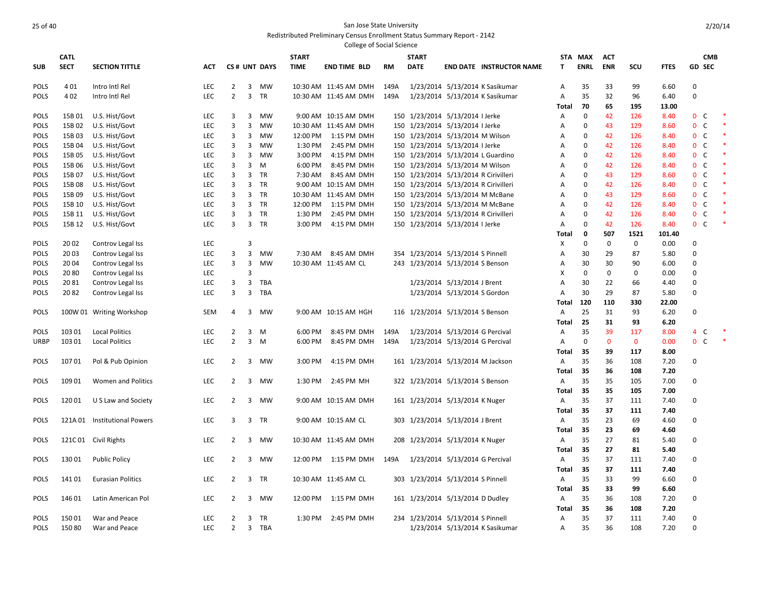|             |             |                              |            |                         |                |              |              | <b>College of Social Science</b> |           |                                       |                                |                                 |              |             |              |              |             |                |              |        |
|-------------|-------------|------------------------------|------------|-------------------------|----------------|--------------|--------------|----------------------------------|-----------|---------------------------------------|--------------------------------|---------------------------------|--------------|-------------|--------------|--------------|-------------|----------------|--------------|--------|
|             | <b>CATL</b> |                              |            |                         |                |              | <b>START</b> |                                  |           | <b>START</b>                          |                                |                                 | <b>STA</b>   | <b>MAX</b>  | <b>ACT</b>   |              |             |                | <b>CMB</b>   |        |
| <b>SUB</b>  | <b>SECT</b> | <b>SECTION TITTLE</b>        | <b>ACT</b> |                         |                | CS# UNT DAYS | <b>TIME</b>  | <b>END TIME BLD</b>              | <b>RM</b> | <b>DATE</b>                           |                                | <b>END DATE INSTRUCTOR NAME</b> | T.           | <b>ENRL</b> | <b>ENR</b>   | SCU          | <b>FTES</b> | <b>GD SEC</b>  |              |        |
| <b>POLS</b> | 401         | Intro Intl Rel               | LEC        | 2                       | 3              | MW           |              | 10:30 AM 11:45 AM DMH            | 149A      |                                       |                                | 1/23/2014 5/13/2014 K Sasikumar | A            | 35          | 33           | 99           | 6.60        | 0              |              |        |
| <b>POLS</b> | 402         | Intro Intl Rel               | <b>LEC</b> | $\overline{2}$          | $\overline{3}$ | TR           |              | 10:30 AM 11:45 AM DMH            | 149A      |                                       |                                | 1/23/2014 5/13/2014 K Sasikumar | Α            | 35          | 32           | 96           | 6.40        | 0              |              |        |
|             |             |                              |            |                         |                |              |              |                                  |           |                                       |                                |                                 | Total        | 70          | 65           | 195          | 13.00       |                |              |        |
| <b>POLS</b> | 15B01       | U.S. Hist/Govt               | <b>LEC</b> | 3                       | $\overline{3}$ | <b>MW</b>    |              | 9:00 AM 10:15 AM DMH             |           | 150 1/23/2014 5/13/2014 I Jerke       |                                |                                 | Α            | $\mathbf 0$ | 42           | 126          | 8.40        | 0 <sup>o</sup> |              | $\ast$ |
| <b>POLS</b> | 15B 02      | U.S. Hist/Govt               | <b>LEC</b> | $\overline{3}$          | 3              | MW           |              | 10:30 AM 11:45 AM DMH            |           | 150 1/23/2014 5/13/2014 I Jerke       |                                |                                 | Α            | 0           | 43           | 129          | 8.60        | $\mathbf 0$    | $\mathsf{C}$ | $\ast$ |
| <b>POLS</b> | 15B03       | U.S. Hist/Govt               | <b>LEC</b> | 3                       | 3              | MW           |              | 12:00 PM 1:15 PM DMH             |           | 150 1/23/2014 5/13/2014 M Wilson      |                                |                                 | A            | $\mathbf 0$ | 42           | 126          | 8.40        | 0 <sup>o</sup> |              | *      |
| <b>POLS</b> | 15B 04      | U.S. Hist/Govt               | <b>LEC</b> | 3                       | 3              | MW           | 1:30 PM      | 2:45 PM DMH                      |           | 150 1/23/2014 5/13/2014 I Jerke       |                                |                                 | A            | $\Omega$    | 42           | 126          | 8.40        | $\mathbf{0}$   | C            | *      |
| <b>POLS</b> | 15B 05      | U.S. Hist/Govt               | <b>LEC</b> | 3                       | $\overline{3}$ | MW           | 3:00 PM      | 4:15 PM DMH                      |           | 150 1/23/2014 5/13/2014 L Guardino    |                                |                                 | A            | $\mathbf 0$ | 42           | 126          | 8.40        | 0 <sup>o</sup> |              | *      |
| <b>POLS</b> | 15B 06      | U.S. Hist/Govt               | <b>LEC</b> | 3                       | 3              | M            | 6:00 PM      | 8:45 PM DMH                      |           | 150 1/23/2014 5/13/2014 M Wilson      |                                |                                 | Α            | $\Omega$    | 42           | 126          | 8.40        | 0              | $\mathsf{C}$ |        |
| <b>POLS</b> | 15B 07      | U.S. Hist/Govt               | <b>LEC</b> | 3                       |                | 3 TR         | 7:30 AM      | 8:45 AM DMH                      |           | 150 1/23/2014 5/13/2014 R Cirivilleri |                                |                                 | A            | $\Omega$    | 43           | 129          | 8.60        | 0 <sup>o</sup> |              |        |
| <b>POLS</b> | 15B 08      | U.S. Hist/Govt               | <b>LEC</b> | 3                       | 3              | <b>TR</b>    |              | 9:00 AM 10:15 AM DMH             |           | 150 1/23/2014 5/13/2014 R Cirivilleri |                                |                                 | A            | $\Omega$    | 42           | 126          | 8.40        | $\mathbf{0}$   | C            | $\ast$ |
| <b>POLS</b> | 15B 09      | U.S. Hist/Govt               | <b>LEC</b> | 3                       |                | 3 TR         |              | 10:30 AM 11:45 AM DMH            |           | 150 1/23/2014 5/13/2014 M McBane      |                                |                                 | Α            | $\Omega$    | 43           | 129          | 8.60        | 0 <sup>o</sup> |              |        |
| <b>POLS</b> | 15B 10      | U.S. Hist/Govt               | LEC.       | 3                       | 3              | <b>TR</b>    | 12:00 PM     | 1:15 PM DMH                      |           | 150 1/23/2014 5/13/2014 M McBane      |                                |                                 | Α            | $\Omega$    | 42           | 126          | 8.40        | 0              | $\mathsf{C}$ |        |
| <b>POLS</b> | 15B 11      | U.S. Hist/Govt               | <b>LEC</b> | 3                       | 3              | TR           | 1:30 PM      | 2:45 PM DMH                      |           | 150 1/23/2014 5/13/2014 R Cirivilleri |                                |                                 | Α            | $\Omega$    | 42           | 126          | 8.40        | $\mathbf{0}$   | $\mathsf{C}$ |        |
| <b>POLS</b> | 15B 12      | U.S. Hist/Govt               | <b>LEC</b> | $\overline{3}$          | $\overline{3}$ | <b>TR</b>    | 3:00 PM      | 4:15 PM DMH                      |           | 150 1/23/2014 5/13/2014 I Jerke       |                                |                                 | A            | $\Omega$    | 42           | 126          | 8.40        | $\mathbf{0}$   | C            |        |
|             |             |                              |            |                         |                |              |              |                                  |           |                                       |                                |                                 | Total        | 0           | 507          | 1521         | 101.40      |                |              |        |
| POLS        | 20 02       | Controv Legal Iss            | <b>LEC</b> |                         | 3              |              |              |                                  |           |                                       |                                |                                 | X            | $\mathbf 0$ | $\mathbf{0}$ | $\mathbf 0$  | 0.00        | $\Omega$       |              |        |
| <b>POLS</b> | 20 03       | Controv Legal Iss            | <b>LEC</b> | 3                       | 3              | MW           | 7:30 AM      | 8:45 AM DMH                      |           | 354 1/23/2014 5/13/2014 S Pinnell     |                                |                                 | A            | 30          | 29           | 87           | 5.80        | $\Omega$       |              |        |
| <b>POLS</b> | 20 04       | Controv Legal Iss            | <b>LEC</b> | 3                       | 3              | <b>MW</b>    |              | 10:30 AM 11:45 AM CL             |           | 243 1/23/2014 5/13/2014 S Benson      |                                |                                 | Α            | 30          | 30           | 90           | 6.00        | 0              |              |        |
| <b>POLS</b> | 2080        | Controv Legal Iss            | <b>LEC</b> |                         | 3              |              |              |                                  |           |                                       |                                |                                 | X            | $\mathbf 0$ | $\mathbf 0$  | 0            | 0.00        | 0              |              |        |
| <b>POLS</b> | 2081        | Controv Legal Iss            | LEC        | 3                       | 3              | <b>TBA</b>   |              |                                  |           |                                       | 1/23/2014 5/13/2014 J Brent    |                                 | Α            | 30          | 22           | 66           | 4.40        | $\mathbf 0$    |              |        |
| <b>POLS</b> | 2082        | Controv Legal Iss            | <b>LEC</b> | 3                       | 3              | <b>TBA</b>   |              |                                  |           |                                       | 1/23/2014 5/13/2014 S Gordon   |                                 | Α            | 30          | 29           | 87           | 5.80        | $\Omega$       |              |        |
|             |             |                              |            |                         |                |              |              |                                  |           |                                       |                                |                                 | Total        | 120         | 110          | 330          | 22.00       |                |              |        |
| <b>POLS</b> |             | 100W 01 Writing Workshop     | <b>SEM</b> | $\overline{4}$          | 3              | MW           |              | 9:00 AM 10:15 AM HGH             |           | 116 1/23/2014 5/13/2014 S Benson      |                                |                                 | Α            | 25          | 31           | 93           | 6.20        | $\Omega$       |              |        |
|             |             |                              |            |                         |                |              |              |                                  |           |                                       |                                |                                 | Total        | 25          | 31           | 93           | 6.20        |                |              |        |
| <b>POLS</b> | 103 01      | <b>Local Politics</b>        | <b>LEC</b> | $\overline{2}$          | 3              | M            | 6:00 PM      | 8:45 PM DMH                      | 149A      |                                       | 1/23/2014 5/13/2014 G Percival |                                 | Α            | 35          | 39           | 117          | 8.00        | 4              | C            |        |
| URBP        | 103 01      | <b>Local Politics</b>        | LEC        | $\overline{2}$          | $\overline{3}$ | M            | 6:00 PM      | 8:45 PM DMH                      | 149A      |                                       | 1/23/2014 5/13/2014 G Percival |                                 | Α            | $\mathbf 0$ | $\mathbf{0}$ | $\mathbf{0}$ | 0.00        | $\overline{0}$ | C            | $\ast$ |
|             |             |                              |            |                         |                |              |              |                                  |           |                                       |                                |                                 | Total        | 35          | 39           | 117          | 8.00        |                |              |        |
| <b>POLS</b> | 10701       | Pol & Pub Opinion            | <b>LEC</b> | 2                       | 3              | MW           | 3:00 PM      | 4:15 PM DMH                      |           | 161 1/23/2014 5/13/2014 M Jackson     |                                |                                 | Α            | 35          | 36           | 108          | 7.20        | 0              |              |        |
|             |             |                              |            |                         |                |              |              |                                  |           |                                       |                                |                                 | <b>Total</b> | 35          | 36           | 108          | 7.20        |                |              |        |
| POLS        | 109 01      | Women and Politics           | <b>LEC</b> | $\overline{2}$          | $\overline{3}$ | MW           | 1:30 PM      | 2:45 PM MH                       |           | 322 1/23/2014 5/13/2014 S Benson      |                                |                                 | Α            | 35          | 35           | 105          | 7.00        | 0              |              |        |
|             |             |                              |            |                         |                |              |              |                                  |           |                                       |                                |                                 | Total        | 35          | 35           | 105          | 7.00        |                |              |        |
| <b>POLS</b> | 12001       | U S Law and Society          | <b>LEC</b> | 2                       | 3              | MW           |              | 9:00 AM 10:15 AM DMH             |           | 161 1/23/2014 5/13/2014 K Nuger       |                                |                                 | Α            | 35          | 37           | 111          | 7.40        | $\mathbf 0$    |              |        |
|             |             |                              |            |                         |                |              |              |                                  |           |                                       |                                |                                 | <b>Total</b> | 35          | 37           | 111          | 7.40        |                |              |        |
| POLS        |             | 121A 01 Institutional Powers | <b>LEC</b> | $\overline{\mathbf{3}}$ |                | 3 TR         |              | 9:00 AM 10:15 AM CL              |           | 303 1/23/2014 5/13/2014 J Brent       |                                |                                 | Α            | 35          | 23           | 69           | 4.60        | 0              |              |        |
|             |             |                              |            |                         |                |              |              |                                  |           |                                       |                                |                                 | <b>Total</b> | 35          | 23           | 69           | 4.60        |                |              |        |
| <b>POLS</b> |             | 121C 01 Civil Rights         | <b>LEC</b> | $\overline{2}$          | 3              | MW           |              | 10:30 AM 11:45 AM DMH            |           | 208 1/23/2014 5/13/2014 K Nuger       |                                |                                 | Α            | 35          | 27           | 81           | 5.40        | 0              |              |        |
|             |             |                              |            |                         |                |              |              |                                  |           |                                       |                                |                                 | <b>Total</b> | 35          | 27           | 81           | 5.40        |                |              |        |
| <b>POLS</b> | 13001       | <b>Public Policy</b>         | <b>LEC</b> | $\mathbf{2}$            | 3              | <b>MW</b>    |              | 12:00 PM  1:15 PM DMH            | 149A      |                                       | 1/23/2014 5/13/2014 G Percival |                                 | Α            | 35          | 37           | 111          | 7.40        | 0              |              |        |
|             |             |                              |            |                         |                |              |              |                                  |           |                                       |                                |                                 | <b>Total</b> | 35          | 37           | 111          | 7.40        |                |              |        |
| <b>POLS</b> | 14101       | <b>Eurasian Politics</b>     | LEC        | $\overline{2}$          | 3              | <b>TR</b>    |              | 10:30 AM 11:45 AM CL             |           | 303 1/23/2014 5/13/2014 S Pinnell     |                                |                                 | Α            | 35          | 33           | 99           | 6.60        | $\mathbf 0$    |              |        |
|             |             |                              |            |                         |                |              |              |                                  |           |                                       |                                |                                 | Total        | 35          | 33           | 99           | 6.60        |                |              |        |
| <b>POLS</b> | 146 01      | Latin American Pol           | LEC        | 2                       | 3              | MW           |              | 12:00 PM 1:15 PM DMH             |           | 161 1/23/2014 5/13/2014 D Dudley      |                                |                                 | Α            | 35          | 36           | 108          | 7.20        | $\mathbf 0$    |              |        |
|             |             |                              |            |                         |                |              |              |                                  |           |                                       |                                |                                 | Total        | 35          | 36           | 108          | 7.20        |                |              |        |
| <b>POLS</b> | 15001       | War and Peace                | LEC        | $\overline{2}$          | 3              | TR           | 1:30 PM      | 2:45 PM DMH                      |           | 234 1/23/2014 5/13/2014 S Pinnell     |                                |                                 | A            | 35          | 37           | 111          | 7.40        | $\mathbf 0$    |              |        |
| POLS        | 15080       | War and Peace                | <b>LEC</b> | $\overline{2}$          |                | 3 TBA        |              |                                  |           |                                       |                                | 1/23/2014 5/13/2014 K Sasikumar | Α            | 35          | 36           | 108          | 7.20        | $\mathbf 0$    |              |        |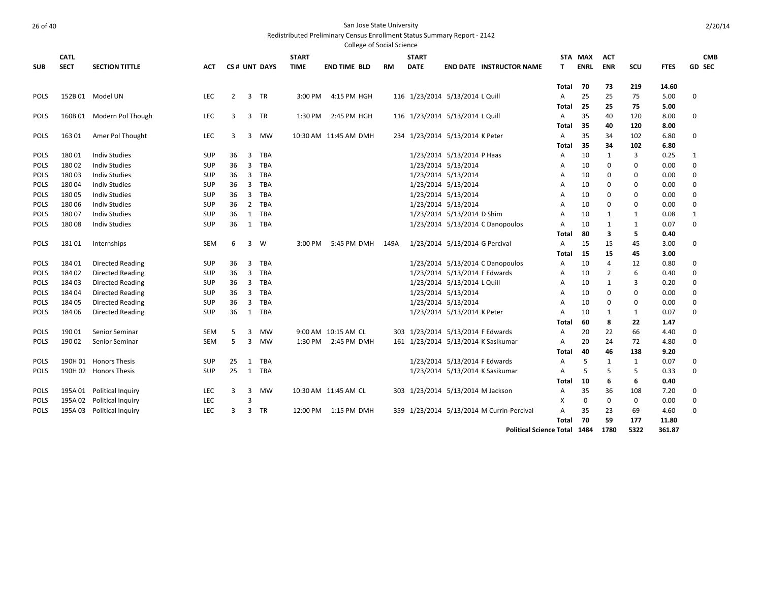|             |             |                           |            |                |                |              |              | <b>College of Social Science</b> |           |              |                                           |                                 |                |             |            |              |             |               |            |
|-------------|-------------|---------------------------|------------|----------------|----------------|--------------|--------------|----------------------------------|-----------|--------------|-------------------------------------------|---------------------------------|----------------|-------------|------------|--------------|-------------|---------------|------------|
|             | <b>CATL</b> |                           |            |                |                |              | <b>START</b> |                                  |           | <b>START</b> |                                           |                                 |                | STA MAX     | <b>ACT</b> |              |             |               | <b>CMB</b> |
| <b>SUB</b>  | <b>SECT</b> | <b>SECTION TITTLE</b>     | АСТ        |                |                | CS# UNT DAYS | <b>TIME</b>  | <b>END TIME BLD</b>              | <b>RM</b> | <b>DATE</b>  |                                           | <b>END DATE INSTRUCTOR NAME</b> | т              | <b>ENRL</b> | <b>ENR</b> | scu          | <b>FTES</b> | <b>GD SEC</b> |            |
|             |             |                           |            |                |                |              |              |                                  |           |              |                                           |                                 | Total          | -70         | 73         | 219          | 14.60       |               |            |
| <b>POLS</b> |             | 152B 01 Model UN          | <b>LEC</b> | $\overline{2}$ | 3              | <b>TR</b>    | 3:00 PM      | 4:15 PM HGH                      |           |              | 116 1/23/2014 5/13/2014 L Quill           |                                 | A              | 25          | 25         | 75           | 5.00        | 0             |            |
|             |             |                           |            |                |                |              |              |                                  |           |              |                                           |                                 | Total          | 25          | 25         | 75           | 5.00        |               |            |
| <b>POLS</b> |             | 160B 01 Modern Pol Though | <b>LEC</b> | 3              | 3              | <b>TR</b>    | 1:30 PM      | 2:45 PM HGH                      |           |              | 116 1/23/2014 5/13/2014 L Quill           |                                 | A              | 35          | 40         | 120          | 8.00        | $\Omega$      |            |
|             |             |                           |            |                |                |              |              |                                  |           |              |                                           |                                 | Total          | 35          | 40         | 120          | 8.00        |               |            |
| <b>POLS</b> | 16301       | Amer Pol Thought          | <b>LEC</b> | 3              | 3              | MW           |              | 10:30 AM 11:45 AM DMH            |           |              | 234 1/23/2014 5/13/2014 K Peter           |                                 | Α              | 35          | 34         | 102          | 6.80        | 0             |            |
|             |             |                           |            |                |                |              |              |                                  |           |              |                                           |                                 | Total          | 35          | 34         | 102          | 6.80        |               |            |
| <b>POLS</b> | 18001       | <b>Indiv Studies</b>      | SUP        | 36             | 3              | TBA          |              |                                  |           |              | 1/23/2014 5/13/2014 P Haas                |                                 | A              | 10          | 1          | 3            | 0.25        | 1             |            |
| <b>POLS</b> | 18002       | <b>Indiv Studies</b>      | <b>SUP</b> | 36             | 3              | TBA          |              |                                  |           |              | 1/23/2014 5/13/2014                       |                                 | Α              | 10          | 0          | 0            | 0.00        | $\mathbf 0$   |            |
| <b>POLS</b> | 18003       | <b>Indiv Studies</b>      | <b>SUP</b> | 36             | $\overline{3}$ | <b>TBA</b>   |              |                                  |           |              | 1/23/2014 5/13/2014                       |                                 | A              | 10          | 0          | 0            | 0.00        | $\Omega$      |            |
| <b>POLS</b> | 18004       | <b>Indiv Studies</b>      | <b>SUP</b> | 36             | 3              | <b>TBA</b>   |              |                                  |           |              | 1/23/2014 5/13/2014                       |                                 | A              | 10          | 0          | 0            | 0.00        | $\Omega$      |            |
| <b>POLS</b> | 18005       | <b>Indiv Studies</b>      | <b>SUP</b> | 36             | 3              | <b>TBA</b>   |              |                                  |           |              | 1/23/2014 5/13/2014                       |                                 | A              | 10          | 0          | 0            | 0.00        | $\Omega$      |            |
| <b>POLS</b> | 18006       | <b>Indiv Studies</b>      | <b>SUP</b> | 36             | $\overline{2}$ | <b>TBA</b>   |              |                                  |           |              | 1/23/2014 5/13/2014                       |                                 | A              | 10          | 0          | 0            | 0.00        | $\Omega$      |            |
| <b>POLS</b> | 18007       | <b>Indiv Studies</b>      | SUP        | 36             | 1              | <b>TBA</b>   |              |                                  |           |              | 1/23/2014 5/13/2014 D Shim                |                                 | A              | 10          | 1          | 1            | 0.08        | 1             |            |
| <b>POLS</b> | 18008       | <b>Indiv Studies</b>      | <b>SUP</b> | 36             | 1              | <b>TBA</b>   |              |                                  |           |              | 1/23/2014 5/13/2014 C Danopoulos          |                                 | A              | 10          | 1          | $\mathbf{1}$ | 0.07        | $\mathbf 0$   |            |
|             |             |                           |            |                |                |              |              |                                  |           |              |                                           |                                 | Total          | 80          | 3          | 5            | 0.40        |               |            |
| <b>POLS</b> | 18101       | Internships               | SEM        | 6              | 3              | W            | 3:00 PM      | 5:45 PM DMH                      | 149A      |              | 1/23/2014 5/13/2014 G Percival            |                                 | A              | 15          | 15         | 45           | 3.00        | 0             |            |
|             |             |                           |            |                |                |              |              |                                  |           |              |                                           |                                 | Total          | 15          | 15         | 45           | 3.00        |               |            |
| <b>POLS</b> | 18401       | <b>Directed Reading</b>   | <b>SUP</b> | 36             | 3              | <b>TBA</b>   |              |                                  |           |              | 1/23/2014 5/13/2014 C Danopoulos          |                                 | A              | 10          | 4          | 12           | 0.80        | $\Omega$      |            |
| <b>POLS</b> | 18402       | <b>Directed Reading</b>   | <b>SUP</b> | 36             | 3              | <b>TBA</b>   |              |                                  |           |              | 1/23/2014 5/13/2014 F Edwards             |                                 | A              | 10          | 2          | 6            | 0.40        | $\Omega$      |            |
| <b>POLS</b> | 18403       | Directed Reading          | <b>SUP</b> | 36             | 3              | TBA          |              |                                  |           |              | 1/23/2014 5/13/2014 L Quill               |                                 | A              | 10          | 1          | 3            | 0.20        | $\Omega$      |            |
| <b>POLS</b> | 18404       | <b>Directed Reading</b>   | <b>SUP</b> | 36             | $\overline{3}$ | <b>TBA</b>   |              |                                  |           |              | 1/23/2014 5/13/2014                       |                                 | A              | 10          | 0          | 0            | 0.00        | $\Omega$      |            |
| <b>POLS</b> | 184 05      | <b>Directed Reading</b>   | SUP        | 36             | 3              | <b>TBA</b>   |              |                                  |           |              | 1/23/2014 5/13/2014                       |                                 | A              | 10          | 0          | 0            | 0.00        | 0             |            |
| <b>POLS</b> | 184 06      | <b>Directed Reading</b>   | <b>SUP</b> | 36             | 1              | <b>TBA</b>   |              |                                  |           |              | 1/23/2014 5/13/2014 K Peter               |                                 | A              | 10          | 1          | 1            | 0.07        | 0             |            |
|             |             |                           |            |                |                |              |              |                                  |           |              |                                           |                                 | Total          | 60          | 8          | 22           | 1.47        |               |            |
| <b>POLS</b> | 19001       | Senior Seminar            | SEM        | .5.            | 3              | <b>MW</b>    |              | 9:00 AM 10:15 AM CL              |           |              | 303 1/23/2014 5/13/2014 F Edwards         |                                 | A              | 20          | 22         | 66           | 4.40        | $\mathbf 0$   |            |
| <b>POLS</b> | 19002       | Senior Seminar            | <b>SEM</b> | 5              | 3              | <b>MW</b>    |              | 1:30 PM 2:45 PM DMH              |           |              | 161 1/23/2014 5/13/2014 K Sasikumar       |                                 | $\overline{A}$ | 20          | 24         | 72           | 4.80        | 0             |            |
|             |             |                           |            |                |                |              |              |                                  |           |              |                                           |                                 | Total          | 40          | 46         | 138          | 9.20        |               |            |
| <b>POLS</b> | 190H 01     | <b>Honors Thesis</b>      | SUP        | 25             | 1              | <b>TBA</b>   |              |                                  |           |              | 1/23/2014 5/13/2014 F Edwards             |                                 | A              | -5          | 1          | 1            | 0.07        | 0             |            |
| <b>POLS</b> |             | 190H 02 Honors Thesis     | <b>SUP</b> | 25             | 1              | <b>TBA</b>   |              |                                  |           |              | 1/23/2014 5/13/2014 K Sasikumar           |                                 | A              | .5          | 5          | 5            | 0.33        | 0             |            |
|             |             |                           |            |                |                |              |              |                                  |           |              |                                           |                                 | Total          | 10          | 6          | 6            | 0.40        |               |            |
| <b>POLS</b> |             | 195A 01 Political Inquiry | <b>LEC</b> | 3              | 3              | <b>MW</b>    |              | 10:30 AM 11:45 AM CL             |           |              | 303 1/23/2014 5/13/2014 M Jackson         |                                 | A              | 35          | 36         | 108          | 7.20        | 0             |            |
| <b>POLS</b> | 195A 02     | Political Inquiry         | <b>LEC</b> |                | 3              |              |              |                                  |           |              |                                           |                                 | X              | 0           | 0          | $\mathbf 0$  | 0.00        | 0             |            |
| <b>POLS</b> |             | 195A 03 Political Inquiry | <b>LEC</b> | 3              | 3              | <b>TR</b>    | 12:00 PM     | 1:15 PM DMH                      |           |              | 359 1/23/2014 5/13/2014 M Currin-Percival |                                 | A              | 35          | 23         | 69           | 4.60        | $\Omega$      |            |
|             |             |                           |            |                |                |              |              |                                  |           |              |                                           |                                 | Total          | 70          | 59         | 177          | 11.80       |               |            |

**Political Science Total 1484 1780 5322 361.87**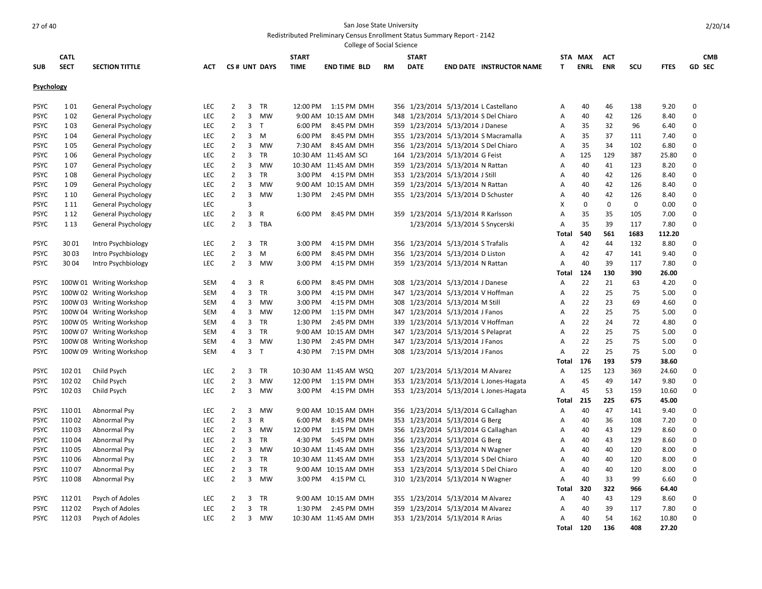|                            |                |                          |                          |                                  |        |                 |              | College of Social Science           |           |                                    |                                        |                |             |             |             |                |                            |               |
|----------------------------|----------------|--------------------------|--------------------------|----------------------------------|--------|-----------------|--------------|-------------------------------------|-----------|------------------------------------|----------------------------------------|----------------|-------------|-------------|-------------|----------------|----------------------------|---------------|
|                            | <b>CATL</b>    |                          |                          |                                  |        |                 | <b>START</b> |                                     |           | <b>START</b>                       |                                        |                | STA MAX     | <b>ACT</b>  |             |                |                            | <b>CMB</b>    |
| <b>SUB</b>                 | <b>SECT</b>    | <b>SECTION TITTLE</b>    | ACT                      |                                  |        | CS# UNT DAYS    | <b>TIME</b>  | <b>END TIME BLD</b>                 | <b>RM</b> | <b>DATE</b>                        | <b>END DATE INSTRUCTOR NAME</b>        | T              | <b>ENRL</b> | <b>ENR</b>  | SCU         | <b>FTES</b>    |                            | <b>GD SEC</b> |
| Psychology                 |                |                          |                          |                                  |        |                 |              |                                     |           |                                    |                                        |                |             |             |             |                |                            |               |
|                            |                |                          |                          |                                  |        |                 |              |                                     |           |                                    |                                        |                |             |             |             |                |                            |               |
| <b>PSYC</b>                | 101            | General Psychology       | LEC                      | $\overline{2}$                   | 3      | TR              | 12:00 PM     | 1:15 PM DMH                         |           |                                    | 356 1/23/2014 5/13/2014 L Castellano   | Α              | 40          | 46          | 138         | 9.20           | $\mathbf 0$                |               |
| <b>PSYC</b>                | 102            | General Psychology       | LEC                      | $\overline{2}$<br>$\overline{2}$ |        | 3 MW<br>T       | 9:00 AM      | 10:15 AM DMH                        |           |                                    | 348 1/23/2014 5/13/2014 S Del Chiaro   | Α              | 40          | 42          | 126         | 8.40           | $\mathbf 0$                |               |
| <b>PSYC</b>                | 103            | General Psychology       | LEC                      | $\overline{2}$                   | 3      |                 | 6:00 PM      | 8:45 PM DMH                         |           | 359 1/23/2014 5/13/2014 J Danese   |                                        | Α              | 35          | 32          | 96          | 6.40           | $\mathbf 0$<br>$\mathbf 0$ |               |
| <b>PSYC</b>                | 104            | General Psychology       | <b>LEC</b>               |                                  |        | $3 \, M$        | 6:00 PM      | 8:45 PM DMH                         |           |                                    | 355 1/23/2014 5/13/2014 S Macramalla   | Α              | 35          | 37          | 111         | 7.40           | $\mathbf 0$                |               |
| <b>PSYC</b>                | 105            | General Psychology       | <b>LEC</b>               | $\overline{2}$                   | 3      | MW              | 7:30 AM      | 8:45 AM DMH                         |           |                                    | 356 1/23/2014 5/13/2014 S Del Chiaro   | Α              | 35          | 34          | 102         | 6.80           |                            |               |
| <b>PSYC</b>                | 106            | General Psychology       | LEC<br>LEC               | $\overline{2}$<br>$\overline{2}$ | 3<br>3 | TR<br><b>MW</b> |              | 10:30 AM 11:45 AM SCI               |           | 164 1/23/2014 5/13/2014 G Feist    |                                        | Α              | 125<br>40   | 129<br>41   | 387<br>123  | 25.80<br>8.20  | $\mathbf 0$<br>$\mathbf 0$ |               |
| <b>PSYC</b>                | 107            | General Psychology       |                          | $\overline{2}$                   |        |                 | 3:00 PM      | 10:30 AM 11:45 AM DMH               |           | 359 1/23/2014 5/13/2014 N Rattan   |                                        | Α              |             |             |             |                | $\mathbf 0$                |               |
| <b>PSYC</b><br><b>PSYC</b> | 108            | General Psychology       | <b>LEC</b><br><b>LEC</b> | $\overline{2}$                   | 3      | TR<br>MW        |              | 4:15 PM DMH<br>9:00 AM 10:15 AM DMH |           | 353 1/23/2014 5/13/2014 J Still    |                                        | Α              | 40<br>40    | 42          | 126<br>126  | 8.40           | $\mathbf 0$                |               |
| <b>PSYC</b>                | 109            | General Psychology       | <b>LEC</b>               | $\overline{2}$                   | 3<br>3 | MW              | 1:30 PM      | 2:45 PM DMH                         |           | 359 1/23/2014 5/13/2014 N Rattan   |                                        | Α              | 40          | 42<br>42    | 126         | 8.40           | $\mathbf 0$                |               |
|                            | 1 1 0          | General Psychology       | LEC                      |                                  | 3      |                 |              |                                     |           | 355 1/23/2014 5/13/2014 D Schuster |                                        | Α<br>X         | 0           | $\mathbf 0$ | 0           | 8.40<br>0.00   | $\mathbf 0$                |               |
| <b>PSYC</b>                | 1 1 1          | General Psychology       |                          | $\overline{2}$                   |        |                 | 6:00 PM      |                                     |           |                                    |                                        |                |             |             |             |                | $\mathbf 0$                |               |
| <b>PSYC</b>                | 1 1 2<br>1 1 3 | General Psychology       | <b>LEC</b><br><b>LEC</b> | $\overline{2}$                   | 3      | R<br>TBA        |              | 8:45 PM DMH                         |           | 359 1/23/2014 5/13/2014 R Karlsson |                                        | A              | 35<br>35    | 35<br>39    | 105         | 7.00           | $\mathbf 0$                |               |
| <b>PSYC</b>                |                | General Psychology       |                          |                                  | 3      |                 |              |                                     |           |                                    | 1/23/2014 5/13/2014 S Snycerski        | Α<br>Total     | 540         | 561         | 117<br>1683 | 7.80<br>112.20 |                            |               |
| <b>PSYC</b>                | 3001           | Intro Psychbiology       | <b>LEC</b>               | $\overline{2}$                   | 3      | TR              | 3:00 PM      | 4:15 PM DMH                         |           | 356 1/23/2014 5/13/2014 S Trafalis |                                        | Α              | 42          | 44          | 132         | 8.80           | $\mathbf 0$                |               |
| <b>PSYC</b>                | 3003           | Intro Psychbiology       | LEC                      | $\overline{2}$                   | 3      | M               | 6:00 PM      | 8:45 PM DMH                         |           | 356 1/23/2014 5/13/2014 D Liston   |                                        | A              | 42          | 47          | 141         | 9.40           | $\mathbf 0$                |               |
| <b>PSYC</b>                | 3004           | Intro Psychbiology       | <b>LEC</b>               | $\overline{2}$                   | 3      | <b>MW</b>       | 3:00 PM      | 4:15 PM DMH                         |           | 359 1/23/2014 5/13/2014 N Rattan   |                                        | A              | 40          | 39          | 117         | 7.80           | $\mathbf 0$                |               |
|                            |                |                          |                          |                                  |        |                 |              |                                     |           |                                    |                                        | Total          | 124         | 130         | 390         | 26.00          |                            |               |
| <b>PSYC</b>                |                | 100W 01 Writing Workshop | SEM                      | 4                                | 3      | R               | 6:00 PM      | 8:45 PM DMH                         |           | 308 1/23/2014 5/13/2014 J Danese   |                                        | Α              | 22          | 21          | 63          | 4.20           | 0                          |               |
| <b>PSYC</b>                |                | 100W 02 Writing Workshop | SEM                      | $\overline{4}$                   | 3      | TR              | 3:00 PM      | 4:15 PM DMH                         |           | 347 1/23/2014 5/13/2014 V Hoffman  |                                        | $\overline{A}$ | 22          | 25          | 75          | 5.00           | $\mathbf 0$                |               |
| <b>PSYC</b>                |                | 100W 03 Writing Workshop | SEM                      | 4                                | 3      | <b>MW</b>       | 3:00 PM      | 4:15 PM DMH                         |           | 308 1/23/2014 5/13/2014 M Still    |                                        | A              | 22          | 23          | 69          | 4.60           | $\mathbf 0$                |               |
| <b>PSYC</b>                |                | 100W 04 Writing Workshop | SEM                      | 4                                | 3      | MW              | 12:00 PM     | 1:15 PM DMH                         |           | 347 1/23/2014 5/13/2014 J Fanos    |                                        | Α              | 22          | 25          | 75          | 5.00           | $\mathbf 0$                |               |
| <b>PSYC</b>                |                | 100W 05 Writing Workshop | SEM                      | 4                                | 3      | TR              | 1:30 PM      | 2:45 PM DMH                         |           | 339 1/23/2014 5/13/2014 V Hoffman  |                                        | Α              | 22          | 24          | 72          | 4.80           | $\mathbf 0$                |               |
| <b>PSYC</b>                |                | 100W 07 Writing Workshop | SEM                      | 4                                | 3      | TR              |              | 9:00 AM 10:15 AM DMH                |           | 347 1/23/2014 5/13/2014 S Pelaprat |                                        | $\overline{A}$ | 22          | 25          | 75          | 5.00           | $\mathbf 0$                |               |
| <b>PSYC</b>                |                | 100W 08 Writing Workshop | <b>SEM</b>               | 4                                | 3      | <b>MW</b>       | 1:30 PM      | 2:45 PM DMH                         |           | 347 1/23/2014 5/13/2014 J Fanos    |                                        | A              | 22          | 25          | 75          | 5.00           | $\mathbf 0$                |               |
| <b>PSYC</b>                |                | 100W 09 Writing Workshop | SEM                      | 4                                | 3      | T               | 4:30 PM      | 7:15 PM DMH                         |           | 308 1/23/2014 5/13/2014 J Fanos    |                                        | A              | 22          | 25          | 75          | 5.00           | $\mathbf 0$                |               |
|                            |                |                          |                          |                                  |        |                 |              |                                     |           |                                    |                                        | <b>Total</b>   | 176         | 193         | 579         | 38.60          |                            |               |
| <b>PSYC</b>                | 102 01         | Child Psych              | <b>LEC</b>               | $\overline{2}$                   | 3      | TR              |              | 10:30 AM 11:45 AM WSQ               |           | 207 1/23/2014 5/13/2014 M Alvarez  |                                        | Α              | 125         | 123         | 369         | 24.60          | $\mathbf 0$                |               |
| <b>PSYC</b>                | 102 02         | Child Psych              | LEC                      | $\overline{2}$                   | 3      | <b>MW</b>       | 12:00 PM     | 1:15 PM DMH                         |           |                                    | 353 1/23/2014 5/13/2014 L Jones-Hagata | A              | 45          | 49          | 147         | 9.80           | $\mathbf 0$                |               |
| <b>PSYC</b>                | 10203          | Child Psych              | <b>LEC</b>               | $\overline{2}$                   |        | 3 MW            | 3:00 PM      | 4:15 PM DMH                         |           |                                    | 353 1/23/2014 5/13/2014 L Jones-Hagata | A              | 45          | 53          | 159         | 10.60          | $\mathbf 0$                |               |
|                            |                |                          |                          |                                  |        |                 |              |                                     |           |                                    |                                        | <b>Total</b>   | 215         | 225         | 675         | 45.00          |                            |               |
| <b>PSYC</b>                | 11001          | Abnormal Psy             | <b>LEC</b>               | $\overline{2}$                   | 3      | <b>MW</b>       |              | 9:00 AM 10:15 AM DMH                |           |                                    | 356 1/23/2014 5/13/2014 G Callaghan    | Α              | 40          | 47          | 141         | 9.40           | 0                          |               |
| <b>PSYC</b>                | 11002          | Abnormal Psy             | <b>LEC</b>               | $\overline{2}$                   | 3      | $\mathsf{R}$    | 6:00 PM      | 8:45 PM DMH                         |           | 353 1/23/2014 5/13/2014 G Berg     |                                        | A              | 40          | 36          | 108         | 7.20           | $\mathbf 0$                |               |
| <b>PSYC</b>                | 11003          | Abnormal Psy             | LEC.                     | $\overline{2}$                   | 3      | MW              | 12:00 PM     | 1:15 PM DMH                         |           |                                    | 356 1/23/2014 5/13/2014 G Callaghan    | A              | 40          | 43          | 129         | 8.60           | $\mathbf 0$                |               |
| <b>PSYC</b>                | 11004          | Abnormal Psy             | <b>LEC</b>               | $\overline{2}$                   | 3      | TR              | 4:30 PM      | 5:45 PM DMH                         |           | 356 1/23/2014 5/13/2014 G Berg     |                                        | Α              | 40          | 43          | 129         | 8.60           | $\mathbf 0$                |               |
| <b>PSYC</b>                | 11005          | Abnormal Psy             | LEC                      | $\overline{2}$                   | 3      | <b>MW</b>       |              | 10:30 AM 11:45 AM DMH               |           | 356 1/23/2014 5/13/2014 N Wagner   |                                        | Α              | 40          | 40          | 120         | 8.00           | $\mathbf 0$                |               |
| <b>PSYC</b>                | 11006          | Abnormal Psy             | <b>LEC</b>               | $\overline{2}$                   | 3      | <b>TR</b>       |              | 10:30 AM 11:45 AM DMH               |           |                                    | 353 1/23/2014 5/13/2014 S Del Chiaro   | A              | 40          | 40          | 120         | 8.00           | $\mathbf 0$                |               |
| <b>PSYC</b>                | 11007          | Abnormal Psy             | <b>LEC</b>               | $\overline{2}$                   | 3      | <b>TR</b>       |              | 9:00 AM 10:15 AM DMH                |           |                                    | 353 1/23/2014 5/13/2014 S Del Chiaro   | A              | 40          | 40          | 120         | 8.00           | $\mathbf 0$                |               |
| <b>PSYC</b>                | 11008          | Abnormal Psy             | LEC.                     | $\overline{2}$                   | 3      | MW              | 3:00 PM      | 4:15 PM CL                          |           | 310 1/23/2014 5/13/2014 N Wagner   |                                        | A              | 40          | 33          | 99          | 6.60           | $\mathbf 0$                |               |
|                            |                |                          |                          |                                  |        |                 |              |                                     |           |                                    |                                        | <b>Total</b>   | 320         | 322         | 966         | 64.40          |                            |               |
| <b>PSYC</b>                | 11201          | Psych of Adoles          | <b>LEC</b>               | $\overline{2}$                   | 3      | <b>TR</b>       |              | 9:00 AM 10:15 AM DMH                |           | 355 1/23/2014 5/13/2014 M Alvarez  |                                        | Α              | 40          | 43          | 129         | 8.60           | $\mathbf 0$                |               |
| <b>PSYC</b>                | 11202          | Psych of Adoles          | <b>LEC</b>               | $\overline{2}$                   | 3      | <b>TR</b>       | 1:30 PM      | 2:45 PM DMH                         |           | 359 1/23/2014 5/13/2014 M Alvarez  |                                        | A              | 40          | 39          | 117         | 7.80           | $\mathbf 0$                |               |
| <b>PSYC</b>                | 11203          | Psych of Adoles          | LEC.                     | $\overline{2}$                   | 3      | MW              |              | 10:30 AM 11:45 AM DMH               |           | 353 1/23/2014 5/13/2014 R Arias    |                                        | Α              | 40          | 54          | 162         | 10.80          | $\Omega$                   |               |
|                            |                |                          |                          |                                  |        |                 |              |                                     |           |                                    |                                        | Total          | 120         | 136         | 408         | 27.20          |                            |               |
|                            |                |                          |                          |                                  |        |                 |              |                                     |           |                                    |                                        |                |             |             |             |                |                            |               |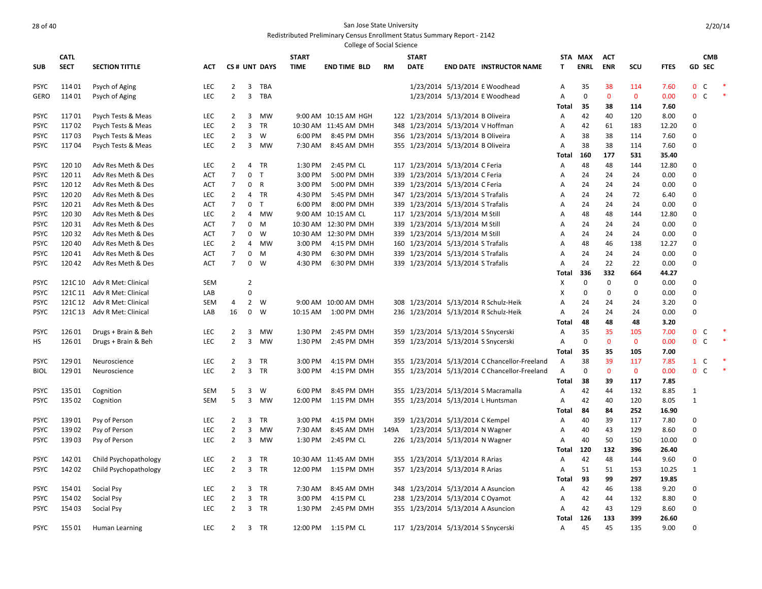|                            |                  |                                          |                   |                                  |                         |              |              | College of Social Science                    |           |                                                                       |                                |                                               |              |             |              |             |               |                   |        |
|----------------------------|------------------|------------------------------------------|-------------------|----------------------------------|-------------------------|--------------|--------------|----------------------------------------------|-----------|-----------------------------------------------------------------------|--------------------------------|-----------------------------------------------|--------------|-------------|--------------|-------------|---------------|-------------------|--------|
|                            | <b>CATL</b>      |                                          |                   |                                  |                         |              | <b>START</b> |                                              |           | <b>START</b>                                                          |                                |                                               | <b>STA</b>   | MAX         | <b>ACT</b>   |             |               | <b>CMB</b>        |        |
| <b>SUB</b>                 | <b>SECT</b>      | <b>SECTION TITTLE</b>                    | АСТ               |                                  |                         | CS# UNT DAYS | <b>TIME</b>  | <b>END TIME BLD</b>                          | <b>RM</b> | <b>DATE</b>                                                           |                                | <b>END DATE INSTRUCTOR NAME</b>               | T.           | <b>ENRL</b> | <b>ENR</b>   | SCU         | <b>FTES</b>   | GD SEC            |        |
|                            |                  |                                          |                   |                                  |                         |              |              |                                              |           |                                                                       |                                |                                               |              |             |              |             |               |                   |        |
| <b>PSYC</b>                | 11401            | Psych of Aging                           | <b>LEC</b>        | $\overline{2}$                   | $\overline{3}$          | TBA          |              |                                              |           |                                                                       |                                | 1/23/2014 5/13/2014 E Woodhead                | Α            | 35          | 38           | 114         | 7.60          | $\mathbf 0$<br>C  | $\ast$ |
| <b>GERO</b>                | 11401            | Psych of Aging                           | <b>LEC</b>        | $\overline{2}$                   | $\overline{\mathbf{3}}$ | TBA          |              |                                              |           |                                                                       |                                | 1/23/2014 5/13/2014 E Woodhead                | Α            | $\mathbf 0$ | $\mathbf 0$  | $\mathbf 0$ | 0.00          | $\mathbf 0$<br>C  | *      |
|                            |                  |                                          |                   |                                  |                         |              |              |                                              |           |                                                                       |                                |                                               | Total        | 35          | 38           | 114         | 7.60          |                   |        |
| <b>PSYC</b>                | 11701            | Psych Tests & Meas                       | <b>LEC</b>        | $\overline{2}$                   |                         | 3 MW         |              | 9:00 AM 10:15 AM HGH                         |           | 122 1/23/2014 5/13/2014 B Oliveira                                    |                                |                                               | Α            | 42          | 40           | 120         | 8.00          | 0                 |        |
| <b>PSYC</b>                | 11702            | Psych Tests & Meas                       | LEC               | $\overline{2}$                   | 3                       | <b>TR</b>    |              | 10:30 AM 11:45 AM DMH                        | 348       |                                                                       | 1/23/2014 5/13/2014 V Hoffman  |                                               | Α            | 42          | 61           | 183         | 12.20         | $\Omega$          |        |
| <b>PSYC</b>                | 11703            | Psych Tests & Meas                       | LEC               | $\overline{2}$                   | 3                       | W            | 6:00 PM      | 8:45 PM DMH                                  |           | 356 1/23/2014 5/13/2014 B Oliveira                                    |                                |                                               | Α            | 38          | 38           | 114         | 7.60          | $\Omega$          |        |
| <b>PSYC</b>                | 11704            | Psych Tests & Meas                       | <b>LEC</b>        | $\overline{2}$                   | 3                       | <b>MW</b>    | 7:30 AM      | 8:45 AM DMH                                  |           | 355 1/23/2014 5/13/2014 B Oliveira                                    |                                |                                               | A            | 38          | 38           | 114         | 7.60          | $\Omega$          |        |
|                            |                  |                                          |                   |                                  |                         |              |              |                                              |           |                                                                       |                                |                                               | Total        | 160         | 177          | 531         | 35.40         |                   |        |
| <b>PSYC</b>                | 120 10           | Adv Res Meth & Des                       | <b>LEC</b>        | 2                                | 4                       | TR           | 1:30 PM      | 2:45 PM CL                                   |           | 117 1/23/2014 5/13/2014 C Feria                                       |                                |                                               | A            | 48          | 48           | 144         | 12.80         | $\Omega$          |        |
| <b>PSYC</b>                | 120 11           | Adv Res Meth & Des                       | ACT               | $\overline{7}$                   | 0                       | $\mathsf{T}$ | 3:00 PM      | 5:00 PM DMH                                  |           | 339 1/23/2014 5/13/2014 C Feria                                       |                                |                                               | Α            | 24          | 24           | 24          | 0.00          | $\Omega$          |        |
| <b>PSYC</b>                | 120 12           | Adv Res Meth & Des                       | <b>ACT</b>        | $\overline{7}$                   | $\mathbf 0$             | $\mathsf{R}$ | 3:00 PM      | 5:00 PM DMH                                  | 339       | 1/23/2014 5/13/2014 C Feria                                           |                                |                                               | Α            | 24          | 24           | 24          | 0.00          | $\mathbf 0$       |        |
| <b>PSYC</b>                | 120 20           | Adv Res Meth & Des                       | <b>LEC</b>        | $\overline{2}$                   | $\overline{4}$          | TR           | 4:30 PM      | 5:45 PM DMH                                  |           | 347 1/23/2014 5/13/2014 S Trafalis                                    |                                |                                               | A            | 24          | 24           | 72          | 6.40          | 0                 |        |
| <b>PSYC</b>                | 120 21           | Adv Res Meth & Des                       | <b>ACT</b>        | $\overline{7}$                   | $\mathbf 0$             | T            | 6:00 PM      | 8:00 PM DMH                                  | 339       |                                                                       | 1/23/2014 5/13/2014 S Trafalis |                                               | Α            | 24          | 24           | 24          | 0.00          | $\mathbf 0$       |        |
| <b>PSYC</b>                | 120 30<br>120 31 | Adv Res Meth & Des                       | <b>LEC</b>        | $\overline{2}$<br>$\overline{7}$ | 4<br>0                  | MW           |              | 9:00 AM 10:15 AM CL<br>10:30 AM 12:30 PM DMH |           | 117 1/23/2014 5/13/2014 M Still                                       |                                |                                               | Α<br>А       | 48<br>24    | 48<br>24     | 144<br>24   | 12.80<br>0.00 | 0<br>$\mathbf 0$  |        |
| <b>PSYC</b><br><b>PSYC</b> | 120 32           | Adv Res Meth & Des<br>Adv Res Meth & Des | <b>ACT</b><br>ACT | 7                                | 0                       | M<br>W       |              | 10:30 AM 12:30 PM DMH                        |           | 339 1/23/2014 5/13/2014 M Still                                       |                                |                                               | Α            | 24          | 24           | 24          | 0.00          | 0                 |        |
| <b>PSYC</b>                | 12040            | Adv Res Meth & Des                       | <b>LEC</b>        | $\overline{2}$                   | 4                       | MW           | 3:00 PM      | 4:15 PM DMH                                  |           | 339 1/23/2014 5/13/2014 M Still<br>160 1/23/2014 5/13/2014 S Trafalis |                                |                                               | Α            | 48          | 46           | 138         | 12.27         | $\mathbf 0$       |        |
| <b>PSYC</b>                | 12041            | Adv Res Meth & Des                       | <b>ACT</b>        | $\overline{7}$                   | 0                       | M            | 4:30 PM      | 6:30 PM DMH                                  |           | 339 1/23/2014 5/13/2014 S Trafalis                                    |                                |                                               | Α            | 24          | 24           | 24          | 0.00          | $\mathbf 0$       |        |
| <b>PSYC</b>                | 12042            | Adv Res Meth & Des                       | <b>ACT</b>        | $\overline{7}$                   | $\mathbf 0$             | W            | 4:30 PM      | 6:30 PM DMH                                  |           | 339 1/23/2014 5/13/2014 S Trafalis                                    |                                |                                               | А            | 24          | 22           | 22          | 0.00          | $\mathbf 0$       |        |
|                            |                  |                                          |                   |                                  |                         |              |              |                                              |           |                                                                       |                                |                                               | Total        | 336         | 332          | 664         | 44.27         |                   |        |
| <b>PSYC</b>                | 121C 10          | Adv R Met: Clinical                      | <b>SEM</b>        |                                  | $\overline{2}$          |              |              |                                              |           |                                                                       |                                |                                               | X            | $\mathbf 0$ | $\mathbf 0$  | 0           | 0.00          | $\mathbf 0$       |        |
| <b>PSYC</b>                | 121C 11          | Adv R Met: Clinical                      | LAB               |                                  | 0                       |              |              |                                              |           |                                                                       |                                |                                               | X            | $\mathbf 0$ | $\mathbf 0$  | 0           | 0.00          | 0                 |        |
| <b>PSYC</b>                |                  | 121C 12 Adv R Met: Clinical              | <b>SEM</b>        | 4                                | $2^{\circ}$             | W            |              | 9:00 AM 10:00 AM DMH                         |           |                                                                       |                                | 308 1/23/2014 5/13/2014 R Schulz-Heik         | Α            | 24          | 24           | 24          | 3.20          | $\Omega$          |        |
| <b>PSYC</b>                | 121C 13          | Adv R Met: Clinical                      | LAB               | 16                               | $\mathbf 0$             | W            | 10:15 AM     | 1:00 PM DMH                                  |           |                                                                       |                                | 236 1/23/2014 5/13/2014 R Schulz-Heik         | Α            | 24          | 24           | 24          | 0.00          | $\mathbf 0$       |        |
|                            |                  |                                          |                   |                                  |                         |              |              |                                              |           |                                                                       |                                |                                               | Total        | 48          | 48           | 48          | 3.20          |                   |        |
| <b>PSYC</b>                | 12601            | Drugs + Brain & Beh                      | LEC               | $\overline{2}$                   | 3                       | MW           | 1:30 PM      | 2:45 PM DMH                                  |           | 359 1/23/2014 5/13/2014 S Snycerski                                   |                                |                                               | Α            | 35          | 35           | 105         | 7.00          | $\mathbf 0$<br>C  | $\ast$ |
| HS                         | 126 01           | Drugs + Brain & Beh                      | <b>LEC</b>        | $\overline{2}$                   | 3                       | MW           | 1:30 PM      | 2:45 PM DMH                                  |           | 359 1/23/2014 5/13/2014 S Snycerski                                   |                                |                                               | А            | $\mathbf 0$ | $\mathbf{0}$ | $\mathbf 0$ | 0.00          | $\mathbf 0$<br>C  | $\ast$ |
|                            |                  |                                          |                   |                                  |                         |              |              |                                              |           |                                                                       |                                |                                               | Total        | 35          | 35           | 105         | 7.00          |                   |        |
| <b>PSYC</b>                | 12901            | Neuroscience                             | LEC               | $\overline{2}$                   | 3                       | TR           | 3:00 PM      | 4:15 PM DMH                                  |           |                                                                       |                                | 355 1/23/2014 5/13/2014 C Chancellor-Freeland | Α            | 38          | 39           | 117         | 7.85          | $\mathbf{1}$<br>C | $\ast$ |
| <b>BIOL</b>                | 12901            | Neuroscience                             | <b>LEC</b>        | 2                                | 3                       | TR           | 3:00 PM      | 4:15 PM DMH                                  |           |                                                                       |                                | 355 1/23/2014 5/13/2014 C Chancellor-Freeland | Α            | 0           | $\mathbf 0$  | $\mathbf 0$ | 0.00          | $\mathbf 0$<br>C  | $\ast$ |
|                            |                  |                                          |                   |                                  |                         |              |              |                                              |           |                                                                       |                                |                                               | Total        | 38          | 39           | 117         | 7.85          |                   |        |
| <b>PSYC</b>                | 135 01           | Cognition                                | SEM               | 5                                | 3                       | W            | 6:00 PM      | 8:45 PM DMH                                  |           |                                                                       |                                | 355 1/23/2014 5/13/2014 S Macramalla          | Α            | 42          | 44           | 132         | 8.85          | $\mathbf{1}$      |        |
| <b>PSYC</b>                | 135 02           | Cognition                                | <b>SEM</b>        | 5                                | 3                       | <b>MW</b>    | 12:00 PM     | 1:15 PM DMH                                  |           |                                                                       |                                | 355 1/23/2014 5/13/2014 L Huntsman            | Α            | 42          | 40           | 120         | 8.05          | $\mathbf{1}$      |        |
|                            |                  |                                          |                   |                                  |                         |              |              |                                              |           |                                                                       |                                |                                               | Total        | 84          | 84           | 252         | 16.90         |                   |        |
| <b>PSYC</b>                | 13901            | Psy of Person                            | LEC               | 2                                | 3                       | <b>TR</b>    | 3:00 PM      | 4:15 PM DMH                                  |           | 359 1/23/2014 5/13/2014 C Kempel                                      |                                |                                               | Α            | 40          | 39           | 117         | 7.80          | $\Omega$          |        |
| <b>PSYC</b>                | 13902            | Psy of Person                            | LEC               | $\overline{2}$                   | 3                       | MW           | 7:30 AM      | 8:45 AM DMH                                  | 149A      |                                                                       | 1/23/2014 5/13/2014 N Wagner   |                                               | Α            | 40          | 43           | 129         | 8.60          | $\mathbf 0$       |        |
| <b>PSYC</b>                | 13903            | Psy of Person                            | <b>LEC</b>        | $\overline{2}$                   | 3                       | MW           | 1:30 PM      | 2:45 PM CL                                   |           | 226 1/23/2014 5/13/2014 N Wagner                                      |                                |                                               | Α            | 40          | 50           | 150         | 10.00         | $\mathbf 0$       |        |
|                            |                  |                                          |                   |                                  |                         |              |              |                                              |           |                                                                       |                                |                                               | Total        | 120         | 132          | 396         | 26.40         |                   |        |
| <b>PSYC</b>                | 14201            | Child Psychopathology                    | <b>LEC</b>        | $\overline{2}$                   | 3                       | TR           |              | 10:30 AM 11:45 AM DMH                        |           | 355 1/23/2014 5/13/2014 R Arias                                       |                                |                                               | Α            | 42          | 48           | 144         | 9.60          | $\mathbf 0$       |        |
| <b>PSYC</b>                | 14202            | Child Psychopathology                    | <b>LEC</b>        | $\overline{2}$                   | 3                       | TR           |              | 12:00 PM 1:15 PM DMH                         |           | 357 1/23/2014 5/13/2014 R Arias                                       |                                |                                               | Α            | 51          | 51           | 153         | 10.25         | $\mathbf{1}$      |        |
|                            |                  |                                          | <b>LEC</b>        | 2                                |                         | TR           | 7:30 AM      | 8:45 AM DMH                                  |           |                                                                       |                                |                                               | Total        | 93<br>42    | 99           | 297         | 19.85         | 0                 |        |
| <b>PSYC</b><br><b>PSYC</b> | 15401<br>154 02  | Social Psy                               | <b>LEC</b>        | $\overline{2}$                   | 3<br>3                  | TR           | 3:00 PM      | 4:15 PM CL                                   |           | 238 1/23/2014 5/13/2014 C Oyamot                                      |                                | 348 1/23/2014 5/13/2014 A Asuncion            | Α<br>Α       | 42          | 46<br>44     | 138<br>132  | 9.20<br>8.80  | $\mathbf 0$       |        |
| <b>PSYC</b>                | 154 03           | Social Psy<br>Social Psy                 | <b>LEC</b>        | 2                                | 3                       | TR           | 1:30 PM      | 2:45 PM DMH                                  |           | 355 1/23/2014 5/13/2014 A Asuncion                                    |                                |                                               | Α            | 42          | 43           | 129         | 8.60          | $\mathbf 0$       |        |
|                            |                  |                                          |                   |                                  |                         |              |              |                                              |           |                                                                       |                                |                                               | <b>Total</b> | 126         | 133          | 399         | 26.60         |                   |        |
| <b>PSYC</b>                | 15501            | Human Learning                           | LEC.              | 2                                |                         | 3 TR         |              | 12:00 PM 1:15 PM CL                          |           | 117 1/23/2014 5/13/2014 S Snycerski                                   |                                |                                               | Α            | 45          | 45           | 135         | 9.00          | $\Omega$          |        |
|                            |                  |                                          |                   |                                  |                         |              |              |                                              |           |                                                                       |                                |                                               |              |             |              |             |               |                   |        |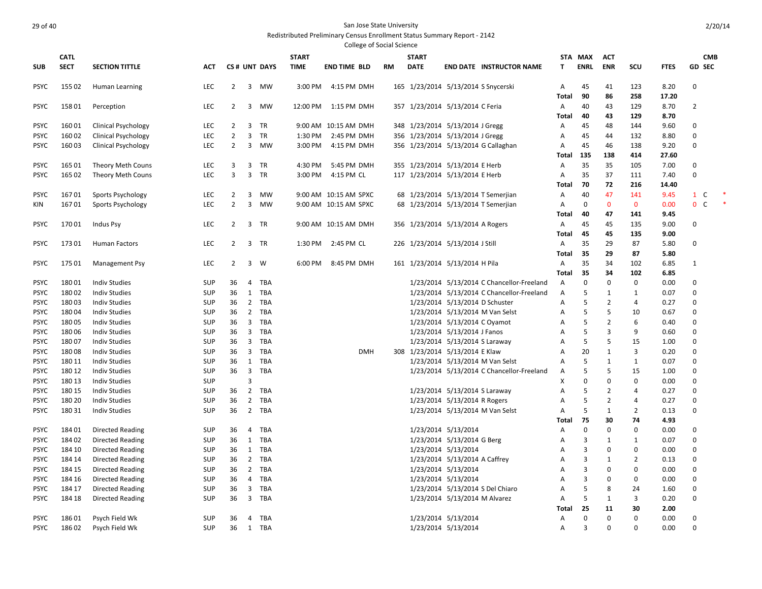|                            |             |                                              |            |                |                |              |              | <b>College of Social Science</b> |    |              |                                     |                                           |                                |                |                   |                    |              |                   |
|----------------------------|-------------|----------------------------------------------|------------|----------------|----------------|--------------|--------------|----------------------------------|----|--------------|-------------------------------------|-------------------------------------------|--------------------------------|----------------|-------------------|--------------------|--------------|-------------------|
|                            | <b>CATL</b> |                                              |            |                |                |              | <b>START</b> |                                  |    | <b>START</b> |                                     |                                           | <b>STA</b>                     | <b>MAX</b>     | <b>ACT</b>        |                    |              | <b>CMB</b>        |
| <b>SUB</b>                 | <b>SECT</b> | <b>SECTION TITTLE</b>                        | <b>ACT</b> |                |                | CS# UNT DAYS | <b>TIME</b>  | <b>END TIME BLD</b>              | RM | <b>DATE</b>  |                                     | <b>END DATE INSTRUCTOR NAME</b>           | T                              | <b>ENRL</b>    | <b>ENR</b>        | scu                | <b>FTES</b>  | <b>GD SEC</b>     |
|                            |             |                                              |            |                |                |              |              |                                  |    |              |                                     |                                           |                                |                |                   |                    |              |                   |
| <b>PSYC</b>                | 155 02      | Human Learning                               | <b>LEC</b> | 2              | 3              | MW           | 3:00 PM      | 4:15 PM DMH                      |    |              | 165 1/23/2014 5/13/2014 S Snycerski |                                           | A                              | 45             | 41                | 123                | 8.20         | 0                 |
|                            |             |                                              |            |                |                |              |              |                                  |    |              |                                     |                                           | Total                          | 90             | 86                | 258                | 17.20        |                   |
| <b>PSYC</b>                | 15801       | Perception                                   | <b>LEC</b> | 2              | 3              | MW           | 12:00 PM     | 1:15 PM DMH                      |    |              | 357 1/23/2014 5/13/2014 C Feria     |                                           | A                              | 40             | 43                | 129                | 8.70         | 2                 |
|                            |             |                                              |            |                |                |              |              |                                  |    |              |                                     |                                           | <b>Total</b>                   | 40             | 43                | 129                | 8.70         |                   |
| <b>PSYC</b>                | 16001       | <b>Clinical Psychology</b>                   | LEC        | 2              | 3              | <b>TR</b>    |              | 9:00 AM 10:15 AM DMH             |    |              | 348 1/23/2014 5/13/2014 J Gregg     |                                           | A                              | 45             | 48                | 144                | 9.60         | $\Omega$          |
| <b>PSYC</b>                | 16002       | <b>Clinical Psychology</b>                   | <b>LEC</b> | $\overline{2}$ | $\overline{3}$ | <b>TR</b>    | 1:30 PM      | 2:45 PM DMH                      |    |              | 356 1/23/2014 5/13/2014 J Gregg     |                                           | Α                              | 45             | 44                | 132                | 8.80         | $\Omega$          |
| <b>PSYC</b>                | 16003       | <b>Clinical Psychology</b>                   | <b>LEC</b> | 2              | 3              | MW           | 3:00 PM      | 4:15 PM DMH                      |    |              |                                     | 356 1/23/2014 5/13/2014 G Callaghan       | A                              | 45             | 46                | 138                | 9.20         | $\Omega$          |
|                            |             |                                              |            |                |                |              |              |                                  |    |              |                                     |                                           | Total                          | 135            | 138               | 414                | 27.60        |                   |
| <b>PSYC</b>                | 165 01      | Theory Meth Couns                            | LEC        | 3              | 3              | <b>TR</b>    | 4:30 PM      | 5:45 PM DMH                      |    |              | 355 1/23/2014 5/13/2014 E Herb      |                                           | $\overline{A}$                 | 35             | 35                | 105                | 7.00         | $\Omega$          |
| <b>PSYC</b>                | 165 02      | Theory Meth Couns                            | <b>LEC</b> | 3              | $\overline{3}$ | <b>TR</b>    | 3:00 PM      | 4:15 PM CL                       |    |              | 117 1/23/2014 5/13/2014 E Herb      |                                           | $\overline{A}$                 | 35             | 37                | 111                | 7.40         | $\Omega$          |
|                            |             |                                              |            |                |                |              |              |                                  |    |              |                                     |                                           | <b>Total</b>                   | 70             | 72                | 216                | 14.40        |                   |
| <b>PSYC</b>                | 16701       | Sports Psychology                            | <b>LEC</b> | 2              | 3              | <b>MW</b>    |              | 9:00 AM 10:15 AM SPXC            |    |              |                                     | 68 1/23/2014 5/13/2014 T Semerjian        | A                              | 40             | 47                | 141                | 9.45         | $1 \quad C$       |
| KIN                        | 16701       | Sports Psychology                            | <b>LEC</b> | $\overline{2}$ | 3              | <b>MW</b>    |              | 9:00 AM 10:15 AM SPXC            |    |              |                                     | 68 1/23/2014 5/13/2014 T Semerjian        | $\overline{A}$                 | $\Omega$       | $\mathbf{0}$      | $\mathbf{0}$       | 0.00         | $\mathbf{0}$<br>C |
|                            |             |                                              |            |                |                |              |              |                                  |    |              |                                     |                                           | Total                          | 40             | 47                | 141                | 9.45         |                   |
| <b>PSYC</b>                | 17001       | <b>Indus Psy</b>                             | <b>LEC</b> | 2              | $\overline{3}$ | TR           |              | 9:00 AM 10:15 AM DMH             |    |              | 356 1/23/2014 5/13/2014 A Rogers    |                                           | Α                              | 45             | 45                | 135                | 9.00         | 0                 |
|                            |             |                                              |            |                |                |              |              |                                  |    |              |                                     |                                           | Total                          | 45             | 45                | 135                | 9.00         |                   |
| <b>PSYC</b>                | 17301       | <b>Human Factors</b>                         | LEC        | 2              | 3              | TR           | 1:30 PM      | 2:45 PM CL                       |    |              | 226 1/23/2014 5/13/2014 J Still     |                                           | Α                              | 35             | 29                | 87                 | 5.80         | 0                 |
|                            |             |                                              |            |                |                |              |              |                                  |    |              |                                     |                                           | Total                          | -35            | 29                | 87                 | 5.80         |                   |
| <b>PSYC</b>                | 175 01      | <b>Management Psy</b>                        | LEC        | 2              | 3              | W            | 6:00 PM      | 8:45 PM DMH                      |    |              | 161 1/23/2014 5/13/2014 H Pila      |                                           | A                              | 35             | 34                | 102                | 6.85         | $\mathbf{1}$      |
| <b>PSYC</b>                | 18001       | <b>Indiv Studies</b>                         | <b>SUP</b> | 36             | $\overline{4}$ | <b>TBA</b>   |              |                                  |    |              |                                     | 1/23/2014 5/13/2014 C Chancellor-Freeland | <b>Total</b><br>$\overline{A}$ | 35<br>$\Omega$ | 34<br>$\mathbf 0$ | 102<br>$\mathbf 0$ | 6.85         | $\mathbf 0$       |
|                            | 18002       | <b>Indiv Studies</b>                         | <b>SUP</b> | 36             | 1              | TBA          |              |                                  |    |              |                                     |                                           | $\overline{A}$                 | 5              | 1                 | 1                  | 0.00<br>0.07 | $\Omega$          |
| <b>PSYC</b>                | 18003       |                                              | <b>SUP</b> |                | $\overline{2}$ | <b>TBA</b>   |              |                                  |    |              |                                     | 1/23/2014 5/13/2014 C Chancellor-Freeland | $\overline{A}$                 | 5              | $\overline{2}$    | $\overline{4}$     | 0.27         | $\Omega$          |
| <b>PSYC</b><br><b>PSYC</b> | 18004       | <b>Indiv Studies</b><br><b>Indiv Studies</b> | <b>SUP</b> | 36<br>36       | $2^{\circ}$    | TBA          |              |                                  |    |              | 1/23/2014 5/13/2014 D Schuster      | 1/23/2014 5/13/2014 M Van Selst           | A                              | 5              | 5                 | 10                 | 0.67         | $\mathbf{0}$      |
| <b>PSYC</b>                | 18005       | <b>Indiv Studies</b>                         | <b>SUP</b> | 36             | 3              | <b>TBA</b>   |              |                                  |    |              | 1/23/2014 5/13/2014 C Oyamot        |                                           | A                              | 5              | $\overline{2}$    | 6                  | 0.40         | $\mathbf 0$       |
| <b>PSYC</b>                | 18006       | <b>Indiv Studies</b>                         | <b>SUP</b> | 36             | 3              | <b>TBA</b>   |              |                                  |    |              | 1/23/2014 5/13/2014 J Fanos         |                                           | Α                              | 5              | 3                 | 9                  | 0.60         | $\mathbf 0$       |
| <b>PSYC</b>                | 18007       | <b>Indiv Studies</b>                         | <b>SUP</b> | 36             | $\overline{3}$ | <b>TBA</b>   |              |                                  |    |              | 1/23/2014 5/13/2014 S Laraway       |                                           | A                              | 5              | 5                 | 15                 | 1.00         | $\mathbf 0$       |
| <b>PSYC</b>                | 18008       | <b>Indiv Studies</b>                         | <b>SUP</b> | 36             | 3              | <b>TBA</b>   |              | <b>DMH</b>                       |    |              | 308 1/23/2014 5/13/2014 E Klaw      |                                           | Α                              | 20             | 1                 | 3                  | 0.20         | $\mathbf 0$       |
| <b>PSYC</b>                | 180 11      | <b>Indiv Studies</b>                         | <b>SUP</b> | 36             | 1              | <b>TBA</b>   |              |                                  |    |              |                                     | 1/23/2014 5/13/2014 M Van Selst           | Α                              | 5              | $\mathbf{1}$      | 1                  | 0.07         | $\mathbf 0$       |
| <b>PSYC</b>                | 180 12      | <b>Indiv Studies</b>                         | <b>SUP</b> | 36             | 3              | <b>TBA</b>   |              |                                  |    |              |                                     | 1/23/2014 5/13/2014 C Chancellor-Freeland | A                              | 5              | 5                 | 15                 | 1.00         | $\mathbf{0}$      |
| <b>PSYC</b>                | 180 13      | <b>Indiv Studies</b>                         | <b>SUP</b> |                | 3              |              |              |                                  |    |              |                                     |                                           | Х                              | $\Omega$       | $\Omega$          | $\Omega$           | 0.00         | $\Omega$          |
| <b>PSYC</b>                | 180 15      | <b>Indiv Studies</b>                         | <b>SUP</b> | 36             | $\overline{2}$ | <b>TBA</b>   |              |                                  |    |              | 1/23/2014 5/13/2014 S Laraway       |                                           | $\overline{A}$                 | 5              | $\overline{2}$    | 4                  | 0.27         | $\Omega$          |
| <b>PSYC</b>                | 180 20      | <b>Indiv Studies</b>                         | <b>SUP</b> | 36             | $\overline{2}$ | TBA          |              |                                  |    |              | 1/23/2014 5/13/2014 R Rogers        |                                           | Α                              | 5              | 2                 | 4                  | 0.27         | $\Omega$          |
| <b>PSYC</b>                | 180 31      | <b>Indiv Studies</b>                         | <b>SUP</b> | 36             | $\overline{2}$ | <b>TBA</b>   |              |                                  |    |              |                                     | 1/23/2014 5/13/2014 M Van Selst           | $\overline{A}$                 | 5              | 1                 | $\overline{2}$     | 0.13         | $\mathbf{0}$      |
|                            |             |                                              |            |                |                |              |              |                                  |    |              |                                     |                                           | Total                          | 75             | 30                | 74                 | 4.93         |                   |
| <b>PSYC</b>                | 18401       | <b>Directed Reading</b>                      | <b>SUP</b> | 36             | 4              | <b>TBA</b>   |              |                                  |    |              | 1/23/2014 5/13/2014                 |                                           | $\overline{A}$                 | $\Omega$       | $\mathbf 0$       | $\Omega$           | 0.00         | $\Omega$          |
| <b>PSYC</b>                | 18402       | <b>Directed Reading</b>                      | <b>SUP</b> | 36             | 1              | TBA          |              |                                  |    |              | 1/23/2014 5/13/2014 G Berg          |                                           | A                              | 3              | 1                 | 1                  | 0.07         | $\mathbf 0$       |
| <b>PSYC</b>                | 184 10      | <b>Directed Reading</b>                      | <b>SUP</b> | 36             | 1              | <b>TBA</b>   |              |                                  |    |              | 1/23/2014 5/13/2014                 |                                           | A                              | $\overline{3}$ | $\mathbf{0}$      | $\Omega$           | 0.00         | $\Omega$          |
| <b>PSYC</b>                | 184 14      | Directed Reading                             | <b>SUP</b> | 36             | $2^{\circ}$    | TBA          |              |                                  |    |              | 1/23/2014 5/13/2014 A Caffrey       |                                           | A                              | 3              | 1                 | $\overline{2}$     | 0.13         | 0                 |
| <b>PSYC</b>                | 184 15      | <b>Directed Reading</b>                      | <b>SUP</b> | 36             | 2              | <b>TBA</b>   |              |                                  |    |              | 1/23/2014 5/13/2014                 |                                           | A                              | 3              | $\mathbf 0$       | $\mathbf 0$        | 0.00         | $\Omega$          |
| <b>PSYC</b>                | 184 16      | <b>Directed Reading</b>                      | <b>SUP</b> | 36             | $\overline{4}$ | TBA          |              |                                  |    |              | 1/23/2014 5/13/2014                 |                                           | Α                              | 3              | 0                 | $\mathbf 0$        | 0.00         | $\mathbf 0$       |
| <b>PSYC</b>                | 184 17      | Directed Reading                             | SUP        | 36             | 3              | TBA          |              |                                  |    |              |                                     | 1/23/2014 5/13/2014 S Del Chiaro          | A                              | 5              | 8                 | 24                 | 1.60         | $\mathbf 0$       |
| <b>PSYC</b>                | 184 18      | <b>Directed Reading</b>                      | SUP        | 36             |                | 3 TBA        |              |                                  |    |              | 1/23/2014 5/13/2014 M Alvarez       |                                           | Α                              | 5              | 1                 | 3                  | 0.20         | 0                 |
|                            |             |                                              |            |                |                |              |              |                                  |    |              |                                     |                                           | Total                          | 25             | 11                | 30                 | 2.00         |                   |
| <b>PSYC</b>                | 18601       | Psych Field Wk                               | <b>SUP</b> | 36             | 4              | TBA          |              |                                  |    |              | 1/23/2014 5/13/2014                 |                                           | Α                              | $\Omega$       | $\mathbf 0$       | $\mathbf 0$        | 0.00         | $\mathbf 0$       |
| <b>PSYC</b>                | 18602       | Psych Field Wk                               | <b>SUP</b> | 36             | $\mathbf{1}$   | TBA          |              |                                  |    |              | 1/23/2014 5/13/2014                 |                                           | A                              | $\overline{3}$ | $\Omega$          | $\Omega$           | 0.00         | $\Omega$          |
|                            |             |                                              |            |                |                |              |              |                                  |    |              |                                     |                                           |                                |                |                   |                    |              |                   |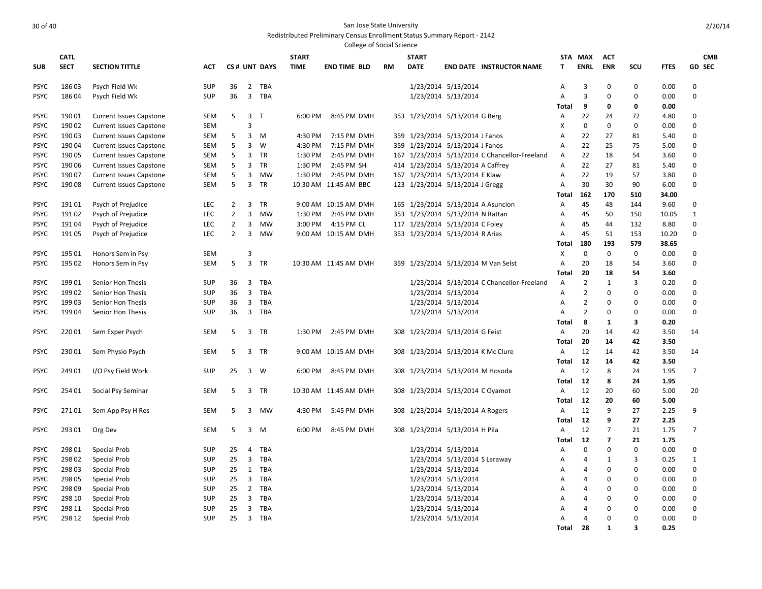|                            |                  |                                            |                          |                |                |                     |              | College of Social Science |           |                                    |                                                      |                                               |                |                |                |             |              |                |
|----------------------------|------------------|--------------------------------------------|--------------------------|----------------|----------------|---------------------|--------------|---------------------------|-----------|------------------------------------|------------------------------------------------------|-----------------------------------------------|----------------|----------------|----------------|-------------|--------------|----------------|
|                            | <b>CATL</b>      |                                            |                          |                |                |                     | <b>START</b> |                           |           | <b>START</b>                       |                                                      |                                               |                | STA MAX        | <b>ACT</b>     |             |              | <b>CMB</b>     |
| <b>SUB</b>                 | <b>SECT</b>      | <b>SECTION TITTLE</b>                      | <b>ACT</b>               |                |                | CS# UNT DAYS        | <b>TIME</b>  | <b>END TIME BLD</b>       | <b>RM</b> | <b>DATE</b>                        |                                                      | <b>END DATE INSTRUCTOR NAME</b>               | т              | <b>ENRL</b>    | <b>ENR</b>     | <b>SCU</b>  | <b>FTES</b>  | <b>GD SEC</b>  |
| <b>PSYC</b>                | 18603            | Psych Field Wk                             | <b>SUP</b>               | 36             | $\overline{2}$ | TBA                 |              |                           |           |                                    | 1/23/2014 5/13/2014                                  |                                               | Α              | 3              | $\Omega$       | 0           | 0.00         | $\mathbf 0$    |
| <b>PSYC</b>                | 18604            | Psych Field Wk                             | <b>SUP</b>               | 36             | 3              | TBA                 |              |                           |           |                                    | 1/23/2014 5/13/2014                                  |                                               | A              | 3              | $\Omega$       | 0           | 0.00         | $\mathbf 0$    |
|                            |                  |                                            |                          |                |                |                     |              |                           |           |                                    |                                                      |                                               | <b>Total</b>   | 9              | 0              | 0           | 0.00         |                |
| <b>PSYC</b>                | 19001            | <b>Current Issues Capstone</b>             | <b>SEM</b>               | 5              | 3              | $\mathsf{T}$        | 6:00 PM      | 8:45 PM DMH               |           | 353 1/23/2014 5/13/2014 G Berg     |                                                      |                                               | Α              | 22             | 24             | 72          | 4.80         | 0              |
| <b>PSYC</b>                | 19002            | <b>Current Issues Capstone</b>             | <b>SEM</b>               |                | 3              |                     |              |                           |           |                                    |                                                      |                                               | X              | $\mathbf 0$    | $\mathbf 0$    | $\mathbf 0$ | 0.00         | $\mathbf 0$    |
| <b>PSYC</b>                | 19003            | <b>Current Issues Capstone</b>             | SEM                      | 5              | 3              | м                   | 4:30 PM      | 7:15 PM DMH               |           | 359 1/23/2014 5/13/2014 J Fanos    |                                                      |                                               | Α              | 22             | 27             | 81          | 5.40         | $\mathbf 0$    |
| <b>PSYC</b>                | 190 04           | <b>Current Issues Capstone</b>             | SEM                      | 5              | 3              | W                   | 4:30 PM      | 7:15 PM DMH               |           | 359 1/23/2014 5/13/2014 J Fanos    |                                                      |                                               | Α              | 22             | 25             | 75          | 5.00         | $\mathbf 0$    |
| <b>PSYC</b>                | 19005            | <b>Current Issues Capstone</b>             | <b>SEM</b>               | 5              | 3              | TR                  | 1:30 PM      | 2:45 PM DMH               |           |                                    |                                                      | 167 1/23/2014 5/13/2014 C Chancellor-Freeland | A              | 22             | 18             | 54          | 3.60         | $\mathbf 0$    |
| <b>PSYC</b>                | 190 06           | <b>Current Issues Capstone</b>             | SEM                      | 5              | 3              | TR                  | 1:30 PM      | 2:45 PM SH                |           | 414 1/23/2014 5/13/2014 A Caffrey  |                                                      |                                               | Α              | 22             | 27             | 81          | 5.40         | $\mathbf 0$    |
| <b>PSYC</b>                | 190 07           | <b>Current Issues Capstone</b>             | <b>SEM</b>               | 5              | 3              | <b>MW</b>           | 1:30 PM      | 2:45 PM DMH               |           | 167 1/23/2014 5/13/2014 E Klaw     |                                                      |                                               | Α              | 22             | 19             | 57          | 3.80         | $\mathbf 0$    |
| <b>PSYC</b>                | 19008            | <b>Current Issues Capstone</b>             | <b>SEM</b>               | 5              | 3              | TR                  |              | 10:30 AM 11:45 AM BBC     |           | 123 1/23/2014 5/13/2014 J Gregg    |                                                      |                                               | A              | 30             | 30             | 90          | 6.00         | $\mathbf 0$    |
|                            |                  |                                            |                          |                |                |                     |              |                           |           |                                    |                                                      |                                               | Total          | 162            | 170            | 510         | 34.00        |                |
| <b>PSYC</b>                | 19101            | Psych of Prejudice                         | <b>LEC</b>               | $\overline{2}$ | 3              | <b>TR</b>           |              | 9:00 AM 10:15 AM DMH      |           |                                    |                                                      | 165 1/23/2014 5/13/2014 A Asuncion            | A              | 45             | 48             | 144         | 9.60         | $\mathbf 0$    |
| <b>PSYC</b>                | 19102            | Psych of Prejudice                         | <b>LEC</b>               | $\overline{2}$ | 3              | <b>MW</b>           | 1:30 PM      | 2:45 PM DMH               |           | 353 1/23/2014 5/13/2014 N Rattan   |                                                      |                                               | A              | 45             | 50             | 150         | 10.05        | $\mathbf{1}$   |
| <b>PSYC</b>                | 19104            | Psych of Prejudice                         | <b>LEC</b>               | $\overline{2}$ | 3              | MW                  | 3:00 PM      | 4:15 PM CL                |           | 117 1/23/2014 5/13/2014 C Foley    |                                                      |                                               | Α              | 45             | 44             | 132         | 8.80         | $\mathbf 0$    |
| <b>PSYC</b>                | 19105            | Psych of Prejudice                         | <b>LEC</b>               | $\overline{2}$ | 3              | <b>MW</b>           |              | 9:00 AM 10:15 AM DMH      |           | 353 1/23/2014 5/13/2014 R Arias    |                                                      |                                               | Α              | 45             | 51             | 153         | 10.20        | $\mathbf 0$    |
|                            |                  |                                            |                          |                |                |                     |              |                           |           |                                    |                                                      |                                               | Total          | 180            | 193            | 579         | 38.65        |                |
| <b>PSYC</b>                | 195 01           | Honors Sem in Psy                          | <b>SEM</b>               |                | 3              |                     |              |                           |           |                                    |                                                      |                                               | X              | $\mathbf 0$    | $\mathbf 0$    | 0           | 0.00         | $\mathbf 0$    |
| <b>PSYC</b>                | 195 02           | Honors Sem in Psy                          | SEM                      | 5              | 3              | <b>TR</b>           |              | 10:30 AM 11:45 AM DMH     |           |                                    |                                                      | 359 1/23/2014 5/13/2014 M Van Selst           | A              | 20             | 18             | 54          | 3.60         | $\mathbf 0$    |
|                            |                  |                                            |                          |                |                |                     |              |                           |           |                                    |                                                      |                                               | Total          | 20             | 18             | 54          | 3.60         |                |
| <b>PSYC</b>                | 19901            | Senior Hon Thesis                          | <b>SUP</b>               | 36             | 3              | TBA                 |              |                           |           |                                    |                                                      | 1/23/2014 5/13/2014 C Chancellor-Freeland     | Α              | 2              | 1              | 3           | 0.20         | $\mathbf 0$    |
| <b>PSYC</b>                | 19902            | Senior Hon Thesis                          | <b>SUP</b>               | 36             | 3              | <b>TBA</b>          |              |                           |           |                                    | 1/23/2014 5/13/2014                                  |                                               | A              | $\overline{2}$ | $\Omega$       | $\mathbf 0$ | 0.00         | $\mathbf 0$    |
| <b>PSYC</b>                | 19903            | Senior Hon Thesis                          | <b>SUP</b>               | 36             | 3              | TBA                 |              |                           |           |                                    | 1/23/2014 5/13/2014                                  |                                               | Α              | 2              | $\Omega$       | 0           | 0.00         | 0              |
| <b>PSYC</b>                | 19904            | Senior Hon Thesis                          | <b>SUP</b>               | 36             |                | 3 TBA               |              |                           |           |                                    | 1/23/2014 5/13/2014                                  |                                               | A              | 2              | $\Omega$       | $\mathbf 0$ | 0.00         | $\mathbf 0$    |
|                            |                  |                                            |                          |                |                |                     |              |                           |           |                                    |                                                      |                                               | Total          | 8              | 1              | 3           | 0.20         |                |
| <b>PSYC</b>                | 22001            | Sem Exper Psych                            | SEM                      | 5              |                | 3 TR                | 1:30 PM      | 2:45 PM DMH               |           | 308 1/23/2014 5/13/2014 G Feist    |                                                      |                                               | A              | 20             | 14             | 42          | 3.50         | 14             |
|                            |                  |                                            |                          |                |                |                     |              |                           |           |                                    |                                                      |                                               | <b>Total</b>   | 20             | 14             | 42          | 3.50         |                |
| <b>PSYC</b>                | 23001            | Sem Physio Psych                           | <b>SEM</b>               | 5              |                | 3 TR                |              | 9:00 AM 10:15 AM DMH      |           | 308 1/23/2014 5/13/2014 K Mc Clure |                                                      |                                               | A              | 12             | 14             | 42          | 3.50         | 14             |
|                            |                  |                                            |                          |                |                |                     |              |                           |           |                                    |                                                      |                                               | <b>Total</b>   | 12             | 14             | 42          | 3.50         |                |
| <b>PSYC</b>                | 24901            | I/O Psy Field Work                         | <b>SUP</b>               | 25             |                | 3 W                 | 6:00 PM      | 8:45 PM DMH               |           | 308 1/23/2014 5/13/2014 M Hosoda   |                                                      |                                               | $\overline{A}$ | 12             | 8              | 24          | 1.95         | $\overline{7}$ |
|                            |                  |                                            |                          |                |                |                     |              |                           |           |                                    |                                                      |                                               | Total          | 12             | 8              | 24          | 1.95         |                |
| <b>PSYC</b>                | 254 01           | Social Psy Seminar                         | <b>SEM</b>               | 5              | $\overline{3}$ | TR                  |              | 10:30 AM 11:45 AM DMH     |           | 308 1/23/2014 5/13/2014 C Oyamot   |                                                      |                                               | A              | 12             | 20             | 60          | 5.00         | 20             |
|                            |                  |                                            |                          |                |                |                     |              |                           |           |                                    |                                                      |                                               | Total          | 12             | 20             | 60          | 5.00         |                |
| <b>PSYC</b>                | 27101            | Sem App Psy H Res                          | SEM                      | 5              | 3              | MW                  | 4:30 PM      | 5:45 PM DMH               |           | 308 1/23/2014 5/13/2014 A Rogers   |                                                      |                                               | A              | 12             | 9              | 27          | 2.25         | 9              |
|                            |                  |                                            |                          |                |                |                     |              |                           |           |                                    |                                                      |                                               | <b>Total</b>   | 12             | 9              | 27          | 2.25         |                |
| <b>PSYC</b>                | 293 01           | Org Dev                                    | SEM                      | 5              | $\overline{3}$ | M                   | 6:00 PM      | 8:45 PM DMH               |           | 308 1/23/2014 5/13/2014 H Pila     |                                                      |                                               | A              | 12             | $\overline{7}$ | 21          | 1.75         | $\overline{7}$ |
|                            |                  |                                            |                          |                |                |                     |              |                           |           |                                    |                                                      |                                               | Total          | 12             | $\overline{7}$ | 21          | 1.75         |                |
| <b>PSYC</b>                | 298 01           | Special Prob                               | <b>SUP</b>               | 25             | 4              | <b>TBA</b>          |              |                           |           |                                    | 1/23/2014 5/13/2014                                  |                                               | Α              | $\mathbf 0$    | $\Omega$       | 0           | 0.00         | $\mathbf 0$    |
|                            |                  |                                            |                          |                |                |                     |              |                           |           |                                    |                                                      |                                               |                |                | 1              | 3           | 0.25         | $\mathbf{1}$   |
| <b>PSYC</b><br><b>PSYC</b> | 298 02<br>298 03 | <b>Special Prob</b><br>Special Prob        | <b>SUP</b><br><b>SUP</b> | 25<br>25       | 3              | <b>TBA</b><br>1 TBA |              |                           |           |                                    | 1/23/2014 5/13/2014 S Laraway<br>1/23/2014 5/13/2014 |                                               | A              | 4<br>4         | $\mathbf 0$    | 0           | 0.00         | $\mathbf 0$    |
| <b>PSYC</b>                | 298 05           | <b>Special Prob</b>                        | <b>SUP</b>               | 25             | 3              | TBA                 |              |                           |           |                                    | 1/23/2014 5/13/2014                                  |                                               | Α<br>Α         | 4              | $\Omega$       | 0           | 0.00         | $\mathbf 0$    |
|                            |                  |                                            |                          |                |                |                     |              |                           |           |                                    |                                                      |                                               | A              |                | $\Omega$       | 0           |              | $\mathbf 0$    |
| <b>PSYC</b><br><b>PSYC</b> | 298 09<br>298 10 | Special Prob                               | <b>SUP</b><br><b>SUP</b> | 25<br>25       | 3              | 2 TBA<br>TBA        |              |                           |           |                                    | 1/23/2014 5/13/2014<br>1/23/2014 5/13/2014           |                                               |                | 4<br>4         | $\mathbf 0$    | 0           | 0.00         | $\mathbf 0$    |
| <b>PSYC</b>                | 298 11           | Special Prob                               | <b>SUP</b>               | 25             | 3              | <b>TBA</b>          |              |                           |           |                                    | 1/23/2014 5/13/2014                                  |                                               | Α              | 4              | $\Omega$       | $\mathbf 0$ | 0.00<br>0.00 | $\mathbf 0$    |
| <b>PSYC</b>                | 298 12           | <b>Special Prob</b><br><b>Special Prob</b> | <b>SUP</b>               | 25             | 3              | TBA                 |              |                           |           |                                    | 1/23/2014 5/13/2014                                  |                                               | A<br>Α         | 4              | $\Omega$       | 0           | 0.00         | $\mathbf 0$    |
|                            |                  |                                            |                          |                |                |                     |              |                           |           |                                    |                                                      |                                               | Total          | 28             | $\mathbf{1}$   | 3           | 0.25         |                |
|                            |                  |                                            |                          |                |                |                     |              |                           |           |                                    |                                                      |                                               |                |                |                |             |              |                |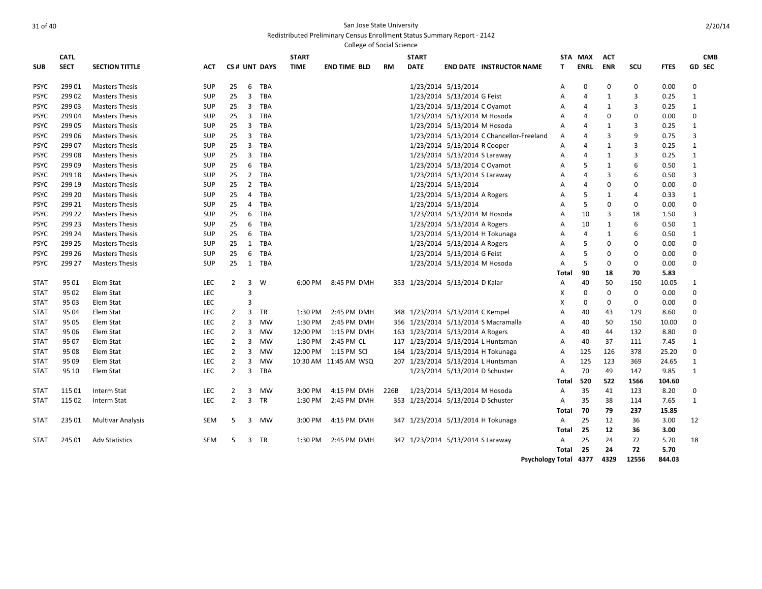|             |             |                          |            |                |                |              |              | <b>College of Social Science</b> |           |              |                                           |                |                |              |                |             |               |
|-------------|-------------|--------------------------|------------|----------------|----------------|--------------|--------------|----------------------------------|-----------|--------------|-------------------------------------------|----------------|----------------|--------------|----------------|-------------|---------------|
|             | <b>CATL</b> |                          |            |                |                |              | <b>START</b> |                                  |           | <b>START</b> |                                           |                | STA MAX        | <b>ACT</b>   |                |             | <b>CMB</b>    |
| <b>SUB</b>  | <b>SECT</b> | <b>SECTION TITTLE</b>    | АСТ        |                |                | CS# UNT DAYS | <b>TIME</b>  | <b>END TIME BLD</b>              | <b>RM</b> | <b>DATE</b>  | <b>END DATE INSTRUCTOR NAME</b>           | T              | <b>ENRL</b>    | <b>ENR</b>   | SCU            | <b>FTES</b> | <b>GD SEC</b> |
| <b>PSYC</b> | 29901       | <b>Masters Thesis</b>    | <b>SUP</b> | 25             | 6              | TBA          |              |                                  |           |              | 1/23/2014 5/13/2014                       | A              | 0              | 0            | $\mathbf 0$    | 0.00        | $\mathbf 0$   |
| <b>PSYC</b> | 29902       | <b>Masters Thesis</b>    | <b>SUP</b> | 25             | $\overline{3}$ | <b>TBA</b>   |              |                                  |           |              | 1/23/2014 5/13/2014 G Feist               | A              | 4              | $\mathbf{1}$ | 3              | 0.25        | $\mathbf{1}$  |
| <b>PSYC</b> | 29903       | <b>Masters Thesis</b>    | <b>SUP</b> | 25             | 3              | <b>TBA</b>   |              |                                  |           |              | 1/23/2014 5/13/2014 C Oyamot              | A              | 4              | $\mathbf{1}$ | 3              | 0.25        | $\mathbf{1}$  |
| <b>PSYC</b> | 29904       | <b>Masters Thesis</b>    | <b>SUP</b> | 25             | 3              | <b>TBA</b>   |              |                                  |           |              | 1/23/2014 5/13/2014 M Hosoda              | A              | 4              | 0            | $\mathbf 0$    | 0.00        | $\mathbf 0$   |
| <b>PSYC</b> | 29905       | <b>Masters Thesis</b>    | <b>SUP</b> | 25             | $\overline{3}$ | <b>TBA</b>   |              |                                  |           |              | 1/23/2014 5/13/2014 M Hosoda              | A              | $\overline{A}$ | 1            | 3              | 0.25        | $\mathbf{1}$  |
| <b>PSYC</b> | 299 06      | <b>Masters Thesis</b>    | <b>SUP</b> | 25             | $\overline{3}$ | <b>TBA</b>   |              |                                  |           |              | 1/23/2014 5/13/2014 C Chancellor-Freeland | A              | 4              | 3            | 9              | 0.75        | 3             |
| <b>PSYC</b> | 29907       | <b>Masters Thesis</b>    | <b>SUP</b> | 25             | $\overline{3}$ | <b>TBA</b>   |              |                                  |           |              | 1/23/2014 5/13/2014 R Cooper              | A              | $\overline{A}$ | 1            | $\overline{3}$ | 0.25        | $\mathbf{1}$  |
| <b>PSYC</b> | 29908       | <b>Masters Thesis</b>    | <b>SUP</b> | 25             | 3              | TBA          |              |                                  |           |              | 1/23/2014 5/13/2014 S Laraway             | A              | 4              | $\mathbf{1}$ | 3              | 0.25        | $\mathbf{1}$  |
| <b>PSYC</b> | 29909       | <b>Masters Thesis</b>    | <b>SUP</b> | 25             | 6              | TBA          |              |                                  |           |              | 1/23/2014 5/13/2014 C Oyamot              | A              | 5              | 1            | 6              | 0.50        | $\mathbf{1}$  |
| <b>PSYC</b> | 299 18      | <b>Masters Thesis</b>    | <b>SUP</b> | 25             | $\overline{2}$ | <b>TBA</b>   |              |                                  |           |              | 1/23/2014 5/13/2014 S Laraway             | A              | $\overline{4}$ | 3            | 6              | 0.50        | 3             |
| <b>PSYC</b> | 299 19      | <b>Masters Thesis</b>    | <b>SUP</b> | 25             | $\overline{2}$ | <b>TBA</b>   |              |                                  |           |              | 1/23/2014 5/13/2014                       | A              | $\overline{A}$ | 0            | 0              | 0.00        | $\Omega$      |
| PSYC        | 299 20      | <b>Masters Thesis</b>    | SUP        | 25             | 4              | <b>TBA</b>   |              |                                  |           |              | 1/23/2014 5/13/2014 A Rogers              | A              | 5              | 1            | 4              | 0.33        | 1             |
| <b>PSYC</b> | 299 21      | <b>Masters Thesis</b>    | <b>SUP</b> | 25             | 4              | <b>TBA</b>   |              |                                  |           |              | 1/23/2014 5/13/2014                       | A              | -5             | 0            | 0              | 0.00        | $\Omega$      |
| PSYC        | 299 22      | <b>Masters Thesis</b>    | SUP        | 25             | 6              | <b>TBA</b>   |              |                                  |           |              | 1/23/2014 5/13/2014 M Hosoda              | A              | 10             | 3            | 18             | 1.50        | 3             |
| <b>PSYC</b> | 299 23      | <b>Masters Thesis</b>    | <b>SUP</b> | 25             | 6              | <b>TBA</b>   |              |                                  |           |              | 1/23/2014 5/13/2014 A Rogers              | A              | 10             | 1            | 6              | 0.50        | $\mathbf{1}$  |
| <b>PSYC</b> | 299 24      | <b>Masters Thesis</b>    | <b>SUP</b> | 25             | 6              | <b>TBA</b>   |              |                                  |           |              | 1/23/2014 5/13/2014 H Tokunaga            | A              | $\overline{4}$ | 1            | 6              | 0.50        | 1             |
| <b>PSYC</b> | 299 25      | <b>Masters Thesis</b>    | <b>SUP</b> | 25             | 1              | <b>TBA</b>   |              |                                  |           |              | 1/23/2014 5/13/2014 A Rogers              | A              | 5              | 0            | 0              | 0.00        | $\mathbf 0$   |
| <b>PSYC</b> | 299 26      | <b>Masters Thesis</b>    | <b>SUP</b> | 25             | 6              | <b>TBA</b>   |              |                                  |           |              | 1/23/2014 5/13/2014 G Feist               | A              | 5              | 0            | 0              | 0.00        | $\Omega$      |
| <b>PSYC</b> | 299 27      | <b>Masters Thesis</b>    | <b>SUP</b> | 25             | 1              | <b>TBA</b>   |              |                                  |           |              | 1/23/2014 5/13/2014 M Hosoda              | A              | 5              | 0            | $\mathbf 0$    | 0.00        | $\Omega$      |
|             |             |                          |            |                |                |              |              |                                  |           |              |                                           | Total          | 90             | 18           | 70             | 5.83        |               |
| <b>STAT</b> | 95 01       | Elem Stat                | <b>LEC</b> | 2              | 3              | W            | 6:00 PM      | 8:45 PM DMH                      |           |              | 353 1/23/2014 5/13/2014 D Kalar           | A              | 40             | 50           | 150            | 10.05       | 1             |
| <b>STAT</b> | 95 02       | Elem Stat                | <b>LEC</b> |                | 3              |              |              |                                  |           |              |                                           | X              | 0              | $\Omega$     | $\mathbf 0$    | 0.00        | $\Omega$      |
| <b>STAT</b> | 95 03       | Elem Stat                | <b>LEC</b> |                | 3              |              |              |                                  |           |              |                                           | X              | 0              | $\Omega$     | $\mathbf 0$    | 0.00        | $\Omega$      |
| <b>STAT</b> | 95 04       | Elem Stat                | <b>LEC</b> | 2              | 3              | <b>TR</b>    | 1:30 PM      | 2:45 PM DMH                      |           |              | 348 1/23/2014 5/13/2014 C Kempel          | $\overline{A}$ | 40             | 43           | 129            | 8.60        | 0             |
| <b>STAT</b> | 95 05       | Elem Stat                | <b>LEC</b> | 2              | 3              | <b>MW</b>    | 1:30 PM      | 2:45 PM DMH                      |           |              | 356 1/23/2014 5/13/2014 S Macramalla      | A              | 40             | 50           | 150            | 10.00       | 0             |
| <b>STAT</b> | 95 06       | Elem Stat                | <b>LEC</b> | $\overline{2}$ | 3              | <b>MW</b>    | 12:00 PM     | 1:15 PM DMH                      |           |              | 163 1/23/2014 5/13/2014 A Rogers          | $\overline{A}$ | 40             | 44           | 132            | 8.80        | $\Omega$      |
| <b>STAT</b> | 95 07       | Elem Stat                | <b>LEC</b> | 2              | 3              | <b>MW</b>    | 1:30 PM      | 2:45 PM CL                       |           |              | 117 1/23/2014 5/13/2014 L Huntsman        | $\overline{A}$ | 40             | 37           | 111            | 7.45        | $\mathbf{1}$  |
| <b>STAT</b> | 95 08       | Elem Stat                | LEC        | $\overline{2}$ | 3              | <b>MW</b>    | 12:00 PM     | 1:15 PM SCI                      |           |              | 164 1/23/2014 5/13/2014 H Tokunaga        | A              | 125            | 126          | 378            | 25.20       | $\Omega$      |
| <b>STAT</b> | 95 09       | Elem Stat                | LEC        | $\overline{2}$ | 3              | <b>MW</b>    |              | 10:30 AM 11:45 AM WSQ            |           |              | 207 1/23/2014 5/13/2014 L Huntsman        | A              | 125            | 123          | 369            | 24.65       | $\mathbf{1}$  |
| <b>STAT</b> | 95 10       | Elem Stat                | LEC        | $\overline{2}$ | 3              | <b>TBA</b>   |              |                                  |           |              | 1/23/2014 5/13/2014 D Schuster            | A              | 70             | 49           | 147            | 9.85        | $\mathbf{1}$  |
|             |             |                          |            |                |                |              |              |                                  |           |              |                                           | Total          | 520            | 522          | 1566           | 104.60      |               |
| <b>STAT</b> | 115 01      | Interm Stat              | <b>LEC</b> | 2              | 3              | <b>MW</b>    | 3:00 PM      | 4:15 PM DMH                      | 226B      |              | 1/23/2014 5/13/2014 M Hosoda              | $\overline{A}$ | 35             | 41           | 123            | 8.20        | $\mathbf 0$   |
| <b>STAT</b> | 115 02      | Interm Stat              | <b>LEC</b> | 2              | 3              | <b>TR</b>    | 1:30 PM      | 2:45 PM DMH                      |           |              | 353 1/23/2014 5/13/2014 D Schuster        | $\overline{A}$ | 35             | 38           | 114            | 7.65        | 1             |
|             |             |                          |            |                |                |              |              |                                  |           |              |                                           | Total          | 70             | 79           | 237            | 15.85       |               |
| <b>STAT</b> | 235 01      | <b>Multivar Analysis</b> | <b>SEM</b> | 5              | 3              | MW           | 3:00 PM      | 4:15 PM DMH                      |           |              | 347 1/23/2014 5/13/2014 H Tokunaga        | $\overline{A}$ | 25             | 12           | 36             | 3.00        | 12            |
|             |             |                          |            |                |                |              |              |                                  |           |              |                                           | Total          | 25             | 12           | 36             | 3.00        |               |
| <b>STAT</b> | 245 01      | <b>Adv Statistics</b>    | <b>SEM</b> | 5              | 3              | <b>TR</b>    | 1:30 PM      | 2:45 PM DMH                      |           |              | 347 1/23/2014 5/13/2014 S Laraway         | $\overline{A}$ | 25             | 24           | 72             | 5.70        | 18            |
|             |             |                          |            |                |                |              |              |                                  |           |              |                                           | Total          | 25             | 24           | 72             | 5.70        |               |
|             |             |                          |            |                |                |              |              |                                  |           |              |                                           |                |                |              |                |             |               |

**Psychology Total 4377 4329 12556 844.03**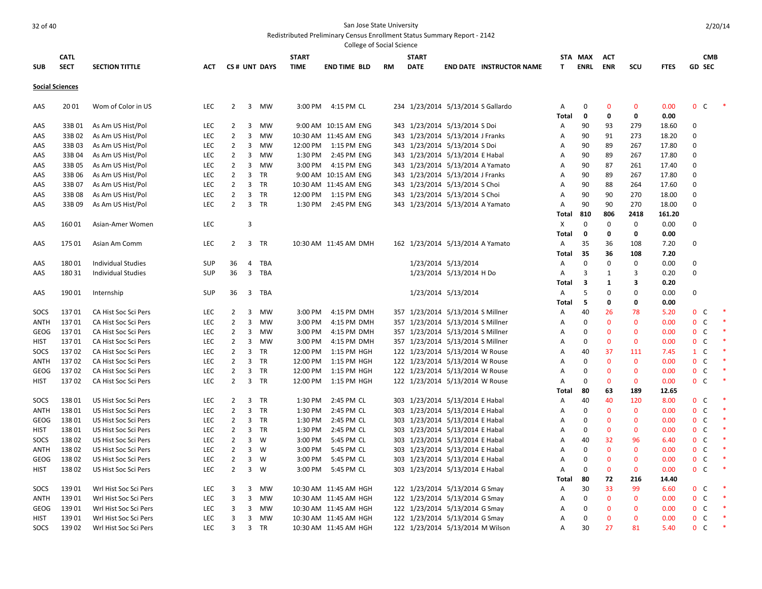|             |                        |                           |            |                |                |              |              | College of Social Science |    |                                    |                          |                                 |            |             |                   |                   |              |                                |            |        |
|-------------|------------------------|---------------------------|------------|----------------|----------------|--------------|--------------|---------------------------|----|------------------------------------|--------------------------|---------------------------------|------------|-------------|-------------------|-------------------|--------------|--------------------------------|------------|--------|
|             | <b>CATL</b>            |                           |            |                |                |              | <b>START</b> |                           |    | <b>START</b>                       |                          |                                 | STA        | <b>MAX</b>  | <b>ACT</b>        |                   |              |                                | <b>CMB</b> |        |
| <b>SUB</b>  | <b>SECT</b>            | <b>SECTION TITTLE</b>     | ACT        |                |                | CS# UNT DAYS | <b>TIME</b>  | <b>END TIME BLD</b>       | RM | <b>DATE</b>                        |                          | <b>END DATE INSTRUCTOR NAME</b> | T.         | <b>ENRL</b> | <b>ENR</b>        | SCU               | <b>FTES</b>  | <b>GD SEC</b>                  |            |        |
|             | <b>Social Sciences</b> |                           |            |                |                |              |              |                           |    |                                    |                          |                                 |            |             |                   |                   |              |                                |            |        |
|             |                        |                           |            |                |                |              |              |                           |    |                                    |                          |                                 |            |             |                   |                   |              |                                |            |        |
| AAS         | 2001                   | Wom of Color in US        | <b>LEC</b> | $\overline{2}$ |                | 3 MW         |              | 3:00 PM 4:15 PM CL        |    | 234 1/23/2014 5/13/2014 S Gallardo |                          |                                 | Α<br>Total | 0<br>0      | $\mathbf{0}$<br>0 | $\mathbf{0}$<br>0 | 0.00<br>0.00 | 0 <sup>o</sup>                 |            |        |
| AAS         | 33B 01                 | As Am US Hist/Pol         | <b>LEC</b> | $\overline{2}$ | 3              | MW           |              | 9:00 AM 10:15 AM ENG      |    | 343 1/23/2014 5/13/2014 S Doi      |                          |                                 | Α          | 90          | 93                | 279               | 18.60        | $\Omega$                       |            |        |
| AAS         | 33B 02                 | As Am US Hist/Pol         | <b>LEC</b> | $\overline{2}$ | 3              | MW           |              | 10:30 AM 11:45 AM ENG     |    | 343 1/23/2014 5/13/2014 J Franks   |                          |                                 | А          | 90          | 91                | 273               | 18.20        | $\Omega$                       |            |        |
| AAS         | 33B 03                 | As Am US Hist/Pol         | <b>LEC</b> | $\overline{2}$ | $\overline{3}$ | MW           |              | 12:00 PM   1:15 PM ENG    |    | 343 1/23/2014 5/13/2014 S Doi      |                          |                                 | Α          | 90          | 89                | 267               | 17.80        | 0                              |            |        |
| AAS         | 33B 04                 | As Am US Hist/Pol         | <b>LEC</b> | $\overline{2}$ | 3              | MW           | 1:30 PM      | 2:45 PM ENG               |    | 343 1/23/2014 5/13/2014 E Habal    |                          |                                 | A          | 90          | 89                | 267               | 17.80        | $\Omega$                       |            |        |
| AAS         | 33B 05                 | As Am US Hist/Pol         | <b>LEC</b> | $\overline{2}$ | $\overline{3}$ | MW           | 3:00 PM      | 4:15 PM ENG               |    | 343 1/23/2014 5/13/2014 A Yamato   |                          |                                 | Α          | 90          | 87                | 261               | 17.40        | $\Omega$                       |            |        |
| AAS         | 33B 06                 | As Am US Hist/Pol         | <b>LEC</b> | $\overline{2}$ |                | 3 TR         |              | 9:00 AM 10:15 AM ENG      |    | 343 1/23/2014 5/13/2014 J Franks   |                          |                                 | Α          | 90          | 89                | 267               | 17.80        | $\Omega$                       |            |        |
| AAS         | 33B07                  | As Am US Hist/Pol         | LEC        | $\overline{2}$ | 3              | <b>TR</b>    |              | 10:30 AM 11:45 AM ENG     |    | 343 1/23/2014 5/13/2014 S Choi     |                          |                                 | Α          | 90          | 88                | 264               | 17.60        | $\Omega$                       |            |        |
| AAS         | 33B08                  | As Am US Hist/Pol         | <b>LEC</b> | $\overline{2}$ |                | 3 TR         |              | 12:00 PM   1:15 PM ENG    |    | 343 1/23/2014 5/13/2014 S Choi     |                          |                                 | Α          | 90          | 90                | 270               | 18.00        | $\Omega$                       |            |        |
| AAS         | 33B09                  | As Am US Hist/Pol         | <b>LEC</b> | $\overline{2}$ |                | 3 TR         |              | 1:30 PM 2:45 PM ENG       |    | 343 1/23/2014 5/13/2014 A Yamato   |                          |                                 | Α          | 90          | 90                | 270               | 18.00        | $\Omega$                       |            |        |
|             |                        |                           |            |                |                |              |              |                           |    |                                    |                          |                                 | Total      | 810         | 806               | 2418              | 161.20       |                                |            |        |
| AAS         | 16001                  | Asian-Amer Women          | <b>LEC</b> |                | 3              |              |              |                           |    |                                    |                          |                                 | X          | 0           | $\mathbf{0}$      | $\mathbf 0$       | 0.00         | $\Omega$                       |            |        |
|             |                        |                           |            |                |                |              |              |                           |    |                                    |                          |                                 | Total      | 0           | 0                 | 0                 | 0.00         |                                |            |        |
| AAS         | 17501                  | Asian Am Comm             | <b>LEC</b> | $\overline{2}$ |                | 3 TR         |              | 10:30 AM 11:45 AM DMH     |    | 162 1/23/2014 5/13/2014 A Yamato   |                          |                                 | Α          | 35          | 36                | 108               | 7.20         | 0                              |            |        |
|             |                        |                           |            |                |                |              |              |                           |    |                                    |                          |                                 | Total      | 35          | 36                | 108               | 7.20         |                                |            |        |
| AAS         | 18001                  | <b>Individual Studies</b> | <b>SUP</b> | 36             | 4              | TBA          |              |                           |    |                                    | 1/23/2014 5/13/2014      |                                 | Α          | 0           | $\Omega$          | $\mathbf 0$       | 0.00         | 0                              |            |        |
| AAS         | 18031                  | Individual Studies        | <b>SUP</b> | 36             |                | 3 TBA        |              |                           |    |                                    | 1/23/2014 5/13/2014 H Do |                                 | A          | 3           | $\mathbf{1}$      | 3                 | 0.20         | $\Omega$                       |            |        |
|             |                        |                           |            |                |                |              |              |                           |    |                                    |                          |                                 | Total      | 3           | 1                 | 3                 | 0.20         |                                |            |        |
| AAS         | 190 01                 | Internship                | <b>SUP</b> | 36             |                | 3 TBA        |              |                           |    |                                    | 1/23/2014 5/13/2014      |                                 | Α          | 5           | $\mathbf{0}$      | $\Omega$          | 0.00         | 0                              |            |        |
|             |                        |                           |            |                |                |              |              |                           |    |                                    |                          |                                 | Total      | 5           | 0                 | 0                 | 0.00         |                                |            |        |
| SOCS        | 13701                  | CA Hist Soc Sci Pers      | <b>LEC</b> | $\overline{2}$ | $\overline{3}$ | MW           | 3:00 PM      | 4:15 PM DMH               |    | 357 1/23/2014 5/13/2014 S Millner  |                          |                                 | Α          | 40          | 26                | 78                | 5.20         | 0 <sup>o</sup>                 |            |        |
| ANTH        | 13701                  | CA Hist Soc Sci Pers      | LEC        | $\overline{2}$ | 3              | MW           | 3:00 PM      | 4:15 PM DMH               |    | 357 1/23/2014 5/13/2014 S Millner  |                          |                                 | Α          | 0           | $\mathbf{0}$      | $\mathbf{0}$      | 0.00         | $\mathbf{0}$<br>- C            |            |        |
| GEOG        | 13701                  | CA Hist Soc Sci Pers      | <b>LEC</b> | $\overline{2}$ | $\overline{3}$ | MW           | 3:00 PM      | 4:15 PM DMH               |    | 357 1/23/2014 5/13/2014 S Millner  |                          |                                 | Α          | 0           | $\mathbf 0$       | $\mathbf 0$       | 0.00         | 0 <sup>o</sup>                 |            |        |
| HIST        | 13701                  | CA Hist Soc Sci Pers      | <b>LEC</b> | $\overline{2}$ | 3              | MW           | 3:00 PM      | 4:15 PM DMH               |    | 357 1/23/2014 5/13/2014 S Millner  |                          |                                 | Α          | 0           | $\mathbf 0$       | $\mathbf{0}$      | 0.00         | 0 <sup>o</sup>                 |            |        |
| SOCS        | 13702                  | CA Hist Soc Sci Pers      | <b>LEC</b> | $\overline{2}$ |                | 3 TR         | 12:00 PM     | 1:15 PM HGH               |    | 122 1/23/2014 5/13/2014 W Rouse    |                          |                                 | Α          | 40          | 37                | 111               | 7.45         | $1 \quad C$                    |            |        |
| <b>ANTH</b> | 13702                  | CA Hist Soc Sci Pers      | <b>LEC</b> | $\overline{2}$ | $\overline{3}$ | TR           | 12:00 PM     | 1:15 PM HGH               |    | 122 1/23/2014 5/13/2014 W Rouse    |                          |                                 | A          | 0           | $\mathbf 0$       | $\mathbf{0}$      | 0.00         | 0 <sup>o</sup>                 |            |        |
| <b>GEOG</b> | 13702                  | CA Hist Soc Sci Pers      | LEC        | $\overline{2}$ | 3              | TR           | 12:00 PM     | 1:15 PM HGH               |    | 122 1/23/2014 5/13/2014 W Rouse    |                          |                                 | Α          | 0           | $\mathbf 0$       | $\mathbf 0$       | 0.00         | $0\quad C$                     |            |        |
| <b>HIST</b> | 13702                  | CA Hist Soc Sci Pers      | <b>LEC</b> | $\overline{2}$ | 3              | <b>TR</b>    | 12:00 PM     | 1:15 PM HGH               |    | 122 1/23/2014 5/13/2014 W Rouse    |                          |                                 | Α          | 0           | $\mathbf 0$       | $\mathbf 0$       | 0.00         | 0 <sup>o</sup>                 |            |        |
|             |                        |                           |            |                |                |              |              |                           |    |                                    |                          |                                 | Total      | 80          | 63                | 189               | 12.65        |                                |            |        |
| SOCS        | 138 01                 | US Hist Soc Sci Pers      | <b>LEC</b> | $\overline{2}$ | 3              | TR           | 1:30 PM      | 2:45 PM CL                |    | 303 1/23/2014 5/13/2014 E Habal    |                          |                                 | Α          | 40          | 40                | 120               | 8.00         | 0 <sup>o</sup>                 |            |        |
| ANTH        | 13801                  | US Hist Soc Sci Pers      | <b>LEC</b> | $\overline{2}$ | $\overline{3}$ | <b>TR</b>    | 1:30 PM      | 2:45 PM CL                |    | 303 1/23/2014 5/13/2014 E Habal    |                          |                                 | Α          | 0           | $\mathbf{0}$      | $\mathbf{0}$      | 0.00         | 0 <sup>o</sup>                 |            | $\ast$ |
| <b>GEOG</b> | 13801                  | US Hist Soc Sci Pers      | <b>LEC</b> | $\overline{2}$ | 3              | TR           | 1:30 PM      | 2:45 PM CL                |    | 303 1/23/2014 5/13/2014 E Habal    |                          |                                 | Α          | 0           | $\mathbf 0$       | $\mathbf 0$       | 0.00         | 0 <sup>o</sup>                 |            | $\ast$ |
| <b>HIST</b> | 13801                  | US Hist Soc Sci Pers      | <b>LEC</b> | $\overline{2}$ | $\overline{3}$ | <b>TR</b>    | 1:30 PM      | 2:45 PM CL                |    | 303 1/23/2014 5/13/2014 E Habal    |                          |                                 | Α          | 0           | $\mathbf{0}$      | $\mathbf{0}$      | 0.00         | 0 <sup>o</sup>                 |            |        |
| SOCS        | 13802                  | US Hist Soc Sci Pers      | <b>LEC</b> | $\overline{2}$ | 3              | W            | 3:00 PM      | 5:45 PM CL                |    | 303 1/23/2014 5/13/2014 E Habal    |                          |                                 | Α          | 40          | 32                | 96                | 6.40         | 0 <sup>o</sup>                 |            |        |
| <b>ANTH</b> | 13802                  | US Hist Soc Sci Pers      | <b>LEC</b> | $\overline{2}$ | 3              | W            | 3:00 PM      | 5:45 PM CL                |    | 303 1/23/2014 5/13/2014 E Habal    |                          |                                 | Α          | 0           | $\mathbf{0}$      | $\mathbf{0}$      | 0.00         | 0 <sup>o</sup>                 |            | $\ast$ |
| GEOG        | 13802                  | US Hist Soc Sci Pers      | <b>LEC</b> | $\overline{2}$ | 3              | W            | 3:00 PM      | 5:45 PM CL                |    | 303 1/23/2014 5/13/2014 E Habal    |                          |                                 | Α          | 0           | $\mathbf{0}$      | $\mathbf{0}$      | 0.00         | $0-$                           |            |        |
| HIST        | 13802                  | US Hist Soc Sci Pers      | <b>LEC</b> | $\overline{2}$ |                | 3 W          | 3:00 PM      | 5:45 PM CL                |    | 303 1/23/2014 5/13/2014 E Habal    |                          |                                 | Α          | 0           | $\mathbf{0}$      | $\mathbf{0}$      | 0.00         | 0 <sup>o</sup>                 |            |        |
|             |                        |                           |            |                |                |              |              |                           |    |                                    |                          |                                 | Total      | 80          | 72                | 216               | 14.40        |                                |            |        |
| SOCS        | 13901                  | Wrl Hist Soc Sci Pers     | <b>LEC</b> | 3              | 3              | MW           |              | 10:30 AM 11:45 AM HGH     |    | 122 1/23/2014 5/13/2014 G Smay     |                          |                                 | Α          | 30          | 33                | 99                | 6.60         | 0 <sup>o</sup>                 |            |        |
| <b>ANTH</b> | 13901                  | Wrl Hist Soc Sci Pers     | <b>LEC</b> | 3              | 3              | MW           |              | 10:30 AM 11:45 AM HGH     |    | 122 1/23/2014 5/13/2014 G Smay     |                          |                                 | Α          | 0           | $\mathbf{0}$      | $\mathbf{0}$      | 0.00         | 0 <sup>o</sup>                 |            | $\ast$ |
| GEOG        | 13901                  | Wrl Hist Soc Sci Pers     | <b>LEC</b> | 3              | 3              | MW           |              | 10:30 AM 11:45 AM HGH     |    | 122 1/23/2014 5/13/2014 G Smay     |                          |                                 | А          | 0           | $\mathbf 0$       | $\mathbf 0$       | 0.00         | 0 <sup>o</sup>                 |            | $\ast$ |
| HIST        | 13901                  | Wrl Hist Soc Sci Pers     | <b>LEC</b> | 3              | 3              | MW           |              | 10:30 AM 11:45 AM HGH     |    | 122 1/23/2014 5/13/2014 G Smay     |                          |                                 | A          | 0           | $\mathbf 0$       | $\mathbf{0}$      | 0.00         | 0 <sup>o</sup>                 |            |        |
| SOCS        | 13902                  | Wrl Hist Soc Sci Pers     | <b>LEC</b> | 3              |                | 3 TR         |              | 10:30 AM 11:45 AM HGH     |    | 122 1/23/2014 5/13/2014 M Wilson   |                          |                                 | A          | 30          | 27                | 81                | 5.40         | $\overline{\mathbf{0}}$<br>- C |            |        |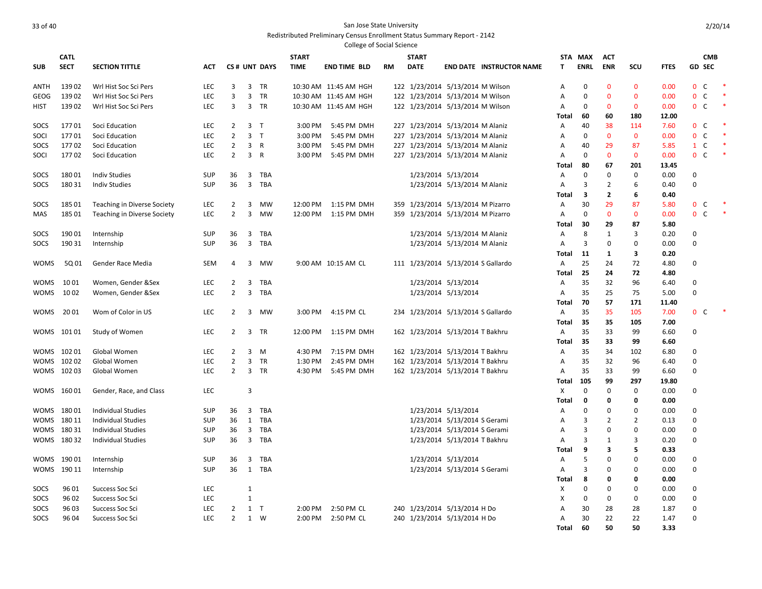|             |             |                                    |            |                |                |              |              | <b>College of Social Science</b> |     |                                    |                               |                                 |              |                |                |                |             |                   |            |        |
|-------------|-------------|------------------------------------|------------|----------------|----------------|--------------|--------------|----------------------------------|-----|------------------------------------|-------------------------------|---------------------------------|--------------|----------------|----------------|----------------|-------------|-------------------|------------|--------|
|             | <b>CATL</b> |                                    |            |                |                |              | <b>START</b> |                                  |     | <b>START</b>                       |                               |                                 | <b>STA</b>   | <b>MAX</b>     | <b>ACT</b>     |                |             |                   | <b>CMB</b> |        |
| <b>SUB</b>  | <b>SECT</b> | <b>SECTION TITTLE</b>              | <b>ACT</b> |                |                | CS# UNT DAYS | <b>TIME</b>  | <b>END TIME BLD</b>              | RM  | <b>DATE</b>                        |                               | <b>END DATE INSTRUCTOR NAME</b> | T.           | <b>ENRL</b>    | <b>ENR</b>     | SCU            | <b>FTES</b> | <b>GD SEC</b>     |            |        |
|             |             |                                    |            |                |                |              |              |                                  |     |                                    |                               |                                 |              |                |                |                |             |                   |            |        |
| <b>ANTH</b> | 13902       | Wrl Hist Soc Sci Pers              | <b>LEC</b> | 3              |                | 3 TR         |              | 10:30 AM 11:45 AM HGH            |     | 122 1/23/2014 5/13/2014 M Wilson   |                               |                                 | A            | $\mathbf 0$    | $\mathbf{0}$   | $\mathbf{0}$   | 0.00        | $0\quad C$        |            |        |
| GEOG        | 13902       | Wrl Hist Soc Sci Pers              | <b>LEC</b> | 3              | 3              | TR           |              | 10:30 AM 11:45 AM HGH            |     | 122 1/23/2014 5/13/2014 M Wilson   |                               |                                 | Α            | $\mathbf 0$    | $\mathbf 0$    | $\mathbf 0$    | 0.00        | $\mathbf{0}$<br>C |            |        |
| <b>HIST</b> | 13902       | Wrl Hist Soc Sci Pers              | <b>LEC</b> | $\overline{3}$ | 3              | <b>TR</b>    |              | 10:30 AM 11:45 AM HGH            |     | 122 1/23/2014 5/13/2014 M Wilson   |                               |                                 | A            | 0              | $\mathbf{0}$   | $\mathbf{0}$   | 0.00        | 0 <sup>o</sup>    |            |        |
|             |             |                                    |            |                |                |              |              |                                  |     |                                    |                               |                                 | Total        | 60             | 60             | 180            | 12.00       |                   |            |        |
| SOCS        | 17701       | Soci Education                     | <b>LEC</b> | 2              | 3 <sub>T</sub> |              | 3:00 PM      | 5:45 PM DMH                      |     | 227 1/23/2014 5/13/2014 M Alaniz   |                               |                                 | A            | 40             | 38             | 114            | 7.60        | 0 <sup>o</sup>    |            |        |
| SOCI        | 17701       | Soci Education                     | <b>LEC</b> | $\overline{2}$ | 3 <sub>T</sub> |              | 3:00 PM      | 5:45 PM DMH                      |     | 227 1/23/2014 5/13/2014 M Alaniz   |                               |                                 | Α            | 0              | $\mathbf{0}$   | $\mathbf{0}$   | 0.00        | $0-$              |            |        |
| SOCS        | 17702       | Soci Education                     | <b>LEC</b> | 2              | 3 R            |              | 3:00 PM      | 5:45 PM DMH                      |     | 227 1/23/2014 5/13/2014 M Alaniz   |                               |                                 | Α            | 40             | 29             | 87             | 5.85        | $1\quad C$        |            |        |
| SOCI        | 17702       | Soci Education                     | <b>LEC</b> | $\overline{2}$ | 3 R            |              | 3:00 PM      | 5:45 PM DMH                      |     | 227 1/23/2014 5/13/2014 M Alaniz   |                               |                                 | A            | 0              | $\mathbf{0}$   | $\mathbf{0}$   | 0.00        | $0-$              |            | $\ast$ |
|             |             |                                    |            |                |                |              |              |                                  |     |                                    |                               |                                 | Total        | 80             | 67             | 201            | 13.45       |                   |            |        |
| SOCS        | 18001       | <b>Indiv Studies</b>               | <b>SUP</b> | 36             |                | 3 TBA        |              |                                  |     |                                    | 1/23/2014 5/13/2014           |                                 | Α            | $\Omega$       | $\mathbf 0$    | $\mathbf 0$    | 0.00        | $\mathbf 0$       |            |        |
| SOCS        | 180 31      | <b>Indiv Studies</b>               | <b>SUP</b> | 36             | $\overline{3}$ | TBA          |              |                                  |     |                                    | 1/23/2014 5/13/2014 M Alaniz  |                                 | A            | 3              | $\overline{2}$ | 6              | 0.40        | $\mathbf 0$       |            |        |
|             |             |                                    |            |                |                |              |              |                                  |     |                                    |                               |                                 | <b>Total</b> | 3              | $\overline{2}$ | 6              | 0.40        |                   |            |        |
| SOCS        | 18501       | Teaching in Diverse Society        | <b>LEC</b> | $\overline{2}$ | 3              | MW           |              | 12:00 PM 1:15 PM DMH             | 359 |                                    | 1/23/2014 5/13/2014 M Pizarro |                                 | A            | 30             | 29             | 87             | 5.80        | $\mathbf{0}$<br>C |            |        |
| MAS         | 185 01      | <b>Teaching in Diverse Society</b> | LEC        | $\overline{2}$ | 3              | MW           |              | 12:00 PM 1:15 PM DMH             |     | 359 1/23/2014 5/13/2014 M Pizarro  |                               |                                 | A            | $\Omega$       | $\mathbf 0$    | $\mathbf{0}$   | 0.00        | $\mathbf{0}$<br>C |            |        |
|             |             |                                    |            |                |                |              |              |                                  |     |                                    |                               |                                 | Total        | 30             | 29             | 87             | 5.80        |                   |            |        |
| SOCS        | 19001       | Internship                         | <b>SUP</b> | 36             | 3              | TBA          |              |                                  |     |                                    | 1/23/2014 5/13/2014 M Alaniz  |                                 | Α            | 8              | 1              | 3              | 0.20        | $\Omega$          |            |        |
| SOCS        | 190 31      | Internship                         | <b>SUP</b> | 36             | 3              | <b>TBA</b>   |              |                                  |     |                                    | 1/23/2014 5/13/2014 M Alaniz  |                                 | A            | 3              | $\mathbf 0$    | $\mathbf 0$    | 0.00        | $\Omega$          |            |        |
|             |             |                                    |            |                |                |              |              |                                  |     |                                    |                               |                                 | <b>Total</b> | 11             | 1              | 3              | 0.20        |                   |            |        |
| <b>WOMS</b> | 5Q 01       | Gender Race Media                  | <b>SEM</b> | 4              | 3              | <b>MW</b>    |              | 9:00 AM 10:15 AM CL              |     | 111 1/23/2014 5/13/2014 S Gallardo |                               |                                 | A            | 25             | 24             | 72             | 4.80        | $\Omega$          |            |        |
|             |             |                                    |            |                |                |              |              |                                  |     |                                    |                               |                                 | Total        | 25             | 24             | 72             | 4.80        |                   |            |        |
| <b>WOMS</b> | 1001        | Women, Gender &Sex                 | <b>LEC</b> | 2              | 3              | TBA          |              |                                  |     |                                    | 1/23/2014 5/13/2014           |                                 | Α            | 35             | 32             | 96             | 6.40        | $\Omega$          |            |        |
| <b>WOMS</b> | 1002        | Women, Gender &Sex                 | <b>LEC</b> | $\overline{2}$ | 3              | TBA          |              |                                  |     |                                    | 1/23/2014 5/13/2014           |                                 | Α            | 35             | 25             | 75             | 5.00        | $\Omega$          |            |        |
|             |             |                                    |            |                |                |              |              |                                  |     |                                    |                               |                                 | Total        | 70             | 57             | 171            | 11.40       |                   |            |        |
| WOMS        | 2001        | Wom of Color in US                 | <b>LEC</b> | $\overline{2}$ |                | 3 MW         |              | 3:00 PM 4:15 PM CL               |     | 234 1/23/2014 5/13/2014 S Gallardo |                               |                                 | A            | 35             | 35             | 105            | 7.00        | 0 <sup>o</sup>    |            |        |
|             |             |                                    |            |                |                |              |              |                                  |     |                                    |                               |                                 | Total        | 35             | 35             | 105            | 7.00        |                   |            |        |
|             | WOMS 10101  | Study of Women                     | <b>LEC</b> | $\overline{2}$ |                | 3 TR         | 12:00 PM     | 1:15 PM DMH                      |     | 162 1/23/2014 5/13/2014 T Bakhru   |                               |                                 | A            | 35             | 33             | 99             | 6.60        | $\Omega$          |            |        |
|             |             |                                    |            |                |                |              |              |                                  |     |                                    |                               |                                 | <b>Total</b> | 35             | 33             | 99             | 6.60        |                   |            |        |
|             | WOMS 10201  | Global Women                       | <b>LEC</b> | $\overline{2}$ | $\overline{3}$ | M            | 4:30 PM      | 7:15 PM DMH                      |     | 162 1/23/2014 5/13/2014 T Bakhru   |                               |                                 | Α            | 35             | 34             | 102            | 6.80        | $\Omega$          |            |        |
|             | WOMS 10202  | Global Women                       | <b>LEC</b> | 2              | 3              | TR           | 1:30 PM      | 2:45 PM DMH                      |     | 162 1/23/2014 5/13/2014 T Bakhru   |                               |                                 | Α            | 35             | 32             | 96             | 6.40        | $\Omega$          |            |        |
|             | WOMS 10203  | Global Women                       | <b>LEC</b> | 2              |                | 3 TR         | 4:30 PM      | 5:45 PM DMH                      |     | 162 1/23/2014 5/13/2014 T Bakhru   |                               |                                 | A            | 35             | 33             | 99             | 6.60        | $\Omega$          |            |        |
|             |             |                                    |            |                |                |              |              |                                  |     |                                    |                               |                                 | <b>Total</b> | 105            | 99             | 297            | 19.80       |                   |            |        |
|             | WOMS 16001  | Gender, Race, and Class            | <b>LEC</b> |                | 3              |              |              |                                  |     |                                    |                               |                                 | X            | 0              | $\mathbf 0$    | $\mathbf 0$    | 0.00        | $\Omega$          |            |        |
|             |             |                                    |            |                |                |              |              |                                  |     |                                    |                               |                                 | <b>Total</b> | 0              | 0              | 0              | 0.00        |                   |            |        |
|             | WOMS 18001  | <b>Individual Studies</b>          | <b>SUP</b> | 36             | $\overline{3}$ | TBA          |              |                                  |     |                                    | 1/23/2014 5/13/2014           |                                 | A            | 0              | $\mathbf 0$    | 0              | 0.00        | $\Omega$          |            |        |
| WOMS .      | 180 11      | Individual Studies                 | <b>SUP</b> | 36             | 1              | <b>TBA</b>   |              |                                  |     |                                    | 1/23/2014 5/13/2014 S Gerami  |                                 | A            | 3              | $\overline{2}$ | $\overline{2}$ | 0.13        | $\Omega$          |            |        |
|             | WOMS 18031  | <b>Individual Studies</b>          | SUP        | 36             | $\overline{3}$ | TBA          |              |                                  |     |                                    | 1/23/2014 5/13/2014 S Gerami  |                                 | Α            | $\overline{3}$ | 0              | 0              | 0.00        | $\Omega$          |            |        |
|             | WOMS 18032  | <b>Individual Studies</b>          | <b>SUP</b> | 36             |                | 3 TBA        |              |                                  |     |                                    | 1/23/2014 5/13/2014 T Bakhru  |                                 | A            | 3              | 1              | 3              | 0.20        | $\Omega$          |            |        |
|             |             |                                    |            |                |                |              |              |                                  |     |                                    |                               |                                 | Total        | 9              | 3              | 5              | 0.33        |                   |            |        |
|             | WOMS 19001  | Internship                         | <b>SUP</b> | 36             | 3              | TBA          |              |                                  |     |                                    | 1/23/2014 5/13/2014           |                                 | A            | 5              | $\mathbf 0$    | $\mathbf 0$    | 0.00        | $\Omega$          |            |        |
|             | WOMS 190 11 | Internship                         | <b>SUP</b> | 36             |                | 1 TBA        |              |                                  |     |                                    | 1/23/2014 5/13/2014 S Gerami  |                                 | Α            | 3              | 0              | 0              | 0.00        | $\mathbf 0$       |            |        |
|             |             |                                    |            |                |                |              |              |                                  |     |                                    |                               |                                 | Total        | 8              | 0              | 0              | 0.00        |                   |            |        |
| SOCS        | 96 01       | Success Soc Sci                    | <b>LEC</b> |                | $\mathbf{1}$   |              |              |                                  |     |                                    |                               |                                 | Х            | $\Omega$       | 0              | 0              | 0.00        | $\Omega$          |            |        |
| SOCS        | 96 02       | Success Soc Sci                    | <b>LEC</b> |                | $\mathbf{1}$   |              |              |                                  |     |                                    |                               |                                 | Χ            | 0              | 0              | 0              | 0.00        | $\mathbf 0$       |            |        |
| SOCS        | 96 03       | Success Soc Sci                    | LEC        | 2              | 1 T            |              | 2:00 PM      | 2:50 PM CL                       |     | 240 1/23/2014 5/13/2014 H Do       |                               |                                 | A            | 30             | 28             | 28             | 1.87        | $\Omega$          |            |        |
| SOCS        | 96 04       | Success Soc Sci                    | <b>LEC</b> | 2              |                | 1 W          | 2:00 PM      | 2:50 PM CL                       |     | 240 1/23/2014 5/13/2014 H Do       |                               |                                 | Α            | 30             | 22             | 22             | 1.47        | $\Omega$          |            |        |
|             |             |                                    |            |                |                |              |              |                                  |     |                                    |                               |                                 | <b>Total</b> | 60             | 50             | 50             | 3.33        |                   |            |        |
|             |             |                                    |            |                |                |              |              |                                  |     |                                    |                               |                                 |              |                |                |                |             |                   |            |        |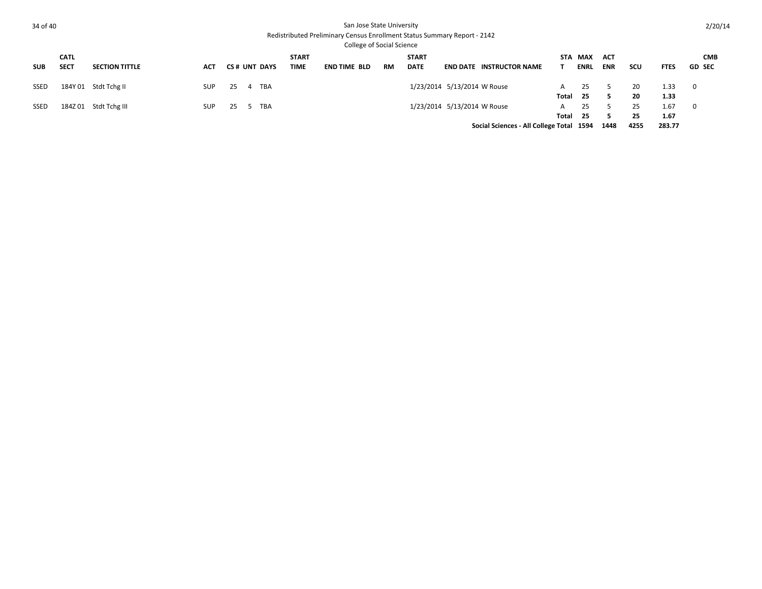| 34 of 40    |             |                       |            |    |   |              |              | San Jose State University<br>Redistributed Preliminary Census Enrollment Status Summary Report - 2142<br><b>College of Social Science</b> |    |              |                             |                                          |       |             |            |      |             | 2/20/14       |
|-------------|-------------|-----------------------|------------|----|---|--------------|--------------|-------------------------------------------------------------------------------------------------------------------------------------------|----|--------------|-----------------------------|------------------------------------------|-------|-------------|------------|------|-------------|---------------|
|             | <b>CATL</b> |                       |            |    |   |              | <b>START</b> |                                                                                                                                           |    | <b>START</b> |                             |                                          |       | STA MAX     | ACT        |      |             | <b>CMB</b>    |
| <b>SUB</b>  | <b>SECT</b> | <b>SECTION TITTLE</b> | <b>ACT</b> |    |   | CS# UNT DAYS | TIME         | <b>END TIME BLD</b>                                                                                                                       | RM | <b>DATE</b>  |                             | <b>END DATE INSTRUCTOR NAME</b>          |       | <b>ENRL</b> | <b>ENR</b> | scu  | <b>FTES</b> | <b>GD SEC</b> |
| SSED        |             | 184Y 01 Stdt Tchg II  | <b>SUP</b> | 25 |   | 4 TBA        |              |                                                                                                                                           |    |              | 1/23/2014 5/13/2014 W Rouse |                                          | A     | 25          |            | 20   | 1.33        | 0             |
|             |             |                       |            |    |   |              |              |                                                                                                                                           |    |              |                             |                                          | Total | - 25        | 5          | 20   | 1.33        |               |
| <b>SSED</b> |             | 184Z 01 Stdt Tchg III | <b>SUP</b> | 25 | 5 | TBA          |              |                                                                                                                                           |    |              | 1/23/2014 5/13/2014 W Rouse |                                          | A     | 25          |            | 25   | 1.67        | 0             |
|             |             |                       |            |    |   |              |              |                                                                                                                                           |    |              |                             |                                          | Total | - 25        | 5          | 25   | 1.67        |               |
|             |             |                       |            |    |   |              |              |                                                                                                                                           |    |              |                             | Social Sciences - All College Total 1594 |       |             | 1448       | 4255 | 283.77      |               |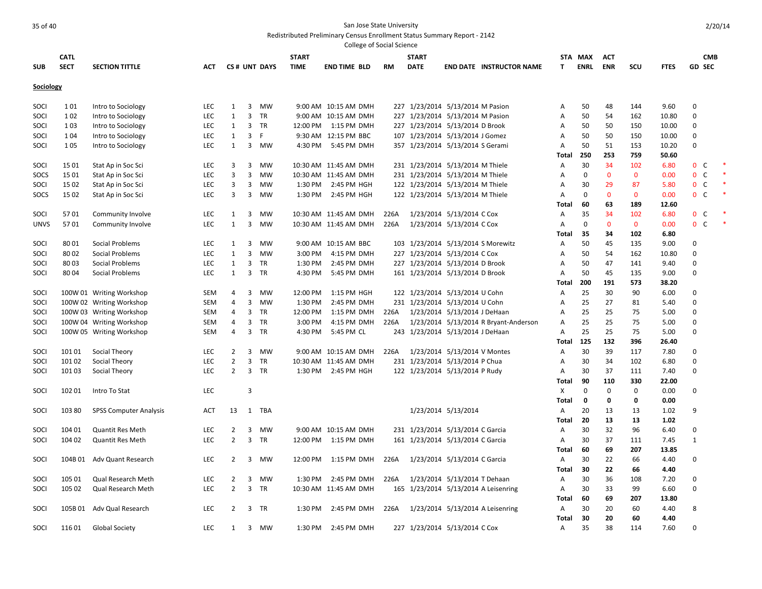|             |             |                               |            |                |   |              |              |                       | <b>College of Social Science</b> |                                  |                              |                                       |                |             |              |              |               |                               |  |
|-------------|-------------|-------------------------------|------------|----------------|---|--------------|--------------|-----------------------|----------------------------------|----------------------------------|------------------------------|---------------------------------------|----------------|-------------|--------------|--------------|---------------|-------------------------------|--|
|             | <b>CATL</b> |                               |            |                |   |              | <b>START</b> |                       |                                  | <b>START</b>                     |                              |                                       |                | STA MAX     | <b>ACT</b>   |              |               | <b>CMB</b>                    |  |
| <b>SUB</b>  | <b>SECT</b> | <b>SECTION TITTLE</b>         | <b>ACT</b> |                |   | CS# UNT DAYS | <b>TIME</b>  | <b>END TIME BLD</b>   | RM                               | <b>DATE</b>                      |                              | <b>END DATE INSTRUCTOR NAME</b>       | T              | <b>ENRL</b> | <b>ENR</b>   | <b>SCU</b>   | <b>FTES</b>   | <b>GD SEC</b>                 |  |
| Sociology   |             |                               |            |                |   |              |              |                       |                                  |                                  |                              |                                       |                |             |              |              |               |                               |  |
| SOCI        | 101         | Intro to Sociology            | LEC        | 1              | 3 | MW           |              | 9:00 AM 10:15 AM DMH  |                                  | 227 1/23/2014 5/13/2014 M Pasion |                              |                                       | A              | 50          | 48           | 144          | 9.60          | $\mathbf{0}$                  |  |
| SOCI        | 102         | Intro to Sociology            | <b>LEC</b> | $\mathbf{1}$   | 3 | TR           |              | 9:00 AM 10:15 AM DMH  |                                  | 227 1/23/2014 5/13/2014 M Pasion |                              |                                       | Α              | 50          | 54           | 162          | 10.80         | 0                             |  |
| SOCI        | 103         | Intro to Sociology            | <b>LEC</b> | 1              | 3 | <b>TR</b>    | 12:00 PM     | 1:15 PM DMH           |                                  | 227 1/23/2014 5/13/2014 D Brook  |                              |                                       | A              | 50          | 50           | 150          | 10.00         | 0                             |  |
| SOCI        | 1 0 4       | Intro to Sociology            | LEC        | 1              | 3 | F.           |              | 9:30 AM 12:15 PM BBC  |                                  | 107 1/23/2014 5/13/2014 J Gomez  |                              |                                       | Α              | 50          | 50           | 150          | 10.00         | 0                             |  |
| SOCI        | 105         | Intro to Sociology            | LEC        | $\mathbf{1}$   | 3 | <b>MW</b>    | 4:30 PM      | 5:45 PM DMH           |                                  | 357 1/23/2014 5/13/2014 S Gerami |                              |                                       | Α              | 50          | 51           | 153          | 10.20         | 0                             |  |
|             |             |                               |            |                |   |              |              |                       |                                  |                                  |                              |                                       | Total          | 250         | 253          | 759          | 50.60         |                               |  |
| SOCI        | 1501        | Stat Ap in Soc Sci            | LEC        | 3              | 3 | <b>MW</b>    |              | 10:30 AM 11:45 AM DMH |                                  | 231 1/23/2014 5/13/2014 M Thiele |                              |                                       | A              | 30          | 34           | 102          | 6.80          | $\mathbf{0}$<br>C             |  |
| SOCS        | 15 01       | Stat Ap in Soc Sci            | LEC        | 3              | 3 | MW           |              | 10:30 AM 11:45 AM DMH |                                  | 231 1/23/2014 5/13/2014 M Thiele |                              |                                       | Α              | $\Omega$    | $\mathbf 0$  | $\mathbf 0$  | 0.00          | $\mathbf 0$<br>$\mathsf{C}$   |  |
| SOCI        | 15 02       | Stat Ap in Soc Sci            | <b>LEC</b> | 3              | 3 | MW           | 1:30 PM      | 2:45 PM HGH           |                                  | 122 1/23/2014 5/13/2014 M Thiele |                              |                                       | Α              | 30          | 29           | 87           | 5.80          | $\mathbf 0$<br>C              |  |
|             | 15 02       |                               | LEC        | 3              | 3 | MW           | 1:30 PM      | 2:45 PM HGH           |                                  | 122 1/23/2014 5/13/2014 M Thiele |                              |                                       | $\overline{A}$ | $\Omega$    | $\mathbf{0}$ | $\mathbf{0}$ | 0.00          | C <sub>1</sub><br>$\mathbf 0$ |  |
| SOCS        |             | Stat Ap in Soc Sci            |            |                |   |              |              |                       |                                  |                                  |                              |                                       |                | 60          | 63           | 189          |               |                               |  |
|             |             |                               | LEC        |                |   | <b>MW</b>    |              | 10:30 AM 11:45 AM DMH |                                  |                                  |                              |                                       | Total          | 35          | 34           |              | 12.60         |                               |  |
| SOCI        | 5701        | Community Involve             |            | 1              | 3 |              |              |                       | 226A                             |                                  | 1/23/2014 5/13/2014 C Cox    |                                       | A              | $\mathbf 0$ | $\mathbf{0}$ | 102          | 6.80          | $\mathbf 0$<br>C<br>C         |  |
| <b>UNVS</b> | 5701        | Community Involve             | <b>LEC</b> | 1              | 3 | <b>MW</b>    |              | 10:30 AM 11:45 AM DMH | 226A                             |                                  | 1/23/2014 5/13/2014 C Cox    |                                       | $\overline{A}$ |             |              | $\mathbf{0}$ | 0.00          | $\mathbf 0$                   |  |
|             |             |                               |            |                |   |              |              |                       |                                  |                                  |                              |                                       | Total          | 35          | 34           | 102          | 6.80          |                               |  |
| SOCI        | 8001        | Social Problems               | LEC        | 1              | 3 | <b>MW</b>    |              | 9:00 AM 10:15 AM BBC  | 103                              |                                  |                              | 1/23/2014 5/13/2014 S Morewitz        | Α              | 50          | 45           | 135          | 9.00          | $\mathbf 0$                   |  |
| SOCI        | 8002        | Social Problems               | LEC        | $\mathbf{1}$   | 3 | <b>MW</b>    | 3:00 PM      | 4:15 PM DMH           |                                  | 227 1/23/2014 5/13/2014 C Cox    |                              |                                       | $\overline{A}$ | 50          | 54           | 162          | 10.80         | $\Omega$                      |  |
| SOCI        | 8003        | Social Problems               | LEC        | 1              | 3 | TR           | 1:30 PM      | 2:45 PM DMH           | 227                              |                                  | 1/23/2014 5/13/2014 D Brook  |                                       | A              | 50          | 47           | 141          | 9.40          | $\mathbf 0$                   |  |
| SOCI        | 8004        | Social Problems               | <b>LEC</b> | $\mathbf{1}$   | 3 | TR           | 4:30 PM      | 5:45 PM DMH           |                                  | 161 1/23/2014 5/13/2014 D Brook  |                              |                                       | Α<br>Total     | 50<br>200   | 45<br>191    | 135<br>573   | 9.00<br>38.20 | $\pmb{0}$                     |  |
| SOCI        |             | 100W 01 Writing Workshop      | SEM        | 4              | 3 | MW           | 12:00 PM     | 1:15 PM HGH           |                                  | 122 1/23/2014 5/13/2014 U Cohn   |                              |                                       | A              | 25          | 30           | 90           | 6.00          | $\mathbf 0$                   |  |
| SOCI        |             | 100W 02 Writing Workshop      | <b>SEM</b> | 4              | 3 | MW           | 1:30 PM      | 2:45 PM DMH           |                                  | 231 1/23/2014 5/13/2014 U Cohn   |                              |                                       | Α              | 25          | 27           | 81           | 5.40          | $\Omega$                      |  |
| SOCI        |             | 100W 03 Writing Workshop      | SEM        | 4              | 3 | TR           | 12:00 PM     | 1:15 PM DMH           | 226A                             |                                  | 1/23/2014 5/13/2014 J DeHaan |                                       | Α              | 25          | 25           | 75           | 5.00          | $\mathbf 0$                   |  |
| SOCI        |             | 100W 04 Writing Workshop      | <b>SEM</b> | 4              | 3 | TR           | 3:00 PM      | 4:15 PM DMH           | 226A                             |                                  |                              | 1/23/2014 5/13/2014 R Bryant-Anderson | A              | 25          | 25           | 75           | 5.00          | 0                             |  |
| SOCI        |             | 100W 05 Writing Workshop      | SEM        | 4              | 3 | TR           | 4:30 PM      | 5:45 PM CL            |                                  | 243 1/23/2014 5/13/2014 J DeHaan |                              |                                       | A              | 25          | 25           | 75           | 5.00          | 0                             |  |
|             |             |                               |            |                |   |              |              |                       |                                  |                                  |                              |                                       | <b>Total</b>   | 125         | 132          | 396          | 26.40         |                               |  |
| SOCI        | 10101       | Social Theory                 | <b>LEC</b> | $\overline{2}$ | 3 | MW           |              | 9:00 AM 10:15 AM DMH  | 226A                             |                                  | 1/23/2014 5/13/2014 V Montes |                                       | A              | 30          | 39           | 117          | 7.80          | $\mathbf 0$                   |  |
| SOCI        | 10102       | Social Theory                 | LEC        | $\overline{2}$ | 3 | TR           |              | 10:30 AM 11:45 AM DMH | 231                              |                                  | 1/23/2014 5/13/2014 P Chua   |                                       | A              | 30          | 34           | 102          | 6.80          | $\mathbf 0$                   |  |
| SOCI        | 10103       | Social Theory                 | LEC        | 2              | 3 | TR           | 1:30 PM      | 2:45 PM HGH           |                                  | 122 1/23/2014 5/13/2014 P Rudy   |                              |                                       | A              | 30          | 37           | 111          | 7.40          | $\mathbf 0$                   |  |
|             |             |                               |            |                |   |              |              |                       |                                  |                                  |                              |                                       | Total          | 90          | 110          | 330          | 22.00         |                               |  |
| SOCI        | 102 01      | Intro To Stat                 | <b>LEC</b> |                | 3 |              |              |                       |                                  |                                  |                              |                                       | X              | 0           | 0            | 0            | 0.00          | 0                             |  |
|             |             |                               |            |                |   |              |              |                       |                                  |                                  |                              |                                       | Total          | 0           | $\mathbf 0$  | 0            | 0.00          |                               |  |
| SOCI        | 103 80      | <b>SPSS Computer Analysis</b> | ACT        | 13             | 1 | TBA          |              |                       |                                  |                                  | 1/23/2014 5/13/2014          |                                       | A              | 20          | 13           | 13           | 1.02          | 9                             |  |
|             |             |                               |            |                |   |              |              |                       |                                  |                                  |                              |                                       | Total          | 20          | 13           | 13           | 1.02          |                               |  |
| SOCI        | 104 01      | <b>Quantit Res Meth</b>       | LEC        | $\overline{2}$ | 3 | MW           |              | 9:00 AM 10:15 AM DMH  |                                  | 231 1/23/2014 5/13/2014 C Garcia |                              |                                       | Α              | 30          | 32           | 96           | 6.40          | $\mathbf 0$                   |  |
| SOCI        | 104 02      | <b>Quantit Res Meth</b>       | LEC        | $\overline{2}$ | 3 | TR           |              | 12:00 PM 1:15 PM DMH  |                                  | 161 1/23/2014 5/13/2014 C Garcia |                              |                                       | Α              | 30          | 37           | 111          | 7.45          | $\mathbf{1}$                  |  |
|             |             |                               |            |                |   |              |              |                       |                                  |                                  |                              |                                       | Total          | 60          | 69           | 207          | 13.85         |                               |  |
| SOCI        |             | 104B 01 Adv Quant Research    | LEC        | $\overline{2}$ | 3 | MW           | 12:00 PM     | 1:15 PM DMH           | 226A                             |                                  | 1/23/2014 5/13/2014 C Garcia |                                       | A              | 30          | 22           | 66           | 4.40          | $\mathbf 0$                   |  |
|             |             |                               |            |                |   |              |              |                       |                                  |                                  |                              |                                       | <b>Total</b>   | 30          | 22           | 66           | 4.40          |                               |  |
| SOCI        | 105 01      | Qual Research Meth            | <b>LEC</b> | $\overline{2}$ | 3 | MW           | 1:30 PM      | 2:45 PM DMH           | 226A                             |                                  | 1/23/2014 5/13/2014 T Dehaan |                                       | A              | 30          | 36           | 108          | 7.20          | $\mathbf 0$                   |  |
| SOCI        | 105 02      | Qual Research Meth            | <b>LEC</b> | $\overline{2}$ | 3 | <b>TR</b>    |              | 10:30 AM 11:45 AM DMH |                                  |                                  |                              | 165 1/23/2014 5/13/2014 A Leisenring  | $\overline{A}$ | 30          | 33           | 99           | 6.60          | $\mathsf 0$                   |  |
|             |             |                               |            |                |   |              |              |                       |                                  |                                  |                              |                                       | Total          | 60          | 69           | 207          | 13.80         |                               |  |
| SOCI        |             | 105B 01 Adv Qual Research     | <b>LEC</b> | $\overline{2}$ | 3 | <b>TR</b>    | 1:30 PM      | 2:45 PM DMH           | 226A                             |                                  |                              | 1/23/2014 5/13/2014 A Leisenring      | $\overline{A}$ | 30          | 20           | 60           | 4.40          | 8                             |  |
|             |             |                               |            |                |   |              |              |                       |                                  |                                  |                              |                                       | Total          | 30          | 20           | 60           | 4.40          |                               |  |
| SOCI        | 11601       | <b>Global Society</b>         | <b>LEC</b> | $\mathbf{1}$   | 3 | MW           | 1:30 PM      | 2:45 PM DMH           |                                  | 227 1/23/2014 5/13/2014 C Cox    |                              |                                       | $\overline{A}$ | 35          | 38           | 114          | 7.60          | $\Omega$                      |  |
|             |             |                               |            |                |   |              |              |                       |                                  |                                  |                              |                                       |                |             |              |              |               |                               |  |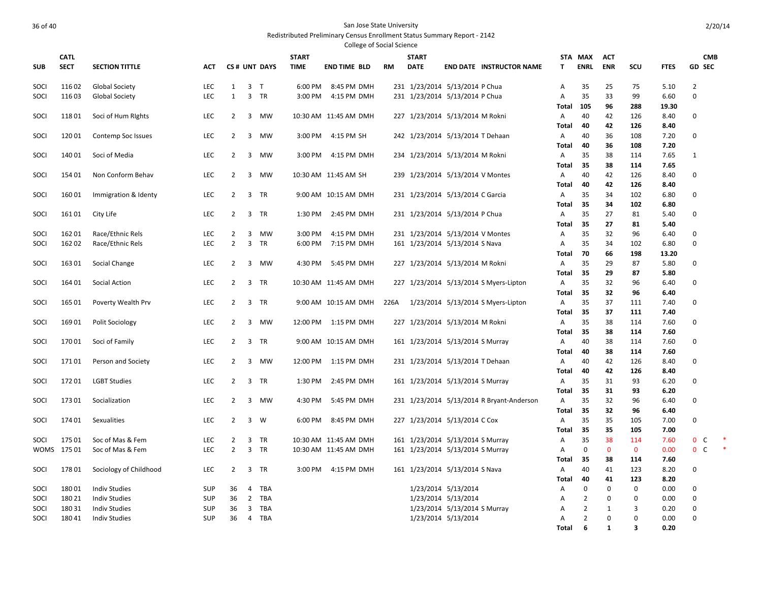|            | <b>College of Social Science</b> |                        |            |                |                         |              |              |                       |           |              |                                  |                                           |                |                |              |             |              |                  |  |
|------------|----------------------------------|------------------------|------------|----------------|-------------------------|--------------|--------------|-----------------------|-----------|--------------|----------------------------------|-------------------------------------------|----------------|----------------|--------------|-------------|--------------|------------------|--|
|            | <b>CATL</b>                      |                        |            |                |                         |              | <b>START</b> |                       |           | <b>START</b> |                                  |                                           |                | STA MAX        | <b>ACT</b>   |             |              | <b>CMB</b>       |  |
| <b>SUB</b> | <b>SECT</b>                      | <b>SECTION TITTLE</b>  | <b>ACT</b> |                |                         | CS# UNT DAYS | <b>TIME</b>  | <b>END TIME BLD</b>   | <b>RM</b> | <b>DATE</b>  |                                  | <b>END DATE INSTRUCTOR NAME</b>           | T              | <b>ENRL</b>    | <b>ENR</b>   | <b>SCU</b>  | <b>FTES</b>  | <b>GD SEC</b>    |  |
|            |                                  |                        |            |                |                         |              |              |                       |           |              |                                  |                                           |                |                |              |             |              |                  |  |
| SOCI       | 11602                            | <b>Global Society</b>  | <b>LEC</b> | 1              | 3 <sub>T</sub>          |              | 6:00 PM      | 8:45 PM DMH           |           |              | 231 1/23/2014 5/13/2014 P Chua   |                                           | Α              | 35             | 25           | 75          | 5.10         | $\overline{2}$   |  |
| SOCI       | 11603                            | Global Society         | <b>LEC</b> | 1              |                         | 3 TR         | 3:00 PM      | 4:15 PM DMH           |           |              | 231 1/23/2014 5/13/2014 P Chua   |                                           | A              | 35             | 33           | 99          | 6.60         | $\mathbf 0$      |  |
|            |                                  |                        |            |                |                         |              |              |                       |           |              |                                  |                                           | Total          | 105            | 96           | 288         | 19.30        |                  |  |
| SOCI       | 11801                            | Soci of Hum Rights     | <b>LEC</b> | $\overline{2}$ |                         | 3 MW         |              | 10:30 AM 11:45 AM DMH |           |              | 227 1/23/2014 5/13/2014 M Rokni  |                                           | A              | 40             | 42           | 126         | 8.40         | 0                |  |
|            |                                  |                        |            |                |                         |              |              |                       |           |              |                                  |                                           | Total          | 40             | 42           | 126         | 8.40         |                  |  |
| SOCI       | 12001                            | Contemp Soc Issues     | LEC        | $\overline{2}$ |                         | 3 MW         | 3:00 PM      | 4:15 PM SH            |           |              | 242 1/23/2014 5/13/2014 T Dehaan |                                           | A              | 40             | 36           | 108         | 7.20         | 0                |  |
|            |                                  |                        |            |                |                         |              |              |                       |           |              |                                  |                                           | Total          | 40             | 36           | 108         | 7.20         |                  |  |
| SOCI       | 140 01                           | Soci of Media          | <b>LEC</b> | $2^{\circ}$    |                         | 3 MW         | 3:00 PM      | 4:15 PM DMH           |           |              | 234 1/23/2014 5/13/2014 M Rokni  |                                           | A              | 35             | 38           | 114         | 7.65         | 1                |  |
|            |                                  |                        | LEC        | $\overline{2}$ | $\overline{3}$          |              |              |                       |           |              |                                  |                                           | Total          | 35<br>40       | 38           | 114<br>126  | 7.65         | 0                |  |
| SOCI       | 154 01                           | Non Conform Behav      |            |                |                         | MW           |              | 10:30 AM 11:45 AM SH  |           |              | 239 1/23/2014 5/13/2014 V Montes |                                           | A<br>Total     | 40             | 42<br>42     | 126         | 8.40<br>8.40 |                  |  |
| SOCI       | 16001                            | Immigration & Identy   | LEC        | $\mathbf{2}$   |                         | 3 TR         |              | 9:00 AM 10:15 AM DMH  |           |              | 231 1/23/2014 5/13/2014 C Garcia |                                           | A              | 35             | 34           | 102         | 6.80         | $\mathbf 0$      |  |
|            |                                  |                        |            |                |                         |              |              |                       |           |              |                                  |                                           | Total          | 35             | 34           | 102         | 6.80         |                  |  |
| SOCI       | 16101                            | City Life              | LEC        | $2^{\circ}$    |                         | 3 TR         | 1:30 PM      | 2:45 PM DMH           |           |              | 231 1/23/2014 5/13/2014 P Chua   |                                           | A              | 35             | 27           | 81          | 5.40         | 0                |  |
|            |                                  |                        |            |                |                         |              |              |                       |           |              |                                  |                                           | <b>Total</b>   | -35            | 27           | 81          | 5.40         |                  |  |
| SOCI       | 16201                            | Race/Ethnic Rels       | <b>LEC</b> | $\overline{2}$ | 3                       | MW           | 3:00 PM      | 4:15 PM DMH           |           |              | 231 1/23/2014 5/13/2014 V Montes |                                           | Α              | 35             | 32           | 96          | 6.40         | 0                |  |
| SOCI       | 16202                            | Race/Ethnic Rels       | <b>LEC</b> | $\overline{2}$ | 3                       | <b>TR</b>    | 6:00 PM      | 7:15 PM DMH           |           |              | 161 1/23/2014 5/13/2014 S Nava   |                                           | $\overline{A}$ | 35             | 34           | 102         | 6.80         | $\mathbf 0$      |  |
|            |                                  |                        |            |                |                         |              |              |                       |           |              |                                  |                                           | Total          | 70             | 66           | 198         | 13.20        |                  |  |
| SOCI       | 16301                            | Social Change          | <b>LEC</b> | 2              | 3                       | <b>MW</b>    | 4:30 PM      | 5:45 PM DMH           |           |              | 227 1/23/2014 5/13/2014 M Rokni  |                                           | $\overline{A}$ | 35             | 29           | 87          | 5.80         | $\mathbf 0$      |  |
|            |                                  |                        |            |                |                         |              |              |                       |           |              |                                  |                                           | Total          | -35            | 29           | 87          | 5.80         |                  |  |
| SOCI       | 164 01                           | Social Action          | <b>LEC</b> | $\overline{2}$ | $\overline{3}$          | <b>TR</b>    |              | 10:30 AM 11:45 AM DMH |           |              |                                  | 227 1/23/2014 5/13/2014 S Myers-Lipton    | $\overline{A}$ | 35             | 32           | 96          | 6.40         | 0                |  |
|            |                                  |                        |            |                |                         |              |              |                       |           |              |                                  |                                           | Total          | 35             | 32           | 96          | 6.40         |                  |  |
| SOCI       | 165 01                           | Poverty Wealth Prv     | <b>LEC</b> | 2              | $\overline{3}$          | TR           |              | 9:00 AM 10:15 AM DMH  | 226A      |              |                                  | 1/23/2014 5/13/2014 S Myers-Lipton        | $\overline{A}$ | 35             | 37           | 111         | 7.40         | 0                |  |
|            |                                  |                        |            |                |                         |              |              |                       |           |              |                                  |                                           | Total          | -35            | 37           | 111         | 7.40         |                  |  |
| SOCI       | 16901                            | Polit Sociology        | <b>LEC</b> | $\overline{2}$ | 3                       | MW           | 12:00 PM     | 1:15 PM DMH           |           |              | 227 1/23/2014 5/13/2014 M Rokni  |                                           | A              | 35             | 38           | 114         | 7.60         | 0                |  |
|            |                                  |                        |            |                |                         |              |              |                       |           |              |                                  |                                           | Total          | -35            | 38           | 114         | 7.60         |                  |  |
| SOCI       | 17001                            | Soci of Family         | <b>LEC</b> | 2              | $\overline{3}$          | TR           |              | 9:00 AM 10:15 AM DMH  |           |              | 161 1/23/2014 5/13/2014 S Murray |                                           | A              | 40             | 38           | 114         | 7.60         | 0                |  |
|            |                                  |                        |            |                |                         |              |              |                       |           |              |                                  |                                           | Total          | 40             | 38           | 114         | 7.60         |                  |  |
| SOCI       | 17101                            | Person and Society     | <b>LEC</b> | 2              | 3                       | MW           | 12:00 PM     | 1:15 PM DMH           |           |              | 231 1/23/2014 5/13/2014 T Dehaan |                                           | A              | 40             | 42           | 126         | 8.40         | 0                |  |
|            |                                  |                        |            |                |                         |              |              |                       |           |              |                                  |                                           | Total          | 40             | 42           | 126         | 8.40         |                  |  |
| SOCI       | 17201                            | <b>LGBT Studies</b>    | <b>LEC</b> | $\overline{2}$ | $\overline{3}$          | TR           | 1:30 PM      | 2:45 PM DMH           |           |              | 161 1/23/2014 5/13/2014 S Murray |                                           | A              | 35             | 31           | 93          | 6.20         | $\mathbf 0$      |  |
|            |                                  |                        |            |                |                         |              |              |                       |           |              |                                  |                                           | Total          | 35             | 31           | 93          | 6.20         |                  |  |
| SOCI       | 17301                            | Socialization          | <b>LEC</b> | 2              | 3                       | MW           | 4:30 PM      | 5:45 PM DMH           |           |              |                                  | 231 1/23/2014 5/13/2014 R Bryant-Anderson | A              | 35             | 32           | 96          | 6.40         | 0                |  |
|            |                                  |                        |            |                |                         |              |              |                       |           |              |                                  |                                           | Total          | 35             | 32           | 96          | 6.40         |                  |  |
| SOCI       | 17401                            | Sexualities            | LEC        | 2              | 3                       | W            | 6:00 PM      | 8:45 PM DMH           |           |              | 227 1/23/2014 5/13/2014 C Cox    |                                           | A              | 35             | 35           | 105         | 7.00         | $\mathbf 0$      |  |
|            |                                  |                        |            |                |                         |              |              |                       |           |              |                                  |                                           | Total          | 35             | 35           | 105         | 7.00         |                  |  |
| SOCI       | 175 01                           | Soc of Mas & Fem       | <b>LEC</b> | 2              | 3                       | TR           |              | 10:30 AM 11:45 AM DMH |           |              | 161 1/23/2014 5/13/2014 S Murray |                                           | A              | 35             | 38           | 114         | 7.60         | $\mathbf 0$<br>C |  |
| WOMS       | 175 01                           | Soc of Mas & Fem       | <b>LEC</b> | 2              | $\overline{\mathbf{3}}$ | TR           |              | 10:30 AM 11:45 AM DMH |           |              | 161 1/23/2014 5/13/2014 S Murray |                                           | A              | 0              | $\mathbf 0$  | $\mathbf 0$ | 0.00         | $\mathbf 0$<br>C |  |
| SOCI       | 17801                            | Sociology of Childhood | <b>LEC</b> | $\mathbf{2}$   |                         | 3 TR         | 3:00 PM      | 4:15 PM DMH           |           |              | 161 1/23/2014 5/13/2014 S Nava   |                                           | Total<br>A     | -35<br>40      | 38<br>41     | 114<br>123  | 7.60<br>8.20 | 0                |  |
|            |                                  |                        |            |                |                         |              |              |                       |           |              |                                  |                                           | Total          | 40             | 41           | 123         | 8.20         |                  |  |
| SOCI       | 18001                            | <b>Indiv Studies</b>   | <b>SUP</b> | 36             | 4                       | TBA          |              |                       |           |              | 1/23/2014 5/13/2014              |                                           | A              | $\Omega$       | $\mathbf 0$  | $\mathbf 0$ | 0.00         | 0                |  |
| SOCI       | 180 21                           | <b>Indiv Studies</b>   | <b>SUP</b> | 36             | $\overline{2}$          | TBA          |              |                       |           |              | 1/23/2014 5/13/2014              |                                           | A              | $\overline{2}$ | 0            | $\mathbf 0$ | 0.00         | 0                |  |
| SOCI       | 180 31                           | <b>Indiv Studies</b>   | <b>SUP</b> | 36             | 3                       | TBA          |              |                       |           |              | 1/23/2014 5/13/2014 S Murray     |                                           | A              | $\overline{2}$ | 1            | 3           | 0.20         | 0                |  |
| SOCI       | 18041                            | <b>Indiv Studies</b>   | <b>SUP</b> | 36             |                         | 4 TBA        |              |                       |           |              | 1/23/2014 5/13/2014              |                                           | A              | $\overline{2}$ | $\Omega$     | $\Omega$    | 0.00         | $\pmb{0}$        |  |
|            |                                  |                        |            |                |                         |              |              |                       |           |              |                                  |                                           | Total          | 6              | $\mathbf{1}$ | 3           | 0.20         |                  |  |
|            |                                  |                        |            |                |                         |              |              |                       |           |              |                                  |                                           |                |                |              |             |              |                  |  |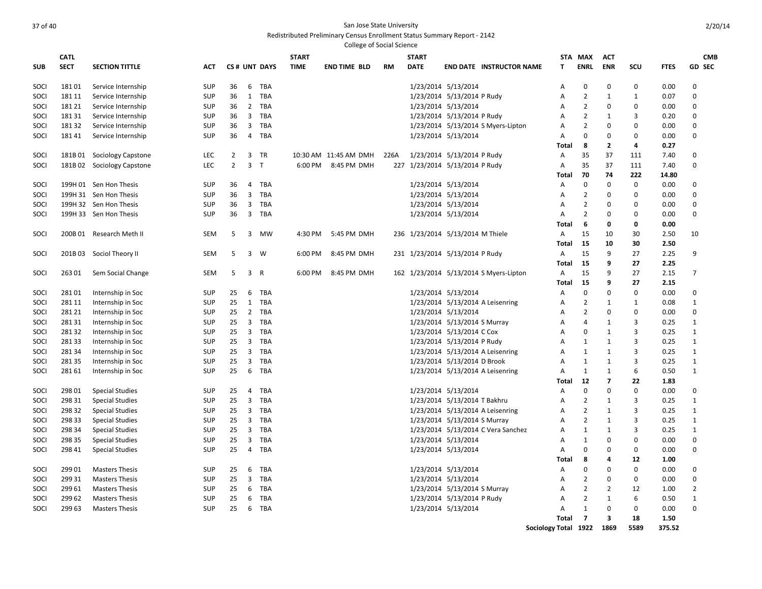| College of Social Science |             |                            |            |                |                |              |              |                       |      |              |                                        |                      |                |                |                |             |                |
|---------------------------|-------------|----------------------------|------------|----------------|----------------|--------------|--------------|-----------------------|------|--------------|----------------------------------------|----------------------|----------------|----------------|----------------|-------------|----------------|
|                           | <b>CATL</b> |                            |            |                |                |              | <b>START</b> |                       |      | <b>START</b> |                                        |                      | STA MAX        | ACT            |                |             | <b>CMB</b>     |
| <b>SUB</b>                | <b>SECT</b> | <b>SECTION TITTLE</b>      | <b>ACT</b> |                |                | CS# UNT DAYS | <b>TIME</b>  | <b>END TIME BLD</b>   | RM   | <b>DATE</b>  | <b>END DATE INSTRUCTOR NAME</b>        | Т                    | <b>ENRL</b>    | <b>ENR</b>     | SCU            | <b>FTES</b> | <b>GD SEC</b>  |
| SOCI                      | 18101       | Service Internship         | SUP        | 36             | 6              | <b>TBA</b>   |              |                       |      |              | 1/23/2014 5/13/2014                    | Α                    | $\mathbf 0$    | $\mathbf 0$    | $\mathbf 0$    | 0.00        | $\mathbf 0$    |
| SOCI                      | 181 11      | Service Internship         | <b>SUP</b> | 36             | $\mathbf{1}$   | TBA          |              |                       |      |              | 1/23/2014 5/13/2014 P Rudy             | Α                    | $\overline{2}$ | $\mathbf{1}$   | $\mathbf{1}$   | 0.07        | $\mathbf 0$    |
| SOCI                      | 181 21      | Service Internship         | <b>SUP</b> | 36             |                | 2 TBA        |              |                       |      |              | 1/23/2014 5/13/2014                    | Α                    | $\overline{2}$ | 0              | $\mathbf 0$    | 0.00        | $\Omega$       |
| SOCI                      | 18131       | Service Internship         | SUP        | 36             | 3              | TBA          |              |                       |      |              | 1/23/2014 5/13/2014 P Rudy             | A                    | $\overline{2}$ | 1              | $\overline{3}$ | 0.20        | $\Omega$       |
| SOCI                      | 18132       | Service Internship         | <b>SUP</b> | 36             | 3              | TBA          |              |                       |      |              | 1/23/2014 5/13/2014 S Myers-Lipton     | Α                    | $\overline{2}$ | 0              | 0              | 0.00        | $\Omega$       |
| SOCI                      | 18141       | Service Internship         | <b>SUP</b> | 36             | 4              | TBA          |              |                       |      |              | 1/23/2014 5/13/2014                    | Α                    | $\mathbf 0$    | 0              | $\mathbf 0$    | 0.00        | 0              |
|                           |             |                            |            |                |                |              |              |                       |      |              |                                        | Total                | 8              | $\overline{2}$ | 4              | 0.27        |                |
| SOCI                      |             | 181B 01 Sociology Capstone | <b>LEC</b> | $\overline{2}$ |                | 3 TR         |              | 10:30 AM 11:45 AM DMH | 226A |              | 1/23/2014 5/13/2014 P Rudy             | Α                    | 35             | 37             | 111            | 7.40        | $\Omega$       |
| SOCI                      |             | 181B 02 Sociology Capstone | LEC        | $\overline{2}$ | 3 <sub>T</sub> |              | 6:00 PM      | 8:45 PM DMH           |      |              | 227 1/23/2014 5/13/2014 P Rudy         | Α                    | 35             | 37             | 111            | 7.40        | 0              |
|                           |             |                            |            |                |                |              |              |                       |      |              |                                        | Total                | 70             | 74             | 222            | 14.80       |                |
| SOCI                      |             | 199H 01 Sen Hon Thesis     | <b>SUP</b> | 36             | 4              | <b>TBA</b>   |              |                       |      |              | 1/23/2014 5/13/2014                    | Α                    | 0              | $\mathbf 0$    | $\mathbf 0$    | 0.00        | $\Omega$       |
| SOCI                      |             | 199H 31 Sen Hon Thesis     | <b>SUP</b> | 36             | $\overline{3}$ | <b>TBA</b>   |              |                       |      |              | 1/23/2014 5/13/2014                    | Α                    | $\overline{2}$ | 0              | 0              | 0.00        | $\Omega$       |
| SOCI                      |             | 199H 32 Sen Hon Thesis     | <b>SUP</b> | 36             | 3              | TBA          |              |                       |      |              | 1/23/2014 5/13/2014                    | Α                    | $\overline{2}$ | $\mathbf 0$    | 0              | 0.00        | 0              |
| SOCI                      |             | 199H 33 Sen Hon Thesis     | SUP        | 36             | 3              | TBA          |              |                       |      |              | 1/23/2014 5/13/2014                    | $\overline{A}$       | $\overline{2}$ | 0              | $\mathbf 0$    | 0.00        | $\mathbf 0$    |
|                           |             |                            |            |                |                |              |              |                       |      |              |                                        | Total                | 6              | 0              | 0              | 0.00        |                |
| SOCI                      |             | 200B 01 Research Meth II   | <b>SEM</b> | 5              | 3              | MW           | 4:30 PM      | 5:45 PM DMH           |      |              | 236 1/23/2014 5/13/2014 M Thiele       | Α                    | 15             | 10             | 30             | 2.50        | 10             |
|                           |             |                            |            |                |                |              |              |                       |      |              |                                        | Total                | 15             | 10             | 30             | 2.50        |                |
| SOCI                      |             | 201B 03 Sociol Theory II   | <b>SEM</b> | 5              |                | $3 \quad W$  | 6:00 PM      | 8:45 PM DMH           |      |              | 231 1/23/2014 5/13/2014 P Rudy         | Α                    | 15             | 9              | 27             | 2.25        | 9              |
|                           |             |                            |            |                |                |              |              |                       |      |              |                                        | Total                | 15             | 9              | 27             | 2.25        |                |
| SOCI                      | 26301       | Sem Social Change          | <b>SEM</b> | 5              | 3 R            |              | 6:00 PM      | 8:45 PM DMH           |      |              | 162 1/23/2014 5/13/2014 S Myers-Lipton | Α                    | 15             | 9              | 27             | 2.15        | $\overline{7}$ |
|                           |             |                            |            |                |                |              |              |                       |      |              |                                        | Total                | 15             | 9              | 27             | 2.15        |                |
| SOCI                      | 28101       | Internship in Soc          | <b>SUP</b> | 25             | 6              | <b>TBA</b>   |              |                       |      |              | 1/23/2014 5/13/2014                    | Α                    | 0              | 0              | $\mathbf 0$    | 0.00        | 0              |
| SOCI                      | 281 11      | Internship in Soc          | <b>SUP</b> | 25             | 1              | <b>TBA</b>   |              |                       |      |              | 1/23/2014 5/13/2014 A Leisenring       | Α                    | $\overline{2}$ | 1              | 1              | 0.08        | $\mathbf{1}$   |
| SOCI                      | 281 21      | Internship in Soc          | SUP        | 25             | $\overline{2}$ | TBA          |              |                       |      |              | 1/23/2014 5/13/2014                    | A                    | 2              | $\mathbf 0$    | 0              | 0.00        | $\Omega$       |
| SOCI                      | 28131       | Internship in Soc          | <b>SUP</b> | 25             | 3              | <b>TBA</b>   |              |                       |      |              | 1/23/2014 5/13/2014 S Murray           | Α                    | $\overline{4}$ | 1              | 3              | 0.25        | $\mathbf{1}$   |
| SOCI                      | 28132       |                            | <b>SUP</b> | 25             | 3              | TBA          |              |                       |      |              | 1/23/2014 5/13/2014 C Cox              | $\overline{A}$       | $\mathbf 0$    | 1              | 3              | 0.25        | $\mathbf{1}$   |
| SOCI                      | 28133       | Internship in Soc          | <b>SUP</b> | 25             | 3              | <b>TBA</b>   |              |                       |      |              | 1/23/2014 5/13/2014 P Rudy             | $\overline{A}$       | 1              | $\mathbf{1}$   | $\overline{3}$ | 0.25        | $\mathbf{1}$   |
|                           |             | Internship in Soc          |            |                |                |              |              |                       |      |              |                                        |                      |                |                |                |             |                |
| SOCI                      | 28134       | Internship in Soc          | <b>SUP</b> | 25             | 3              | TBA          |              |                       |      |              | 1/23/2014 5/13/2014 A Leisenring       | $\overline{A}$       | 1              | 1              | 3              | 0.25        | $\mathbf{1}$   |
| SOCI                      | 28135       | Internship in Soc          | <b>SUP</b> | 25             | 3              | <b>TBA</b>   |              |                       |      |              | 1/23/2014 5/13/2014 D Brook            | $\overline{A}$       | $\mathbf{1}$   | 1              | 3              | 0.25        | $\mathbf{1}$   |
| SOCI                      | 28161       | Internship in Soc          | <b>SUP</b> | 25             | 6              | <b>TBA</b>   |              |                       |      |              | 1/23/2014 5/13/2014 A Leisenring       | $\overline{A}$       | $\mathbf{1}$   | 1              | 6              | 0.50        | $\mathbf{1}$   |
|                           |             |                            |            |                |                |              |              |                       |      |              |                                        | Total                | 12             | $\overline{7}$ | 22             | 1.83        |                |
| SOCI                      | 298 01      | <b>Special Studies</b>     | <b>SUP</b> | 25             | 4              | TBA          |              |                       |      |              | 1/23/2014 5/13/2014                    | Α                    | $\mathbf 0$    | $\mathbf 0$    | $\mathbf 0$    | 0.00        | $\mathbf 0$    |
| SOCI                      | 298 31      | <b>Special Studies</b>     | <b>SUP</b> | 25             | 3              | <b>TBA</b>   |              |                       |      |              | 1/23/2014 5/13/2014 T Bakhru           | $\overline{A}$       | $\overline{2}$ | 1              | 3              | 0.25        | $\mathbf{1}$   |
| SOCI                      | 298 32      | <b>Special Studies</b>     | <b>SUP</b> | 25             | 3              | TBA          |              |                       |      |              | 1/23/2014 5/13/2014 A Leisenring       | $\overline{A}$       | $\overline{2}$ | 1              | 3              | 0.25        | $\mathbf{1}$   |
| SOCI                      | 298 33      | <b>Special Studies</b>     | <b>SUP</b> | 25             | 3              | <b>TBA</b>   |              |                       |      |              | 1/23/2014 5/13/2014 S Murray           | Α                    | $\overline{2}$ | 1              | $\overline{3}$ | 0.25        | $\mathbf{1}$   |
| SOCI                      | 298 34      | <b>Special Studies</b>     | <b>SUP</b> | 25             | 3              | <b>TBA</b>   |              |                       |      |              | 1/23/2014 5/13/2014 C Vera Sanchez     | Α                    | $\mathbf{1}$   | 1              | $\overline{3}$ | 0.25        | $\mathbf{1}$   |
| SOCI                      | 298 35      | <b>Special Studies</b>     | SUP        | 25             | 3              | TBA          |              |                       |      |              | 1/23/2014 5/13/2014                    | A                    | $\mathbf{1}$   | $\mathbf 0$    | $\mathbf 0$    | 0.00        | $\pmb{0}$      |
| SOCI                      | 298 41      | <b>Special Studies</b>     | <b>SUP</b> | 25             | 4              | TBA          |              |                       |      |              | 1/23/2014 5/13/2014                    | Α                    | 0              | 0              | $\mathbf 0$    | 0.00        | $\mathbf 0$    |
|                           |             |                            |            |                |                |              |              |                       |      |              |                                        | Total                | 8              | 4              | 12             | 1.00        |                |
| SOCI                      | 29901       | <b>Masters Thesis</b>      | SUP        | 25             | 6              | <b>TBA</b>   |              |                       |      |              | 1/23/2014 5/13/2014                    | Α                    | $\mathbf 0$    | $\mathbf 0$    | $\mathbf 0$    | 0.00        | $\mathbf{0}$   |
| SOCI                      | 299 31      | <b>Masters Thesis</b>      | <b>SUP</b> | 25             | 3              | <b>TBA</b>   |              |                       |      |              | 1/23/2014 5/13/2014                    | $\overline{A}$       | $\overline{2}$ | $\mathbf 0$    | $\mathbf 0$    | 0.00        | $\mathbf{0}$   |
| SOCI                      | 299 61      | <b>Masters Thesis</b>      | <b>SUP</b> | 25             | 6              | <b>TBA</b>   |              |                       |      |              | 1/23/2014 5/13/2014 S Murray           | A                    | $\overline{2}$ | $\overline{2}$ | 12             | 1.00        | $\overline{2}$ |
| SOCI                      | 299 62      | <b>Masters Thesis</b>      | <b>SUP</b> | 25             | 6              | <b>TBA</b>   |              |                       |      |              | 1/23/2014 5/13/2014 P Rudy             | $\overline{A}$       | $\overline{2}$ | 1              | 6              | 0.50        | $\mathbf{1}$   |
| SOCI                      | 299 63      | <b>Masters Thesis</b>      | <b>SUP</b> | 25             | 6              | TBA          |              |                       |      |              | 1/23/2014 5/13/2014                    | $\overline{A}$       | 1              | $\mathbf 0$    | $\mathbf 0$    | 0.00        | $\Omega$       |
|                           |             |                            |            |                |                |              |              |                       |      |              |                                        | Total                | $\overline{7}$ | 3              | 18             | 1.50        |                |
|                           |             |                            |            |                |                |              |              |                       |      |              |                                        | Sociology Total 1922 |                | 1869           | 5589           | 375.52      |                |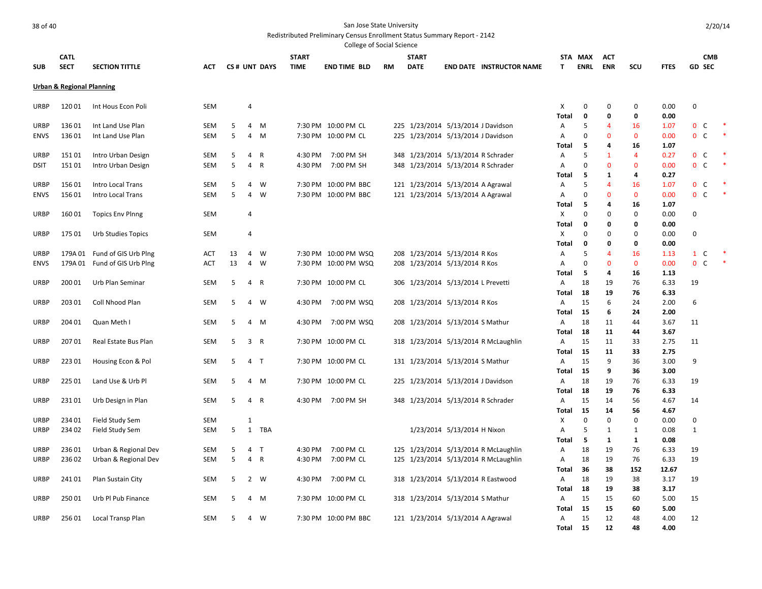.<br>College of Social Scie

| College of Social Science |                                      |                         |                          |        |                     |              |              |                                              |           |                                    |                             |                                      |              |               |                |                    |               |                                       |        |
|---------------------------|--------------------------------------|-------------------------|--------------------------|--------|---------------------|--------------|--------------|----------------------------------------------|-----------|------------------------------------|-----------------------------|--------------------------------------|--------------|---------------|----------------|--------------------|---------------|---------------------------------------|--------|
|                           | <b>CATL</b>                          |                         |                          |        |                     |              | <b>START</b> |                                              |           | <b>START</b>                       |                             |                                      | STA          | MAX           | ACT            |                    |               | <b>CMB</b>                            |        |
| <b>SUB</b>                | <b>SECT</b>                          | <b>SECTION TITTLE</b>   | ACT                      |        |                     | CS# UNT DAYS | <b>TIME</b>  | <b>END TIME BLD</b>                          | <b>RM</b> | <b>DATE</b>                        |                             | <b>END DATE INSTRUCTOR NAME</b>      | Т            | <b>ENRL</b>   | <b>ENR</b>     | scu                | <b>FTES</b>   | <b>GD SEC</b>                         |        |
|                           | <b>Urban &amp; Regional Planning</b> |                         |                          |        |                     |              |              |                                              |           |                                    |                             |                                      |              |               |                |                    |               |                                       |        |
| <b>URBP</b>               | 12001                                | Int Hous Econ Poli      | <b>SEM</b>               |        | $\overline{4}$      |              |              |                                              |           |                                    |                             |                                      | Х            | 0             | 0              | 0                  | 0.00          | $\mathbf 0$                           |        |
|                           |                                      |                         |                          |        |                     |              |              |                                              |           |                                    |                             |                                      | <b>Total</b> | 0             | $\Omega$       | 0                  | 0.00          |                                       |        |
| URBP                      | 13601                                | Int Land Use Plan       | SEM                      | 5      | 4                   | M            |              | 7:30 PM 10:00 PM CL                          |           | 225 1/23/2014 5/13/2014 J Davidson |                             |                                      | А            | 5             | 4              | 16                 | 1.07          | $\mathbf{0}$<br>C                     |        |
| <b>ENVS</b>               | 13601                                | Int Land Use Plan       | <b>SEM</b>               | 5      | $\overline{4}$      | M            |              | 7:30 PM 10:00 PM CL                          | 225       | 1/23/2014 5/13/2014 J Davidson     |                             |                                      | Α            | $\Omega$      | $\Omega$       | $\mathbf{0}$       | 0.00          | $\mathbf{0}$<br>C                     | $\ast$ |
|                           |                                      |                         |                          |        |                     |              |              |                                              |           |                                    |                             |                                      | Total        | 5             | 4              | 16                 | 1.07          |                                       |        |
| <b>URBP</b>               | 15101                                | Intro Urban Design      | <b>SEM</b>               | 5      | 4                   | R            | 4:30 PM      | 7:00 PM SH                                   |           | 348 1/23/2014 5/13/2014 R Schrader |                             |                                      | Α            | 5             | 1              | $\overline{a}$     | 0.27          | $\mathbf 0$<br>C                      |        |
| <b>DSIT</b>               | 15101                                | Intro Urban Design      | <b>SEM</b>               | 5      | $\overline{4}$      | R            | 4:30 PM      | 7:00 PM SH                                   |           | 348 1/23/2014 5/13/2014 R Schrader |                             |                                      | Α            | 0             | $\overline{0}$ | $\mathbf 0$        | 0.00          | $\mathbf 0$<br>C                      |        |
|                           |                                      |                         |                          |        |                     |              |              |                                              |           |                                    |                             |                                      | Total        | 5             | 1              | 4                  | 0.27          |                                       |        |
| <b>URBP</b>               | 15601                                | Intro Local Trans       | <b>SEM</b><br><b>SEM</b> | 5<br>5 | $\overline{4}$<br>4 | W<br>W       |              | 7:30 PM 10:00 PM BBC<br>7:30 PM 10:00 PM BBC |           | 121 1/23/2014 5/13/2014 A Agrawal  |                             |                                      | Α            | 5<br>$\Omega$ | 4<br>$\Omega$  | 16<br>$\mathbf{0}$ | 1.07<br>0.00  | $\mathbf 0$<br>C<br>$\mathbf{0}$<br>C |        |
| <b>ENVS</b>               | 15601                                | Intro Local Trans       |                          |        |                     |              |              |                                              |           | 121 1/23/2014 5/13/2014 A Agrawal  |                             |                                      | А<br>Total   | 5             | 4              | 16                 | 1.07          |                                       |        |
| URBP                      | 16001                                | <b>Topics Env Plnng</b> | <b>SEM</b>               |        | $\overline{4}$      |              |              |                                              |           |                                    |                             |                                      | Х            | $\Omega$      | $\Omega$       | $\Omega$           | 0.00          | $\mathbf 0$                           |        |
|                           |                                      |                         |                          |        |                     |              |              |                                              |           |                                    |                             |                                      | Total        | 0             | 0              | 0                  | 0.00          |                                       |        |
| <b>URBP</b>               | 175 01                               | Urb Studies Topics      | <b>SEM</b>               |        | $\overline{4}$      |              |              |                                              |           |                                    |                             |                                      | х            | $\Omega$      | $\Omega$       | $\Omega$           | 0.00          | $\mathbf 0$                           |        |
|                           |                                      |                         |                          |        |                     |              |              |                                              |           |                                    |                             |                                      | Total        | 0             | 0              | 0                  | 0.00          |                                       |        |
| <b>URBP</b>               | 179A 01                              | Fund of GIS Urb Plng    | ACT                      | 13     | 4                   | W            |              | 7:30 PM 10:00 PM WSQ                         |           | 208 1/23/2014 5/13/2014 R Kos      |                             |                                      | Α            | 5             | 4              | 16                 | 1.13          | $\mathbf{1}$<br>C                     |        |
| <b>ENVS</b>               | 179A 01                              | Fund of GIS Urb Plng    | <b>ACT</b>               | 13     | $\overline{4}$      | W            |              | 7:30 PM 10:00 PM WSQ                         |           | 208 1/23/2014 5/13/2014 R Kos      |                             |                                      | Α            | $\mathbf 0$   | $\mathbf{0}$   | $\mathbf 0$        | 0.00          | $\mathbf{0}$<br>C                     |        |
|                           |                                      |                         |                          |        |                     |              |              |                                              |           |                                    |                             |                                      | Total        | -5            | 4              | 16                 | 1.13          |                                       |        |
| <b>URBP</b>               | 200 01                               | Urb Plan Seminar        | <b>SEM</b>               | 5      | $\overline{4}$      | R            |              | 7:30 PM 10:00 PM CL                          |           | 306 1/23/2014 5/13/2014 L Prevetti |                             |                                      | Α            | 18            | 19             | 76                 | 6.33          | 19                                    |        |
|                           |                                      |                         |                          |        |                     |              |              |                                              |           |                                    |                             |                                      | Total        | 18            | 19             | 76                 | 6.33          |                                       |        |
| URBP                      | 203 01                               | Coll Nhood Plan         | <b>SEM</b>               | 5      | $\overline{4}$      | W            | 4:30 PM      | 7:00 PM WSQ                                  |           | 208 1/23/2014 5/13/2014 R Kos      |                             |                                      | А            | 15            | 6              | 24                 | 2.00          | 6                                     |        |
|                           |                                      |                         |                          |        |                     |              |              |                                              |           |                                    |                             |                                      | Total        | 15            | 6              | 24                 | 2.00          |                                       |        |
| <b>URBP</b>               | 204 01                               | Quan Meth I             | <b>SEM</b>               | 5      | $\overline{4}$      | M            | 4:30 PM      | 7:00 PM WSQ                                  |           | 208 1/23/2014 5/13/2014 S Mathur   |                             |                                      | Α            | 18            | 11             | 44                 | 3.67          | 11                                    |        |
| <b>URBP</b>               | 20701                                | Real Estate Bus Plan    | <b>SEM</b>               | 5      | 3 R                 |              |              | 7:30 PM 10:00 PM CL                          |           |                                    |                             | 318 1/23/2014 5/13/2014 R McLaughlin | Total<br>Α   | 18<br>15      | 11<br>11       | 44<br>33           | 3.67<br>2.75  | 11                                    |        |
|                           |                                      |                         |                          |        |                     |              |              |                                              |           |                                    |                             |                                      | Total        | 15            | 11             | 33                 | 2.75          |                                       |        |
| <b>URBP</b>               | 22301                                | Housing Econ & Pol      | <b>SEM</b>               | 5      | 4 T                 |              |              | 7:30 PM 10:00 PM CL                          |           | 131 1/23/2014 5/13/2014 S Mathur   |                             |                                      | Α            | 15            | 9              | 36                 | 3.00          | 9                                     |        |
|                           |                                      |                         |                          |        |                     |              |              |                                              |           |                                    |                             |                                      | Total        | 15            | 9              | 36                 | 3.00          |                                       |        |
| URBP                      | 225 01                               | Land Use & Urb Pl       | <b>SEM</b>               | 5      |                     | 4 M          |              | 7:30 PM 10:00 PM CL                          |           | 225 1/23/2014 5/13/2014 J Davidson |                             |                                      | Α            | 18            | 19             | 76                 | 6.33          | 19                                    |        |
|                           |                                      |                         |                          |        |                     |              |              |                                              |           |                                    |                             |                                      | Total        | 18            | 19             | 76                 | 6.33          |                                       |        |
| URBP                      | 23101                                | Urb Design in Plan      | <b>SEM</b>               | 5      | $\overline{4}$      | R            | 4:30 PM      | 7:00 PM SH                                   |           | 348 1/23/2014 5/13/2014 R Schrader |                             |                                      | Α            | 15            | 14             | 56                 | 4.67          | 14                                    |        |
|                           |                                      |                         |                          |        |                     |              |              |                                              |           |                                    |                             |                                      | Total        | 15            | 14             | 56                 | 4.67          |                                       |        |
| URBP                      | 234 01                               | Field Study Sem         | <b>SEM</b>               |        | $\mathbf{1}$        |              |              |                                              |           |                                    |                             |                                      | Х            | 0             | $\Omega$       | 0                  | 0.00          | 0                                     |        |
| URBP                      | 234 02                               | Field Study Sem         | <b>SEM</b>               | 5      | 1                   | TBA          |              |                                              |           |                                    | 1/23/2014 5/13/2014 H Nixon |                                      | Α            | 5             | $\mathbf{1}$   | 1                  | 0.08          | $\mathbf{1}$                          |        |
|                           |                                      |                         |                          |        |                     |              |              |                                              |           |                                    |                             |                                      | Total        | 5             | $\mathbf{1}$   | 1                  | 0.08          |                                       |        |
| <b>URBP</b>               | 23601                                | Urban & Regional Dev    | <b>SEM</b>               | 5      | $\overline{4}$      | ਾ            | 4:30 PM      | 7:00 PM CL                                   |           |                                    |                             | 125 1/23/2014 5/13/2014 R McLaughlin | Α            | 18            | 19             | 76                 | 6.33          | 19                                    |        |
| <b>URBP</b>               | 23602                                | Urban & Regional Dev    | <b>SEM</b>               | 5      | $\overline{4}$      | $\mathsf{R}$ | 4:30 PM      | 7:00 PM CL                                   |           |                                    |                             | 125 1/23/2014 5/13/2014 R McLaughlin | Α<br>Total   | 18<br>36      | 19<br>38       | 76<br>152          | 6.33<br>12.67 | 19                                    |        |
| URBP                      | 24101                                | Plan Sustain City       | <b>SEM</b>               | 5      | $2^{\circ}$         | W            | 4:30 PM      | 7:00 PM CL                                   |           |                                    |                             | 318 1/23/2014 5/13/2014 R Eastwood   | Α            | 18            | 19             | 38                 | 3.17          | 19                                    |        |
|                           |                                      |                         |                          |        |                     |              |              |                                              |           |                                    |                             |                                      | Total        | 18            | 19             | 38                 | 3.17          |                                       |        |
| URBP                      | 25001                                | Urb Pl Pub Finance      | <b>SEM</b>               | 5      | 4                   | M            |              | 7:30 PM 10:00 PM CL                          |           | 318 1/23/2014 5/13/2014 S Mathur   |                             |                                      | Α            | 15            | 15             | 60                 | 5.00          | 15                                    |        |
|                           |                                      |                         |                          |        |                     |              |              |                                              |           |                                    |                             |                                      | Total        | 15            | 15             | 60                 | 5.00          |                                       |        |
| <b>URBP</b>               | 25601                                | Local Transp Plan       | <b>SEM</b>               | 5      | $\overline{4}$      | W            |              | 7:30 PM 10:00 PM BBC                         |           | 121 1/23/2014 5/13/2014 A Agrawal  |                             |                                      | Α            | 15            | 12             | 48                 | 4.00          | 12                                    |        |
|                           |                                      |                         |                          |        |                     |              |              |                                              |           |                                    |                             |                                      | <b>Total</b> | 15            | 12             | 48                 | 4.00          |                                       |        |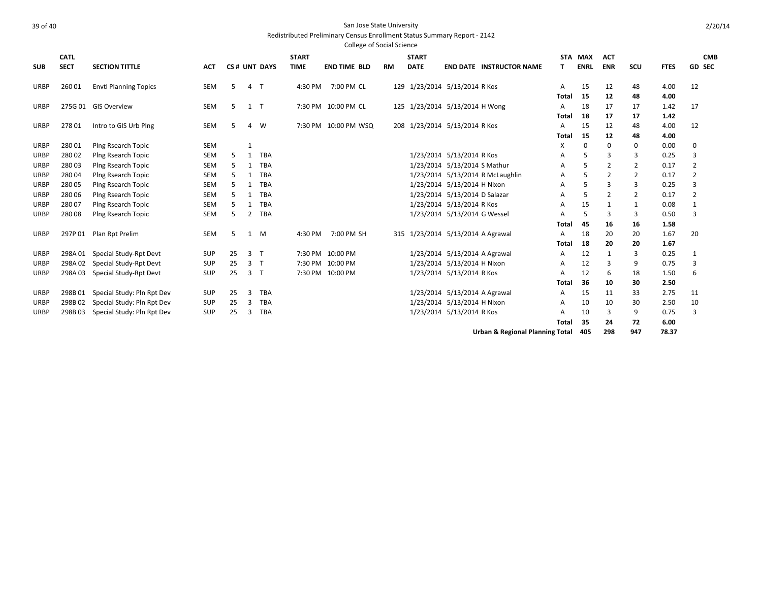|             |             |                              |            |    |              |              |              | <b>College of Social Science</b> |           |              |                                   |                   |             |            |                |              |                |
|-------------|-------------|------------------------------|------------|----|--------------|--------------|--------------|----------------------------------|-----------|--------------|-----------------------------------|-------------------|-------------|------------|----------------|--------------|----------------|
|             | <b>CATL</b> |                              |            |    |              |              | <b>START</b> |                                  |           | <b>START</b> |                                   |                   | STA MAX     | <b>ACT</b> |                |              | <b>CMB</b>     |
| <b>SUB</b>  | <b>SECT</b> | <b>SECTION TITTLE</b>        | <b>ACT</b> |    |              | CS# UNT DAYS | <b>TIME</b>  | <b>END TIME BLD</b>              | <b>RM</b> | <b>DATE</b>  | <b>END DATE INSTRUCTOR NAME</b>   |                   | <b>ENRL</b> | <b>ENR</b> | SCU            | <b>FTES</b>  | <b>GD SEC</b>  |
| URBP        | 26001       | <b>Envtl Planning Topics</b> | SEM        | 5  | 4            | $\mathsf{T}$ | 4:30 PM      | 7:00 PM CL                       |           |              | 129 1/23/2014 5/13/2014 R Kos     | A<br><b>Total</b> | 15<br>15    | 12<br>12   | 48<br>48       | 4.00<br>4.00 | 12             |
| URBP        |             | 275G 01 GIS Overview         | SEM        | 5  | $1$ T        |              |              | 7:30 PM 10:00 PM CL              |           |              | 125 1/23/2014 5/13/2014 H Wong    | A<br>Total        | 18<br>18    | 17<br>17   | 17<br>17       | 1.42<br>1.42 | 17             |
| <b>URBP</b> | 27801       | Intro to GIS Urb Plng        | SEM        | 5  | 4            | W            |              | 7:30 PM 10:00 PM WSQ             |           |              | 208 1/23/2014 5/13/2014 R Kos     | А<br>Total        | 15<br>15    | 12<br>12   | 48<br>48       | 4.00<br>4.00 | 12             |
| <b>URBP</b> | 28001       | Plng Rsearch Topic           | <b>SEM</b> |    |              |              |              |                                  |           |              |                                   | X                 | $\Omega$    | $\Omega$   | 0              | 0.00         | 0              |
| <b>URBP</b> | 28002       | Plng Rsearch Topic           | <b>SEM</b> | 5  | 1            | <b>TBA</b>   |              |                                  |           |              | 1/23/2014 5/13/2014 R Kos         | А                 | 5           | 3          | 3              | 0.25         | 3              |
| <b>URBP</b> | 28003       | Plng Rsearch Topic           | <b>SEM</b> | 5  | 1            | <b>TBA</b>   |              |                                  |           |              | 1/23/2014 5/13/2014 S Mathur      | А                 |             | 2          | $\overline{2}$ | 0.17         | 2              |
| <b>URBP</b> | 28004       | Plng Rsearch Topic           | <b>SEM</b> | 5  | 1            | <b>TBA</b>   |              |                                  |           |              | 1/23/2014 5/13/2014 R McLaughlin  | Α                 | 5           | 2          | 2              | 0.17         | 2              |
| <b>URBP</b> | 28005       | Plng Rsearch Topic           | <b>SEM</b> | 5  | 1            | <b>TBA</b>   |              |                                  |           |              | 1/23/2014 5/13/2014 H Nixon       | А                 |             |            | 3              | 0.25         | 3              |
| <b>URBP</b> | 280 06      | Plng Rsearch Topic           | SEM        | 5  | 1            | <b>TBA</b>   |              |                                  |           |              | 1/23/2014 5/13/2014 D Salazar     | A                 | 5           | 2          | 2              | 0.17         | $\overline{2}$ |
| <b>URBP</b> | 28007       | Plng Rsearch Topic           | <b>SEM</b> | 5. | 1            | <b>TBA</b>   |              |                                  |           |              | 1/23/2014 5/13/2014 R Kos         | A                 | 15          |            | $\mathbf{1}$   | 0.08         | 1              |
| <b>URBP</b> | 28008       | Plng Rsearch Topic           | <b>SEM</b> | 5  | 2            | <b>TBA</b>   |              |                                  |           |              | 1/23/2014 5/13/2014 G Wessel      | А                 | 5           | 3          | 3              | 0.50         | 3              |
|             |             |                              |            |    |              |              |              |                                  |           |              |                                   | Total             | 45          | 16         | 16             | 1.58         |                |
| URBP        | 297P01      | Plan Rpt Prelim              | SEM        | 5  | $\mathbf{1}$ | M            | 4:30 PM      | 7:00 PM SH                       |           |              | 315 1/23/2014 5/13/2014 A Agrawal | A                 | 18          | 20         | 20             | 1.67         | 20             |
|             |             |                              |            |    |              |              |              |                                  |           |              |                                   | Total             | 18          | 20         | 20             | 1.67         |                |
| <b>URBP</b> | 298A01      | Special Study-Rpt Devt       | <b>SUP</b> | 25 | 3            | T            |              | 7:30 PM 10:00 PM                 |           |              | 1/23/2014 5/13/2014 A Agrawal     | A                 | 12          |            | 3              | 0.25         | 1              |
| <b>URBP</b> | 298A02      | Special Study-Rpt Devt       | <b>SUP</b> | 25 | 3            | $\mathsf{T}$ |              | 7:30 PM 10:00 PM                 |           |              | 1/23/2014 5/13/2014 H Nixon       | A                 | 12          |            | 9              | 0.75         | 3              |
| <b>URBP</b> | 298A03      | Special Study-Rpt Devt       | <b>SUP</b> | 25 | 3            | $\mathsf{T}$ |              | 7:30 PM 10:00 PM                 |           |              | 1/23/2014 5/13/2014 R Kos         | A                 | 12          | 6          | 18             | 1.50         | 6              |
|             |             |                              |            |    |              |              |              |                                  |           |              |                                   | Total             | 36          | 10         | 30             | 2.50         |                |
| <b>URBP</b> | 298B01      | Special Study: Pln Rpt Dev   | <b>SUP</b> | 25 | 3            | <b>TBA</b>   |              |                                  |           |              | 1/23/2014 5/13/2014 A Agrawal     | A                 | 15          | 11         | 33             | 2.75         | 11             |
| URBP        | 298B02      | Special Study: Pln Rpt Dev   | <b>SUP</b> | 25 | 3            | <b>TBA</b>   |              |                                  |           |              | 1/23/2014 5/13/2014 H Nixon       | A                 | 10          | 10         | 30             | 2.50         | 10             |
| <b>URBP</b> | 298B03      | Special Study: Pln Rpt Dev   | <b>SUP</b> | 25 | 3            | <b>TBA</b>   |              |                                  |           |              | 1/23/2014 5/13/2014 R Kos         | A                 | 10          | 3          | 9              | 0.75         | 3              |
|             |             |                              |            |    |              |              |              |                                  |           |              |                                   | <b>Total</b>      | 35          | 24         | 72             | 6.00         |                |

**Urban & Regional Planning Total 405 298 947 78.37**